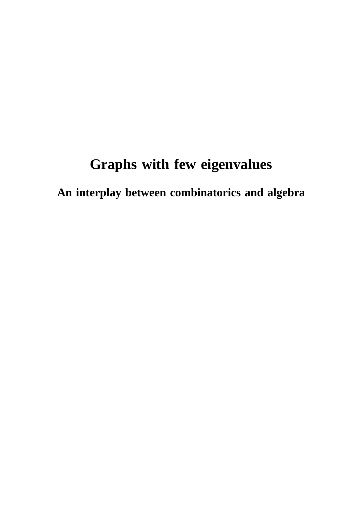# **Graphs with few eigenvalues**

**An interplay between combinatorics and algebra**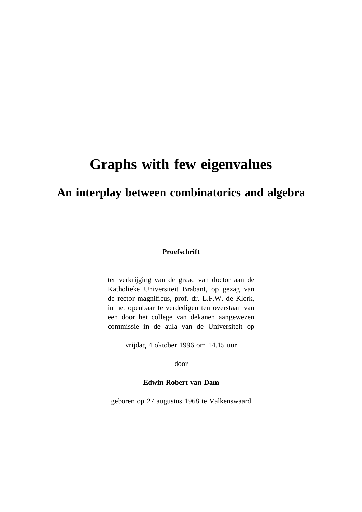# **Graphs with few eigenvalues**

# **An interplay between combinatorics and algebra**

## **Proefschrift**

ter verkrijging van de graad van doctor aan de Katholieke Universiteit Brabant, op gezag van de rector magnificus, prof. dr. L.F.W. de Klerk, in het openbaar te verdedigen ten overstaan van een door het college van dekanen aangewezen commissie in de aula van de Universiteit op

vrijdag 4 oktober 1996 om 14.15 uur

door

### **Edwin Robert van Dam**

geboren op 27 augustus 1968 te Valkenswaard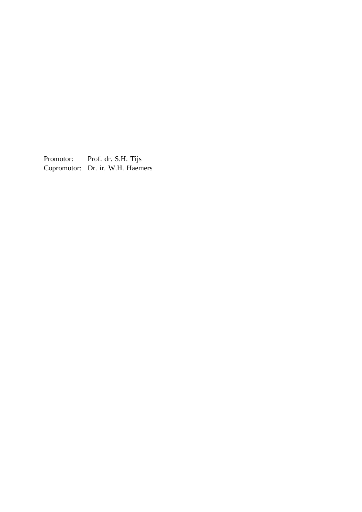Promotor: Prof. dr. S.H. Tijs Copromotor: Dr. ir. W.H. Haemers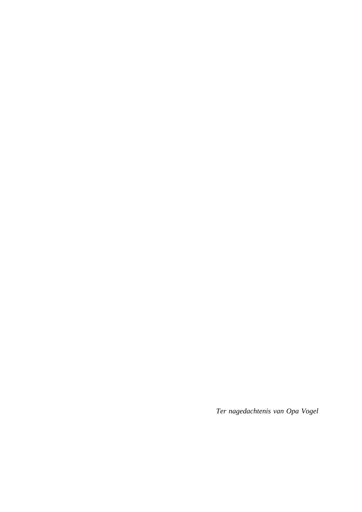*Ter nagedachtenis van Opa Vogel*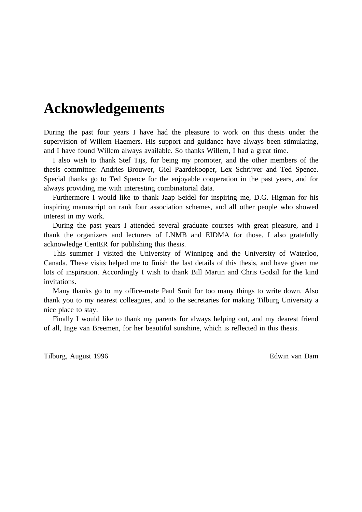# **Acknowledgements**

During the past four years I have had the pleasure to work on this thesis under the supervision of Willem Haemers. His support and guidance have always been stimulating, and I have found Willem always available. So thanks Willem, I had a great time.

I also wish to thank Stef Tijs, for being my promoter, and the other members of the thesis committee: Andries Brouwer, Giel Paardekooper, Lex Schrijver and Ted Spence. Special thanks go to Ted Spence for the enjoyable cooperation in the past years, and for always providing me with interesting combinatorial data.

Furthermore I would like to thank Jaap Seidel for inspiring me, D.G. Higman for his inspiring manuscript on rank four association schemes, and all other people who showed interest in my work.

During the past years I attended several graduate courses with great pleasure, and I thank the organizers and lecturers of LNMB and EIDMA for those. I also gratefully acknowledge CentER for publishing this thesis.

This summer I visited the University of Winnipeg and the University of Waterloo, Canada. These visits helped me to finish the last details of this thesis, and have given me lots of inspiration. Accordingly I wish to thank Bill Martin and Chris Godsil for the kind invitations.

Many thanks go to my office-mate Paul Smit for too many things to write down. Also thank you to my nearest colleagues, and to the secretaries for making Tilburg University a nice place to stay.

Finally I would like to thank my parents for always helping out, and my dearest friend of all, Inge van Breemen, for her beautiful sunshine, which is reflected in this thesis.

Tilburg, August 1996 Edwin van Dam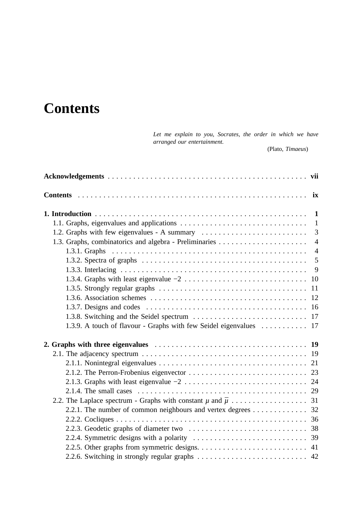# **Contents**

*Let me explain to you*, *Socrates*, *the order in which we have arranged our entertainment.*

(Plato, *Timaeus*)

| $\blacksquare$<br>$\mathbf{1}$<br>3<br>1.2. Graphs with few eigenvalues - A summary<br>$\overline{4}$<br>$\overline{4}$<br>1.3.2. Spectra of graphs $\ldots \ldots \ldots \ldots \ldots \ldots \ldots \ldots \ldots \ldots \ldots \ldots$<br>5<br>9<br>10<br>11<br>2.2.1. The number of common neighbours and vertex degrees 32 |  |  |  |  |  |
|---------------------------------------------------------------------------------------------------------------------------------------------------------------------------------------------------------------------------------------------------------------------------------------------------------------------------------|--|--|--|--|--|
|                                                                                                                                                                                                                                                                                                                                 |  |  |  |  |  |
|                                                                                                                                                                                                                                                                                                                                 |  |  |  |  |  |
|                                                                                                                                                                                                                                                                                                                                 |  |  |  |  |  |
|                                                                                                                                                                                                                                                                                                                                 |  |  |  |  |  |
|                                                                                                                                                                                                                                                                                                                                 |  |  |  |  |  |
|                                                                                                                                                                                                                                                                                                                                 |  |  |  |  |  |
|                                                                                                                                                                                                                                                                                                                                 |  |  |  |  |  |
|                                                                                                                                                                                                                                                                                                                                 |  |  |  |  |  |
|                                                                                                                                                                                                                                                                                                                                 |  |  |  |  |  |
|                                                                                                                                                                                                                                                                                                                                 |  |  |  |  |  |
|                                                                                                                                                                                                                                                                                                                                 |  |  |  |  |  |
|                                                                                                                                                                                                                                                                                                                                 |  |  |  |  |  |
|                                                                                                                                                                                                                                                                                                                                 |  |  |  |  |  |
|                                                                                                                                                                                                                                                                                                                                 |  |  |  |  |  |
|                                                                                                                                                                                                                                                                                                                                 |  |  |  |  |  |
|                                                                                                                                                                                                                                                                                                                                 |  |  |  |  |  |
|                                                                                                                                                                                                                                                                                                                                 |  |  |  |  |  |
|                                                                                                                                                                                                                                                                                                                                 |  |  |  |  |  |
|                                                                                                                                                                                                                                                                                                                                 |  |  |  |  |  |
|                                                                                                                                                                                                                                                                                                                                 |  |  |  |  |  |
|                                                                                                                                                                                                                                                                                                                                 |  |  |  |  |  |
|                                                                                                                                                                                                                                                                                                                                 |  |  |  |  |  |
|                                                                                                                                                                                                                                                                                                                                 |  |  |  |  |  |
|                                                                                                                                                                                                                                                                                                                                 |  |  |  |  |  |
|                                                                                                                                                                                                                                                                                                                                 |  |  |  |  |  |
|                                                                                                                                                                                                                                                                                                                                 |  |  |  |  |  |
|                                                                                                                                                                                                                                                                                                                                 |  |  |  |  |  |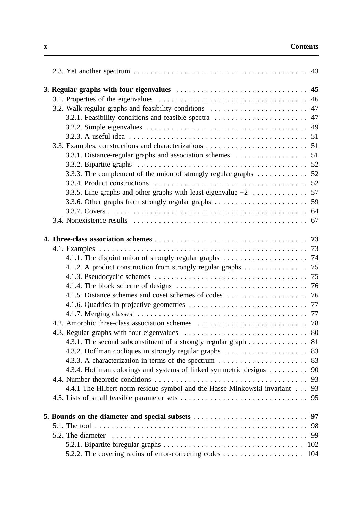| 3.2. Walk-regular graphs and feasibility conditions  47                                                               |     |
|-----------------------------------------------------------------------------------------------------------------------|-----|
| 3.2.1. Feasibility conditions and feasible spectra  47                                                                |     |
|                                                                                                                       |     |
|                                                                                                                       |     |
|                                                                                                                       |     |
|                                                                                                                       |     |
|                                                                                                                       |     |
| 3.3.3. The complement of the union of strongly regular graphs 52                                                      |     |
| 3.3.4. Product constructions $\ldots \ldots \ldots \ldots \ldots \ldots \ldots \ldots \ldots \ldots \ldots \ldots$ 52 |     |
|                                                                                                                       |     |
|                                                                                                                       |     |
|                                                                                                                       |     |
|                                                                                                                       |     |
|                                                                                                                       |     |
|                                                                                                                       |     |
|                                                                                                                       |     |
| 4.1.1. The disjoint union of strongly regular graphs $\dots \dots \dots \dots \dots \dots \dots$ 74                   |     |
| 4.1.2. A product construction from strongly regular graphs 75                                                         |     |
|                                                                                                                       |     |
|                                                                                                                       |     |
|                                                                                                                       |     |
|                                                                                                                       |     |
|                                                                                                                       |     |
|                                                                                                                       |     |
|                                                                                                                       |     |
| 4.3.1. The second subconstituent of a strongly regular graph $\dots \dots \dots \dots$ 81                             |     |
|                                                                                                                       |     |
|                                                                                                                       |     |
| 4.3.4. Hoffman colorings and systems of linked symmetric designs                                                      | 90  |
|                                                                                                                       | 93  |
| 4.4.1 The Hilbert norm residue symbol and the Hasse-Minkowski invariant                                               | 93  |
|                                                                                                                       | 95  |
|                                                                                                                       |     |
|                                                                                                                       | 98  |
|                                                                                                                       | 99  |
|                                                                                                                       | 102 |
|                                                                                                                       |     |
| 5.2.2. The covering radius of error-correcting codes 104                                                              |     |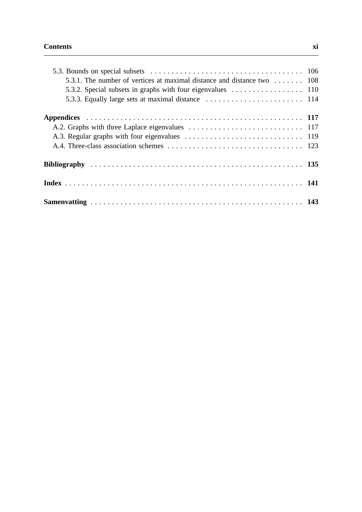| 5.3.1. The number of vertices at maximal distance and distance two  108 |  |
|-------------------------------------------------------------------------|--|
|                                                                         |  |
|                                                                         |  |
|                                                                         |  |
|                                                                         |  |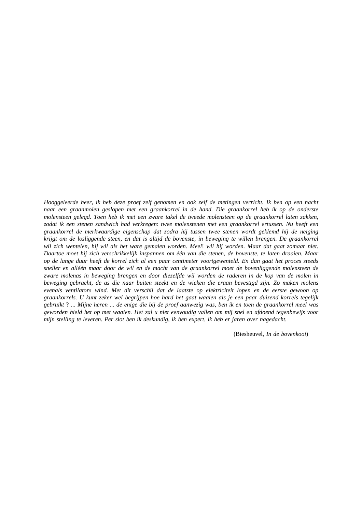*Hooggeleerde heer*, *ik heb deze proef zelf genomen en ook zelf de metingen verricht. Ik ben op een nacht naar een graanmolen geslopen met een graankorrel in de hand. Die graankorrel heb ik op de onderste molensteen gelegd. Toen heb ik met een zware takel de tweede molensteen op de graankorrel laten zakken*, *zodat ik een stenen sandwich had verkregen*: *twee molenstenen met een graankorrel ertussen. Nu heeft een graankorrel de merkwaardige eigenschap dat zodra hij tussen twee stenen wordt geklemd hij de neiging krijgt om de losliggende steen*, *en dat is altijd de bovenste*, *in beweging te willen brengen. De graankorrel wil zich wentelen*, *hij wil als het ware gemalen worden. Meel*! *wil hij worden. Maar dat gaat zomaar niet. Daartoe moet hij zich verschrikkelijk inspannen om één van die stenen*, *de bovenste*, *te laten draaien. Maar op de lange duur heeft de korrel zich al een paar centimeter voortgewenteld. En dan gaat het proces steeds sneller en alléén maar door de wil en de macht van de graankorrel moet de bovenliggende molensteen de zware molenas in beweging brengen en door diezelfde wil worden de raderen in de kop van de molen in beweging gebracht*, *de as die naar buiten steekt en de wieken die eraan bevestigd zijn. Zo maken molens evenals ventilators wind. Met dit verschil dat de laatste op elektriciteit lopen en de eerste gewoon op graankorrels. U kunt zeker wel begrijpen hoe hard het gaat waaien als je een paar duizend korrels tegelijk gebruikt* ? ... *Mijne heren* ... *de enige die bij de proef aanwezig was*, *ben ik en toen de graankorrel meel was geworden hield het op met waaien. Het zal u niet eenvoudig vallen om mij snel en afdoend tegenbewijs voor mijn stelling te leveren. Per slot ben ik deskundig*, *ik ben expert*, *ik heb er jaren over nagedacht.*

(Biesheuvel, *In de bovenkooi*)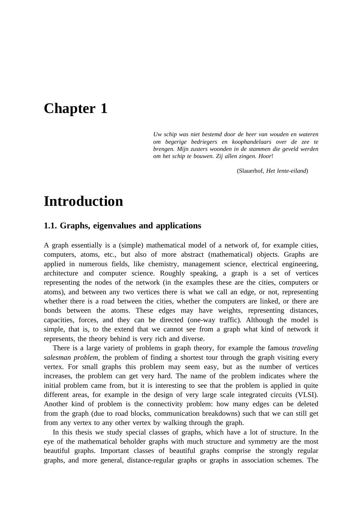# **Chapter 1**

*Uw schip was niet bestemd door de heer van wouden en wateren om begerige bedriegers en koophandelaars over de zee te brengen. Mijn zusters woonden in de stammen die geveld werden om het schip te bouwen. Zij allen zingen. Hoor*!

(Slauerhof, *Het lente-eiland*)

# **Introduction**

### **1.1. Graphs, eigenvalues and applications**

A graph essentially is a (simple) mathematical model of a network of, for example cities, computers, atoms, etc., but also of more abstract (mathematical) objects. Graphs are applied in numerous fields, like chemistry, management science, electrical engineering, architecture and computer science. Roughly speaking, a graph is a set of vertices representing the nodes of the network (in the examples these are the cities, computers or atoms), and between any two vertices there is what we call an edge, or not, representing whether there is a road between the cities, whether the computers are linked, or there are bonds between the atoms. These edges may have weights, representing distances, capacities, forces, and they can be directed (one-way traffic). Although the model is simple, that is, to the extend that we cannot see from a graph what kind of network it represents, the theory behind is very rich and diverse.

There is a large variety of problems in graph theory, for example the famous *traveling salesman problem*, the problem of finding a shortest tour through the graph visiting every vertex. For small graphs this problem may seem easy, but as the number of vertices increases, the problem can get very hard. The name of the problem indicates where the initial problem came from, but it is interesting to see that the problem is applied in quite different areas, for example in the design of very large scale integrated circuits (VLSI). Another kind of problem is the connectivity problem: how many edges can be deleted from the graph (due to road blocks, communication breakdowns) such that we can still get from any vertex to any other vertex by walking through the graph.

In this thesis we study special classes of graphs, which have a lot of structure. In the eye of the mathematical beholder graphs with much structure and symmetry are the most beautiful graphs. Important classes of beautiful graphs comprise the strongly regular graphs, and more general, distance-regular graphs or graphs in association schemes. The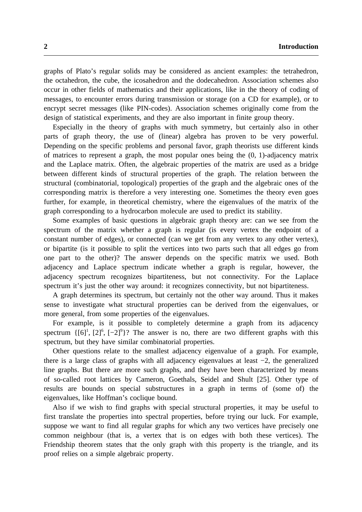graphs of Plato's regular solids may be considered as ancient examples: the tetrahedron, the octahedron, the cube, the icosahedron and the dodecahedron. Association schemes also occur in other fields of mathematics and their applications, like in the theory of coding of messages, to encounter errors during transmission or storage (on a CD for example), or to encrypt secret messages (like PIN-codes). Association schemes originally come from the design of statistical experiments, and they are also important in finite group theory.

Especially in the theory of graphs with much symmetry, but certainly also in other parts of graph theory, the use of (linear) algebra has proven to be very powerful. Depending on the specific problems and personal favor, graph theorists use different kinds of matrices to represent a graph, the most popular ones being the (0, 1)-adjacency matrix and the Laplace matrix. Often, the algebraic properties of the matrix are used as a bridge between different kinds of structural properties of the graph. The relation between the structural (combinatorial, topological) properties of the graph and the algebraic ones of the corresponding matrix is therefore a very interesting one. Sometimes the theory even goes further, for example, in theoretical chemistry, where the eigenvalues of the matrix of the graph corresponding to a hydrocarbon molecule are used to predict its stability.

Some examples of basic questions in algebraic graph theory are: can we see from the spectrum of the matrix whether a graph is regular (is every vertex the endpoint of a constant number of edges), or connected (can we get from any vertex to any other vertex), or bipartite (is it possible to split the vertices into two parts such that all edges go from one part to the other)? The answer depends on the specific matrix we used. Both adjacency and Laplace spectrum indicate whether a graph is regular, however, the adjacency spectrum recognizes bipartiteness, but not connectivity. For the Laplace spectrum it's just the other way around: it recognizes connectivity, but not bipartiteness.

A graph determines its spectrum, but certainly not the other way around. Thus it makes sense to investigate what structural properties can be derived from the eigenvalues, or more general, from some properties of the eigenvalues.

For example, is it possible to completely determine a graph from its adjacency spectrum  $\{ [6]^1, [2]^6, [-2]^9 \}$ ? The answer is no, there are two different graphs with this spectrum, but they have similar combinatorial properties.

Other questions relate to the smallest adjacency eigenvalue of a graph. For example, there is a large class of graphs with all adjacency eigenvalues at least −2, the generalized line graphs. But there are more such graphs, and they have been characterized by means of so-called root lattices by Cameron, Goethals, Seidel and Shult [25]. Other type of results are bounds on special substructures in a graph in terms of (some of) the eigenvalues, like Hoffman's coclique bound.

Also if we wish to find graphs with special structural properties, it may be useful to first translate the properties into spectral properties, before trying our luck. For example, suppose we want to find all regular graphs for which any two vertices have precisely one common neighbour (that is, a vertex that is on edges with both these vertices). The Friendship theorem states that the only graph with this property is the triangle, and its proof relies on a simple algebraic property.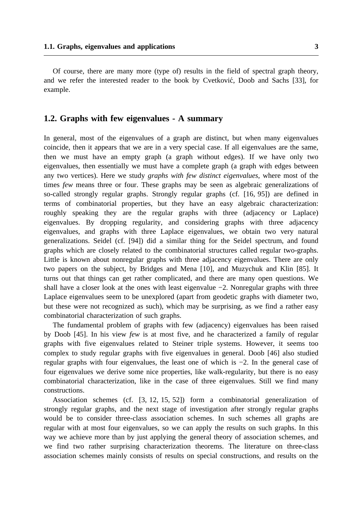Of course, there are many more (type of) results in the field of spectral graph theory, and we refer the interested reader to the book by Cvetković, Doob and Sachs [33], for example.

# **1.2. Graphs with few eigenvalues - A summary**

In general, most of the eigenvalues of a graph are distinct, but when many eigenvalues coincide, then it appears that we are in a very special case. If all eigenvalues are the same, then we must have an empty graph (a graph without edges). If we have only two eigenvalues, then essentially we must have a complete graph (a graph with edges between any two vertices). Here we study *graphs with few distinct eigenvalues*, where most of the times *few* means three or four. These graphs may be seen as algebraic generalizations of so-called strongly regular graphs. Strongly regular graphs (cf. [16, 95]) are defined in terms of combinatorial properties, but they have an easy algebraic characterization: roughly speaking they are the regular graphs with three (adjacency or Laplace) eigenvalues. By dropping regularity, and considering graphs with three adjacency eigenvalues, and graphs with three Laplace eigenvalues, we obtain two very natural generalizations. Seidel (cf. [94]) did a similar thing for the Seidel spectrum, and found graphs which are closely related to the combinatorial structures called regular two-graphs. Little is known about nonregular graphs with three adjacency eigenvalues. There are only two papers on the subject, by Bridges and Mena [10], and Muzychuk and Klin [85]. It turns out that things can get rather complicated, and there are many open questions. We shall have a closer look at the ones with least eigenvalue −2. Nonregular graphs with three Laplace eigenvalues seem to be unexplored (apart from geodetic graphs with diameter two, but these were not recognized as such), which may be surprising, as we find a rather easy combinatorial characterization of such graphs.

The fundamental problem of graphs with few (adjacency) eigenvalues has been raised by Doob [45]. In his view *few* is at most five, and he characterized a family of regular graphs with five eigenvalues related to Steiner triple systems. However, it seems too complex to study regular graphs with five eigenvalues in general. Doob [46] also studied regular graphs with four eigenvalues, the least one of which is −2. In the general case of four eigenvalues we derive some nice properties, like walk-regularity, but there is no easy combinatorial characterization, like in the case of three eigenvalues. Still we find many constructions.

Association schemes (cf. [3, 12, 15, 52]) form a combinatorial generalization of strongly regular graphs, and the next stage of investigation after strongly regular graphs would be to consider three-class association schemes. In such schemes all graphs are regular with at most four eigenvalues, so we can apply the results on such graphs. In this way we achieve more than by just applying the general theory of association schemes, and we find two rather surprising characterization theorems. The literature on three-class association schemes mainly consists of results on special constructions, and results on the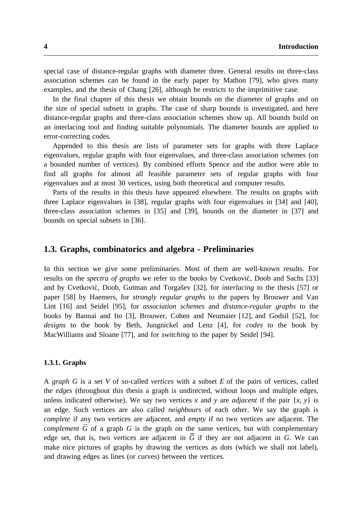special case of distance-regular graphs with diameter three. General results on three-class association schemes can be found in the early paper by Mathon [79], who gives many examples, and the thesis of Chang [26], although he restricts to the imprimitive case.

In the final chapter of this thesis we obtain bounds on the diameter of graphs and on the size of special subsets in graphs. The case of sharp bounds is investigated, and here distance-regular graphs and three-class association schemes show up. All bounds build on an interlacing tool and finding suitable polynomials. The diameter bounds are applied to error-correcting codes.

Appended to this thesis are lists of parameter sets for graphs with three Laplace eigenvalues, regular graphs with four eigenvalues, and three-class association schemes (on a bounded number of vertices). By combined efforts Spence and the author were able to find all graphs for almost all feasible parameter sets of regular graphs with four eigenvalues and at most 30 vertices, using both theoretical and computer results.

Parts of the results in this thesis have appeared elsewhere. The results on graphs with three Laplace eigenvalues in [38], regular graphs with four eigenvalues in [34] and [40], three-class association schemes in [35] and [39], bounds on the diameter in [37] and bounds on special subsets in [36].

## **1.3. Graphs, combinatorics and algebra - Preliminaries**

In this section we give some preliminaries. Most of them are well-known results. For results on the *spectra of graphs* we refer to the books by Cvetković, Doob and Sachs [33] and by Cvetkovic´, Doob, Gutman and Torgašev [32], for *interlacing* to the thesis [57] or paper [58] by Haemers, for *strongly regular graphs* to the papers by Brouwer and Van Lint [16] and Seidel [95], for *association schemes* and *distance-regular graphs* to the books by Bannai and Ito [3], Brouwer, Cohen and Neumaier [12], and Godsil [52], for *designs* to the book by Beth, Jungnickel and Lenz [4], for *codes* to the book by MacWilliams and Sloane [77], and for *switching* to the paper by Seidel [94].

### **1.3.1. Graphs**

A *graph G* is a set *V* of so-called *vertices* with a subset *E* of the pairs of vertices, called the *edges* (throughout this thesis a graph is undirected, without loops and multiple edges, unless indicated otherwise). We say two vertices *x* and *y* are *adjacent* if the pair  $\{x, y\}$  is an edge. Such vertices are also called *neighbours* of each other. We say the graph is *complete* if any two vertices are adjacent, and *empty* if no two vertices are adjacent. The *complement*  $\overline{G}$  of a graph  $G$  is the graph on the same vertices, but with complementary edge set, that is, two vertices are adjacent in  $\overline{G}$  if they are not adjacent in *G*. We can make nice pictures of graphs by drawing the vertices as dots (which we shall not label), and drawing edges as lines (or curves) between the vertices.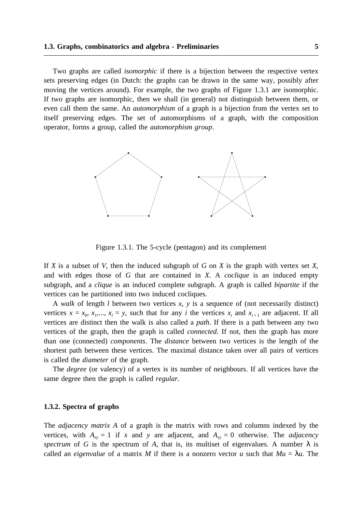Two graphs are called *isomorphic* if there is a bijection between the respective vertex sets preserving edges (in Dutch: the graphs can be drawn in the same way, possibly after moving the vertices around). For example, the two graphs of Figure 1.3.1 are isomorphic. If two graphs are isomorphic, then we shall (in general) not distinguish between them, or even call them the same. An *automorphism* of a graph is a bijection from the vertex set to itself preserving edges. The set of automorphisms of a graph, with the composition operator, forms a group, called the *automorphism group*.



Figure 1.3.1. The 5-cycle (pentagon) and its complement

If *X* is a subset of *V*, then the induced subgraph of *G* on *X* is the graph with vertex set *X*, and with edges those of *G* that are contained in *X*. A *coclique* is an induced empty subgraph, and a *clique* is an induced complete subgraph. A graph is called *bipartite* if the vertices can be partitioned into two induced cocliques.

A *walk* of length *l* between two vertices *x*, *y* is a sequence of (not necessarily distinct) vertices  $x = x_0, x_1, \dots, x_l = y$ , such that for any *i* the vertices  $x_i$  and  $x_{i+1}$  are adjacent. If all vertices are distinct then the walk is also called a *path*. If there is a path between any two vertices of the graph, then the graph is called *connected*. If not, then the graph has more than one (connected) *components*. The *distance* between two vertices is the length of the shortest path between these vertices. The maximal distance taken over all pairs of vertices is called the *diameter* of the graph.

The *degree* (or valency) of a vertex is its number of neighbours. If all vertices have the same degree then the graph is called *regular*.

### **1.3.2. Spectra of graphs**

The *adjacency matrix A* of a graph is the matrix with rows and columns indexed by the vertices, with  $A_{xy} = 1$  if *x* and *y* are adjacent, and  $A_{xy} = 0$  otherwise. The *adjacency spectrum* of *G* is the spectrum of *A*, that is, its multiset of eigenvalues. A number  $\lambda$  is called an *eigenvalue* of a matrix *M* if there is a nonzero vector *u* such that  $Mu = \lambda u$ . The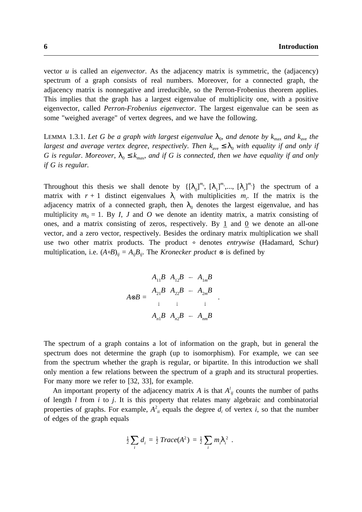vector *u* is called an *eigenvector*. As the adjacency matrix is symmetric, the (adjacency) spectrum of a graph consists of real numbers. Moreover, for a connected graph, the adjacency matrix is nonnegative and irreducible, so the Perron-Frobenius theorem applies. This implies that the graph has a largest eigenvalue of multiplicity one, with a positive eigenvector, called *Perron-Frobenius eigenvector*. The largest eigenvalue can be seen as some "weighed average" of vertex degrees, and we have the following.

LEMMA 1.3.1. Let G be a graph with largest eigenvalue  $\lambda_0$ , and denote by  $k_{\text{max}}$  and  $k_{\text{ave}}$  the *largest and average vertex degree, respectively. Then*  $k_{ave} \leq \lambda_0$  *with equality if and only if G* is regular. Moreover,  $\lambda_0 \leq k_{\text{max}}$ , and if G is connected, then we have equality if and only *if G is regular.*

Throughout this thesis we shall denote by  $\{[\lambda_0]^{m_0}, [\lambda_1]^{m_1},..., [\lambda_r]^{m_r}\}$  the spectrum of a matrix with  $r + 1$  distinct eigenvalues  $\lambda_i$  with multiplicities  $m_i$ . If the matrix is the adjacency matrix of a connected graph, then  $\lambda_0$  denotes the largest eigenvalue, and has multiplicity  $m_0 = 1$ . By *I*, *J* and *O* we denote an identity matrix, a matrix consisting of ones, and a matrix consisting of zeros, respectively. By 1 and 0 we denote an all-one vector, and a zero vector, respectively. Besides the ordinary matrix multiplication we shall use two other matrix products. The product  $\circ$  denotes *entrywise* (Hadamard, Schur) multiplication, i.e.  $(A \circ B)_{ii} = A_{ii}B_{ii}$ . The *Kronecker product* ⊗ is defined by

$$
A \otimes B = \begin{pmatrix} A_{11}B & A_{12}B & \cdots & A_{1m}B \\ A_{21}B & A_{22}B & \cdots & A_{2m}B \\ \vdots & \vdots & & \vdots \\ A_{n1}B & A_{n2}B & \cdots & A_{nm}B \end{pmatrix}.
$$

The spectrum of a graph contains a lot of information on the graph, but in general the spectrum does not determine the graph (up to isomorphism). For example, we can see from the spectrum whether the graph is regular, or bipartite. In this introduction we shall only mention a few relations between the spectrum of a graph and its structural properties. For many more we refer to [32, 33], for example.

An important property of the adjacency matrix  $A$  is that  $A_{ij}^l$  counts the number of paths of length *l* from *i* to *j*. It is this property that relates many algebraic and combinatorial properties of graphs. For example,  $A_{ii}^2$  equals the degree  $d_i$  of vertex *i*, so that the number of edges of the graph equals

$$
\frac{1}{2}\sum_i d_i = \frac{1}{2} Trace(A^2) = \frac{1}{2}\sum_i m_i \lambda_i^2.
$$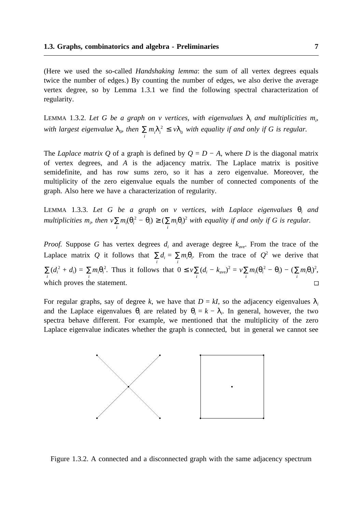(Here we used the so-called *Handshaking lemma*: the sum of all vertex degrees equals twice the number of edges.) By counting the number of edges, we also derive the average vertex degree, so by Lemma 1.3.1 we find the following spectral characterization of regularity.

LEMMA 1.3.2. Let G be a graph on *v* vertices, with eigenvalues  $\lambda_i$  and multiplicities  $m_i$ , with largest eigenvalue  $\lambda_0$ , then  $\sum_i m_i \lambda_i^2 \leq v \lambda_0$  with equality if and only if G is regular.

The *Laplace matrix Q* of a graph is defined by  $Q = D - A$ , where *D* is the diagonal matrix of vertex degrees, and *A* is the adjacency matrix. The Laplace matrix is positive semidefinite, and has row sums zero, so it has a zero eigenvalue. Moreover, the multiplicity of the zero eigenvalue equals the number of connected components of the graph. Also here we have a characterization of regularity.

LEMMA 1.3.3. *Let G be a graph on v vertices*, *with Laplace eigenvalues* θ*<sup>i</sup> and multiplicities*  $m_i$ , then  $v \sum m_i(\theta_i^2 - \theta_i) \geq (\sum m_i \theta_i)^2$  with equality if and only if G is regular. *i* ∑ *i*

*Proof.* Suppose *G* has vertex degrees  $d_i$  and average degree  $k_{ave}$ . From the trace of the Laplace matrix Q it follows that  $\sum d_i = \sum m_i \theta_i$ . From the trace of  $Q^2$  we derive that *i i*  $\sum (d_i^2 + d_i) = \sum m_i \theta_i^2$ . Thus it follows that  $0 \le v \sum (d_i - k_{ave})^2 = v \sum m_i(\theta_i^2 - \theta_i) - (\sum m_i \theta_i)^2$ , ∑ ∑ ∑ ∑ *i i i i i* which proves the statement.  $\Box$ 

For regular graphs, say of degree *k*, we have that  $D = kI$ , so the adjacency eigenvalues  $\lambda_i$ and the Laplace eigenvalues  $\theta_i$  are related by  $\theta_i = k - \lambda_i$ . In general, however, the two spectra behave different. For example, we mentioned that the multiplicity of the zero Laplace eigenvalue indicates whether the graph is connected, but in general we cannot see



Figure 1.3.2. A connected and a disconnected graph with the same adjacency spectrum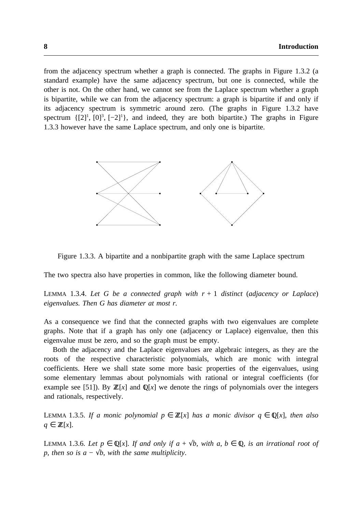from the adjacency spectrum whether a graph is connected. The graphs in Figure 1.3.2 (a standard example) have the same adjacency spectrum, but one is connected, while the other is not. On the other hand, we cannot see from the Laplace spectrum whether a graph is bipartite, while we can from the adjacency spectrum: a graph is bipartite if and only if its adjacency spectrum is symmetric around zero. (The graphs in Figure 1.3.2 have spectrum  $\{[2]^1, [0]^3, [-2]^1\}$ , and indeed, they are both bipartite.) The graphs in Figure 1.3.3 however have the same Laplace spectrum, and only one is bipartite.



Figure 1.3.3. A bipartite and a nonbipartite graph with the same Laplace spectrum

The two spectra also have properties in common, like the following diameter bound.

LEMMA 1.3.4. *Let G be a connected graph with r* + 1 *distinct* (*adjacency or Laplace*) *eigenvalues. Then G has diameter at most r.*

As a consequence we find that the connected graphs with two eigenvalues are complete graphs. Note that if a graph has only one (adjacency or Laplace) eigenvalue, then this eigenvalue must be zero, and so the graph must be empty.

Both the adjacency and the Laplace eigenvalues are algebraic integers, as they are the roots of the respective characteristic polynomials, which are monic with integral coefficients. Here we shall state some more basic properties of the eigenvalues, using some elementary lemmas about polynomials with rational or integral coefficients (for example see [51]). By  $\mathbb{Z}[x]$  and  $\mathbb{Q}[x]$  we denote the rings of polynomials over the integers and rationals, respectively.

LEMMA 1.3.5. If a monic polynomial  $p \in \mathbb{Z}[x]$  has a monic divisor  $q \in \mathbb{Q}[x]$ , then also  $q \in \mathbb{Z}[x]$ .

LEMMA 1.3.6. Let  $p \in \mathbb{Q}[x]$ . If and only if  $a + \sqrt{b}$ , with  $a, b \in \mathbb{Q}$ , is an irrational root of *p*, *then so is a* −  $\sqrt{b}$ , *with the same multiplicity*.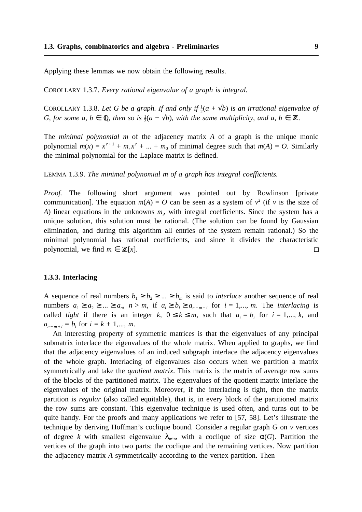Applying these lemmas we now obtain the following results.

COROLLARY 1.3.7. *Every rational eigenvalue of a graph is integral.*

COROLLARY 1.3.8. Let G be a graph. If and only if  $\frac{1}{2}(a + \sqrt{b})$  is an irrational eigenvalue of *G*, *for some a*, *b*  $\in$  **Q**, *then so is*  $\frac{1}{2}(a - \sqrt{b})$ , *with the same multiplicity*, *and a*, *b*  $\in$  **Z**.

The *minimal polynomial m* of the adjacency matrix *A* of a graph is the unique monic polynomial  $m(x) = x^{r+1} + m_r x^r + ... + m_0$  of minimal degree such that  $m(A) = O$ . Similarly the minimal polynomial for the Laplace matrix is defined.

### LEMMA 1.3.9. *The minimal polynomial m of a graph has integral coefficients.*

*Proof.* The following short argument was pointed out by Rowlinson [private] communication]. The equation  $m(A) = O$  can be seen as a system of  $v^2$  (if *v* is the size of  $A$ ) linear equations in the unknowns  $m_i$ , with integral coefficients. Since the system has a unique solution, this solution must be rational. (The solution can be found by Gaussian elimination, and during this algorithm all entries of the system remain rational.) So the minimal polynomial has rational coefficients, and since it divides the characteristic polynomial, we find  $m \in \mathbb{Z}[x]$ .  $\Box$ 

#### **1.3.3. Interlacing**

A sequence of real numbers  $b_1 \geq b_2 \geq ... \geq b_m$  is said to *interlace* another sequence of real numbers  $a_1 \ge a_2 \ge ... \ge a_n$ ,  $n > m$ , if  $a_i \ge b_i \ge a_{n-m+i}$  for  $i = 1,..., m$ . The *interlacing* is called *tight* if there is an integer *k*,  $0 \le k \le m$ , such that  $a_i = b_i$  for  $i = 1,..., k$ , and  $a_{n-m+i} = b_i$  for  $i = k + 1, ..., m$ .

An interesting property of symmetric matrices is that the eigenvalues of any principal submatrix interlace the eigenvalues of the whole matrix. When applied to graphs, we find that the adjacency eigenvalues of an induced subgraph interlace the adjacency eigenvalues of the whole graph. Interlacing of eigenvalues also occurs when we partition a matrix symmetrically and take the *quotient matrix*. This matrix is the matrix of average row sums of the blocks of the partitioned matrix. The eigenvalues of the quotient matrix interlace the eigenvalues of the original matrix. Moreover, if the interlacing is tight, then the matrix partition is *regular* (also called equitable), that is, in every block of the partitioned matrix the row sums are constant. This eigenvalue technique is used often, and turns out to be quite handy. For the proofs and many applications we refer to [57, 58]. Let's illustrate the technique by deriving Hoffman's coclique bound. Consider a regular graph *G* on *v* vertices of degree *k* with smallest eigenvalue  $\lambda_{\min}$ , with a coclique of size  $\alpha(G)$ . Partition the vertices of the graph into two parts: the coclique and the remaining vertices. Now partition the adjacency matrix *A* symmetrically according to the vertex partition. Then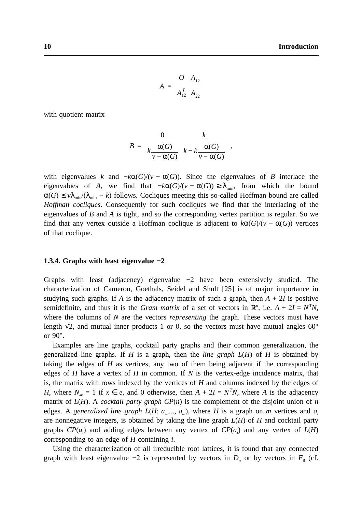$$
A = \begin{pmatrix} O & A_{12} \\ A_{12}^T & A_{22} \end{pmatrix}
$$

with quotient matrix

$$
B = \begin{pmatrix} 0 & k \\ k \frac{\alpha(G)}{\nu - \alpha(G)} & k - k \frac{\alpha(G)}{\nu - \alpha(G)} \end{pmatrix},
$$

with eigenvalues *k* and  $-k\alpha(G)/(v - \alpha(G))$ . Since the eigenvalues of *B* interlace the eigenvalues of *A*, we find that  $-k\alpha(G)/(v - \alpha(G)) \ge \lambda_{\min}$ , from which the bound  $\alpha(G) \leq v\lambda_{\min}/(\lambda_{\min} - k)$  follows. Cocliques meeting this so-called Hoffman bound are called *Hoffman cocliques*. Consequently for such cocliques we find that the interlacing of the eigenvalues of *B* and *A* is tight, and so the corresponding vertex partition is regular. So we find that any vertex outside a Hoffman coclique is adjacent to  $k\alpha(G)/(v - \alpha(G))$  vertices of that coclique.

#### **1.3.4. Graphs with least eigenvalue −2**

Graphs with least (adjacency) eigenvalue −2 have been extensively studied. The characterization of Cameron, Goethals, Seidel and Shult [25] is of major importance in studying such graphs. If *A* is the adjacency matrix of such a graph, then  $A + 2I$  is positive semidefinite, and thus it is the *Gram matrix* of a set of vectors in  $\mathbb{R}^n$ , i.e.  $A + 2I = N^T N$ , where the columns of *N* are the vectors *representing* the graph. These vectors must have length  $\sqrt{2}$ , and mutual inner products 1 or 0, so the vectors must have mutual angles 60° or 90°.

Examples are line graphs, cocktail party graphs and their common generalization, the generalized line graphs. If *H* is a graph, then the *line graph L*(*H*) of *H* is obtained by taking the edges of *H* as vertices, any two of them being adjacent if the corresponding edges of *H* have a vertex of *H* in common. If *N* is the vertex-edge incidence matrix, that is, the matrix with rows indexed by the vertices of *H* and columns indexed by the edges of *H*, where  $N_{xe} = 1$  if  $x \in e$ , and 0 otherwise, then  $A + 2I = N^{T}N$ , where *A* is the adjacency matrix of  $L(H)$ . A *cocktail party graph CP(n)* is the complement of the disjoint union of *n* edges. A *generalized line graph*  $L(H; a_1, ..., a_m)$ *, where <i>H* is a graph on *m* vertices and  $a_i$ are nonnegative integers, is obtained by taking the line graph *L*(*H*) of *H* and cocktail party graphs  $CP(a_i)$  and adding edges between any vertex of  $CP(a_i)$  and any vertex of  $L(H)$ corresponding to an edge of *H* containing *i*.

Using the characterization of all irreducible root lattices, it is found that any connected graph with least eigenvalue  $-2$  is represented by vectors in  $D_n$  or by vectors in  $E_8$  (cf.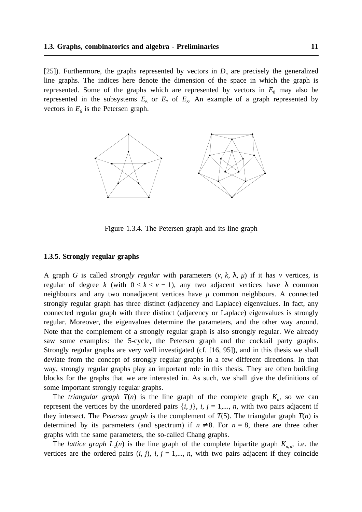[25]). Furthermore, the graphs represented by vectors in  $D_n$  are precisely the generalized line graphs. The indices here denote the dimension of the space in which the graph is represented. Some of the graphs which are represented by vectors in  $E_8$  may also be represented in the subsystems  $E_6$  or  $E_7$  of  $E_8$ . An example of a graph represented by vectors in  $E_6$  is the Petersen graph.



Figure 1.3.4. The Petersen graph and its line graph

#### **1.3.5. Strongly regular graphs**

A graph *G* is called *strongly regular* with parameters  $(v, k, \lambda, \mu)$  if it has *v* vertices, is regular of degree *k* (with  $0 < k < v - 1$ ), any two adjacent vertices have  $\lambda$  common neighbours and any two nonadjacent vertices have *µ* common neighbours. A connected strongly regular graph has three distinct (adjacency and Laplace) eigenvalues. In fact, any connected regular graph with three distinct (adjacency or Laplace) eigenvalues is strongly regular. Moreover, the eigenvalues determine the parameters, and the other way around. Note that the complement of a strongly regular graph is also strongly regular. We already saw some examples: the 5-cycle, the Petersen graph and the cocktail party graphs. Strongly regular graphs are very well investigated (cf. [16, 95]), and in this thesis we shall deviate from the concept of strongly regular graphs in a few different directions. In that way, strongly regular graphs play an important role in this thesis. They are often building blocks for the graphs that we are interested in. As such, we shall give the definitions of some important strongly regular graphs.

The *triangular graph*  $T(n)$  is the line graph of the complete graph  $K_n$ , so we can represent the vertices by the unordered pairs  $\{i, j\}$ ,  $i, j = 1, \ldots, n$ , with two pairs adjacent if they intersect. The *Petersen graph* is the complement of  $T(5)$ . The triangular graph  $T(n)$  is determined by its parameters (and spectrum) if  $n \neq 8$ . For  $n = 8$ , there are three other graphs with the same parameters, the so-called Chang graphs.

The *lattice graph*  $L_2(n)$  is the line graph of the complete bipartite graph  $K_{n,n}$ , i.e. the vertices are the ordered pairs  $(i, j)$ ,  $i, j = 1,..., n$ , with two pairs adjacent if they coincide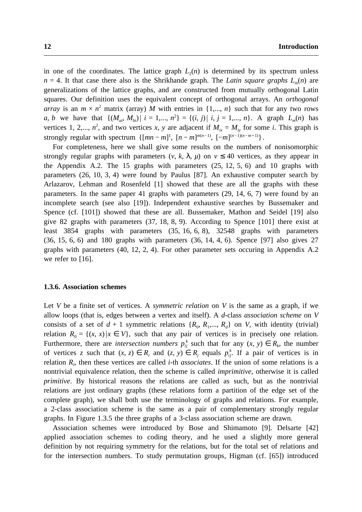in one of the coordinates. The lattice graph  $L_2(n)$  is determined by its spectrum unless  $n = 4$ . It that case there also is the Shrikhande graph. The *Latin square graphs*  $L_m(n)$  are generalizations of the lattice graphs, and are constructed from mutually orthogonal Latin squares. Our definition uses the equivalent concept of orthogonal arrays. An *orthogonal array* is an  $m \times n^2$  matrix (array) *M* with entries in  $\{1,..., n\}$  such that for any two rows *a*, *b* we have that  $\{(M_{ai}, M_{bi}) | i = 1,..., n^2\} = \{(i, j) | i, j = 1,..., n\}$ . A graph  $L_m(n)$  has vertices 1, 2,...,  $n^2$ , and two vertices *x*, *y* are adjacent if  $M_{ix} = M_{iy}$  for some *i*. This graph is strongly regular with spectrum  $\{[mn-m]^1, [n-m]^{m(n-1)}, [-m]^{(n-1)(n-m+1)}\}$ .

For completeness, here we shall give some results on the numbers of nonisomorphic strongly regular graphs with parameters  $(v, k, \lambda, \mu)$  on  $v \le 40$  vertices, as they appear in the Appendix A.2. The 15 graphs with parameters (25, 12, 5, 6) and 10 graphs with parameters (26, 10, 3, 4) were found by Paulus [87]. An exhaustive computer search by Arlazarov, Lehman and Rosenfeld [1] showed that these are all the graphs with these parameters. In the same paper 41 graphs with parameters (29, 14, 6, 7) were found by an incomplete search (see also [19]). Independent exhaustive searches by Bussemaker and Spence (cf. [101]) showed that these are all. Bussemaker, Mathon and Seidel [19] also give 82 graphs with parameters (37, 18, 8, 9). According to Spence [101] there exist at least 3854 graphs with parameters (35, 16, 6, 8), 32548 graphs with parameters (36, 15, 6, 6) and 180 graphs with parameters (36, 14, 4, 6). Spence [97] also gives 27 graphs with parameters (40, 12, 2, 4). For other parameter sets occuring in Appendix A.2 we refer to [16].

#### **1.3.6. Association schemes**

Let *V* be a finite set of vertices. A *symmetric relation* on *V* is the same as a graph, if we allow loops (that is, edges between a vertex and itself). A *d*-class *association scheme* on *V* consists of a set of  $d + 1$  symmetric relations  $\{R_0, R_1, ..., R_d\}$  on *V*, with identity (trivial) relation  $R_0 = \{(x, x) | x \in V\}$ , such that any pair of vertices is in precisely one relation. Furthermore, there are *intersection numbers*  $p_{ij}^k$  such that for any  $(x, y) \in R_k$ , the number of vertices *z* such that  $(x, z) \in R_i$  and  $(z, y) \in R_j$  equals  $p_{ij}^k$ . If a pair of vertices is in relation *Ri* , then these vertices are called *i*-th *associates*. If the union of some relations is a nontrivial equivalence relation, then the scheme is called *imprimitive*, otherwise it is called *primitive*. By historical reasons the relations are called as such, but as the nontrivial relations are just ordinary graphs (these relations form a partition of the edge set of the complete graph), we shall both use the terminology of graphs and relations. For example, a 2-class association scheme is the same as a pair of complementary strongly regular graphs. In Figure 1.3.5 the three graphs of a 3-class association scheme are drawn.

Association schemes were introduced by Bose and Shimamoto [9]. Delsarte [42] applied association schemes to coding theory, and he used a slightly more general definition by not requiring symmetry for the relations, but for the total set of relations and for the intersection numbers. To study permutation groups, Higman (cf. [65]) introduced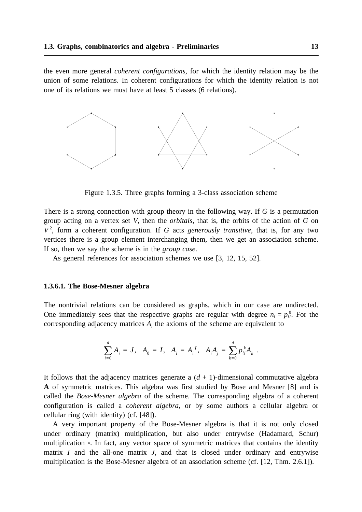the even more general *coherent configurations*, for which the identity relation may be the union of some relations. In coherent configurations for which the identity relation is not one of its relations we must have at least 5 classes (6 relations).



Figure 1.3.5. Three graphs forming a 3-class association scheme

There is a strong connection with group theory in the following way. If *G* is a permutation group acting on a vertex set *V*, then the *orbitals*, that is, the orbits of the action of *G* on *V* <sup>2</sup> , form a coherent configuration. If *G* acts *generously transitive*, that is, for any two vertices there is a group element interchanging them, then we get an association scheme. If so, then we say the scheme is in the *group case*.

As general references for association schemes we use [3, 12, 15, 52].

#### **1.3.6.1. The Bose-Mesner algebra**

The nontrivial relations can be considered as graphs, which in our case are undirected. One immediately sees that the respective graphs are regular with degree  $n_i = p_{ii}^0$ . For the corresponding adjacency matrices *Ai* the axioms of the scheme are equivalent to

$$
\sum_{i=0}^{d} A_i = J, \ \ A_0 = I, \ \ A_i = A_i^T, \ \ A_i A_j = \sum_{k=0}^{d} p_{ij}^k A_k.
$$

It follows that the adjacency matrices generate a  $(d + 1)$ -dimensional commutative algebra **A** of symmetric matrices. This algebra was first studied by Bose and Mesner [8] and is called the *Bose-Mesner algebra* of the scheme. The corresponding algebra of a coherent configuration is called a *coherent algebra*, or by some authors a cellular algebra or cellular ring (with identity) (cf. [48]).

A very important property of the Bose-Mesner algebra is that it is not only closed under ordinary (matrix) multiplication, but also under entrywise (Hadamard, Schur) multiplication  $\circ$ . In fact, any vector space of symmetric matrices that contains the identity matrix *I* and the all-one matrix *J*, and that is closed under ordinary and entrywise multiplication is the Bose-Mesner algebra of an association scheme (cf. [12, Thm. 2.6.1]).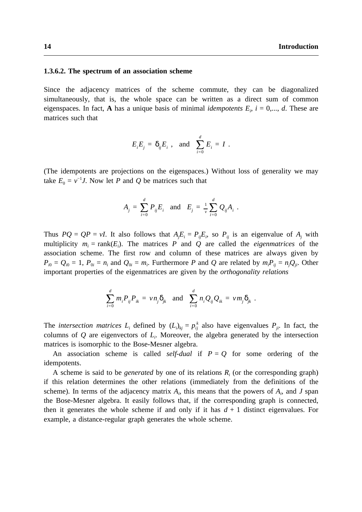#### **1.3.6.2. The spectrum of an association scheme**

Since the adjacency matrices of the scheme commute, they can be diagonalized simultaneously, that is, the whole space can be written as a direct sum of common eigenspaces. In fact, **A** has a unique basis of minimal *idempotents*  $E_i$ ,  $i = 0, \dots, d$ . These are matrices such that

$$
E_i E_j = \delta_{ij} E_i , \text{ and } \sum_{i=0}^d E_i = I .
$$

(The idempotents are projections on the eigenspaces.) Without loss of generality we may take  $E_0 = v^{-1}J$ . Now let *P* and *Q* be matrices such that

$$
A_j = \sum_{i=0}^d P_{ij} E_i \text{ and } E_j = \frac{1}{\nu} \sum_{i=0}^d Q_{ij} A_i .
$$

Thus  $PQ = QP = vI$ . It also follows that  $A_jE_i = P_{ij}E_i$ , so  $P_{ij}$  is an eigenvalue of  $A_j$  with multiplicity  $m_i = \text{rank}(E_i)$ . The matrices *P* and *Q* are called the *eigenmatrices* of the association scheme. The first row and column of these matrices are always given by  $P_{i0} = Q_{i0} = 1$ ,  $P_{0i} = n_i$  and  $Q_{0i} = m_i$ . Furthermore *P* and *Q* are related by  $m_i P_{ij} = n_j Q_{ji}$ . Other important properties of the eigenmatrices are given by the *orthogonality relations*

$$
\sum_{i=0}^d m_i P_{ij} P_{ik} = v n_j \delta_{jk} \text{ and } \sum_{i=0}^d n_i Q_{ij} Q_{ik} = v m_j \delta_{jk} .
$$

The *intersection matrices*  $L_i$  defined by  $(L_i)_{kj} = p_{ij}^k$  also have eigenvalues  $P_{ji}$ . In fact, the columns of  $Q$  are eigenvectors of  $L_i$ . Moreover, the algebra generated by the intersection matrices is isomorphic to the Bose-Mesner algebra.

An association scheme is called *self-dual* if  $P = Q$  for some ordering of the idempotents.

A scheme is said to be *generated* by one of its relations  $R_i$  (or the corresponding graph) if this relation determines the other relations (immediately from the definitions of the scheme). In terms of the adjacency matrix  $A_i$ , this means that the powers of  $A_i$ , and *J* span the Bose-Mesner algebra. It easily follows that, if the corresponding graph is connected, then it generates the whole scheme if and only if it has  $d + 1$  distinct eigenvalues. For example, a distance-regular graph generates the whole scheme.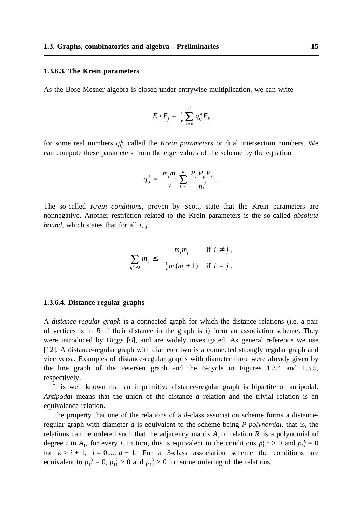#### **1.3.6.3. The Krein parameters**

As the Bose-Mesner algebra is closed under entrywise multiplication, we can write

$$
E_i \circ E_j = \frac{1}{\nu} \sum_{k=0}^d q_{ij}^k E_k
$$

for some real numbers  $q_{ij}^k$ , called the *Krein parameters* or dual intersection numbers. We can compute these parameters from the eigenvalues of the scheme by the equation

$$
q_{ij}^{\ k} = \frac{m_i m_j}{v} \sum_{l=0}^d \frac{P_{il} P_{jl} P_{kl}}{n_l^2} \ .
$$

The so-called *Krein conditions*, proven by Scott, state that the Krein parameters are nonnegative. Another restriction related to the Krein parameters is the so-called *absolute bound*, which states that for all *i*, *j*

$$
\sum_{q_{ij}^k \neq 0} m_k \leq \begin{cases} m_i m_j & \text{if } i \neq j, \\ \frac{1}{2} m_i (m_i + 1) & \text{if } i = j. \end{cases}
$$

#### **1.3.6.4. Distance-regular graphs**

A *distance-regular graph* is a connected graph for which the distance relations (i.e. a pair of vertices is in  $R_i$  if their distance in the graph is  $i$ ) form an association scheme. They were introduced by Biggs [6], and are widely investigated. As general reference we use [12]. A distance-regular graph with diameter two is a connected strongly regular graph and vice versa. Examples of distance-regular graphs with diameter three were already given by the line graph of the Petersen graph and the 6-cycle in Figures 1.3.4 and 1.3.5, respectively.

It is well known that an imprimitive distance-regular graph is bipartite or antipodal. *Antipodal* means that the union of the distance *d* relation and the trivial relation is an equivalence relation.

The property that one of the relations of a *d*-class association scheme forms a distanceregular graph with diameter *d* is equivalent to the scheme being *P*-*polynomial*, that is, the relations can be ordered such that the adjacency matrix  $A_i$  of relation  $R_i$  is a polynomial of degree *i* in  $A_1$ , for every *i*. In turn, this is equivalent to the conditions  $p_{1i}^{i+1} > 0$  and  $p_{1i}^k = 0$ for  $k > i + 1$ ,  $i = 0,..., d - 1$ . For a 3-class association scheme the conditions are equivalent to  $p_{11}^3 = 0$ ,  $p_{11}^2 > 0$  and  $p_{12}^3 > 0$  for some ordering of the relations.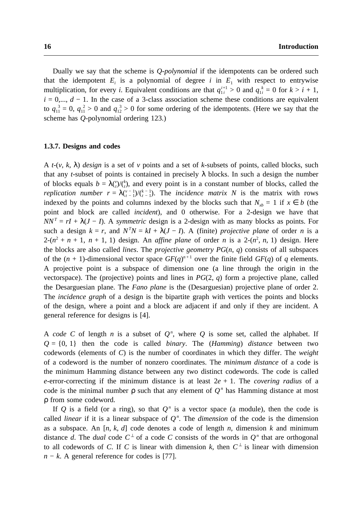Dually we say that the scheme is *Q*-*polynomial* if the idempotents can be ordered such that the idempotent  $E_i$  is a polynomial of degree *i* in  $E_i$  with respect to entrywise multiplication, for every *i*. Equivalent conditions are that  $q_{1i}^{i+1} > 0$  and  $q_{1i}^{k} = 0$  for  $k > i + 1$ ,  $i = 0, \ldots, d - 1$ . In the case of a 3-class association scheme these conditions are equivalent to  $q_{11}^3 = 0$ ,  $q_{11}^2 > 0$  and  $q_{12}^3 > 0$  for some ordering of the idempotents. (Here we say that the scheme has *Q*-polynomial ordering 123.)

#### **1.3.7. Designs and codes**

A *t*-(*v*, *k*, λ) *design* is a set of *v* points and a set of *k*-subsets of points, called blocks, such that any *t*-subset of points is contained in precisely  $\lambda$  blocks. In such a design the number of blocks equals  $b = \lambda \binom{v}{t} \binom{k}{t}$ , and every point is in a constant number of blocks, called the *replication number*  $r = \lambda \binom{v-1}{t-1} \binom{k-1}{t-1}$ *. The <i>incidence matrix N* is the matrix with rows indexed by the points and columns indexed by the blocks such that  $N_{xb} = 1$  if  $x \in b$  (the point and block are called *incident*), and 0 otherwise. For a 2-design we have that  $NN^T = rI + \lambda (J - I)$ . A *symmetric* design is a 2-design with as many blocks as points. For such a design  $k = r$ , and  $N^T N = kI + \lambda (J - I)$ . A (finite) *projective plane* of order *n* is a  $2-(n^2 + n + 1, n + 1, 1)$  design. An *affine plane* of order *n* is a  $2-(n^2, n, 1)$  design. Here the blocks are also called *lines*. The *projective geometry PG*(*n*, *q*) consists of all subspaces of the  $(n + 1)$ -dimensional vector space  $GF(q)^{n+1}$  over the finite field  $GF(q)$  of q elements. A projective point is a subspace of dimension one (a line through the origin in the vectorspace). The (projective) points and lines in  $PG(2, q)$  form a projective plane, called the Desarguesian plane. The *Fano plane* is the (Desarguesian) projective plane of order 2. The *incidence graph* of a design is the bipartite graph with vertices the points and blocks of the design, where a point and a block are adjacent if and only if they are incident. A general reference for designs is [4].

A *code* C of length *n* is a subset of  $Q<sup>n</sup>$ , where Q is some set, called the alphabet. If  $Q = \{0, 1\}$  then the code is called *binary*. The *(Hamming) distance* between two codewords (elements of *C*) is the number of coordinates in which they differ. The *weight* of a codeword is the number of nonzero coordinates. The *minimum distance* of a code is the minimum Hamming distance between any two distinct codewords. The code is called *e*-error-correcting if the minimum distance is at least 2*e* + 1. The *covering radius* of a code is the minimal number  $\rho$  such that any element of  $Q<sup>n</sup>$  has Hamming distance at most ρ from some codeword.

If  $Q$  is a field (or a ring), so that  $Q<sup>n</sup>$  is a vector space (a module), then the code is called *linear* if it is a linear subspace of  $Q<sup>n</sup>$ . The *dimension* of the code is the dimension as a subspace. An  $[n, k, d]$  code denotes a code of length *n*, dimension *k* and minimum distance *d*. The *dual* code  $C^{\perp}$  of a code *C* consists of the words in  $Q^n$  that are orthogonal to all codewords of *C*. If *C* is linear with dimension *k*, then  $C^{\perp}$  is linear with dimension *n* − *k*. A general reference for codes is [77].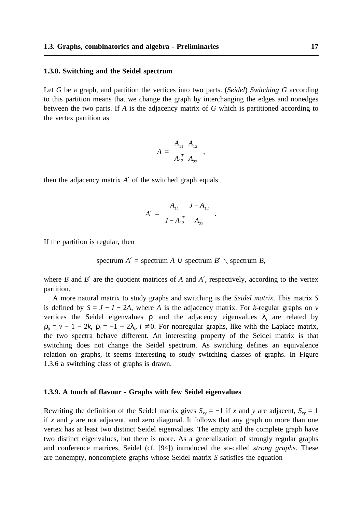#### **1.3.8. Switching and the Seidel spectrum**

Let *G* be a graph, and partition the vertices into two parts. (*Seidel*) *Switching G* according to this partition means that we change the graph by interchanging the edges and nonedges between the two parts. If *A* is the adjacency matrix of *G* which is partitioned according to the vertex partition as

$$
A = \begin{pmatrix} A_{11} & A_{12} \\ A_{12} & A_{22} \end{pmatrix},
$$

then the adjacency matrix *A*′ of the switched graph equals

$$
A' = \begin{pmatrix} A_{11} & J - A_{12} \\ J - A_{12} & A_{22} \end{pmatrix}.
$$

If the partition is regular, then

$$
spectrum A' = spectrum A \cup spectrum B' \setminus spectrum B,
$$

where *B* and *B'* are the quotient matrices of *A* and *A'*, respectively, according to the vertex partition.

A more natural matrix to study graphs and switching is the *Seidel matrix*. This matrix *S* is defined by  $S = J - I - 2A$ , where *A* is the adjacency matrix. For *k*-regular graphs on *v* vertices the Seidel eigenvalues  $\rho_i$  and the adjacency eigenvalues  $\lambda_i$  are related by  $\rho_0 = v - 1 - 2k$ ,  $\rho_i = -1 - 2\lambda_i$ ,  $i \neq 0$ . For nonregular graphs, like with the Laplace matrix, the two spectra behave different. An interesting property of the Seidel matrix is that switching does not change the Seidel spectrum. As switching defines an equivalence relation on graphs, it seems interesting to study switching classes of graphs. In Figure 1.3.6 a switching class of graphs is drawn.

#### **1.3.9. A touch of flavour - Graphs with few Seidel eigenvalues**

Rewriting the definition of the Seidel matrix gives  $S_{xy} = -1$  if *x* and *y* are adjacent,  $S_{xy} = 1$ if *x* and *y* are not adjacent, and zero diagonal. It follows that any graph on more than one vertex has at least two distinct Seidel eigenvalues. The empty and the complete graph have two distinct eigenvalues, but there is more. As a generalization of strongly regular graphs and conference matrices, Seidel (cf. [94]) introduced the so-called *strong graphs*. These are nonempty, noncomplete graphs whose Seidel matrix *S* satisfies the equation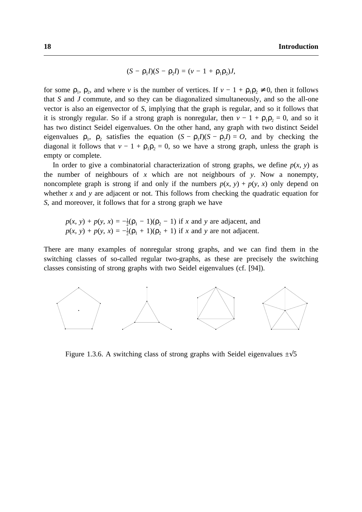$$
(S - \rho_1 I)(S - \rho_2 I) = (\nu - 1 + \rho_1 \rho_2)J,
$$

for some  $\rho_1$ ,  $\rho_2$ , and where *v* is the number of vertices. If  $v - 1 + \rho_1 \rho_2 \neq 0$ , then it follows that *S* and *J* commute, and so they can be diagonalized simultaneously, and so the all-one vector is also an eigenvector of *S*, implying that the graph is regular, and so it follows that it is strongly regular. So if a strong graph is nonregular, then  $v - 1 + \rho_1 \rho_2 = 0$ , and so it has two distinct Seidel eigenvalues. On the other hand, any graph with two distinct Seidel eigenvalues  $\rho_1$ ,  $\rho_2$  satisfies the equation  $(S - \rho_1 I)(S - \rho_2 I) = O$ , and by checking the diagonal it follows that  $v - 1 + \rho_1 \rho_2 = 0$ , so we have a strong graph, unless the graph is empty or complete.

In order to give a combinatorial characterization of strong graphs, we define  $p(x, y)$  as the number of neighbours of *x* which are not neighbours of *y*. Now a nonempty, noncomplete graph is strong if and only if the numbers  $p(x, y) + p(y, x)$  only depend on whether *x* and *y* are adjacent or not. This follows from checking the quadratic equation for *S*, and moreover, it follows that for a strong graph we have

 $p(x, y) + p(y, x) = -\frac{1}{2}(\rho_1 - 1)(\rho_2 - 1)$  if *x* and *y* are adjacent, and  $p(x, y) + p(y, x) = -\frac{1}{2}(\rho_1 + 1)(\rho_2 + 1)$  if *x* and *y* are not adjacent.

There are many examples of nonregular strong graphs, and we can find them in the switching classes of so-called regular two-graphs, as these are precisely the switching classes consisting of strong graphs with two Seidel eigenvalues (cf. [94]).



Figure 1.3.6. A switching class of strong graphs with Seidel eigenvalues  $\pm\sqrt{5}$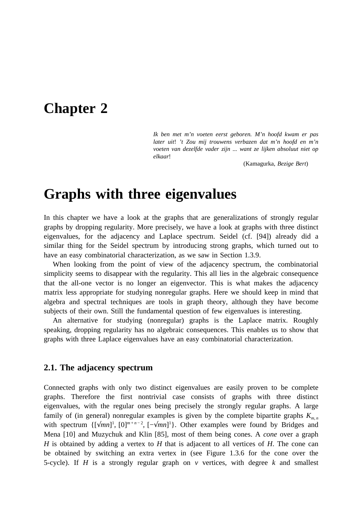# **Chapter 2**

*Ik ben met m'n voeten eerst geboren. M'n hoofd kwam er pas later uit*! *'t Zou mij trouwens verbazen dat m'n hoofd en m'n voeten van dezelfde vader zijn ... want ze lijken absoluut niet op elkaar*!

(Kamagurka, *Bezige Bert*)

# **Graphs with three eigenvalues**

In this chapter we have a look at the graphs that are generalizations of strongly regular graphs by dropping regularity. More precisely, we have a look at graphs with three distinct eigenvalues, for the adjacency and Laplace spectrum. Seidel (cf. [94]) already did a similar thing for the Seidel spectrum by introducing strong graphs, which turned out to have an easy combinatorial characterization, as we saw in Section 1.3.9.

When looking from the point of view of the adjacency spectrum, the combinatorial simplicity seems to disappear with the regularity. This all lies in the algebraic consequence that the all-one vector is no longer an eigenvector. This is what makes the adjacency matrix less appropriate for studying nonregular graphs. Here we should keep in mind that algebra and spectral techniques are tools in graph theory, although they have become subjects of their own. Still the fundamental question of few eigenvalues is interesting.

An alternative for studying (nonregular) graphs is the Laplace matrix. Roughly speaking, dropping regularity has no algebraic consequences. This enables us to show that graphs with three Laplace eigenvalues have an easy combinatorial characterization.

### **2.1. The adjacency spectrum**

Connected graphs with only two distinct eigenvalues are easily proven to be complete graphs. Therefore the first nontrivial case consists of graphs with three distinct eigenvalues, with the regular ones being precisely the strongly regular graphs. A large family of (in general) nonregular examples is given by the complete bipartite graphs  $K_{m,n}$ with spectrum  $\{[\sqrt{mn}]^{1}, [0]^{m+n-2}, [-\sqrt{mn}]^{1}\}$ . Other examples were found by Bridges and Mena [10] and Muzychuk and Klin [85], most of them being cones. A *cone* over a graph *H* is obtained by adding a vertex to *H* that is adjacent to all vertices of *H*. The cone can be obtained by switching an extra vertex in (see Figure 1.3.6 for the cone over the 5-cycle). If *H* is a strongly regular graph on *v* vertices, with degree *k* and smallest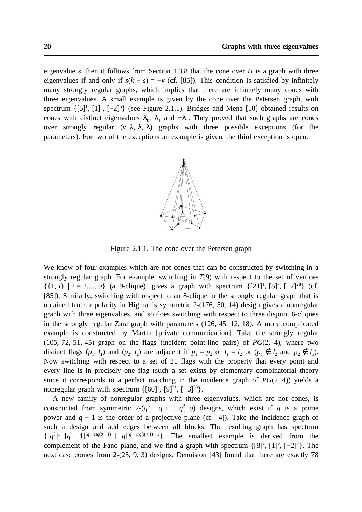eigenvalue *s*, then it follows from Section 1.3.8 that the cone over *H* is a graph with three eigenvalues if and only if  $s(k - s) = -v$  (cf. [85]). This condition is satisfied by infinitely many strongly regular graphs, which implies that there are infinitely many cones with three eigenvalues. A small example is given by the cone over the Petersen graph, with spectrum  $\{ [5]^1, [1]^5, [-2]^5 \}$  (see Figure 2.1.1). Bridges and Mena [10] obtained results on cones with distinct eigenvalues  $\lambda_0$ ,  $\lambda_1$  and  $-\lambda_1$ . They proved that such graphs are cones over strongly regular  $(v, k, \lambda, \lambda)$  graphs with three possible exceptions (for the parameters). For two of the exceptions an example is given, the third exception is open.



Figure 2.1.1. The cone over the Petersen graph

We know of four examples which are not cones that can be constructed by switching in a strongly regular graph. For example, switching in *T*(9) with respect to the set of vertices  $\{\{1, i\} \mid i = 2,..., 9\}$  (a 9-clique), gives a graph with spectrum  $\{[21]^1, [5]^7, [-2]^{28}\}$  (cf. [85]). Similarly, switching with respect to an 8-clique in the strongly regular graph that is obtained from a polarity in Higman's symmetric 2-(176, 50, 14) design gives a nonregular graph with three eigenvalues, and so does switching with respect to three disjoint 6-cliques in the strongly regular Zara graph with parameters (126, 45, 12, 18). A more complicated example is constructed by Martin [private communication]. Take the strongly regular (105, 72, 51, 45) graph on the flags (incident point-line pairs) of *PG*(2, 4), where two distinct flags  $(p_1, l_1)$  and  $(p_2, l_2)$  are adjacent if  $p_1 = p_2$  or  $l_1 = l_2$  or  $(p_1 \notin l_2 \text{ and } p_2 \notin l_1)$ . Now switching with respect to a set of 21 flags with the property that every point and every line is in precisely one flag (such a set exists by elementary combinatorial theory since it corresponds to a perfect matching in the incidence graph of  $PG(2, 4)$ ) yields a nonregular graph with spectrum  $\{ [60]^1, [9]^{21}, [-3]^{83} \}.$ 

A new family of nonregular graphs with three eigenvalues, which are not cones, is constructed from symmetric  $2-(q^3-q+1, q^2, q)$  designs, which exist if *q* is a prime power and *q* − 1 is the order of a projective plane (cf. [4]). Take the incidence graph of such a design and add edges between all blocks. The resulting graph has spectrum  $\{[q^3]^1, [q-1]^{(q-1)q(q+1)}, [-q]^{(q-1)q(q+1)+1}\}$ . The smallest example is derived from the complement of the Fano plane, and we find a graph with spectrum  $\{[8]^1, [1]^6, [-2]^7\}$ . The next case comes from 2-(25, 9, 3) designs. Denniston [43] found that there are exactly 78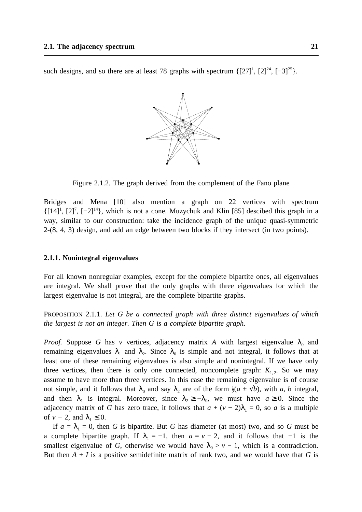such designs, and so there are at least 78 graphs with spectrum  $\{[27]^1, [2]^{24}, [-3]^{25}\}.$ 



Figure 2.1.2. The graph derived from the complement of the Fano plane

Bridges and Mena [10] also mention a graph on 22 vertices with spectrum  $\{[14]^1, [2]^7, [-2]^{14}\},$  which is not a cone. Muzychuk and Klin [85] descibed this graph in a way, similar to our construction: take the incidence graph of the unique quasi-symmetric 2-(8, 4, 3) design, and add an edge between two blocks if they intersect (in two points).

### **2.1.1. Nonintegral eigenvalues**

For all known nonregular examples, except for the complete bipartite ones, all eigenvalues are integral. We shall prove that the only graphs with three eigenvalues for which the largest eigenvalue is not integral, are the complete bipartite graphs.

PROPOSITION 2.1.1. *Let G be a connected graph with three distinct eigenvalues of which the largest is not an integer. Then G is a complete bipartite graph.*

*Proof.* Suppose *G* has *v* vertices, adjacency matrix *A* with largest eigenvalue  $\lambda_0$  and remaining eigenvalues  $\lambda_1$  and  $\lambda_2$ . Since  $\lambda_0$  is simple and not integral, it follows that at least one of these remaining eigenvalues is also simple and nonintegral. If we have only three vertices, then there is only one connected, noncomplete graph:  $K_{1,2}$ . So we may assume to have more than three vertices. In this case the remaining eigenvalue is of course not simple, and it follows that  $\lambda_0$  and say  $\lambda_2$  are of the form  $\frac{1}{2}(a \pm \sqrt{b})$ , with *a*, *b* integral, and then  $\lambda_1$  is integral. Moreover, since  $\lambda_2 \geq -\lambda_0$ , we must have  $a \geq 0$ . Since the adjacency matrix of *G* has zero trace, it follows that  $a + (v - 2)\lambda_1 = 0$ , so *a* is a multiple of  $v - 2$ , and  $\lambda_1 \leq 0$ .

If  $a = \lambda_1 = 0$ , then *G* is bipartite. But *G* has diameter (at most) two, and so *G* must be a complete bipartite graph. If  $\lambda_1 = -1$ , then  $a = v - 2$ , and it follows that −1 is the smallest eigenvalue of *G*, otherwise we would have  $\lambda_0 > v - 1$ , which is a contradiction. But then  $A + I$  is a positive semidefinite matrix of rank two, and we would have that  $G$  is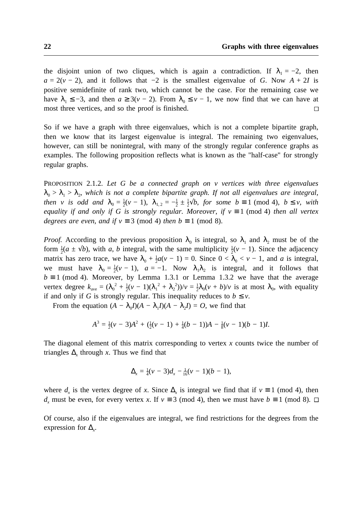the disjoint union of two cliques, which is again a contradiction. If  $\lambda_1 = -2$ , then  $a = 2(v - 2)$ , and it follows that −2 is the smallest eigenvalue of *G*. Now *A* + 2*I* is positive semidefinite of rank two, which cannot be the case. For the remaining case we have  $\lambda_1 \leq -3$ , and then  $a \geq 3(v-2)$ . From  $\lambda_0 \leq v-1$ , we now find that we can have at most three vertices, and so the proof is finished.  $\Box$ 

So if we have a graph with three eigenvalues, which is not a complete bipartite graph, then we know that its largest eigenvalue is integral. The remaining two eigenvalues, however, can still be nonintegral, with many of the strongly regular conference graphs as examples. The following proposition reflects what is known as the "half-case" for strongly regular graphs.

PROPOSITION 2.1.2. *Let G be a connected graph on v vertices with three eigenvalues*  $\lambda_0 > \lambda_1 > \lambda_2$ , *which is not a complete bipartite graph. If not all eigenvalues are integral*, *then v is odd and*  $\lambda_0 = \frac{1}{2}(v - 1)$ ,  $\lambda_{1,2} = -\frac{1}{2} \pm \frac{1}{2} \sqrt{b}$ , *for some*  $b \equiv 1 \pmod{4}$ ,  $b \le v$ , *with equality if and only if G is strongly regular. Moreover, if*  $v \equiv 1 \pmod{4}$  *then all vertex degrees are even, and if*  $v \equiv 3 \pmod{4}$  *then b*  $\equiv 1 \pmod{8}$ .

*Proof.* According to the previous proposition  $\lambda_0$  is integral, so  $\lambda_1$  and  $\lambda_2$  must be of the form  $\frac{1}{2}(a \pm \sqrt{b})$ , with *a*, *b* integral, with the same multiplicity  $\frac{1}{2}(v - 1)$ . Since the adjacency matrix has zero trace, we have  $\lambda_0 + \frac{1}{2}a(v - 1) = 0$ . Since  $0 < \lambda_0 < v - 1$ , and *a* is integral, we must have  $\lambda_0 = \frac{1}{2}(v - 1)$ ,  $a = -1$ . Now  $\lambda_1 \lambda_2$  is integral, and it follows that  $b \equiv 1 \pmod{4}$ . Moreover, by Lemma 1.3.1 or Lemma 1.3.2 we have that the average vertex degree  $k_{ave} = (\lambda_0^2 + \frac{1}{2}(\nu - 1)(\lambda_1^2 + \lambda_2^2))/\nu = \frac{1}{2}\lambda_0(\nu + b)/\nu$  is at most  $\lambda_0$ , with equality if and only if *G* is strongly regular. This inequality reduces to  $b \leq v$ .

From the equation  $(A - \lambda_0 I)(A - \lambda_1 I)(A - \lambda_2 I) = O$ , we find that

$$
A^{3} = \frac{1}{2}(\nu - 3)A^{2} + (\frac{1}{2}(\nu - 1) + \frac{1}{4}(b - 1))A - \frac{1}{8}(\nu - 1)(b - 1)I.
$$

The diagonal element of this matrix corresponding to vertex *x* counts twice the number of triangles  $\Delta$ <sub>r</sub> through *x*. Thus we find that

$$
\Delta_x = \frac{1}{4}(\nu - 3)d_x - \frac{1}{16}(\nu - 1)(b - 1),
$$

where  $d_x$  is the vertex degree of *x*. Since  $\Delta_x$  is integral we find that if  $v \equiv 1 \pmod{4}$ , then *d<sub>x</sub>* must be even, for every vertex *x*. If  $v \equiv 3 \pmod{4}$ , then we must have *b* ≡ 1 (mod 8). □

Of course, also if the eigenvalues are integral, we find restrictions for the degrees from the expression for  $\Delta$ <sup>x</sup>.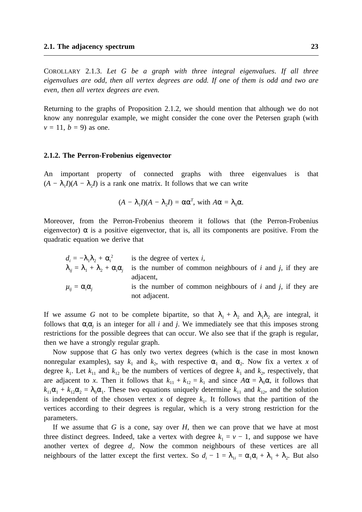COROLLARY 2.1.3. *Let G be a graph with three integral eigenvalues*. *If all three eigenvalues are odd*, *then all vertex degrees are odd. If one of them is odd and two are even*, *then all vertex degrees are even.*

Returning to the graphs of Proposition 2.1.2, we should mention that although we do not know any nonregular example, we might consider the cone over the Petersen graph (with  $v = 11$ ,  $b = 9$ ) as one.

## **2.1.2. The Perron-Frobenius eigenvector**

An important property of connected graphs with three eigenvalues is that  $(A - \lambda_1 I)(A - \lambda_2 I)$  is a rank one matrix. It follows that we can write

$$
(A - \lambda_1 I)(A - \lambda_2 I) = \alpha \alpha^T
$$
, with  $A\alpha = \lambda_0 \alpha$ .

Moreover, from the Perron-Frobenius theorem it follows that (the Perron-Frobenius eigenvector)  $\alpha$  is a positive eigenvector, that is, all its components are positive. From the quadratic equation we derive that

|                                | $d_i = -\lambda_1 \lambda_2 + \alpha_i^2$ is the degree of vertex i,                                                  |
|--------------------------------|-----------------------------------------------------------------------------------------------------------------------|
|                                | $\lambda_{ii} = \lambda_1 + \lambda_2 + \alpha_i \alpha_i$ is the number of common neighbours of i and j, if they are |
|                                | adjacent,                                                                                                             |
| $\mu_{ii} = \alpha_i \alpha_i$ | is the number of common neighbours of $i$ and $j$ , if they are                                                       |
|                                | not adjacent.                                                                                                         |

If we assume *G* not to be complete bipartite, so that  $\lambda_1 + \lambda_2$  and  $\lambda_1 \lambda_2$  are integral, it follows that  $\alpha_i \alpha_j$  is an integer for all *i* and *j*. We immediately see that this imposes strong restrictions for the possible degrees that can occur. We also see that if the graph is regular, then we have a strongly regular graph.

Now suppose that *G* has only two vertex degrees (which is the case in most known nonregular examples), say  $k_1$  and  $k_2$ , with respective  $\alpha_1$  and  $\alpha_2$ . Now fix a vertex x of degree  $k_1$ . Let  $k_{11}$  and  $k_{12}$  be the numbers of vertices of degree  $k_1$  and  $k_2$ , respectively, that are adjacent to *x*. Then it follows that  $k_{11} + k_{12} = k_1$  and since  $A\alpha = \lambda_0\alpha$ , it follows that  $k_{11}\alpha_1 + k_{12}\alpha_2 = \lambda_0\alpha_1$ . These two equations uniquely determine  $k_{11}$  and  $k_{12}$ , and the solution is independent of the chosen vertex  $x$  of degree  $k<sub>1</sub>$ . It follows that the partition of the vertices according to their degrees is regular, which is a very strong restriction for the parameters.

If we assume that *G* is a cone, say over *H*, then we can prove that we have at most three distinct degrees. Indeed, take a vertex with degree  $k_1 = v - 1$ , and suppose we have another vertex of degree  $d_i$ . Now the common neighbours of these vertices are all neighbours of the latter except the first vertex. So  $d_i - 1 = \lambda_{1i} = \alpha_1 \alpha_i + \lambda_1 + \lambda_2$ . But also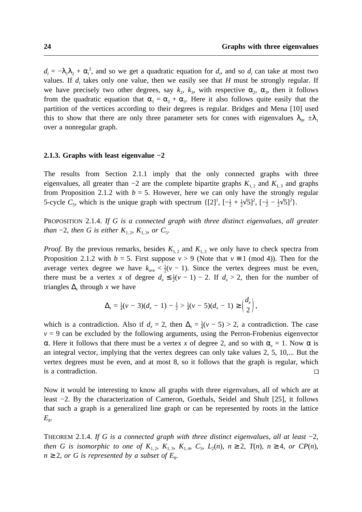$d_i = -\lambda_1 \lambda_2 + \alpha_i^2$ , and so we get a quadratic equation for  $d_i$ , and so  $d_i$  can take at most two values. If  $d_i$  takes only one value, then we easily see that  $H$  must be strongly regular. If we have precisely two other degrees, say  $k_2$ ,  $k_3$ , with respective  $\alpha_2$ ,  $\alpha_3$ , then it follows from the quadratic equation that  $\alpha_1 = \alpha_2 + \alpha_3$ . Here it also follows quite easily that the partition of the vertices according to their degrees is regular. Bridges and Mena [10] used this to show that there are only three parameter sets for cones with eigenvalues  $\lambda_0$ ,  $\pm \lambda_1$ over a nonregular graph.

### **2.1.3. Graphs with least eigenvalue −2**

The results from Section 2.1.1 imply that the only connected graphs with three eigenvalues, all greater than  $-2$  are the complete bipartite graphs  $K_{1,2}$  and  $K_{1,3}$  and graphs from Proposition 2.1.2 with  $b = 5$ . However, here we can only have the strongly regular 5-cycle  $C_5$ , which is the unique graph with spectrum  $\{[2]^1, [-\frac{1}{2} + \frac{1}{2}\sqrt{5}]^2, [-\frac{1}{2} - \frac{1}{2}\sqrt{5}]^2\}$ .

PROPOSITION 2.1.4. *If G is a connected graph with three distinct eigenvalues*, *all greater than* −2, *then G is either*  $K_{1,2}$ ,  $K_{1,3}$ , *or*  $C_5$ .

*Proof.* By the previous remarks, besides  $K_{1,2}$  and  $K_{1,3}$  we only have to check spectra from Proposition 2.1.2 with  $b = 5$ . First suppose  $v > 9$  (Note that  $v \equiv 1 \pmod{4}$ ). Then for the average vertex degree we have  $k_{ave} < \frac{1}{2}(v - 1)$ . Since the vertex degrees must be even, there must be a vertex *x* of degree  $d_x \le \frac{1}{2}(v - 1) - 2$ . If  $d_x > 2$ , then for the number of triangles  $\Delta$ <sub>x</sub> through *x* we have

$$
\Delta_x = \frac{1}{4}(\nu - 3)(d_x - 1) - \frac{1}{2} > \frac{1}{4}(\nu - 5)(d_x - 1) \geq \binom{d_x}{2},
$$

which is a contradiction. Also if  $d_x = 2$ , then  $\Delta_x = \frac{1}{4}(v - 5) > 2$ , a contradiction. The case  $v = 9$  can be excluded by the following arguments, using the Perron-Frobenius eigenvector α. Here it follows that there must be a vertex *x* of degree 2, and so with  $α<sub>r</sub> = 1$ . Now α is an integral vector, implying that the vertex degrees can only take values 2, 5, 10,... But the vertex degrees must be even, and at most 8, so it follows that the graph is regular, which is a contradiction.  $\Box$ 

Now it would be interesting to know all graphs with three eigenvalues, all of which are at least −2. By the characterization of Cameron, Goethals, Seidel and Shult [25], it follows that such a graph is a generalized line graph or can be represented by roots in the lattice  $E_8$ .

THEOREM 2.1.4. *If G is a connected graph with three distinct eigenvalues*, *all at least* −2, *then G is isomorphic to one of*  $K_{1,2}$ ,  $K_{1,3}$ ,  $K_{1,4}$ ,  $C_5$ ,  $L_2(n)$ ,  $n \ge 2$ ,  $T(n)$ ,  $n \ge 4$ , or  $CP(n)$ ,  $n \geq 2$ , *or G is represented by a subset of E<sub>8</sub>.*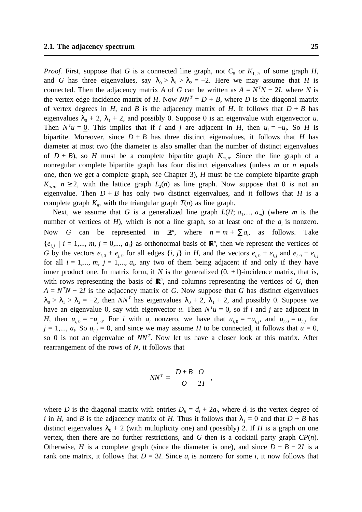*Proof.* First, suppose that *G* is a connected line graph, not  $C_5$  or  $K_{1,2}$ , of some graph *H*, and *G* has three eigenvalues, say  $\lambda_0 > \lambda_1 > \lambda_2 = -2$ . Here we may assume that *H* is connected. Then the adjacency matrix *A* of *G* can be written as  $A = N^{T}N - 2I$ , where *N* is the vertex-edge incidence matrix of *H*. Now  $NN^T = D + B$ , where *D* is the diagonal matrix of vertex degrees in *H*, and *B* is the adjacency matrix of *H*. It follows that  $D + B$  has eigenvalues  $\lambda_0 + 2$ ,  $\lambda_1 + 2$ , and possibly 0. Suppose 0 is an eigenvalue with eigenvector *u*. Then  $N^T u = \underline{0}$ . This implies that if *i* and *j* are adjacent in *H*, then  $u_i = -u_j$ . So *H* is bipartite. Moreover, since  $D + B$  has three distinct eigenvalues, it follows that *H* has diameter at most two (the diameter is also smaller than the number of distinct eigenvalues of  $D + B$ ), so *H* must be a complete bipartite graph  $K_{m,n}$ . Since the line graph of a nonregular complete bipartite graph has four distinct eigenvalues (unless *m* or *n* equals one, then we get a complete graph, see Chapter 3), *H* must be the complete bipartite graph  $K_{n,n}$ ,  $n \geq 2$ , with the lattice graph  $L_2(n)$  as line graph. Now suppose that 0 is not an eigenvalue. Then  $D + B$  has only two distinct eigenvalues, and it follows that *H* is a complete graph  $K_n$ , with the triangular graph  $T(n)$  as line graph.

Next, we assume that *G* is a generalized line graph  $L(H; a_1,..., a_m)$  (where *m* is the number of vertices of  $H$ ), which is not a line graph, so at least one of the  $a_i$  is nonzero. Now *G* can be represented in  $\mathbb{R}^n$ , where  $n = m + \sum a_i$ , as follows. Take  ${e_{i,j}}$  *i* = 1,..., *m*, *j* = 0,..., *a<sub>i</sub>*} as orthonormal basis of  $\mathbb{R}^n$ , then we represent the vertices of *G* by the vectors  $e_{i,0} + e_{i,0}$  for all edges  $\{i, j\}$  in *H*, and the vectors  $e_{i,0} + e_{i,j}$  and  $e_{i,0} - e_{i,j}$ for all  $i = 1,..., m$ ,  $j = 1,..., a_i$ , any two of them being adjacent if and only if they have inner product one. In matrix form, if *N* is the generalized  $(0, \pm 1)$ -incidence matrix, that is, with rows representing the basis of  $\mathbb{R}^n$ , and columns representing the vertices of *G*, then  $A = N<sup>T</sup>N - 2I$  is the adjacency matrix of *G*. Now suppose that *G* has distinct eigenvalues  $\lambda_0 > \lambda_1 > \lambda_2 = -2$ , then  $NN^T$  has eigenvalues  $\lambda_0 + 2$ ,  $\lambda_1 + 2$ , and possibly 0. Suppose we have an eigenvalue 0, say with eigenvector *u*. Then  $N<sup>T</sup>u = 0$ , so if *i* and *j* are adjacent in *H*, then  $u_{i,0} = -u_{j,0}$ . For *i* with  $a_i$  nonzero, we have that  $u_{i,0} = -u_{i,j}$ , and  $u_{i,0} = u_{i,j}$  for  $j = 1,..., a_i$ . So  $u_{i,j} = 0$ , and since we may assume *H* to be connected, it follows that  $u = 0$ , so 0 is not an eigenvalue of *NNT* . Now let us have a closer look at this matrix. After rearrangement of the rows of *N*, it follows that

$$
NN^T = \begin{pmatrix} D+B & O \\ O & 2I \end{pmatrix},
$$

where *D* is the diagonal matrix with entries  $D_{ii} = d_i + 2a_i$ , where  $d_i$  is the vertex degree of *i* in *H*, and *B* is the adjacency matrix of *H*. Thus it follows that  $\lambda_1 = 0$  and that  $D + B$  has distinct eigenvalues  $\lambda_0 + 2$  (with multiplicity one) and (possibly) 2. If *H* is a graph on one vertex, then there are no further restrictions, and *G* then is a cocktail party graph *CP*(*n*). Otherwise, *H* is a complete graph (since the diameter is one), and since  $D + B - 2I$  is a rank one matrix, it follows that  $D = 3I$ . Since  $a_i$  is nonzero for some *i*, it now follows that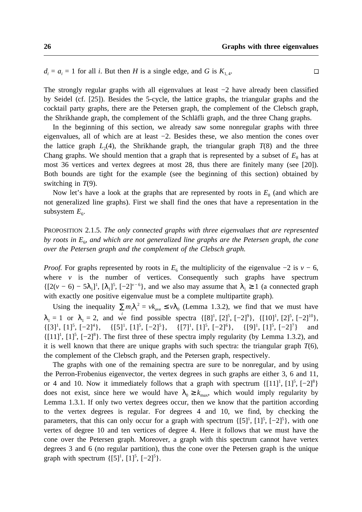$d_i = a_i = 1$  for all *i*. But then *H* is a single edge, and *G* is  $K_{1,4}$ .

The strongly regular graphs with all eigenvalues at least −2 have already been classified by Seidel (cf. [25]). Besides the 5-cycle, the lattice graphs, the triangular graphs and the cocktail party graphs, there are the Petersen graph, the complement of the Clebsch graph, the Shrikhande graph, the complement of the Schläfli graph, and the three Chang graphs.

In the beginning of this section, we already saw some nonregular graphs with three eigenvalues, all of which are at least −2. Besides these, we also mention the cones over the lattice graph  $L_2(4)$ , the Shrikhande graph, the triangular graph  $T(8)$  and the three Chang graphs. We should mention that a graph that is represented by a subset of  $E_8$  has at most 36 vertices and vertex degrees at most 28, thus there are finitely many (see [20]). Both bounds are tight for the example (see the beginning of this section) obtained by switching in *T*(9).

Now let's have a look at the graphs that are represented by roots in  $E_8$  (and which are not generalized line graphs). First we shall find the ones that have a representation in the subsystem  $E_6$ .

PROPOSITION 2.1.5. *The only connected graphs with three eigenvalues that are represented by roots in E*6, *and which are not generalized line graphs are the Petersen graph*, *the cone over the Petersen graph and the complement of the Clebsch graph.*

*Proof.* For graphs represented by roots in  $E_6$  the multiplicity of the eigenvalue −2 is *v* − 6, where  $\nu$  is the number of vertices. Consequently such graphs have spectrum  $\{ [2(\nu - 6) - 5\lambda_1]^1, [\lambda_1]^5, [-2]^{\nu - 6} \}$ , and we also may assume that  $\lambda_1 \ge 1$  (a connected graph with exactly one positive eigenvalue must be a complete multipartite graph).

Using the inequality  $\sum m_i \lambda_i^2 = v k_{ave} \le v \lambda_0$  (Lemma 1.3.2), we find that we must have  $λ_1 = 1$  or  $λ_1 = 2$ , and we find possible spectra  $\{ [8]^1, [2]^5, [-2]^9 \}$ ,  $\{ [10]^1, [2]^5, [-2]^{10} \}$ ,  $\{[3]^1, [1]^5, [-2]^4\}, \{[5]^1, [1]^5, [-2]^5\}, \{[7]^1, [1]^5, [-2]^6\}, \{[9]^1, [1]^5, [-2]^7\}$ } and  $\{[11]^1, [1]^5, [-2]^8\}$ . The first three of these spectra imply regularity (by Lemma 1.3.2), and it is well known that there are unique graphs with such spectra: the triangular graph  $T(6)$ , the complement of the Clebsch graph, and the Petersen graph, respectively.

The graphs with one of the remaining spectra are sure to be nonregular, and by using the Perron-Frobenius eigenvector, the vertex degrees in such graphs are either 3, 6 and 11, or 4 and 10. Now it immediately follows that a graph with spectrum  $\{[11]^1, [1]^5, [-2]^8\}$ does not exist, since here we would have  $\lambda_0 \geq k_{\text{max}}$ , which would imply regularity by Lemma 1.3.1. If only two vertex degrees occur, then we know that the partition according to the vertex degrees is regular. For degrees 4 and 10, we find, by checking the parameters, that this can only occur for a graph with spectrum  $\{[5]^1, [1]^5, [-2]^5\}$ , with one vertex of degree 10 and ten vertices of degree 4. Here it follows that we must have the cone over the Petersen graph. Moreover, a graph with this spectrum cannot have vertex degrees 3 and 6 (no regular partition), thus the cone over the Petersen graph is the unique graph with spectrum  $\{ [5]^1, [1]^5, [-2]^5 \}.$ 

 $\Box$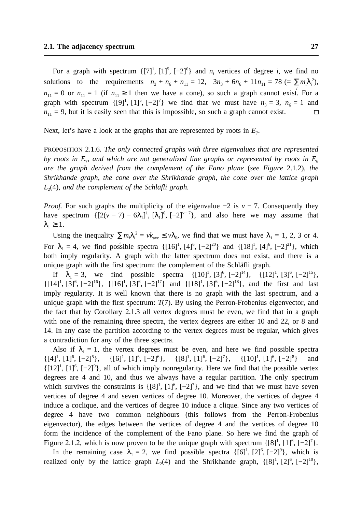For a graph with spectrum  $\{ [7]^1, [1]^5, [-2]^6 \}$  and  $n_i$  vertices of degree *i*, we find no solutions to the requirements  $n_3 + n_6 + n_{11} = 12$ ,  $3n_3 + 6n_6 + 11n_{11} = 78$  (=  $\sum m_i \lambda_i^2$ ),  $n_{11} = 0$  or  $n_{11} = 1$  (if  $n_{11} \ge 1$  then we have a cone), so such a graph cannot exist. For a graph with spectrum  $\{ [9]^1, [1]^5, [-2]^7 \}$  we find that we must have  $n_3 = 3, n_6 = 1$  and  $n_{11} = 9$ , but it is easily seen that this is impossible, so such a graph cannot exist.  $\Box$ 

Next, let's have a look at the graphs that are represented by roots in  $E_7$ .

PROPOSITION 2.1.6. *The only connected graphs with three eigenvalues that are represented by roots in*  $E_7$ *, and which are not generalized line graphs or represented by roots in*  $E_6$ *are the graph derived from the complement of the Fano plane* (*see Figure* 2.1.2), *the Shrikhande graph*, *the cone over the Shrikhande graph*, *the cone over the lattice graph* L<sub>2</sub>(4), and the complement of the Schläfli graph.

*Proof.* For such graphs the multiplicity of the eigenvalue  $-2$  is  $v - 7$ . Consequently they have spectrum  $\{ [2(\nu - 7) - 6\lambda_1]^1, [\lambda_1]^6, [-2]^{\nu - 7} \}$ , and also here we may assume that  $\lambda_1 \geq 1$ .

Using the inequality  $\sum m_i \lambda_i^2 = v k_{ave} \le v \lambda_0$ , we find that we must have  $\lambda_1 = 1, 2, 3$  or 4. For  $\lambda_1 = 4$ , we find possible spectra  $\{[16]^1, [4]^6, [-2]^{20}\}$  and  $\{[18]^1, [4]^6, [-2]^{21}\}$ , which both imply regularity. A graph with the latter spectrum does not exist, and there is a unique graph with the first spectrum: the complement of the Schläfli graph.

If  $\lambda_1 = 3$ , we find possible spectra  $\{ [10]^1, [3]^6, [-2]^{14} \}$ ,  $\{ [12]^1, [3]^6, [-2]^{15} \}$ ,  $\{[14]^1, [3]^6, [-2]^{16}\}, \{[16]^1, [3]^6, [-2]^{17}\}$  and  $\{[18]^1, [3]^6, [-2]^{18}\},$  and the first and last imply regularity. It is well known that there is no graph with the last spectrum, and a unique graph with the first spectrum: *T*(7). By using the Perron-Frobenius eigenvector, and the fact that by Corollary 2.1.3 all vertex degrees must be even, we find that in a graph with one of the remaining three spectra, the vertex degrees are either 10 and 22, or 8 and 14. In any case the partition according to the vertex degrees must be regular, which gives a contradiction for any of the three spectra.

Also if  $\lambda_1 = 1$ , the vertex degrees must be even, and here we find possible spectra  $\{[4]^1, [1]^6, [-2]^5\}$ }, {[6]<sup>1</sup>, [1]<sup>6</sup>, [-2]<sup>6</sup>}, {[8]<sup>1</sup>, [1]<sup>6</sup>, [-2]<sup>7</sup>}, {[10]<sup>1</sup>, [1]<sup>6</sup>, [-2]<sup>8</sup> } and  $\{[12]^1, [1]^6, [-2]^9\}$ , all of which imply nonregularity. Here we find that the possible vertex degrees are 4 and 10, and thus we always have a regular partition. The only spectrum which survives the constraints is  $\{ [8]^1, [1]^6, [-2]^7 \}$ , and we find that we must have seven vertices of degree 4 and seven vertices of degree 10. Moreover, the vertices of degree 4 induce a coclique, and the vertices of degree 10 induce a clique. Since any two vertices of degree 4 have two common neighbours (this follows from the Perron-Frobenius eigenvector), the edges between the vertices of degree 4 and the vertices of degree 10 form the incidence of the complement of the Fano plane. So here we find the graph of Figure 2.1.2, which is now proven to be the unique graph with spectrum  $\{ [8]^1, [1]^6, [-2]^7 \}$ .

In the remaining case  $\lambda_1 = 2$ , we find possible spectra  $\{ [6]^1, [2]^6, [-2]^9 \}$ , which is realized only by the lattice graph  $L_2(4)$  and the Shrikhande graph,  $\{ [8]^1, [2]^6, [-2]^{10} \}$ ,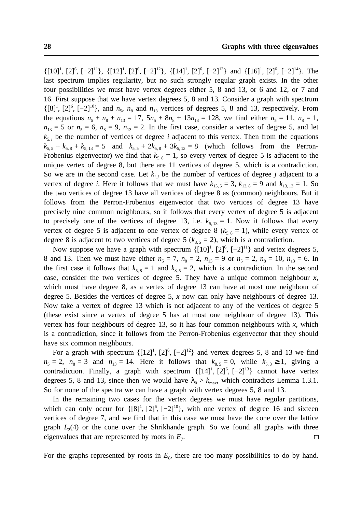$\{[10]^1, [2]^6, [-2]^1\}, \{[12]^1, [2]^6, [-2]^1\}, \{[14]^1, [2]^6, [-2]^1\}$  and  $\{[16]^1, [2]^6, [-2]^1\}.$  The last spectrum implies regularity, but no such strongly regular graph exists. In the other four possibilities we must have vertex degrees either 5, 8 and 13, or 6 and 12, or 7 and 16. First suppose that we have vertex degrees 5, 8 and 13. Consider a graph with spectrum  $\{ [8]^1, [2]^6, [-2]^10 \}$ , and  $n_5, n_8$  and  $n_{13}$  vertices of degrees 5, 8 and 13, respectively. From the equations  $n_5 + n_8 + n_{13} = 17$ ,  $5n_5 + 8n_8 + 13n_{13} = 128$ , we find either  $n_5 = 11$ ,  $n_8 = 1$ ,  $n_{13} = 5$  or  $n_5 = 6$ ,  $n_8 = 9$ ,  $n_{13} = 2$ . In the first case, consider a vertex of degree 5, and let  $k_{5i}$  be the number of vertices of degree *i* adjacent to this vertex. Then from the equations  $k_{5,5} + k_{5,8} + k_{5,13} = 5$  and  $k_{5,5} + 2k_{5,8} + 3k_{5,13} = 8$  (which follows from the Perron-Frobenius eigenvector) we find that  $k_{5, 8} = 1$ , so every vertex of degree 5 is adjacent to the unique vertex of degree 8, but there are 11 vertices of degree 5, which is a contradiction. So we are in the second case. Let  $k_{i,j}$  be the number of vertices of degree *j* adjacent to a vertex of degree *i*. Here it follows that we must have  $k_{13,5} = 3$ ,  $k_{13,8} = 9$  and  $k_{13,13} = 1$ . So the two vertices of degree 13 have all vertices of degree 8 as (common) neighbours. But it follows from the Perron-Frobenius eigenvector that two vertices of degree 13 have precisely nine common neighbours, so it follows that every vertex of degree 5 is adjacent to precisely one of the vertices of degree 13, i.e.  $k_{5, 13} = 1$ . Now it follows that every vertex of degree 5 is adjacent to one vertex of degree 8  $(k_{5, 8} = 1)$ , while every vertex of degree 8 is adjacent to two vertices of degree 5 ( $k_{8.5} = 2$ ), which is a contradiction.

Now suppose we have a graph with spectrum  $\{[10]^1, [2]^6, [-2]^{\{1\}}\}$  and vertex degrees 5, 8 and 13. Then we must have either  $n_5 = 7$ ,  $n_8 = 2$ ,  $n_{13} = 9$  or  $n_5 = 2$ ,  $n_8 = 10$ ,  $n_{13} = 6$ . In the first case it follows that  $k_{5, 8} = 1$  and  $k_{8, 5} = 2$ , which is a contradiction. In the second case, consider the two vertices of degree 5. They have a unique common neighbour *x*, which must have degree 8, as a vertex of degree 13 can have at most one neighbour of degree 5. Besides the vertices of degree 5, *x* now can only have neighbours of degree 13. Now take a vertex of degree 13 which is not adjacent to any of the vertices of degree 5 (these exist since a vertex of degree 5 has at most one neighbour of degree 13). This vertex has four neighbours of degree 13, so it has four common neighbours with *x*, which is a contradiction, since it follows from the Perron-Frobenius eigenvector that they should have six common neighbours.

For a graph with spectrum  $\{[12]^1, [2]^6, [-2]^{\frac{1}{2}}\}$  and vertex degrees 5, 8 and 13 we find  $n_5 = 2$ ,  $n_8 = 3$  and  $n_{13} = 14$ . Here it follows that  $k_{8,5} = 0$ , while  $k_{5,8} \ge 1$ , giving a contradiction. Finally, a graph with spectrum  $\{[14]^1, [2]^6, [-2]^{13}\}$  cannot have vertex degrees 5, 8 and 13, since then we would have  $\lambda_0 > k_{\text{max}}$ , which contradicts Lemma 1.3.1. So for none of the spectra we can have a graph with vertex degrees 5, 8 and 13.

In the remaining two cases for the vertex degrees we must have regular partitions, which can only occur for  $\{ [8]^1, [2]^6, [-2]^{10} \}$ , with one vertex of degree 16 and sixteen vertices of degree 7, and we find that in this case we must have the cone over the lattice graph  $L_2(4)$  or the cone over the Shrikhande graph. So we found all graphs with three eigenvalues that are represented by roots in  $E_7$ .  $\Box$ 

For the graphs represented by roots in  $E_8$ , there are too many possibilities to do by hand.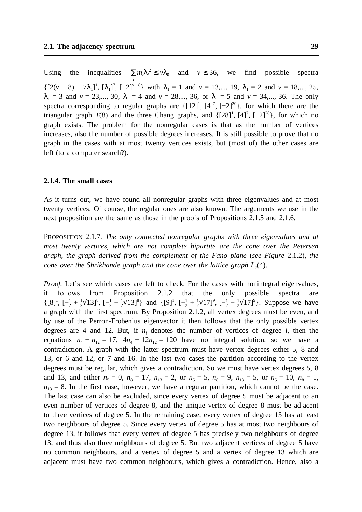Using the *inequalities*  $\sum_{i} m_i \lambda_i^2 \leq v \lambda_0$  and  $v \leq 36$ , we find possible spectra  $\{[2(\nu - 8) - 7\lambda_1]^1, [\lambda_1]^7, [-2]^{\nu - 8}\}$  with  $\lambda_1 = 1$  and  $\nu = 13,..., 19, \lambda_1 = 2$  and  $\nu = 18,..., 25,$  $\lambda_1 = 3$  and  $v = 23,..., 30, \lambda_1 = 4$  and  $v = 28,..., 36$ , or  $\lambda_1 = 5$  and  $v = 34,..., 36$ . The only spectra corresponding to regular graphs are  $\{[12]^1, [4]^7, [-2]^{20}\}$ , for which there are the triangular graph  $T(8)$  and the three Chang graphs, and  $\{[28]^1, [4]^7, [-2]^{28}\}$ , for which no graph exists. The problem for the nonregular cases is that as the number of vertices increases, also the number of possible degrees increases. It is still possible to prove that no graph in the cases with at most twenty vertices exists, but (most of) the other cases are left (to a computer search?).

## **2.1.4. The small cases**

As it turns out, we have found all nonregular graphs with three eigenvalues and at most twenty vertices. Of course, the regular ones are also known. The arguments we use in the next proposition are the same as those in the proofs of Propositions 2.1.5 and 2.1.6.

PROPOSITION 2.1.7. *The only connected nonregular graphs with three eigenvalues and at most twenty vertices*, *which are not complete bipartite are the cone over the Petersen graph*, *the graph derived from the complement of the Fano plane* (*see Figure* 2.1.2), *the cone over the Shrikhande graph and the cone over the lattice graph L*<sub>2</sub>(4).

*Proof.* Let's see which cases are left to check. For the cases with nonintegral eigenvalues, it follows from Proposition 2.1.2 that the only possible spectra are  $\{ [8]^1, [-\frac{1}{2} + \frac{1}{2} \sqrt{13}]^8, [-\frac{1}{2} - \frac{1}{2} \sqrt{13}]^8 \}$  and  $\{ [9]^1, [-\frac{1}{2} + \frac{1}{2} \sqrt{17}]^9, [-\frac{1}{2} - \frac{1}{2} \sqrt{17}]^9 \}$ . Suppose we have a graph with the first spectrum. By Proposition 2.1.2, all vertex degrees must be even, and by use of the Perron-Frobenius eigenvector it then follows that the only possible vertex degrees are 4 and 12. But, if  $n_i$  denotes the number of vertices of degree  $i$ , then the equations  $n_4 + n_{12} = 17$ ,  $4n_4 + 12n_{12} = 120$  have no integral solution, so we have a contradiction. A graph with the latter spectrum must have vertex degrees either 5, 8 and 13, or 6 and 12, or 7 and 16. In the last two cases the partition according to the vertex degrees must be regular, which gives a contradiction. So we must have vertex degrees 5, 8 and 13, and either  $n_5 = 0$ ,  $n_8 = 17$ ,  $n_{13} = 2$ , or  $n_5 = 5$ ,  $n_8 = 9$ ,  $n_{13} = 5$ , or  $n_5 = 10$ ,  $n_8 = 1$ ,  $n_{13} = 8$ . In the first case, however, we have a regular partition, which cannot be the case. The last case can also be excluded, since every vertex of degree 5 must be adjacent to an even number of vertices of degree 8, and the unique vertex of degree 8 must be adjacent to three vertices of degree 5. In the remaining case, every vertex of degree 13 has at least two neighbours of degree 5. Since every vertex of degree 5 has at most two neighbours of degree 13, it follows that every vertex of degree 5 has precisely two neighbours of degree 13, and thus also three neighbours of degree 5. But two adjacent vertices of degree 5 have no common neighbours, and a vertex of degree 5 and a vertex of degree 13 which are adjacent must have two common neighbours, which gives a contradiction. Hence, also a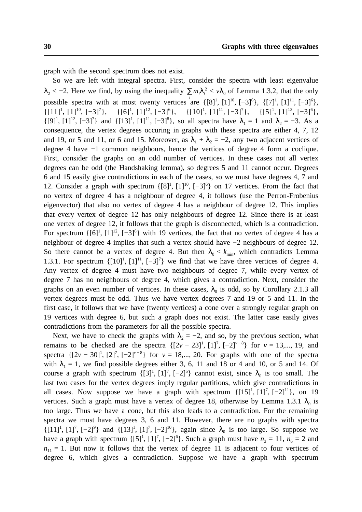graph with the second spectrum does not exist.

So we are left with integral spectra. First, consider the spectra with least eigenvalue  $\lambda_2 < -2$ . Here we find, by using the inequality  $\sum m_i \lambda_i^2 < v \lambda_0$  of Lemma 1.3.2, that the only possible spectra with at most twenty vertices <sup>*i*</sup> are  $\{[8]^1, [1]^{10}, [-3]^6\}$ ,  $\{[7]^1, [1]^{11}, [-3]^6\}$ ,  $\{[11]^1, [1]^{10}, [-3]^7$ }, {[6]<sup>1</sup>, [1]<sup>12</sup>, [−3]<sup>6</sup>}, {[10]<sup>1</sup>, [1]<sup>11</sup>, [−3]<sup>7</sup>}, {[5]<sup>1</sup>, [1]<sup>13</sup>, [−3]<sup>6</sup>},  $\{[9]^1, [1]^1, [-3]^7\}$  and  $\{[13]^1, [1]^1, [-3]^8\}$ , so all spectra have  $\lambda_1 = 1$  and  $\lambda_2 = -3$ . As a consequence, the vertex degrees occuring in graphs with these spectra are either 4, 7, 12 and 19, or 5 and 11, or 6 and 15. Moreover, as  $\lambda_1 + \lambda_2 = -2$ , any two adjacent vertices of degree 4 have −1 common neighbours, hence the vertices of degree 4 form a coclique. First, consider the graphs on an odd number of vertices. In these cases not all vertex degrees can be odd (the Handshaking lemma), so degrees 5 and 11 cannot occur. Degrees 6 and 15 easily give contradictions in each of the cases, so we must have degrees 4, 7 and 12. Consider a graph with spectrum  $\{ [8]^1, [1]^{10}, [-3]^6 \}$  on 17 vertices. From the fact that no vertex of degree 4 has a neighbour of degree 4, it follows (use the Perron-Frobenius eigenvector) that also no vertex of degree 4 has a neighbour of degree 12. This implies that every vertex of degree 12 has only neighbours of degree 12. Since there is at least one vertex of degree 12, it follows that the graph is disconnected, which is a contradiction. For spectrum  $\{ [6]^1, [1]^{\prime\prime}, [-3]^{\prime\prime} \}$  with 19 vertices, the fact that no vertex of degree 4 has a neighbour of degree 4 implies that such a vertex should have −2 neighbours of degree 12. So there cannot be a vertex of degree 4. But then  $\lambda_0 < k_{\text{min}}$ , which contradicts Lemma 1.3.1. For spectrum  $\{[10]^1, [1]^{\text{11}}, [-3]^7\}$  we find that we have three vertices of degree 4. Any vertex of degree 4 must have two neighbours of degree 7, while every vertex of degree 7 has no neighbours of degree 4, which gives a contradiction. Next, consider the graphs on an even number of vertices. In these cases,  $\lambda_0$  is odd, so by Corollary 2.1.3 all vertex degrees must be odd. Thus we have vertex degrees 7 and 19 or 5 and 11. In the first case, it follows that we have (twenty vertices) a cone over a strongly regular graph on 19 vertices with degree 6, but such a graph does not exist. The latter case easily gives contradictions from the parameters for all the possible spectra.

Next, we have to check the graphs with  $\lambda_2 = -2$ , and so, by the previous section, what remains to be checked are the spectra  $\{[2v - 23]^1, [1]^7, [-2]^{v-8}\}$  for  $v = 13,..., 19$ , and spectra  $\{ [2\nu - 30]^1, [2]^7, [-2]^{\nu-8} \}$  for  $\nu = 18,..., 20$ . For graphs with one of the spectra with  $\lambda_1 = 1$ , we find possible degrees either 3, 6, 11 and 18 or 4 and 10, or 5 and 14. Of course a graph with spectrum  $\{ [3]^1, [1]^7, [-2]^5 \}$  cannot exist, since  $\lambda_0$  is too small. The last two cases for the vertex degrees imply regular partitions, which give contradictions in all cases. Now suppose we have a graph with spectrum  $\{[15]^1, [1]^7, [-2]^{\text{11}}\}$ , on 19 vertices. Such a graph must have a vertex of degree 18, otherwise by Lemma 1.3.1  $\lambda_0$  is too large. Thus we have a cone, but this also leads to a contradiction. For the remaining spectra we must have degrees 3, 6 and 11. However, there are no graphs with spectra  $\{[11]^1, [1]^7, [-2]^9\}$  and  $\{[13]^1, [1]^7, [-2]^{10}\}$ , again since  $\lambda_0$  is too large. So suppose we have a graph with spectrum  $\{ [5]^1, [1]^7, [-2]^6 \}$ . Such a graph must have  $n_3 = 11, n_6 = 2$  and  $n_{11} = 1$ . But now it follows that the vertex of degree 11 is adjacent to four vertices of degree 6, which gives a contradiction. Suppose we have a graph with spectrum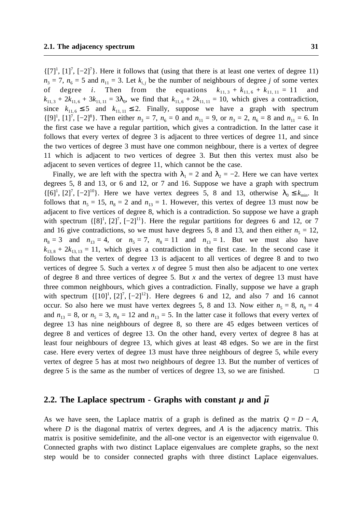$\{[7]^1, [1]^7, [-2]^7\}$ . Here it follows that (using that there is at least one vertex of degree 11)  $n_3 = 7$ ,  $n_6 = 5$  and  $n_{11} = 3$ . Let  $k_{i,j}$  be the number of neighbours of degree *j* of some vertex of degree *i*. Then from the equations  $k_{11,3} + k_{11,6} + k_{11,11} = 11$  and  $k_{11,3} + 2k_{11,6} + 3k_{11,11} = 3\lambda_0$ , we find that  $k_{11,6} + 2k_{11,11} = 10$ , which gives a contradiction, since  $k_{11,6} \leq 5$  and  $k_{11,11} \leq 2$ . Finally, suppose we have a graph with spectrum  $\{[9]^1, [1]^7, [-2]^8\}$ . Then either  $n_3 = 7$ ,  $n_6 = 0$  and  $n_{11} = 9$ , or  $n_3 = 2$ ,  $n_6 = 8$  and  $n_{11} = 6$ . In the first case we have a regular partition, which gives a contradiction. In the latter case it follows that every vertex of degree 3 is adjacent to three vertices of degree 11, and since the two vertices of degree 3 must have one common neighbour, there is a vertex of degree 11 which is adjacent to two vertices of degree 3. But then this vertex must also be adjacent to seven vertices of degree 11, which cannot be the case.

Finally, we are left with the spectra with  $\lambda_1 = 2$  and  $\lambda_2 = -2$ . Here we can have vertex degrees 5, 8 and 13, or 6 and 12, or 7 and 16. Suppose we have a graph with spectrum  $\{ [6]^1, [2]^7, [-2]^{10} \}$ . Here we have vertex degrees 5, 8 and 13, otherwise  $\lambda_0 \le k_{\text{min}}$ . It follows that  $n_5 = 15$ ,  $n_8 = 2$  and  $n_{13} = 1$ . However, this vertex of degree 13 must now be adjacent to five vertices of degree 8, which is a contradiction. So suppose we have a graph with spectrum  $\{ [8]^1, [2]^7, [-2]^{11} \}$ . Here the regular partitions for degrees 6 and 12, or 7 and 16 give contradictions, so we must have degrees 5, 8 and 13, and then either  $n_5 = 12$ ,  $n_8 = 3$  and  $n_{13} = 4$ , or  $n_5 = 7$ ,  $n_8 = 11$  and  $n_{13} = 1$ . But we must also have  $k_{13,8} + 2k_{13,13} = 11$ , which gives a contradiction in the first case. In the second case it follows that the vertex of degree 13 is adjacent to all vertices of degree 8 and to two vertices of degree 5. Such a vertex *x* of degree 5 must then also be adjacent to one vertex of degree 8 and three vertices of degree 5. But *x* and the vertex of degree 13 must have three common neighbours, which gives a contradiction. Finally, suppose we have a graph with spectrum  $\{[10]^1, [2]^7, [-2]^{12}\}$ . Here degrees 6 and 12, and also 7 and 16 cannot occur. So also here we must have vertex degrees 5, 8 and 13. Now either  $n_5 = 8$ ,  $n_8 = 4$ and  $n_{13} = 8$ , or  $n_5 = 3$ ,  $n_8 = 12$  and  $n_{13} = 5$ . In the latter case it follows that every vertex of degree 13 has nine neighbours of degree 8, so there are 45 edges between vertices of degree 8 and vertices of degree 13. On the other hand, every vertex of degree 8 has at least four neighbours of degree 13, which gives at least 48 edges. So we are in the first case. Here every vertex of degree 13 must have three neighbours of degree 5, while every vertex of degree 5 has at most two neighbours of degree 13. But the number of vertices of degree 5 is the same as the number of vertices of degree 13, so we are finished.  $\Box$ 

# **2.2. The Laplace spectrum - Graphs with constant**  $\mu$  **and**  $\overline{\mu}$

As we have seen, the Laplace matrix of a graph is defined as the matrix  $Q = D - A$ , where *D* is the diagonal matrix of vertex degrees, and *A* is the adjacency matrix. This matrix is positive semidefinite, and the all-one vector is an eigenvector with eigenvalue 0. Connected graphs with two distinct Laplace eigenvalues are complete graphs, so the next step would be to consider connected graphs with three distinct Laplace eigenvalues.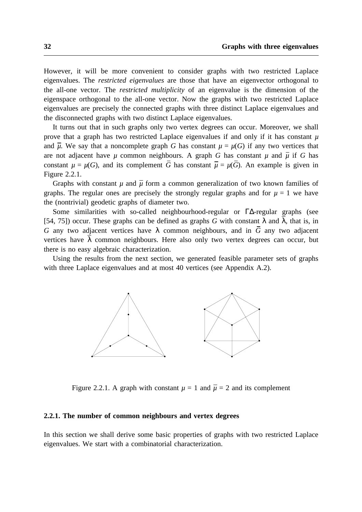However, it will be more convenient to consider graphs with two restricted Laplace eigenvalues. The *restricted eigenvalues* are those that have an eigenvector orthogonal to the all-one vector. The *restricted multiplicity* of an eigenvalue is the dimension of the eigenspace orthogonal to the all-one vector. Now the graphs with two restricted Laplace eigenvalues are precisely the connected graphs with three distinct Laplace eigenvalues and the disconnected graphs with two distinct Laplace eigenvalues.

It turns out that in such graphs only two vertex degrees can occur. Moreover, we shall prove that a graph has two restricted Laplace eigenvalues if and only if it has constant  $\mu$ and  $\overline{\mu}$ . We say that a noncomplete graph *G* has constant  $\mu = \mu(G)$  if any two vertices that are not adjacent have  $\mu$  common neighbours. A graph *G* has constant  $\mu$  and  $\overline{\mu}$  if *G* has constant  $\mu = \mu(G)$ , and its complement  $\overline{G}$  has constant  $\overline{\mu} = \mu(\overline{G})$ . An example is given in Figure 2.2.1.

Graphs with constant *µ* and  $\overline{\mu}$  form a common generalization of two known families of graphs. The regular ones are precisely the strongly regular graphs and for  $\mu = 1$  we have the (nontrivial) geodetic graphs of diameter two.

Some similarities with so-called neighbourhood-regular or Γ∆-regular graphs (see [54, 75]) occur. These graphs can be defined as graphs *G* with constant  $\lambda$  and  $\lambda$ , that is, in *G* any two adjacent vertices have  $\lambda$  common neighbours, and in  $\overline{G}$  any two adjacent vertices have  $\overline{\lambda}$  common neighbours. Here also only two vertex degrees can occur, but there is no easy algebraic characterization.

Using the results from the next section, we generated feasible parameter sets of graphs with three Laplace eigenvalues and at most 40 vertices (see Appendix A.2).



Figure 2.2.1. A graph with constant  $\mu = 1$  and  $\overline{\mu} = 2$  and its complement

## **2.2.1. The number of common neighbours and vertex degrees**

In this section we shall derive some basic properties of graphs with two restricted Laplace eigenvalues. We start with a combinatorial characterization.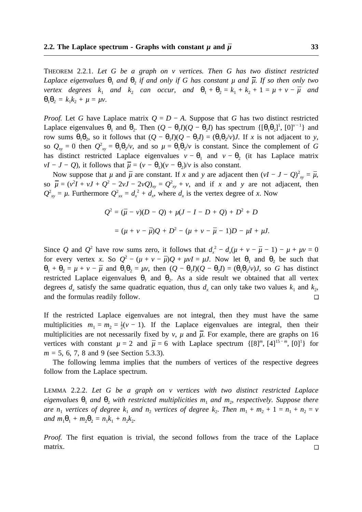THEOREM 2.2.1. *Let G be a graph on v vertices. Then G has two distinct restricted Laplace eigenvalues*  $\theta_1$  *and*  $\theta_2$  *if and only if G has constant*  $\mu$  *and*  $\overline{\mu}$ . *If so then only two vertex degrees*  $k_1$  *and*  $k_2$  *can occur, and*  $\theta_1 + \theta_2 = k_1 + k_2 + 1 = \mu + \nu - \overline{\mu}$  *and*  $\theta_1 \theta_2 = k_1 k_2 + \mu = \mu \nu$ .

*Proof.* Let *G* have Laplace matrix  $Q = D - A$ . Suppose that *G* has two distinct restricted Laplace eigenvalues  $\theta_1$  and  $\theta_2$ . Then  $(Q - \theta_1 I)(Q - \theta_2 I)$  has spectrum  $\{[\theta_1 \theta_2]^{1}, [0]^{v-1}\}\$  and row sums  $\theta_1 \theta_2$ , so it follows that  $(Q - \theta_1 I)(Q - \theta_2 I) = (\theta_1 \theta_2 / v)J$ . If *x* is not adjacent to *y*, so  $Q_{xy} = 0$  then  $Q_{xy}^2 = \theta_1 \theta_2 / v$ , and so  $\mu = \theta_1 \theta_2 / v$  is constant. Since the complement of *G* has distinct restricted Laplace eigenvalues  $v - \theta_1$  and  $v - \theta_2$  (it has Laplace matrix *vI* − *J* − *Q*), it follows that  $\overline{\mu} = (v - \theta_1)(v - \theta_2)/v$  is also constant.

Now suppose that *µ* and  $\overline{\mu}$  are constant. If *x* and *y* are adjacent then  $(vI - J - Q)^2_{xy} = \overline{\mu}$ , so  $\overline{\mu} = (v^2I + vJ + Q^2 - 2vJ - 2vQ)_{xy} = Q_{xy}^2 + v$ , and if *x* and *y* are not adjacent, then  $Q_{xy}^2 = \mu$ . Furthermore  $Q_{xx}^2 = d_x^2 + d_x$ , where  $d_x$  is the vertex degree of *x*. Now

$$
Q^{2} = (\overline{\mu} - \nu)(D - Q) + \mu(J - I - D + Q) + D^{2} + D
$$
  
= (\mu + \nu - \overline{\mu})Q + D^{2} - (\mu + \nu - \overline{\mu} - 1)D - \mu I + \mu J.

Since *Q* and  $Q^2$  have row sums zero, it follows that  $d_x^2 - d_x(\mu + \nu - \overline{\mu} - 1) - \mu + \mu \nu = 0$ for every vertex *x*. So  $Q^2 - (\mu + v - \overline{\mu})Q + \mu vI = \mu J$ . Now let  $\theta_1$  and  $\theta_2$  be such that  $\theta_1 + \theta_2 = \mu + \nu - \overline{\mu}$  and  $\theta_1 \theta_2 = \mu \nu$ , then  $(Q - \theta_1 I)(Q - \theta_2 I) = (\theta_1 \theta_2/\nu)J$ , so G has distinct restricted Laplace eigenvalues  $\theta_1$  and  $\theta_2$ . As a side result we obtained that all vertex degrees  $d_x$  satisfy the same quadratic equation, thus  $d_x$  can only take two values  $k_1$  and  $k_2$ , and the formulas readily follow.  $\Box$ 

If the restricted Laplace eigenvalues are not integral, then they must have the same multiplicities  $m_1 = m_2 = \frac{1}{2}(v - 1)$ . If the Laplace eigenvalues are integral, then their multiplicities are not necessarily fixed by  $v$ ,  $\mu$  and  $\overline{\mu}$ . For example, there are graphs on 16 vertices with constant  $\mu = 2$  and  $\overline{\mu} = 6$  with Laplace spectrum  $\{ [8]^m, [4]^{15-m}, [0]^1 \}$  for *m* = 5, 6, 7, 8 and 9 (see Section 5.3.3).

The following lemma implies that the numbers of vertices of the respective degrees follow from the Laplace spectrum.

LEMMA 2.2.2. *Let G be a graph on v vertices with two distinct restricted Laplace*  $eigenvalues \theta_1$  *and*  $\theta_2$  *with restricted multiplicities m<sub>1</sub> and m<sub>2</sub>, <i>respectively. Suppose there are*  $n_1$  *vertices of degree*  $k_1$  *and*  $n_2$  *vertices of degree*  $k_2$ *. Then*  $m_1 + m_2 + 1 = n_1 + n_2 = v$  $and m_1\theta_1 + m_2\theta_2 = n_1k_1 + n_2k_2.$ 

*Proof.* The first equation is trivial, the second follows from the trace of the Laplace matrix. $\Box$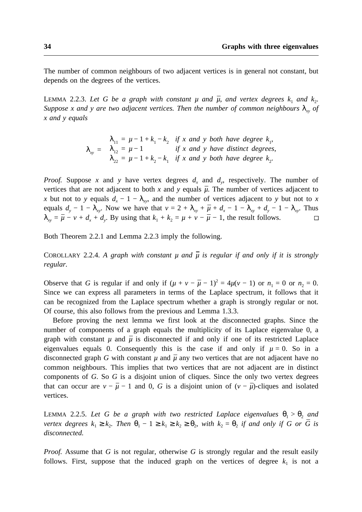The number of common neighbours of two adjacent vertices is in general not constant, but depends on the degrees of the vertices.

LEMMA 2.2.3. Let G be a graph with constant  $\mu$  and  $\overline{\mu}$ , and vertex degrees  $k_1$  and  $k_2$ . *Suppose x and y are two adjacent vertices. Then the number of common neighbours*  $\lambda_{xy}$  *of x and y equals*

$$
\lambda_{xy} = \begin{cases}\n\lambda_{11} = \mu - 1 + k_1 - k_2 & \text{if } x \text{ and } y \text{ both have degree } k_1, \\
\lambda_{12} = \mu - 1 & \text{if } x \text{ and } y \text{ have distinct degrees,} \\
\lambda_{22} = \mu - 1 + k_2 - k_1 & \text{if } x \text{ and } y \text{ both have degree } k_2.\n\end{cases}
$$

*Proof.* Suppose x and y have vertex degrees  $d_x$  and  $d_y$ , respectively. The number of vertices that are not adjacent to both *x* and *y* equals  $\overline{\mu}$ . The number of vertices adjacent to *x* but not to *y* equals  $d_x - 1 - \lambda_x$ , and the number of vertices adjacent to *y* but not to *x* equals  $d_y - 1 - \lambda_{xy}$ . Now we have that  $v = 2 + \lambda_{xy} + \overline{\mu} + d_x - 1 - \lambda_{xy} + d_y - 1 - \lambda_{xy}$ . Thus  $\lambda_{xy} = \overline{\mu} - v + d_x + d_y$ . By using that  $k_1 + k_2 = \mu + v - \overline{\mu} - 1$ , the result follows.  $\Box$ 

Both Theorem 2.2.1 and Lemma 2.2.3 imply the following.

COROLLARY 2.2.4. A graph with constant  $\mu$  and  $\overline{\mu}$  is regular if and only if it is strongly *regular.*

Observe that *G* is regular if and only if  $(\mu + \nu - \overline{\mu} - 1)^2 = 4\mu(\nu - 1)$  or  $n_1 = 0$  or  $n_2 = 0$ . Since we can express all parameters in terms of the Laplace spectrum, it follows that it can be recognized from the Laplace spectrum whether a graph is strongly regular or not. Of course, this also follows from the previous and Lemma 1.3.3.

Before proving the next lemma we first look at the disconnected graphs. Since the number of components of a graph equals the multiplicity of its Laplace eigenvalue 0, a graph with constant  $\mu$  and  $\overline{\mu}$  is disconnected if and only if one of its restricted Laplace eigenvalues equals 0. Consequently this is the case if and only if  $\mu = 0$ . So in a disconnected graph *G* with constant  $\mu$  and  $\overline{\mu}$  any two vertices that are not adjacent have no common neighbours. This implies that two vertices that are not adjacent are in distinct components of *G*. So *G* is a disjoint union of cliques. Since the only two vertex degrees that can occur are  $v - \overline{\mu} - 1$  and 0, *G* is a disjoint union of  $(v - \overline{\mu})$ -cliques and isolated vertices.

LEMMA 2.2.5. Let G be a graph with two restricted Laplace eigenvalues  $\theta_1 > \theta_2$  and *vertex degrees*  $k_1 \geq k_2$ . *Then*  $\theta_1 - 1 \geq k_1 \geq k_2 \geq \theta_2$ , *with*  $k_2 = \theta_2$  *if and only if G or G is disconnected.*

*Proof.* Assume that *G* is not regular, otherwise *G* is strongly regular and the result easily follows. First, suppose that the induced graph on the vertices of degree  $k_1$  is not a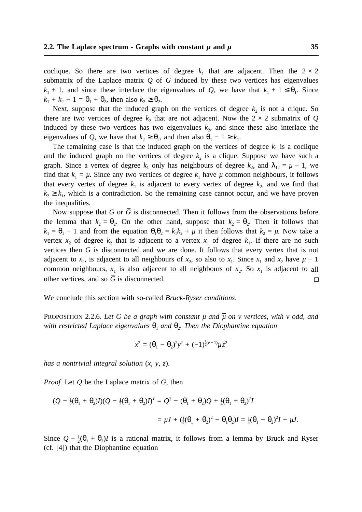coclique. So there are two vertices of degree  $k_1$  that are adjacent. Then the  $2 \times 2$ submatrix of the Laplace matrix  $Q$  of  $G$  induced by these two vertices has eigenvalues  $k_1 \pm 1$ , and since these interlace the eigenvalues of *Q*, we have that  $k_1 + 1 \le \theta_1$ . Since  $k_1 + k_2 + 1 = \theta_1 + \theta_2$ , then also  $k_2 \ge \theta_2$ .

Next, suppose that the induced graph on the vertices of degree  $k_2$  is not a clique. So there are two vertices of degree  $k_2$  that are not adjacent. Now the  $2 \times 2$  submatrix of *Q* induced by these two vertices has two eigenvalues  $k<sub>2</sub>$ , and since these also interlace the eigenvalues of *Q*, we have that  $k_2 \geq \theta_2$ , and then also  $\theta_1 - 1 \geq k_1$ .

The remaining case is that the induced graph on the vertices of degree  $k_1$  is a coclique and the induced graph on the vertices of degree  $k<sub>2</sub>$  is a clique. Suppose we have such a graph. Since a vertex of degree  $k_1$  only has neighbours of degree  $k_2$ , and  $\lambda_{12} = \mu - 1$ , we find that  $k_1 = \mu$ . Since any two vertices of degree  $k_1$  have  $\mu$  common neighbours, it follows that every vertex of degree  $k_1$  is adjacent to every vertex of degree  $k_2$ , and we find that  $k_2 \geq k_1$ , which is a contradiction. So the remaining case cannot occur, and we have proven the inequalities.

Now suppose that *G* or  $\overline{G}$  is disconnected. Then it follows from the observations before the lemma that  $k_2 = \theta_2$ . On the other hand, suppose that  $k_2 = \theta_2$ . Then it follows that  $k_1 = \theta_1 - 1$  and from the equation  $\theta_1 \theta_2 = k_1 k_2 + \mu$  it then follows that  $k_2 = \mu$ . Now take a vertex  $x_2$  of degree  $k_2$  that is adjacent to a vertex  $x_1$  of degree  $k_1$ . If there are no such vertices then *G* is disconnected and we are done. It follows that every vertex that is not adjacent to  $x_2$ , is adjacent to all neighbours of  $x_2$ , so also to  $x_1$ . Since  $x_1$  and  $x_2$  have  $\mu - 1$ common neighbours,  $x_1$  is also adjacent to all neighbours of  $x_2$ . So  $x_1$  is adjacent to all other vertices, and so  $\overline{G}$  is disconnected.  $\Box$ 

We conclude this section with so-called *Bruck-Ryser conditions*.

PROPOSITION 2.2.6. Let G be a graph with constant  $\mu$  and  $\overline{\mu}$  on v vertices, with v odd, and *with restricted Laplace eigenvalues*  $\theta_1$  *and*  $\theta_2$ *. Then the Diophantine equation* 

$$
x^{2} = (\theta_{1} - \theta_{2})^{2} y^{2} + (-1)^{\frac{1}{2}(\nu - 1)} \mu z^{2}
$$

*has a nontrivial integral solution* (*x*, *y*, *z*).

*Proof.* Let *Q* be the Laplace matrix of *G*, then

$$
(Q - \frac{1}{2}(\theta_1 + \theta_2)I)(Q - \frac{1}{2}(\theta_1 + \theta_2)I)^T = Q^2 - (\theta_1 + \theta_2)Q + \frac{1}{4}(\theta_1 + \theta_2)^2I
$$
  
=  $\mu J + (\frac{1}{4}(\theta_1 + \theta_2)^2 - \theta_1\theta_2)I = \frac{1}{4}(\theta_1 - \theta_2)^2I + \mu J.$ 

Since  $Q - \frac{1}{2}(\theta_1 + \theta_2)I$  is a rational matrix, it follows from a lemma by Bruck and Ryser (cf. [4]) that the Diophantine equation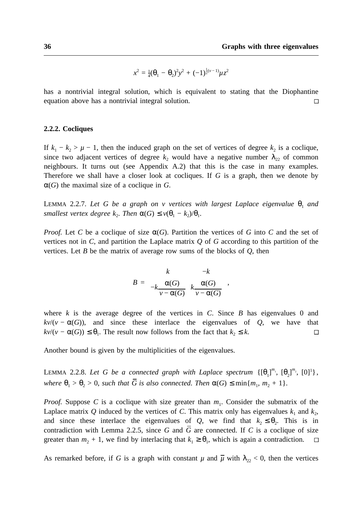$$
x^{2} = \frac{1}{4}(\theta_{1} - \theta_{2})^{2}y^{2} + (-1)^{\frac{1}{2}(\nu-1)}\mu z^{2}
$$

has a nontrivial integral solution, which is equivalent to stating that the Diophantine equation above has a nontrivial integral solution.  $\Box$ 

## **2.2.2. Cocliques**

If  $k_1 - k_2 > \mu - 1$ , then the induced graph on the set of vertices of degree  $k_2$  is a coclique, since two adjacent vertices of degree  $k_2$  would have a negative number  $\lambda_{22}$  of common neighbours. It turns out (see Appendix A.2) that this is the case in many examples. Therefore we shall have a closer look at cocliques. If *G* is a graph, then we denote by  $\alpha(G)$  the maximal size of a coclique in G.

LEMMA 2.2.7. Let G be a graph on v vertices with largest Laplace eigenvalue  $\theta_1$  and *smallest vertex degree*  $k_2$ *. Then*  $\alpha(G) \leq v(\theta_1 - k_2)/\theta_1$ *.* 

*Proof.* Let *C* be a coclique of size  $\alpha(G)$ . Partition the vertices of *G* into *C* and the set of vertices not in  $C$ , and partition the Laplace matrix  $Q$  of  $G$  according to this partition of the vertices. Let *B* be the matrix of average row sums of the blocks of *Q*, then

$$
B = \begin{pmatrix} k & -k \\ -k & \alpha(G) & k \cdot \alpha(G) \\ \hline \nu - \alpha(G) & k \cdot \nu - \alpha(G) \end{pmatrix},
$$

where  $k$  is the average degree of the vertices in  $C$ . Since  $B$  has eigenvalues 0 and  $kv/(v - \alpha(G))$ , and since these interlace the eigenvalues of *Q*, we have that  $kv/(v - \alpha(G)) \leq \theta_1$ . The result now follows from the fact that  $k_2 \leq k$ .  $\Box$ 

Another bound is given by the multiplicities of the eigenvalues.

LEMMA 2.2.8. Let G be a connected graph with Laplace spectrum  $\{[\theta_1]^{m_1}, [\theta_2]^{m_2}, [0]^1\}$ , *where*  $\theta_1 > \theta_2 > 0$ *, such that*  $\overline{G}$  *is also connected. Then*  $\alpha(G) \le \min\{m_1, m_2 + 1\}$ .

*Proof.* Suppose *C* is a coclique with size greater than  $m_1$ . Consider the submatrix of the Laplace matrix Q induced by the vertices of C. This matrix only has eigenvalues  $k_1$  and  $k_2$ , and since these interlace the eigenvalues of *Q*, we find that  $k_2 \le \theta_2$ . This is in contradiction with Lemma 2.2.5, since *G* and  $\overline{G}$  are connected. If *C* is a coclique of size greater than  $m_2 + 1$ , we find by interlacing that  $k_1 \ge \theta_1$ , which is again a contradiction.  $\Box$ 

As remarked before, if *G* is a graph with constant  $\mu$  and  $\overline{\mu}$  with  $\lambda_{22} < 0$ , then the vertices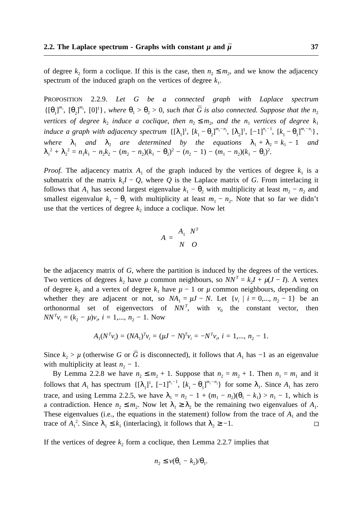of degree  $k_2$  form a coclique. If this is the case, then  $n_2 \le m_2$ , and we know the adjacency spectrum of the induced graph on the vertices of degree  $k_1$ .

PROPOSITION 2.2.9. *Let G be a connected graph with Laplace spectrum*  $\{[\theta_1]^{m_1}, [\theta_2]^{m_2}, [0]^1\}$ , where  $\theta_1 > \theta_2 > 0$ , such that  $\overline{G}$  is also connected. Suppose that the  $n_2$ *vertices of degree*  $k_2$  *induce a coclique, then*  $n_2 \le m_2$ *, and the*  $n_1$  *vertices of degree*  $k_1$ *induce a graph with adjacency spectrum*  $\{[\lambda_1]^1, [k_1 - \theta_2]^{m_2 - n_2}, [\lambda_2]^1, [-1]^{n_2 - 1}, [k_1 - \theta_1]^{m_1 - n_2}\},\$ *where*  $\lambda_1$  *and*  $\lambda_2$  *are determined by the equations*  $\lambda_1 + \lambda_2 = k_1 - 1$  *and*  $\lambda_1^2 + \lambda_2^2 = n_1 k_1 - n_2 k_2 - (m_2 - n_2)(k_1 - \theta_2)^2 - (n_2 - 1) - (m_1 - n_2)(k_1 - \theta_1)^2$ .

*Proof.* The adjacency matrix  $A_1$  of the graph induced by the vertices of degree  $k_1$  is a submatrix of the matrix  $k_1I - Q$ , where *Q* is the Laplace matrix of *G*. From interlacing it follows that  $A_1$  has second largest eigenvalue  $k_1 - \theta_2$  with multiplicity at least  $m_2 - n_2$  and smallest eigenvalue  $k_1 - \theta_1$  with multiplicity at least  $m_1 - n_2$ . Note that so far we didn't use that the vertices of degree  $k_2$  induce a coclique. Now let

$$
A = \begin{pmatrix} A_1 & N^T \\ N & O \end{pmatrix}
$$

be the adjacency matrix of *G*, where the partition is induced by the degrees of the vertices. Two vertices of degrees  $k_2$  have  $\mu$  common neighbours, so  $NN^T = k_2I + \mu(J - I)$ . A vertex of degree  $k_2$  and a vertex of degree  $k_1$  have  $\mu - 1$  or  $\mu$  common neighbours, depending on whether they are adjacent or not, so  $NA_1 = \mu J - N$ . Let  $\{v_i \mid i = 0, ..., n_2 - 1\}$  be an orthonormal set of eigenvectors of  $NN<sup>T</sup>$ , with  $v<sub>0</sub>$  the constant vector, then  $NN^{T}v_{i} = (k_{2} - \mu)v_{i}, i = 1,..., n_{2} - 1.$  Now

$$
A_1(N^T v_i) = (N A_1)^T v_i = (\mu J - N)^T v_i = -N^T v_i, i = 1, ..., n_2 - 1.
$$

Since  $k_2 > \mu$  (otherwise *G* or  $\overline{G}$  is disconnected), it follows that  $A_1$  has −1 as an eigenvalue with multiplicity at least  $n_2 - 1$ .

By Lemma 2.2.8 we have  $n_2 \le m_2 + 1$ . Suppose that  $n_2 = m_2 + 1$ . Then  $n_1 = m_1$  and it follows that  $A_1$  has spectrum  $\{[\lambda_1]^1, [-1]^{n_2-1}, [k_1 - \theta_1]^{m_1-n_2}\}$  for some  $\lambda_1$ . Since  $A_1$  has zero trace, and using Lemma 2.2.5, we have  $\lambda_1 = n_2 - 1 + (m_1 - n_2)(\theta_1 - k_1) > n_1 - 1$ , which is a contradiction. Hence  $n_2 \le m_2$ . Now let  $\lambda_1 \ge \lambda_2$  be the remaining two eigenvalues of  $A_1$ . These eigenvalues (i.e., the equations in the statement) follow from the trace of  $A_1$  and the trace of  $A_1^2$ . Since  $\lambda_1 \leq k_1$  (interlacing), it follows that  $\lambda_2 \geq -1$ .  $\Box$ 

If the vertices of degree  $k<sub>2</sub>$  form a coclique, then Lemma 2.2.7 implies that

$$
n_2 \leq v(\theta_1 - k_2)/\theta_1.
$$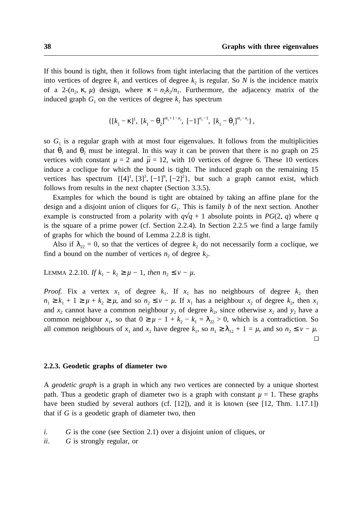If this bound is tight, then it follows from tight interlacing that the partition of the vertices into vertices of degree  $k_1$  and vertices of degree  $k_2$  is regular. So *N* is the incidence matrix of a 2- $(n_2, \kappa, \mu)$  design, where  $\kappa = n_2 k_2/n_1$ . Furthermore, the adjacency matrix of the induced graph  $G_1$  on the vertices of degree  $k_1$  has spectrum

$$
\{[k_1 - \kappa]^1, [k_1 - \theta_2]^{m_2 + 1 - n_2}, [-1]^{n_2 - 1}, [k_1 - \theta_1]^{m_1 - n_2}\},
$$

so  $G_1$  is a regular graph with at most four eigenvalues. It follows from the multiplicities that  $\theta_1$  and  $\theta_2$  must be integral. In this way it can be proven that there is no graph on 25 vertices with constant  $\mu = 2$  and  $\overline{\mu} = 12$ , with 10 vertices of degree 6. These 10 vertices induce a coclique for which the bound is tight. The induced graph on the remaining 15 vertices has spectrum  $\{ [4]^1, [3]^3, [-1]^9, [-2]^2 \}$ , but such a graph cannot exist, which follows from results in the next chapter (Section 3.3.5).

Examples for which the bound is tight are obtained by taking an affine plane for the design and a disjoint union of cliques for  $G_1$ . This is family *b* of the next section. Another example is constructed from a polarity with  $q\sqrt{q} + 1$  absolute points in *PG*(2, *q*) where *q* is the square of a prime power (cf. Section 2.2.4). In Section 2.2.5 we find a large family of graphs for which the bound of Lemma 2.2.8 is tight.

Also if  $\lambda_{22} = 0$ , so that the vertices of degree  $k_2$  do not necessarily form a coclique, we find a bound on the number of vertices  $n_2$  of degree  $k_2$ .

LEMMA 2.2.10. *If*  $k_1 - k_2 \geq \mu - 1$ , *then*  $n_2 \leq \nu - \mu$ .

*Proof.* Fix a vertex  $x_1$  of degree  $k_1$ . If  $x_1$  has no neighbours of degree  $k_2$  then *n*<sub>1</sub> ≥  $k_1$  + 1 ≥  $\mu$  +  $k_2$  ≥  $\mu$ , and so  $n_2 \le v - \mu$ . If  $x_1$  has a neighbour  $x_2$  of degree  $k_2$ , then  $x_1$ and  $x_2$  cannot have a common neighbour  $y_2$  of degree  $k_2$ , since otherwise  $x_2$  and  $y_2$  have a common neighbour  $x_1$ , so that  $0 \ge \mu - 1 + k_2 - k_1 = \lambda_{22} > 0$ , which is a contradiction. So all common neighbours of  $x_1$  and  $x_2$  have degree  $k_1$ , so  $n_1 \ge \lambda_{12} + 1 = \mu$ , and so  $n_2 \le v - \mu$ .  $\Box$ 

## **2.2.3. Geodetic graphs of diameter two**

A *geodetic graph* is a graph in which any two vertices are connected by a unique shortest path. Thus a geodetic graph of diameter two is a graph with constant  $\mu = 1$ . These graphs have been studied by several authors (cf. [12]), and it is known (see [12, Thm. 1.17.1]) that if *G* is a geodetic graph of diameter two, then

- *i*. *G* is the cone (see Section 2.1) over a disjoint union of cliques, or
- *ii*. *G* is strongly regular, or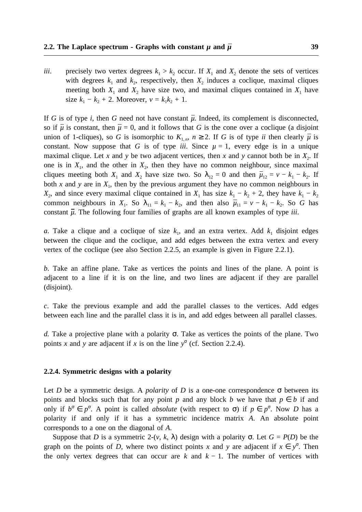*iii*. precisely two vertex degrees  $k_1 > k_2$  occur. If  $X_1$  and  $X_2$  denote the sets of vertices with degrees  $k_1$  and  $k_2$ , respectively, then  $X_2$  induces a coclique, maximal cliques meeting both  $X_1$  and  $X_2$  have size two, and maximal cliques contained in  $X_1$  have size  $k_1 - k_2 + 2$ . Moreover,  $v = k_1 k_2 + 1$ .

If *G* is of type *i*, then *G* need not have constant  $\overline{\mu}$ . Indeed, its complement is disconnected, so if  $\overline{\mu}$  is constant, then  $\overline{\mu} = 0$ , and it follows that *G* is the cone over a coclique (a disjoint union of 1-cliques), so *G* is isomorphic to  $K_{1,n}$ ,  $n \ge 2$ . If *G* is of type *ii* then clearly  $\overline{\mu}$  is constant. Now suppose that *G* is of type *iii*. Since  $\mu = 1$ , every edge is in a unique maximal clique. Let *x* and *y* be two adjacent vertices, then *x* and *y* cannot both be in  $X_2$ . If one is in  $X_1$ , and the other in  $X_2$ , then they have no common neighbour, since maximal cliques meeting both  $X_1$  and  $X_2$  have size two. So  $\lambda_{12} = 0$  and then  $\overline{\mu}_{12} = v - k_1 - k_2$ . If both *x* and *y* are in  $X_1$ , then by the previous argument they have no common neighbours in *X*<sub>2</sub>, and since every maximal clique contained in *X*<sub>1</sub> has size  $k_1 - k_2 + 2$ , they have  $k_1 - k_2$ common neighbours in *X*<sub>1</sub>. So  $\lambda_{11} = k_1 - k_2$ , and then also  $\overline{\mu}_{11} = v - k_1 - k_2$ . So *G* has constant  $\overline{\mu}$ . The following four families of graphs are all known examples of type *iii*.

*a*. Take a clique and a coclique of size  $k_1$ , and an extra vertex. Add  $k_1$  disjoint edges between the clique and the coclique, and add edges between the extra vertex and every vertex of the coclique (see also Section 2.2.5, an example is given in Figure 2.2.1).

*b*. Take an affine plane. Take as vertices the points and lines of the plane. A point is adjacent to a line if it is on the line, and two lines are adjacent if they are parallel (disjoint).

*c*. Take the previous example and add the parallel classes to the vertices. Add edges between each line and the parallel class it is in, and add edges between all parallel classes.

*d*. Take a projective plane with a polarity  $\sigma$ . Take as vertices the points of the plane. Two points *x* and *y* are adjacent if *x* is on the line  $y^{\sigma}$  (cf. Section 2.2.4).

## **2.2.4. Symmetric designs with a polarity**

Let *D* be a symmetric design. A *polarity* of *D* is a one-one correspondence  $\sigma$  between its points and blocks such that for any point *p* and any block *b* we have that  $p \in b$  if and only if  $b^{\sigma} \in p^{\sigma}$ . A point is called *absolute* (with respect to  $\sigma$ ) if  $p \in p^{\sigma}$ . Now *D* has a polarity if and only if it has a symmetric incidence matrix *A*. An absolute point corresponds to a one on the diagonal of *A*.

Suppose that *D* is a symmetric 2-(*v*, *k*,  $\lambda$ ) design with a polarity  $\sigma$ . Let  $G = P(D)$  be the graph on the points of *D*, where two distinct points *x* and *y* are adjacent if  $x \in y^{\sigma}$ . Then the only vertex degrees that can occur are  $k$  and  $k - 1$ . The number of vertices with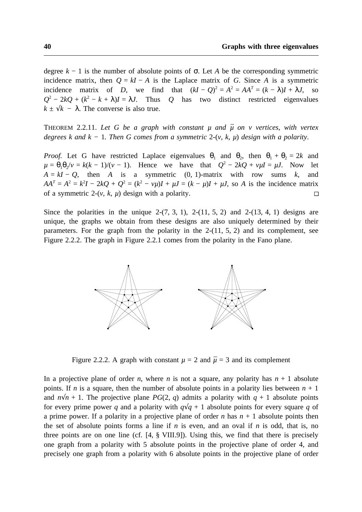degree  $k - 1$  is the number of absolute points of  $\sigma$ . Let *A* be the corresponding symmetric incidence matrix, then  $Q = kI - A$  is the Laplace matrix of *G*. Since *A* is a symmetric incidence matrix of *D*, we find that  $(kI - Q)^2 = A^2 = AA^T = (k - \lambda)I + \lambda J$ , so  $Q^2 - 2kQ + (k^2 - k + \lambda)I = \lambda J$ . Thus *Q* has two distinct restricted eigenvalues  $k \pm \sqrt{k - \lambda}$ . The converse is also true.

THEOREM 2.2.11. Let G be a graph with constant  $\mu$  and  $\overline{\mu}$  on v vertices, with vertex *degrees k and k −* 1*. Then G comes from a symmetric* 2-(*v*, *k*, *µ*) *design with a polarity*.

*Proof.* Let G have restricted Laplace eigenvalues  $\theta_1$  and  $\theta_2$ , then  $\theta_1 + \theta_2 = 2k$  and  $\mu = \theta_1 \theta_2 / \nu = k(k-1)/(v-1)$ . Hence we have that  $Q^2 - 2kQ + v\mu I = \mu J$ . Now let  $A = kI - Q$ , then *A* is a symmetric (0, 1)-matrix with row sums *k*, and  $AA^{T} = A^{2} = k^{2}I - 2kQ + Q^{2} = (k^{2} - \nu\mu)I + \mu J = (k - \mu)I + \mu J$ , so *A* is the incidence matrix of a symmetric 2- $(v, k, \mu)$  design with a polarity.  $\Box$ 

Since the polarities in the unique  $2-(7, 3, 1)$ ,  $2-(11, 5, 2)$  and  $2-(13, 4, 1)$  designs are unique, the graphs we obtain from these designs are also uniquely determined by their parameters. For the graph from the polarity in the  $2-(11, 5, 2)$  and its complement, see Figure 2.2.2. The graph in Figure 2.2.1 comes from the polarity in the Fano plane.



Figure 2.2.2. A graph with constant  $\mu = 2$  and  $\overline{\mu} = 3$  and its complement

In a projective plane of order *n*, where *n* is not a square, any polarity has  $n + 1$  absolute points. If *n* is a square, then the number of absolute points in a polarity lies between  $n + 1$ and  $n\sqrt{n}$  + 1. The projective plane *PG*(2, *q*) admits a polarity with  $q + 1$  absolute points for every prime power *q* and a polarity with  $q\sqrt{q} + 1$  absolute points for every square *q* of a prime power. If a polarity in a projective plane of order *n* has  $n + 1$  absolute points then the set of absolute points forms a line if *n* is even, and an oval if *n* is odd, that is, no three points are on one line (cf. [4, § VIII.9]). Using this, we find that there is precisely one graph from a polarity with 5 absolute points in the projective plane of order 4, and precisely one graph from a polarity with 6 absolute points in the projective plane of order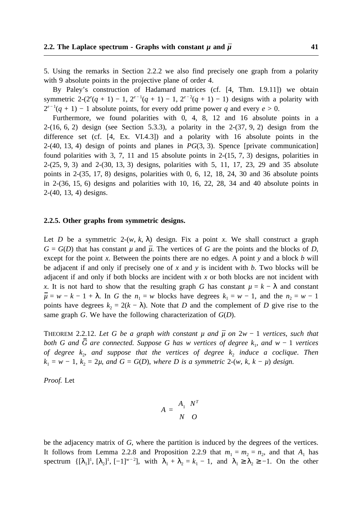5. Using the remarks in Section 2.2.2 we also find precisely one graph from a polarity with 9 absolute points in the projective plane of order 4.

By Paley's construction of Hadamard matrices (cf. [4, Thm. I.9.11]) we obtain symmetric 2- $(2^{e}(q + 1) - 1, 2^{e-1}(q + 1) - 1, 2^{e-2}(q + 1) - 1)$  designs with a polarity with  $2^{e-1}(q + 1) - 1$  absolute points, for every odd prime power q and every  $e > 0$ .

Furthermore, we found polarities with 0, 4, 8, 12 and 16 absolute points in a 2-(16, 6, 2) design (see Section 5.3.3), a polarity in the 2-(37, 9, 2) design from the difference set (cf. [4, Ex. VI.4.3]) and a polarity with 16 absolute points in the 2-(40, 13, 4) design of points and planes in *PG*(3, 3). Spence [private communication] found polarities with 3, 7, 11 and 15 absolute points in 2-(15, 7, 3) designs, polarities in 2-(25, 9, 3) and 2-(30, 13, 3) designs, polarities with 5, 11, 17, 23, 29 and 35 absolute points in 2-(35, 17, 8) designs, polarities with 0, 6, 12, 18, 24, 30 and 36 absolute points in 2-(36, 15, 6) designs and polarities with 10, 16, 22, 28, 34 and 40 absolute points in 2-(40, 13, 4) designs.

## **2.2.5. Other graphs from symmetric designs.**

Let *D* be a symmetric 2-(*w*, *k*,  $\lambda$ ) design. Fix a point *x*. We shall construct a graph  $G = G(D)$  that has constant  $\mu$  and  $\overline{\mu}$ . The vertices of *G* are the points and the blocks of *D*, except for the point *x*. Between the points there are no edges. A point *y* and a block *b* will be adjacent if and only if precisely one of *x* and *y* is incident with *b*. Two blocks will be adjacent if and only if both blocks are incident with *x* or both blocks are not incident with *x*. It is not hard to show that the resulting graph *G* has constant  $\mu = k - \lambda$  and constant  $\overline{\mu} = w - k - 1 + \lambda$ . In *G* the *n*<sub>1</sub> = *w* blocks have degrees  $k_1 = w - 1$ , and the *n*<sub>2</sub> = *w* − 1 points have degrees  $k_2 = 2(k - \lambda)$ . Note that *D* and the complement of *D* give rise to the same graph *G*. We have the following characterization of *G*(*D*).

THEOREM 2.2.12. Let G be a graph with constant  $\mu$  and  $\overline{\mu}$  on 2*w* − 1 *vertices*, *such that both* G and  $\overline{G}$  are connected. Suppose G has w vertices of degree  $k_1$ , and w – 1 vertices *of degree*  $k_2$ , and suppose that the vertices of degree  $k_2$  *induce a coclique*. Then  $k_1 = w - 1$ ,  $k_2 = 2\mu$ , and  $G = G(D)$ , where D is a symmetric 2-(w, k, k –  $\mu$ ) design.

*Proof.* Let

$$
A = \begin{pmatrix} A_1 & N^T \\ N & O \end{pmatrix}
$$

be the adjacency matrix of *G*, where the partition is induced by the degrees of the vertices. It follows from Lemma 2.2.8 and Proposition 2.2.9 that  $m_1 = m_2 = n_2$ , and that  $A_1$  has spectrum  $\{[\lambda_1]^1, [\lambda_2]^1, [-1]^{w-2}\}$ , with  $\lambda_1 + \lambda_2 = k_1 - 1$ , and  $\lambda_1 \ge \lambda_2 \ge -1$ . On the other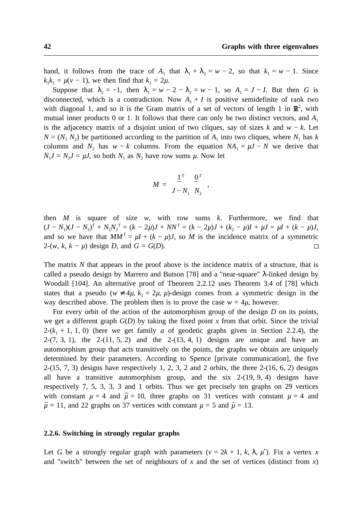hand, it follows from the trace of  $A_1$  that  $\lambda_1 + \lambda_2 = w - 2$ , so that  $k_1 = w - 1$ . Since  $k_1 k_2 = \mu (v - 1)$ , we then find that  $k_2 = 2\mu$ .

Suppose that  $\lambda_2 = -1$ , then  $\lambda_1 = w - 2 - \lambda_2 = w - 1$ , so  $A_1 = J - I$ . But then *G* is disconnected, which is a contradiction. Now  $A_1 + I$  is positive semidefinite of rank two with diagonal 1, and so it is the Gram matrix of a set of vectors of length 1 in  $\mathbb{R}^2$ , with mutual inner products 0 or 1. It follows that there can only be two distinct vectors, and  $A_1$ is the adjacency matrix of a disjoint union of two cliques, say of sizes *k* and *w* − *k*. Let  $N = (N_1 N_2)$  be partitioned according to the partition of  $A_1$  into two cliques, where  $N_1$  has k columns and  $N_2$  has  $w - k$  columns. From the equation  $NA_1 = \mu J - N$  we derive that  $N_1J = N_2J = \mu J$ , so both  $N_1$  as  $N_2$  have row sums  $\mu$ . Now let

$$
M = \begin{pmatrix} \frac{1}{T} & \frac{0}{T} \\ J - N_1 & N_2 \end{pmatrix},
$$

then *M* is square of size  $w$ , with row sums  $k$ . Furthermore, we find that  $(J - N_1)(J - N_1)^T + N_2N_2^T = (k - 2\mu)J + NN^T = (k - 2\mu)J + (k_2 - \mu)I + \mu J = \mu I + (k - \mu)J$ and so we have that  $MM^T = \mu I + (k - \mu)J$ , so M is the incidence matrix of a symmetric 2- $(w, k, k - \mu)$  design *D*, and  $G = G(D)$ .  $\Box$ 

The matrix N that appears in the proof above is the incidence matrix of a structure, that is called a pseudo design by Marrero and Butson [78] and a "near-square" λ-linked design by Woodall [104]. An alternative proof of Theorem 2.2.12 uses Theorem 3.4 of [78] which states that a pseudo ( $w \neq 4\mu$ ,  $k_2 = 2\mu$ ,  $\mu$ )-design comes from a symmetric design in the way described above. The problem then is to prove the case  $w = 4\mu$ , however.

For every orbit of the action of the automorphism group of the design *D* on its points, we get a different graph  $G(D)$  by taking the fixed point  $x$  from that orbit. Since the trivial  $2-(k_1 + 1, 1, 0)$  (here we get family *a* of geodetic graphs given in Section 2.2.4), the 2-(7, 3, 1), the 2-(11, 5, 2) and the 2-(13, 4, 1) designs are unique and have an automorphism group that acts transitively on the points, the graphs we obtain are uniquely determined by their parameters. According to Spence [private communication], the five  $2-(15, 7, 3)$  designs have respectively 1, 2, 3, 2 and 2 orbits, the three  $2-(16, 6, 2)$  designs all have a transitive automorphism group, and the six 2-(19, 9, 4) designs have respectively 7, 5, 3, 3, 3 and 1 orbits. Thus we get precisely ten graphs on 29 vertices with constant  $\mu = 4$  and  $\overline{\mu} = 10$ , three graphs on 31 vertices with constant  $\mu = 4$  and  $\overline{\mu}$  = 11, and 22 graphs on 37 vertices with constant  $\mu$  = 5 and  $\overline{\mu}$  = 13.

## **2.2.6. Switching in strongly regular graphs**

Let *G* be a strongly regular graph with parameters  $(v = 2k + 1, k, \lambda, \mu^*)$ . Fix a vertex *x* and "switch" between the set of neighbours of  $x$  and the set of vertices (distinct from  $x$ )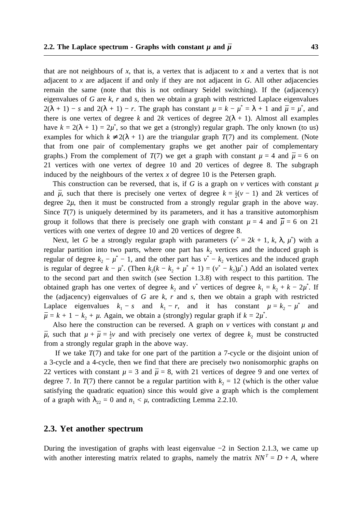that are not neighbours of *x*, that is, a vertex that is adjacent to *x* and a vertex that is not adjacent to *x* are adjacent if and only if they are not adjacent in *G*. All other adjacencies remain the same (note that this is not ordinary Seidel switching). If the (adjacency) eigenvalues of *G* are *k*, *r* and *s*, then we obtain a graph with restricted Laplace eigenvalues  $2(\lambda + 1) - s$  and  $2(\lambda + 1) - r$ . The graph has constant  $\mu = k - \mu^* = \lambda + 1$  and  $\overline{\mu} = \mu^*$ , and there is one vertex of degree *k* and 2*k* vertices of degree  $2(\lambda + 1)$ . Almost all examples have  $k = 2(\lambda + 1) = 2\mu^*$ , so that we get a (strongly) regular graph. The only known (to us) examples for which  $k \neq 2(\lambda + 1)$  are the triangular graph  $T(7)$  and its complement. (Note that from one pair of complementary graphs we get another pair of complementary graphs.) From the complement of *T*(7) we get a graph with constant  $\mu = 4$  and  $\overline{\mu} = 6$  on 21 vertices with one vertex of degree 10 and 20 vertices of degree 8. The subgraph induced by the neighbours of the vertex *x* of degree 10 is the Petersen graph.

This construction can be reversed, that is, if *G* is a graph on *v* vertices with constant  $\mu$ and  $\overline{\mu}$ , such that there is precisely one vertex of degree  $k = \frac{1}{2}(v - 1)$  and 2*k* vertices of degree  $2\mu$ , then it must be constructed from a strongly regular graph in the above way. Since  $T(7)$  is uniquely determined by its parameters, and it has a transitive automorphism group it follows that there is precisely one graph with constant  $\mu = 4$  and  $\overline{\mu} = 6$  on 21 vertices with one vertex of degree 10 and 20 vertices of degree 8.

Next, let *G* be a strongly regular graph with parameters  $(v^* = 2k + 1, k, \lambda, \mu^*)$  with a regular partition into two parts, where one part has  $k<sub>2</sub>$  vertices and the induced graph is regular of degree  $k_2 - \mu^* - 1$ , and the other part has  $v^* - k_2$  vertices and the induced graph is regular of degree  $k - \mu^*$ . (Then  $k_2(k - k_2 + \mu^* + 1) = (\nu^* - k_2)\mu^*$ .) Add an isolated vertex to the second part and then switch (see Section 1.3.8) with respect to this partition. The obtained graph has one vertex of degree  $k_2$  and  $v^*$  vertices of degree  $k_1 = k_2 + k - 2\mu^*$ . If the (adjacency) eigenvalues of *G* are *k*, *r* and *s*, then we obtain a graph with restricted Laplace eigenvalues  $k_1 - s$  and  $k_1 - r$ , and it has constant  $\mu = k_2 - \mu^*$  and  $\overline{\mu} = k + 1 - k_2 + \mu$ . Again, we obtain a (strongly) regular graph if  $k = 2\mu^*$ .

Also here the construction can be reversed. A graph on  $\nu$  vertices with constant  $\mu$  and  $\overline{\mu}$ , such that  $\mu + \overline{\mu} = \frac{1}{2}\nu$  and with precisely one vertex of degree  $k_2$  must be constructed from a strongly regular graph in the above way.

If we take *T*(7) and take for one part of the partition a 7-cycle or the disjoint union of a 3-cycle and a 4-cycle, then we find that there are precisely two nonisomorphic graphs on 22 vertices with constant  $\mu = 3$  and  $\overline{\mu} = 8$ , with 21 vertices of degree 9 and one vertex of degree 7. In  $T(7)$  there cannot be a regular partition with  $k_2 = 12$  (which is the other value satisfying the quadratic equation) since this would give a graph which is the complement of a graph with  $\lambda_{22} = 0$  and  $n_1 < \mu$ , contradicting Lemma 2.2.10.

# **2.3. Yet another spectrum**

During the investigation of graphs with least eigenvalue −2 in Section 2.1.3, we came up with another interesting matrix related to graphs, namely the matrix  $NN^T = D + A$ , where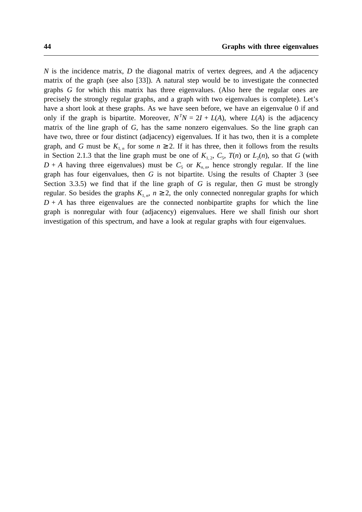*N* is the incidence matrix, *D* the diagonal matrix of vertex degrees, and *A* the adjacency matrix of the graph (see also [33]). A natural step would be to investigate the connected graphs *G* for which this matrix has three eigenvalues. (Also here the regular ones are precisely the strongly regular graphs, and a graph with two eigenvalues is complete). Let's have a short look at these graphs. As we have seen before, we have an eigenvalue 0 if and only if the graph is bipartite. Moreover,  $N^{T}N = 2I + L(A)$ , where  $L(A)$  is the adjacency matrix of the line graph of *G*, has the same nonzero eigenvalues. So the line graph can have two, three or four distinct (adjacency) eigenvalues. If it has two, then it is a complete graph, and *G* must be  $K_{1,n}$  for some  $n \geq 2$ . If it has three, then it follows from the results in Section 2.1.3 that the line graph must be one of  $K_{1,2}$ ,  $C_5$ ,  $T(n)$  or  $L_2(n)$ , so that *G* (with  $D + A$  having three eigenvalues) must be  $C_5$  or  $K_{n,n}$ , hence strongly regular. If the line graph has four eigenvalues, then *G* is not bipartite. Using the results of Chapter 3 (see Section 3.3.5) we find that if the line graph of *G* is regular, then *G* must be strongly regular. So besides the graphs  $K_{1,n}$ ,  $n \geq 2$ , the only connected nonregular graphs for which  $D + A$  has three eigenvalues are the connected nonbipartite graphs for which the line graph is nonregular with four (adjacency) eigenvalues. Here we shall finish our short investigation of this spectrum, and have a look at regular graphs with four eigenvalues.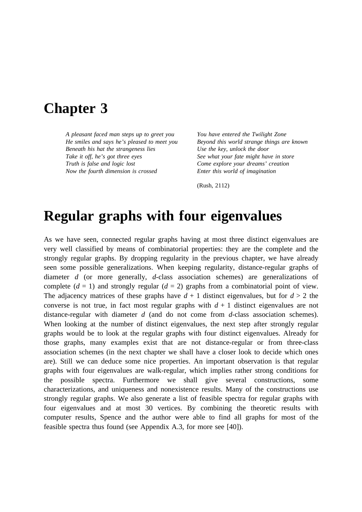# **Chapter 3**

*A pleasant faced man steps up to greet you You have entered the Twilight Zone He smiles and says he's pleased to meet you Beyond this world strange things are known Beneath his hat the strangeness lies Use the key*, *unlock the door Take it off, he's got three eyes* See what your fate might have in store *Truth is false and logic lost Come explore your dreams' creation Now the fourth dimension is crossed Enter this world of imagination*

(Rush, 2112)

# **Regular graphs with four eigenvalues**

As we have seen, connected regular graphs having at most three distinct eigenvalues are very well classified by means of combinatorial properties: they are the complete and the strongly regular graphs. By dropping regularity in the previous chapter, we have already seen some possible generalizations. When keeping regularity, distance-regular graphs of diameter *d* (or more generally, *d*-class association schemes) are generalizations of complete  $(d = 1)$  and strongly regular  $(d = 2)$  graphs from a combinatorial point of view. The adjacency matrices of these graphs have  $d + 1$  distinct eigenvalues, but for  $d > 2$  the converse is not true, in fact most regular graphs with  $d + 1$  distinct eigenvalues are not distance-regular with diameter *d* (and do not come from *d*-class association schemes). When looking at the number of distinct eigenvalues, the next step after strongly regular graphs would be to look at the regular graphs with four distinct eigenvalues. Already for those graphs, many examples exist that are not distance-regular or from three-class association schemes (in the next chapter we shall have a closer look to decide which ones are). Still we can deduce some nice properties. An important observation is that regular graphs with four eigenvalues are walk-regular, which implies rather strong conditions for the possible spectra. Furthermore we shall give several constructions, some characterizations, and uniqueness and nonexistence results. Many of the constructions use strongly regular graphs. We also generate a list of feasible spectra for regular graphs with four eigenvalues and at most 30 vertices. By combining the theoretic results with computer results, Spence and the author were able to find all graphs for most of the feasible spectra thus found (see Appendix A.3, for more see [40]).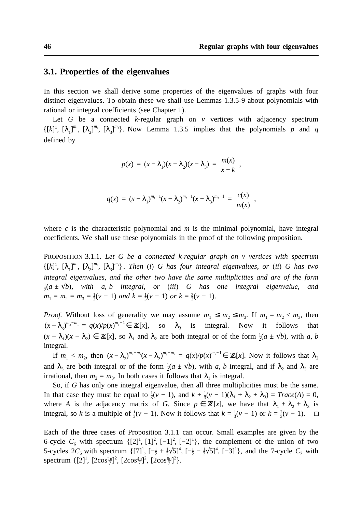# **3.1. Properties of the eigenvalues**

In this section we shall derive some properties of the eigenvalues of graphs with four distinct eigenvalues. To obtain these we shall use Lemmas 1.3.5-9 about polynomials with rational or integral coefficients (see Chapter 1).

Let *G* be a connected *k*-regular graph on *v* vertices with adjacency spectrum  $\{[k]^1, [\lambda_1]^{m_1}, [\lambda_2]^{m_2}, [\lambda_3]^{m_3}\}\$ . Now Lemma 1.3.5 implies that the polynomials *p* and *q* defined by

$$
p(x) = (x - \lambda_1)(x - \lambda_2)(x - \lambda_3) = \frac{m(x)}{x - k} ,
$$

$$
q(x) = (x - \lambda_1)^{m_1 - 1} (x - \lambda_2)^{m_2 - 1} (x - \lambda_3)^{m_3 - 1} = \frac{c(x)}{m(x)},
$$

where *c* is the characteristic polynomial and *m* is the minimal polynomial, have integral coefficients. We shall use these polynomials in the proof of the following proposition.

PROPOSITION 3.1.1. *Let G be a connected k-regular graph on v vertices with spectrum*  $\{[k]^1, [\lambda_1]^{m_1}, [\lambda_2]^{m_2}, [\lambda_3]^{m_3}\}\$ . Then (*i*) *G* has four integral eigenvalues, or (*ii*) *G* has two *integral eigenvalues*, *and the other two have the same multiplicities and are of the form* 1 2 -(*a* ± √*b*), *with a*, *b integral*, *or* (*iii*) *G has one integral eigenvalue*, *and*  $m_1 = m_2 = m_3 = \frac{1}{3}(v - 1)$  *and*  $k = \frac{1}{3}(v - 1)$  *or*  $k = \frac{2}{3}(v - 1)$ .

*Proof.* Without loss of generality we may assume  $m_1 \le m_2 \le m_3$ . If  $m_1 = m_2 < m_3$ , then  $(x - \lambda_3)^{m_3 - m_1} = q(x)/p(x)^{m_1 - 1} \in \mathbb{Z}[x]$ , so  $\lambda_3$  is integral. Now it follows that  $(x - \lambda_1)(x - \lambda_2) \in \mathbb{Z}[x]$ , so  $\lambda_1$  and  $\lambda_2$  are both integral or of the form  $\frac{1}{2}(a \pm \sqrt{b})$ , with *a*, *b* integral.

If  $m_1 < m_2$ , then  $(x - \lambda_2)^{m_2 - m_1}(x - \lambda_3)^{m_3 - m_1} = q(x)/p(x)^{m_1 - 1} \in \mathbb{Z}[x]$ . Now it follows that  $\lambda_2$ and  $\lambda_3$  are both integral or of the form  $\frac{1}{2}(a \pm \sqrt{b})$ , with *a*, *b* integral, and if  $\lambda_2$  and  $\lambda_3$  are irrational, then  $m_2 = m_3$ . In both cases it follows that  $\lambda_1$  is integral.

So, if *G* has only one integral eigenvalue, then all three multiplicities must be the same. In that case they must be equal to  $\frac{1}{3}(v-1)$ , and  $k + \frac{1}{3}(v-1)(\lambda_1 + \lambda_2 + \lambda_3) = Trace(A) = 0$ , where *A* is the adjacency matrix of *G*. Since  $p \in \mathbb{Z}[x]$ , we have that  $\lambda_1 + \lambda_2 + \lambda_3$  is integral, so *k* is a multiple of  $\frac{1}{3}(v - 1)$ . Now it follows that  $k = \frac{1}{3}(v - 1)$  or  $k = \frac{2}{3}(v - 1)$ .

Each of the three cases of Proposition 3.1.1 can occur. Small examples are given by the 6-cycle  $C_6$  with spectrum  $\{ [2]^1, [1]^2, [-1]^2, [-2]^1 \}$ , the complement of the union of two 5-cycles  $2\overline{C_5}$  with spectrum  $\{[7]^1, [-\frac{1}{2} + \frac{1}{2}\sqrt{5}]^4, [-\frac{1}{2} - \frac{1}{2}\sqrt{5}]^4, [-3]^1\}$ , and the 7-cycle  $C_7$  with spectrum  $\{ [2]^1, [2\cos(\frac{2\pi}{7})^2, [2\cos(\frac{4\pi}{7})^2, [2\cos(\frac{6\pi}{7})^2,$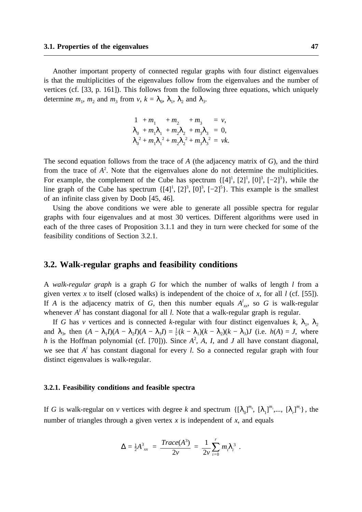Another important property of connected regular graphs with four distinct eigenvalues is that the multiplicities of the eigenvalues follow from the eigenvalues and the number of vertices (cf. [33, p. 161]). This follows from the following three equations, which uniquely determine  $m_1$ ,  $m_2$  and  $m_3$  from  $v$ ,  $k = \lambda_0$ ,  $\lambda_1$ ,  $\lambda_2$  and  $\lambda_3$ .

$$
1 + m_1 + m_2 + m_3 = v,
$$
  
\n
$$
\lambda_0 + m_1 \lambda_1 + m_2 \lambda_2 + m_3 \lambda_3 = 0,
$$
  
\n
$$
\lambda_0^2 + m_1 \lambda_1^2 + m_2 \lambda_2^2 + m_3 \lambda_3^2 = vk.
$$

The second equation follows from the trace of *A* (the adjacency matrix of *G*), and the third from the trace of  $A<sup>2</sup>$ . Note that the eigenvalues alone do not determine the multiplicities. For example, the complement of the Cube has spectrum  $\{[4]^1, [2]^1, [0]^3, [-2]^3\}$ , while the line graph of the Cube has spectrum  $\{[4]^1, [2]^3, [0]^3, [-2]^5\}$ . This example is the smallest of an infinite class given by Doob [45, 46].

Using the above conditions we were able to generate all possible spectra for regular graphs with four eigenvalues and at most 30 vertices. Different algorithms were used in each of the three cases of Proposition 3.1.1 and they in turn were checked for some of the feasibility conditions of Section 3.2.1.

## **3.2. Walk-regular graphs and feasibility conditions**

A *walk-regular graph* is a graph *G* for which the number of walks of length *l* from a given vertex *x* to itself (closed walks) is independent of the choice of *x*, for all *l* (cf. [55]). If *A* is the adjacency matrix of *G*, then this number equals  $A<sup>l</sup><sub>xx</sub>$ , so *G* is walk-regular whenever *A<sup>l</sup>* has constant diagonal for all *l*. Note that a walk-regular graph is regular.

If *G* has *v* vertices and is connected *k*-regular with four distinct eigenvalues *k*,  $\lambda_1$ ,  $\lambda_2$ and  $\lambda_3$ , then  $(A - \lambda_1 I)(A - \lambda_2 I)(A - \lambda_3 I) = \frac{1}{\nu}(k - \lambda_1)(k - \lambda_2)(k - \lambda_3)J$  (i.e.  $h(A) = J$ , where *h* is the Hoffman polynomial (cf. [70])). Since  $A^2$ , A, I, and J all have constant diagonal, we see that *Al* has constant diagonal for every *l*. So a connected regular graph with four distinct eigenvalues is walk-regular.

## **3.2.1. Feasibility conditions and feasible spectra**

If *G* is walk-regular on *v* vertices with degree *k* and spectrum  $\{[\lambda_0]^{m_0}, [\lambda_1]^{m_1},..., [\lambda_r]^{m_r}\}$ , the number of triangles through a given vertex  $x$  is independent of  $x$ , and equals

$$
\Delta = \frac{1}{2} A_{xx}^3 = \frac{Trace(A^3)}{2v} = \frac{1}{2v} \sum_{i=0}^r m_i \lambda_i^3.
$$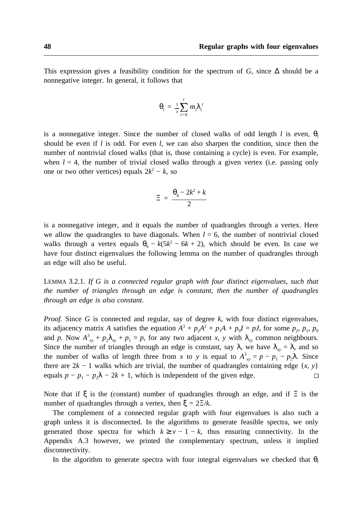This expression gives a feasibility condition for the spectrum of *G*, since  $\Delta$  should be a nonnegative integer. In general, it follows that

$$
\theta_i = \frac{1}{v} \sum_{i=0}^r m_i \lambda_i^i
$$

is a nonnegative integer. Since the number of closed walks of odd length *l* is even,  $\theta$ should be even if *l* is odd. For even *l*, we can also sharpen the condition, since then the number of nontrivial closed walks (that is, those containing a cycle) is even. For example, when  $l = 4$ , the number of trivial closed walks through a given vertex (i.e. passing only one or two other vertices) equals  $2k^2 - k$ , so

$$
\Xi = \frac{\theta_4 - 2k^2 + k}{2}
$$

is a nonnegative integer, and it equals the number of quadrangles through a vertex. Here we allow the quadrangles to have diagonals. When  $l = 6$ , the number of nontrivial closed walks through a vertex equals  $\theta_6 - k(5k^2 - 6k + 2)$ , which should be even. In case we have four distinct eigenvalues the following lemma on the number of quadrangles through an edge will also be useful.

LEMMA 3.2.1. *If G is a connected regular graph with four distinct eigenvalues*, *such that the number of triangles through an edge is constant*, *then the number of quadrangles through an edge is also constant.*

*Proof.* Since *G* is connected and regular, say of degree *k*, with four distinct eigenvalues, its adjacency matrix *A* satisfies the equation  $A^3 + p_2A^2 + p_1A + p_0I = pJ$ , for some  $p_2$ ,  $p_1$ ,  $p_0$ and *p*. Now  $A_{xy}^3 + P_2\lambda_{xy} + P_1 = p$ , for any two adjacent *x*, *y* with  $\lambda_{xy}$  common neighbours. Since the number of triangles through an edge is constant, say  $\lambda$ , we have  $\lambda_{xy} = \lambda$ , and so the number of walks of length three from *x* to *y* is equal to  $A_{xy}^3 = p - p_1 - p_2\lambda$ . Since there are  $2k - 1$  walks which are trivial, the number of quadrangles containing edge  $\{x, y\}$ equals  $p - p_1 - p_2\lambda - 2k + 1$ , which is independent of the given edge.  $\Box$ 

Note that if  $\xi$  is the (constant) number of quadrangles through an edge, and if  $\Xi$  is the number of quadrangles through a vertex, then  $\xi = 2E/k$ .

The complement of a connected regular graph with four eigenvalues is also such a graph unless it is disconnected. In the algorithms to generate feasible spectra, we only generated those spectra for which  $k \ge v - 1 - k$ , thus ensuring connectivity. In the Appendix A.3 however, we printed the complementary spectrum, unless it implied disconnectivity.

In the algorithm to generate spectra with four integral eigenvalues we checked that  $\theta$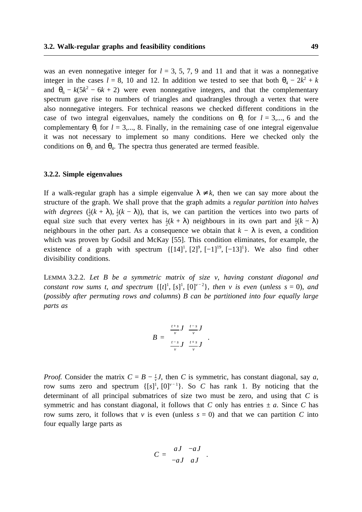was an even nonnegative integer for  $l = 3, 5, 7, 9$  and 11 and that it was a nonnegative integer in the cases  $l = 8$ , 10 and 12. In addition we tested to see that both  $\theta_4 - 2k^2 + k$ and  $\theta_6 - k(5k^2 - 6k + 2)$  were even nonnegative integers, and that the complementary spectrum gave rise to numbers of triangles and quadrangles through a vertex that were also nonnegative integers. For technical reasons we checked different conditions in the case of two integral eigenvalues, namely the conditions on  $\theta$ <sub>*l*</sub> for  $l = 3,..., 6$  and the complementary  $\theta$ <sub>*l*</sub> for  $l = 3,..., 8$ . Finally, in the remaining case of one integral eigenvalue it was not necessary to implement so many conditions. Here we checked only the conditions on  $\theta_3$  and  $\theta_4$ . The spectra thus generated are termed feasible.

## **3.2.2. Simple eigenvalues**

If a walk-regular graph has a simple eigenvalue  $\lambda \neq k$ , then we can say more about the structure of the graph. We shall prove that the graph admits a *regular partition into halves with degrees*  $(\frac{1}{2}(k + \lambda), \frac{1}{2}(k - \lambda))$ , that is, we can partition the vertices into two parts of equal size such that every vertex has  $\frac{1}{2}(k + \lambda)$  neighbours in its own part and  $\frac{1}{2}(k - \lambda)$ neighbours in the other part. As a consequence we obtain that  $k - \lambda$  is even, a condition which was proven by Godsil and McKay [55]. This condition eliminates, for example, the existence of a graph with spectrum  $\{[14]^1, [2]^9, [-1]^1, [-13]^1\}$ . We also find other divisibility conditions.

LEMMA 3.2.2. *Let B be a symmetric matrix of size v*, *having constant diagonal and constant row sums t, and spectrum*  $\{[t]^1, [s]^1, [0]^{v-2}\}$ , *then v is even* (*unless s* = 0), *and* (*possibly after permuting rows and columns*) *B can be partitioned into four equally large parts as*

$$
B = \begin{pmatrix} \frac{t+s}{v}J & \frac{t-s}{v}J \\ \frac{t-s}{v}J & \frac{t+s}{v}J \end{pmatrix}.
$$

*Proof.* Consider the matrix  $C = B - \frac{t}{v}J$ , then *C* is symmetric, has constant diagonal, say *a*, row sums zero and spectrum  $\{ [s]^1, [0]^{v-1} \}$ . So *C* has rank 1. By noticing that the determinant of all principal submatrices of size two must be zero, and using that *C* is symmetric and has constant diagonal, it follows that *C* only has entries  $\pm a$ . Since *C* has row sums zero, it follows that *v* is even (unless  $s = 0$ ) and that we can partition *C* into four equally large parts as

$$
C = \begin{pmatrix} aJ & -aJ \\ -aJ & aJ \end{pmatrix}.
$$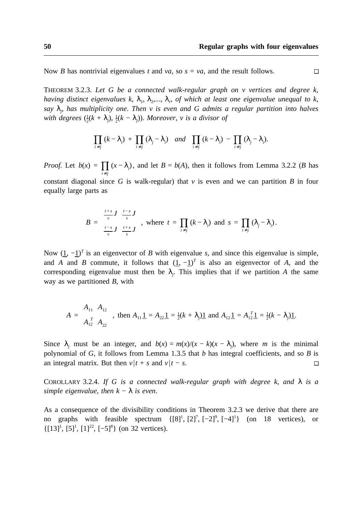$\Box$ 

Now *B* has nontrivial eigenvalues *t* and *va*, so  $s = va$ , and the result follows.

THEOREM 3.2.3. *Let G be a connected walk-regular graph on v vertices and degree k*, *having distinct eigenvalues k,*  $\lambda_1$ ,  $\lambda_2$ ,...,  $\lambda_r$ , *of which at least one eigenvalue unequal to k, say* λ*<sup>j</sup>* , *has multiplicity one*. *Then v is even and G admits a regular partition into halves*  $with$  *degrees*  $(\frac{1}{2}(k + \lambda_j), \frac{1}{2}(k - \lambda_j))$ . *Moreover*, *v* is a divisor of

$$
\prod_{i \neq j} (k - \lambda_i) + \prod_{i \neq j} (\lambda_j - \lambda_i) \quad and \quad \prod_{i \neq j} (k - \lambda_i) - \prod_{i \neq j} (\lambda_j - \lambda_i).
$$

*Proof.* Let  $b(x) = \prod_{i=1}^{n} (x - \lambda_i)$ , and let  $B = b(A)$ , then it follows from Lemma 3.2.2 (*B* has  $\prod_{i \neq j} (x - \lambda_i)$ constant diagonal since  $G$  is walk-regular) that  $v$  is even and we can partition  $B$  in four equally large parts as

$$
B = \begin{pmatrix} \frac{t+s}{v}J & \frac{t-s}{v}J \\ \frac{t-s}{v}J & \frac{t+s}{v}J \end{pmatrix}, \text{ where } t = \prod_{i \neq j} (k - \lambda_i) \text{ and } s = \prod_{i \neq j} (\lambda_j - \lambda_i).
$$

Now  $(1, -1)^T$  is an eigenvector of *B* with eigenvalue *s*, and since this eigenvalue is simple, and *A* and *B* commute, it follows that  $(1, -1)^T$  is also an eigenvector of *A*, and the corresponding eigenvalue must then be  $\lambda_j$ . This implies that if we partition *A* the same way as we partitioned *B*, with

$$
A = \begin{pmatrix} A_{11} & A_{12} \\ A_{12} & A_{22} \end{pmatrix}, \text{ then } A_{11} \underline{1} = A_{22} \underline{1} = \frac{1}{2}(k + \lambda_j) \underline{1} \text{ and } A_{12} \underline{1} = A_{12} \underline{1} = \frac{1}{2}(k - \lambda_j) \underline{1}.
$$

Since  $\lambda_j$  must be an integer, and  $b(x) = m(x)/(x - k)(x - \lambda_j)$ , where *m* is the minimal polynomial of *G*, it follows from Lemma 1.3.5 that *b* has integral coefficients, and so *B* is an integral matrix. But then  $v/t + s$  and  $v/t - s$ .  $\Box$ 

COROLLARY 3.2.4. *If G is a connected walk-regular graph with degree k*, *and* λ *is a simple eigenvalue, then*  $k - \lambda$  *is even.* 

As a consequence of the divisibility conditions in Theorem 3.2.3 we derive that there are no graphs with feasible spectrum  $\{ [8]^1, [2]^7, [-2]^9, [-4]^1 \}$  (on 18 vertices), or  $\{[13]^1, [5]^1, [1]^{22}, [-5]^8\}$  (on 32 vertices).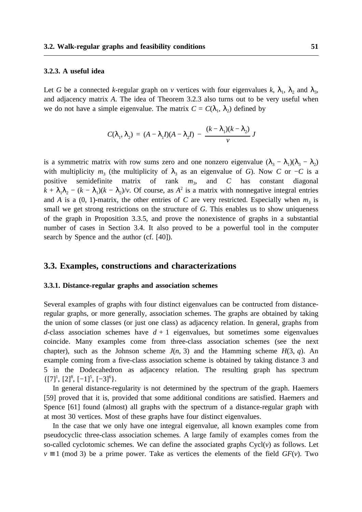## **3.2.3. A useful idea**

Let *G* be a connected *k*-regular graph on *v* vertices with four eigenvalues *k*,  $\lambda_1$ ,  $\lambda_2$  and  $\lambda_3$ , and adjacency matrix *A*. The idea of Theorem 3.2.3 also turns out to be very useful when we do not have a simple eigenvalue. The matrix  $C = C(\lambda_1, \lambda_2)$  defined by

$$
C(\lambda_1, \lambda_2) = (A - \lambda_1 I)(A - \lambda_2 I) - \frac{(k - \lambda_1)(k - \lambda_2)}{v} J
$$

is a symmetric matrix with row sums zero and one nonzero eigenvalue  $(\lambda_3 - \lambda_1)(\lambda_3 - \lambda_2)$ with multiplicity  $m_3$  (the multiplicity of  $\lambda_3$  as an eigenvalue of *G*). Now *C* or −*C* is a positive semidefinite matrix of rank  $m_3$ , and  $C$  has constant diagonal  $k + \lambda_1 \lambda_2 - (k - \lambda_1)(k - \lambda_2)/v$ . Of course, as *A*<sup>2</sup> is a matrix with nonnegative integral entries and *A* is a (0, 1)-matrix, the other entries of *C* are very restricted. Especially when  $m_3$  is small we get strong restrictions on the structure of *G*. This enables us to show uniqueness of the graph in Proposition 3.3.5, and prove the nonexistence of graphs in a substantial number of cases in Section 3.4. It also proved to be a powerful tool in the computer search by Spence and the author (cf. [40]).

## **3.3. Examples, constructions and characterizations**

## **3.3.1. Distance-regular graphs and association schemes**

Several examples of graphs with four distinct eigenvalues can be contructed from distanceregular graphs, or more generally, association schemes. The graphs are obtained by taking the union of some classes (or just one class) as adjacency relation. In general, graphs from *d*-class association schemes have  $d + 1$  eigenvalues, but sometimes some eigenvalues coincide. Many examples come from three-class association schemes (see the next chapter), such as the Johnson scheme  $J(n, 3)$  and the Hamming scheme  $H(3, q)$ . An example coming from a five-class association scheme is obtained by taking distance 3 and 5 in the Dodecahedron as adjacency relation. The resulting graph has spectrum  $\{[7]^1, [2]^8, [-1]^5, [-3]^6\}.$ 

In general distance-regularity is not determined by the spectrum of the graph. Haemers [59] proved that it is, provided that some additional conditions are satisfied. Haemers and Spence [61] found (almost) all graphs with the spectrum of a distance-regular graph with at most 30 vertices. Most of these graphs have four distinct eigenvalues.

In the case that we only have one integral eigenvalue, all known examples come from pseudocyclic three-class association schemes. A large family of examples comes from the so-called cyclotomic schemes. We can define the associated graphs  $Cycl(v)$  as follows. Let  $v \equiv 1 \pmod{3}$  be a prime power. Take as vertices the elements of the field *GF(v)*. Two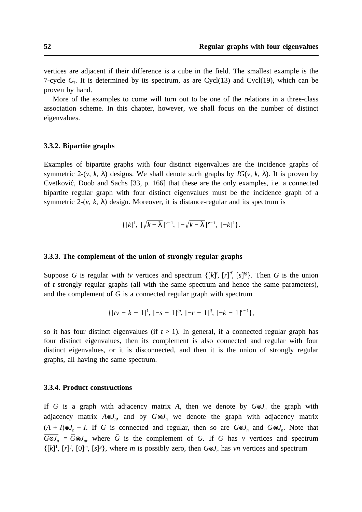vertices are adjacent if their difference is a cube in the field. The smallest example is the 7-cycle  $C_7$ . It is determined by its spectrum, as are Cycl(13) and Cycl(19), which can be proven by hand.

More of the examples to come will turn out to be one of the relations in a three-class association scheme. In this chapter, however, we shall focus on the number of distinct eigenvalues.

## **3.3.2. Bipartite graphs**

Examples of bipartite graphs with four distinct eigenvalues are the incidence graphs of symmetric 2-(*v*, *k*,  $\lambda$ ) designs. We shall denote such graphs by *IG*(*v*, *k*,  $\lambda$ ). It is proven by Cvetkovic´, Doob and Sachs [33, p. 166] that these are the only examples, i.e. a connected bipartite regular graph with four distinct eigenvalues must be the incidence graph of a symmetric 2- $(v, k, \lambda)$  design. Moreover, it is distance-regular and its spectrum is

$$
\{[k]^1, [\sqrt{k-\lambda}]^{\nu-1}, [-\sqrt{k-\lambda}]^{\nu-1}, [-k]^1\}.
$$

# **3.3.3. The complement of the union of strongly regular graphs**

Suppose *G* is regular with *tv* vertices and spectrum  $\{[k]^t, [r]^t, [s]^t\}$ . Then *G* is the union of *t* strongly regular graphs (all with the same spectrum and hence the same parameters), and the complement of *G* is a connected regular graph with spectrum

$$
\{[tv-k-1]^1, [-s-1]^{tg}, [-r-1]^{tf}, [-k-1]^{t-1}\},\
$$

so it has four distinct eigenvalues (if  $t > 1$ ). In general, if a connected regular graph has four distinct eigenvalues, then its complement is also connected and regular with four distinct eigenvalues, or it is disconnected, and then it is the union of strongly regular graphs, all having the same spectrum.

#### **3.3.4. Product constructions**

If *G* is a graph with adjacency matrix *A*, then we denote by  $G \otimes J_n$  the graph with adjacency matrix  $A \otimes J_n$ , and by  $G \otimes J_n$  we denote the graph with adjacency matrix  $(A + I) \otimes J_n - I$ . If *G* is connected and regular, then so are  $G \otimes J_n$  and  $G \otimes J_n$ . Note that  $\overline{G \otimes J_n} = \overline{G} \otimes J_n$ , where  $\overline{G}$  is the complement of *G*. If *G* has *v* vertices and spectrum  $\{[k]^1, [r]^f, [0]^m, [s]^g\}$ , where *m* is possibly zero, then  $G \otimes J_n$  has *vn* vertices and spectrum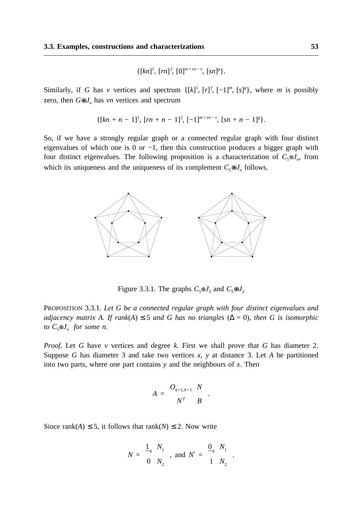$$
\{[kn]^1, [rn]^f, [0]^{m+vn-v}, [sn]^g\}.
$$

Similarly, if *G* has *v* vertices and spectrum  $\{[k]^1, [r]^f, [-1]^m, [s]^g\}$ , where *m* is possibly zero, then  $G \otimes J_n$  has *vn* vertices and spectrum

$$
\{[kn+n-1]^1, [rn+n-1]^f, [-1]^{m+vn-v}, [sn+n-1]^g\}.
$$

So, if we have a strongly regular graph or a connected regular graph with four distinct eigenvalues of which one is 0 or  $-1$ , then this construction produces a bigger graph with four distinct eigenvalues. The following proposition is a characterization of  $C_5 \otimes J_n$ , from which its uniqueness and the uniqueness of its complement  $C_5 \otimes J_n$  follows.



Figure 3.3.1. The graphs  $C_5 \otimes J_2$  and  $C_5 \otimes J_2$ 

PROPOSITION 3.3.1. *Let G be a connected regular graph with four distinct eigenvalues and adjacency matrix A. If rank* $(A) \leq 5$  *and G has no triangles*  $(A = 0)$ *, then G is isomorphic*  $to C_5 \otimes J_n$  *for some n.* 

*Proof.* Let *G* have *v* vertices and degree *k*. First we shall prove that *G* has diameter 2. Suppose *G* has diameter 3 and take two vertices *x*, *y* at distance 3. Let *A* be partitioned into two parts, where one part contains *y* and the neighbours of *x*. Then

$$
A = \begin{pmatrix} O_{k+1,k+1} & N \\ N^T & B \end{pmatrix}.
$$

Since rank(*A*)  $\leq$  5, it follows that rank(*N*)  $\leq$  2. Now write

$$
N = \begin{pmatrix} \frac{1}{k} & N_1 \\ 0 & N_2 \end{pmatrix}, \text{ and } N' = \begin{pmatrix} \frac{0}{k} & N_1 \\ 1 & N_2 \end{pmatrix}.
$$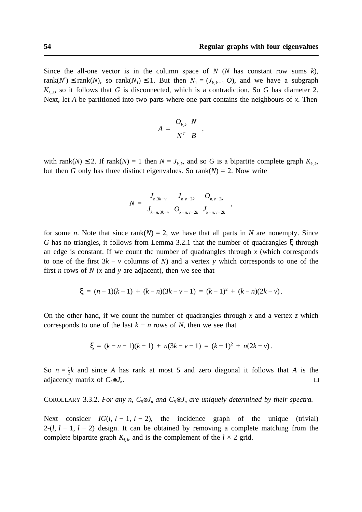Since the all-one vector is in the column space of *N* (*N* has constant row sums *k*), rank(*N*<sup>'</sup>) ≤ rank(*N*), so rank(*N*<sub>1</sub>) ≤ 1. But then  $N_1 = (J_{k,k-1}, O)$ , and we have a subgraph  $K_{k,k}$ , so it follows that *G* is disconnected, which is a contradiction. So *G* has diameter 2. Next, let *A* be partitioned into two parts where one part contains the neighbours of *x*. Then

$$
A = \begin{pmatrix} O_{k,k} & N \\ N^T & B \end{pmatrix},
$$

with rank(*N*)  $\leq$  2. If rank(*N*) = 1 then *N* = *J<sub>k, k</sub>*, and so *G* is a bipartite complete graph  $K_{k,k}$ , but then *G* only has three distinct eigenvalues. So rank $(N) = 2$ . Now write

$$
N = \begin{pmatrix} J_{n,3k-\nu} & J_{n,\nu-2k} & O_{n,\nu-2k} \\ J_{k-n,3k-\nu} & O_{k-n,\nu-2k} & J_{k-n,\nu-2k} \end{pmatrix},
$$

for some *n*. Note that since rank( $N$ ) = 2, we have that all parts in  $N$  are nonempty. Since *G* has no triangles, it follows from Lemma 3.2.1 that the number of quadrangles ξ through an edge is constant. If we count the number of quadrangles through  $x$  (which corresponds to one of the first 3*k* − *v* columns of *N*) and a vertex *y* which corresponds to one of the first *n* rows of *N* (*x* and *y* are adjacent), then we see that

$$
\xi = (n-1)(k-1) + (k-n)(3k-\nu-1) = (k-1)^2 + (k-n)(2k-\nu).
$$

On the other hand, if we count the number of quadrangles through *x* and a vertex *z* which corresponds to one of the last  $k - n$  rows of *N*, then we see that

$$
\xi = (k-n-1)(k-1) + n(3k-\nu-1) = (k-1)^2 + n(2k-\nu).
$$

So  $n = \frac{1}{2}k$  and since *A* has rank at most 5 and zero diagonal it follows that *A* is the adjacency matrix of  $C_5 \otimes J_n$ .  $\Box$ 

COROLLARY 3.3.2. *For any n,*  $C_5 \otimes J_n$  *and*  $C_5 \otimes J_n$  *are uniquely determined by their spectra.* 

Next consider  $IG(l, l - 1, l - 2)$ , the incidence graph of the unique (trivial) 2-(*l*, *l* − 1, *l* − 2) design. It can be obtained by removing a complete matching from the complete bipartite graph  $K_{l,i}$ , and is the complement of the  $l \times 2$  grid.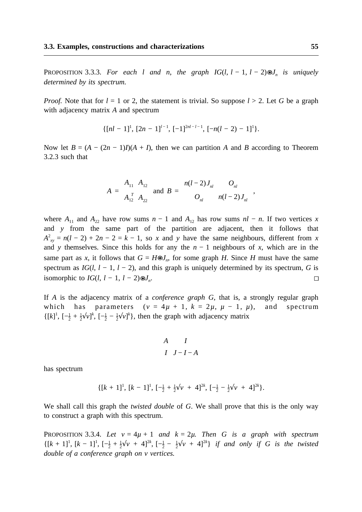PROPOSITION 3.3.3. For each *l* and n, the graph  $IG(l, l - 1, l - 2) \otimes J_n$  is uniquely *determined by its spectrum.*

*Proof.* Note that for  $l = 1$  or 2, the statement is trivial. So suppose  $l > 2$ . Let G be a graph with adjacency matrix *A* and spectrum

$$
\{[nl-1]^1, [2n-1]^{l-1}, [-1]^{2nl-l-1}, [-n(l-2)-1]^1\}.
$$

Now let  $B = (A - (2n - 1)I)(A + I)$ , then we can partition *A* and *B* according to Theorem 3.2.3 such that

$$
A = \begin{pmatrix} A_{11} & A_{12} \\ A_{12} & A_{22} \end{pmatrix} \text{ and } B = \begin{pmatrix} n(l-2)J_{nl} & O_{nl} \\ O_{nl} & n(l-2)J_{nl} \end{pmatrix},
$$

where  $A_{11}$  and  $A_{22}$  have row sums  $n-1$  and  $A_{12}$  has row sums  $nl-n$ . If two vertices x and *y* from the same part of the partition are adjacent, then it follows that  $A_{xy}^2 = n(l-2) + 2n - 2 = k - 1$ , so *x* and *y* have the same neighbours, different from *x* and *y* themselves. Since this holds for any the *n* − 1 neighbours of *x*, which are in the same part as *x*, it follows that  $G = H \otimes J_n$ , for some graph *H*. Since *H* must have the same spectrum as  $IG(l, l - 1, l - 2)$ , and this graph is uniquely determined by its spectrum, *G* is isomorphic to  $IG(l, l - 1, l - 2) \otimes J_n$ .  $\Box$ 

If *A* is the adjacency matrix of a *conference graph G*, that is, a strongly regular graph which has parameters  $(v = 4\mu + 1, k = 2\mu, \mu - 1, \mu)$ , and spectrum  $\{[k]^1, [-\frac{1}{2} + \frac{1}{2}\sqrt{v}]^k, [-\frac{1}{2} - \frac{1}{2}\sqrt{v}]^k\}$ , then the graph with adjacency matrix

$$
\begin{pmatrix} A & I \\ I & J-I-A \end{pmatrix}
$$

has spectrum

$$
\{[k+1]^1, [k-1]^1, [-\frac{1}{2} + \frac{1}{2}\sqrt{\nu + 4}]^{2k}, [-\frac{1}{2} - \frac{1}{2}\sqrt{\nu + 4}]^{2k}\}.
$$

We shall call this graph the *twisted double* of *G*. We shall prove that this is the only way to construct a graph with this spectrum.

PROPOSITION 3.3.4. Let  $v = 4\mu + 1$  and  $k = 2\mu$ . Then G is a graph with spectrum  $\{[k+1]^1, [k-1]^1, [-\frac{1}{2} + \frac{1}{2}\sqrt{v+4}]^{2k}, [-\frac{1}{2} - \frac{1}{2}\sqrt{v+4}]^{2k}\}\$  *if and only if G is the twisted double of a conference graph on v vertices.*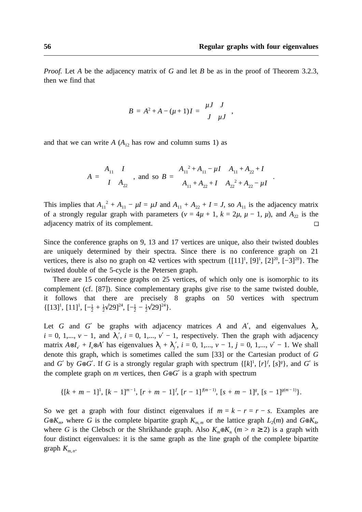*Proof.* Let *A* be the adjacency matrix of *G* and let *B* be as in the proof of Theorem 3.2.3, then we find that

$$
B = A2 + A - (\mu + 1)I = \begin{pmatrix} \mu J & J \\ J & \mu J \end{pmatrix},
$$

and that we can write  $A(A_{12})$  has row and column sums 1) as

$$
A = \begin{pmatrix} A_{11} & I \\ I & A_{22} \end{pmatrix}, \text{ and so } B = \begin{pmatrix} A_{11}^2 + A_{11} - \mu I & A_{11} + A_{22} + I \\ A_{11} + A_{22} + I & A_{22}^2 + A_{22} - \mu I \end{pmatrix}.
$$

This implies that  $A_{11}^2 + A_{11} - \mu I = \mu J$  and  $A_{11} + A_{22} + I = J$ , so  $A_{11}$  is the adjacency matrix of a strongly regular graph with parameters ( $v = 4\mu + 1$ ,  $k = 2\mu$ ,  $\mu - 1$ ,  $\mu$ ), and  $A_{22}$  is the adjacency matrix of its complement.  $\Box$ 

Since the conference graphs on 9, 13 and 17 vertices are unique, also their twisted doubles are uniquely determined by their spectra. Since there is no conference graph on 21 vertices, there is also no graph on 42 vertices with spectrum  $\{[11]^1, [9]^1, [2]^{20}, [-3]^{20}\}$ . The twisted double of the 5-cycle is the Petersen graph.

There are 15 conference graphs on 25 vertices, of which only one is isomorphic to its complement (cf. [87]). Since complementary graphs give rise to the same twisted double, it follows that there are precisely 8 graphs on 50 vertices with spectrum  $\{[13]^1, [11]^1, [-\frac{1}{2} + \frac{1}{2}\sqrt{29}]^{24}, [-\frac{1}{2} - \frac{1}{2}\sqrt{29}]^{24}\}.$ 

Let *G* and *G'* be graphs with adjacency matrices *A* and *A'*, and eigenvalues  $\lambda_i$ ,  $i = 0, 1,..., v - 1$ , and  $\lambda_i'$ ,  $i = 0, 1,..., v' - 1$ , respectively. Then the graph with adjacency matrix  $A \otimes I_{v'} + I_v \otimes A'$  has eigenvalues  $\lambda_i + \lambda'_j$ ,  $i = 0, 1,..., v - 1, j = 0, 1,..., v' - 1$ . We shall denote this graph, which is sometimes called the sum [33] or the Cartesian product of *G* and *G'* by *G*⊕*G'*. If *G* is a strongly regular graph with spectrum  $\{[k]^1, [r]^f, [s]^g\}$ , and *G'* is the complete graph on *m* vertices, then  $G \oplus G'$  is a graph with spectrum

$$
\{[k+m-1]^1, [k-1]^{m-1}, [r+m-1]^f, [r-1]^{f(m-1)}, [s+m-1]^g, [s-1]^{g(m-1)}\}.
$$

So we get a graph with four distinct eigenvalues if  $m = k - r = r - s$ . Examples are *G*⊕*K<sub>m</sub>*, where *G* is the complete bipartite graph  $K_{m,m}$  or the lattice graph  $L_2(m)$  and  $G ⊕ K_4$ , where *G* is the Clebsch or the Shrikhande graph. Also  $K_m \oplus K_n$  ( $m > n \ge 2$ ) is a graph with four distinct eigenvalues: it is the same graph as the line graph of the complete bipartite graph  $K_{m,n}$ .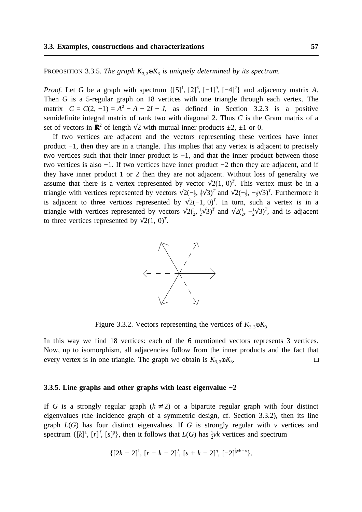PROPOSITION 3.3.5. *The graph*  $K_{3,3} \oplus K_3$  *is uniquely determined by its spectrum.* 

*Proof.* Let *G* be a graph with spectrum  $\{ [5]^1, [2]^6, [-1]^9, [-4]^2 \}$  and adjacency matrix *A*. Then *G* is a 5-regular graph on 18 vertices with one triangle through each vertex. The matrix  $C = C(2, -1) = A^2 - A - 2I - J$ , as defined in Section 3.2.3 is a positive semidefinite integral matrix of rank two with diagonal 2. Thus *C* is the Gram matrix of a set of vectors in  $\mathbb{R}^2$  of length  $\sqrt{2}$  with mutual inner products  $\pm 2$ ,  $\pm 1$  or 0.

If two vertices are adjacent and the vectors representing these vertices have inner product −1, then they are in a triangle. This implies that any vertex is adjacent to precisely two vertices such that their inner product is −1, and that the inner product between those two vertices is also −1. If two vertices have inner product −2 then they are adjacent, and if they have inner product 1 or 2 then they are not adjacent. Without loss of generality we assume that there is a vertex represented by vector  $\sqrt{2}(1, 0)^T$ . This vertex must be in a triangle with vertices represented by vectors  $\sqrt{2}(-\frac{1}{2}, \frac{1}{2}\sqrt{3})^T$  and  $\sqrt{2}(-\frac{1}{2}, -\frac{1}{2}\sqrt{3})^T$ . Furthermore it is adjacent to three vertices represented by  $\sqrt{2}(-1, 0)^T$ . In turn, such a vertex is in a triangle with vertices represented by vectors  $\sqrt{2}(\frac{1}{2}, \frac{1}{2}\sqrt{3})^T$  and  $\sqrt{2}(\frac{1}{2}, -\frac{1}{2}\sqrt{3})^T$ , and is adjacent to three vertices represented by  $\sqrt{2}(1, 0)^T$ .



Figure 3.3.2. Vectors representing the vertices of  $K_{3,3} \oplus K_3$ 

In this way we find 18 vertices: each of the 6 mentioned vectors represents 3 vertices. Now, up to isomorphism, all adjacencies follow from the inner products and the fact that every vertex is in one triangle. The graph we obtain is  $K_{3,3} \oplus K_3$ .  $\Box$ 

## **3.3.5. Line graphs and other graphs with least eigenvalue −2**

If G is a strongly regular graph  $(k \neq 2)$  or a bipartite regular graph with four distinct eigenvalues (the incidence graph of a symmetric design, cf. Section 3.3.2), then its line graph *L*(*G*) has four distinct eigenvalues. If *G* is strongly regular with *v* vertices and spectrum  $\{[k]^1, [r]^f, [s]^g\}$ , then it follows that *L*(*G*) has  $\frac{1}{2}vk$  vertices and spectrum

$$
\{[2k-2]^1, [r+k-2]^f, [s+k-2]^g, [-2]^{i\frac{1}{2}vk-v}\}.
$$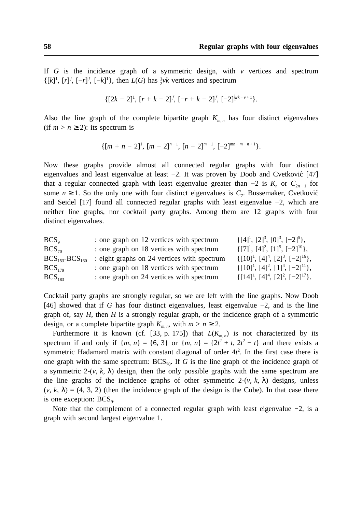If *G* is the incidence graph of a symmetric design, with *v* vertices and spectrum  $\{ [k]^1, [r]^f, [-r]^f, [-k]^1 \}$ , then *L*(*G*) has  $\frac{1}{2}vk$  vertices and spectrum

$$
\{[2k-2]^1, [r+k-2]^f, [-r+k-2]^f, [-2]^{i\frac{1}{2}v^k-v+1}\}.
$$

Also the line graph of the complete bipartite graph  $K_{m,n}$  has four distinct eigenvalues (if  $m > n \ge 2$ ): its spectrum is

$$
\{[m+n-2]^1, [m-2]^{n-1}, [n-2]^{m-1}, [-2]^{mn-m-n+1}\}.
$$

Now these graphs provide almost all connected regular graphs with four distinct eigenvalues and least eigenvalue at least  $-2$ . It was proven by Doob and Cvetković [47] that a regular connected graph with least eigenvalue greater than  $-2$  is  $K_n$  or  $C_{2n+1}$  for some  $n \geq 1$ . So the only one with four distinct eigenvalues is  $C_7$ . Bussemaker, Cvetković and Seidel [17] found all connected regular graphs with least eigenvalue −2, which are neither line graphs, nor cocktail party graphs. Among them are 12 graphs with four distinct eigenvalues.

| BCS <sub>9</sub>   | : one graph on 12 vertices with spectrum    | $\{ [4]^1, [2]^3, [0]^3, [-2]^5 \},\$            |
|--------------------|---------------------------------------------|--------------------------------------------------|
| $BCS_{70}$         | : one graph on 18 vertices with spectrum    | $\{ [7]^1, [4]^2, [1]^5, [-2]^{10} \},\$         |
| $BCS153 - BCS160$  | : eight graphs on 24 vertices with spectrum | $\{ [10]^{1}, [4]^{4}, [2]^{3}, [-2]^{16} \},$   |
| BCS <sub>179</sub> | : one graph on 18 vertices with spectrum    | $\{ [10]^1, [4]^2, [1]^4, [-2]^1 \},\$           |
| BCS <sub>183</sub> | : one graph on 24 vertices with spectrum    | $\{[14]^1, [4]^4, [2]^2, [-2]^{\frac{17}{2}}\}.$ |

Cocktail party graphs are strongly regular, so we are left with the line graphs. Now Doob [46] showed that if *G* has four distinct eigenvalues, least eigenvalue −2, and is the line graph of, say *H*, then *H* is a strongly regular graph, or the incidence graph of a symmetric design, or a complete bipartite graph  $K_{m,n}$ , with  $m > n \geq 2$ .

Furthermore it is known (cf. [33, p. 175]) that  $L(K_{m,n})$  is not characterized by its spectrum if and only if  $\{m, n\} = \{6, 3\}$  or  $\{m, n\} = \{2t^2 + t, 2t^2 - t\}$  and there exists a symmetric Hadamard matrix with constant diagonal of order  $4t<sup>2</sup>$ . In the first case there is one graph with the same spectrum:  $BCS_{70}$ . If *G* is the line graph of the incidence graph of a symmetric 2- $(v, k, \lambda)$  design, then the only possible graphs with the same spectrum are the line graphs of the incidence graphs of other symmetric  $2-(v, k, \lambda)$  designs, unless  $(v, k, \lambda) = (4, 3, 2)$  (then the incidence graph of the design is the Cube). In that case there is one exception:  $BCS<sub>0</sub>$ .

Note that the complement of a connected regular graph with least eigenvalue −2, is a graph with second largest eigenvalue 1.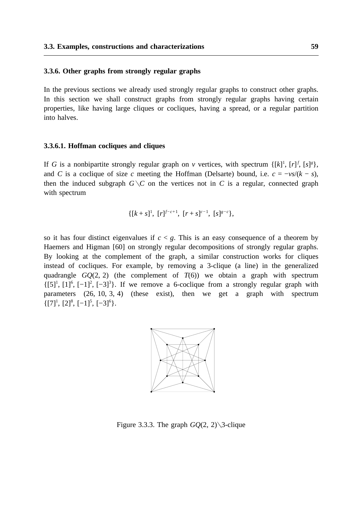## **3.3.6. Other graphs from strongly regular graphs**

In the previous sections we already used strongly regular graphs to construct other graphs. In this section we shall construct graphs from strongly regular graphs having certain properties, like having large cliques or cocliques, having a spread, or a regular partition into halves.

#### **3.3.6.1. Hoffman cocliques and cliques**

If *G* is a nonbipartite strongly regular graph on *v* vertices, with spectrum  $\{[k]^1, [r]^f, [s]^g\}$ , and *C* is a coclique of size *c* meeting the Hoffman (Delsarte) bound, i.e.  $c = -\frac{vs}{(k - s)}$ , then the induced subgraph  $G \setminus C$  on the vertices not in *C* is a regular, connected graph with spectrum

$$
\{[k+s]^1, [r]^{f-c+1}, [r+s]^{c-1}, [s]^{g-c}\},\
$$

so it has four distinct eigenvalues if  $c < g$ . This is an easy consequence of a theorem by Haemers and Higman [60] on strongly regular decompositions of strongly regular graphs. By looking at the complement of the graph, a similar construction works for cliques instead of cocliques. For example, by removing a 3-clique (a line) in the generalized quadrangle  $GQ(2, 2)$  (the complement of  $T(6)$ ) we obtain a graph with spectrum  $\{[5]^1, [1]^6, [-1]^2, [-3]^3\}$ . If we remove a 6-coclique from a strongly regular graph with parameters (26, 10, 3, 4) (these exist), then we get a graph with spectrum  $\{[7]^1, [2]^8, [-1]^5, [-3]^6\}.$ 



Figure 3.3.3. The graph  $GQ(2, 2)$  3-clique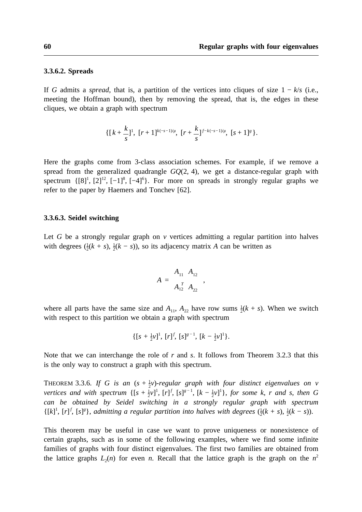## **3.3.6.2. Spreads**

If *G* admits a *spread*, that is, a partition of the vertices into cliques of size  $1 - k/s$  (i.e., meeting the Hoffman bound), then by removing the spread, that is, the edges in these cliques, we obtain a graph with spectrum

$$
\{[k+\frac{k}{s}]^1, [r+1]^{k(-s-1)/\mu}, [r+\frac{k}{s}]^{f-k(-s-1)/\mu}, [s+1]^g\}.
$$

Here the graphs come from 3-class association schemes. For example, if we remove a spread from the generalized quadrangle *GQ*(2, 4), we get a distance-regular graph with spectrum  $\{ [8]^1, [2]^1, [-1]^8, [-4]^6 \}$ . For more on spreads in strongly regular graphs we refer to the paper by Haemers and Tonchev [62].

#### **3.3.6.3. Seidel switching**

Let  $G$  be a strongly regular graph on  $\nu$  vertices admitting a regular partition into halves with degrees  $(\frac{1}{2}(k + s), \frac{1}{2}(k - s))$ , so its adjacency matrix *A* can be written as

$$
A = \begin{pmatrix} A_{11} & A_{12} \\ A_{12} & A_{22} \end{pmatrix},
$$

where all parts have the same size and  $A_{11}$ ,  $A_{22}$  have row sums  $\frac{1}{2}(k + s)$ . When we switch with respect to this partition we obtain a graph with spectrum

$$
\{[s+\tfrac{1}{2}v]^1,[r]^f,[s]^{g-1},[k-\tfrac{1}{2}v]^1\}.
$$

Note that we can interchange the role of *r* and *s*. It follows from Theorem 3.2.3 that this is the only way to construct a graph with this spectrum.

THEOREM 3.3.6. If G is an  $(s + \frac{1}{2}v)$ -regular graph with four distinct eigenvalues on v *vertices and with spectrum*  $\{ [s + \frac{1}{2}v]^1, [r]^f, [s]^{g-1}, [k - \frac{1}{2}v]^1 \}$ , *for some k, r and s, then G can be obtained by Seidel switching in a strongly regular graph with spectrum*  $\{[k]^1, [r]^f, [s]^g\}$ , *admitting a regular partition into halves with degrees*  $(\frac{1}{2}(k+s), \frac{1}{2}(k-s))$ .

This theorem may be useful in case we want to prove uniqueness or nonexistence of certain graphs, such as in some of the following examples, where we find some infinite families of graphs with four distinct eigenvalues. The first two families are obtained from the lattice graphs  $L_2(n)$  for even *n*. Recall that the lattice graph is the graph on the  $n^2$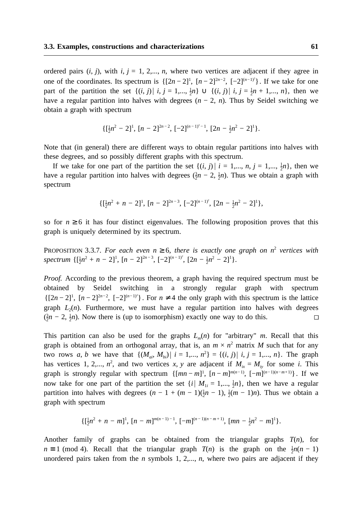ordered pairs  $(i, j)$ , with  $i, j = 1, 2,..., n$ , where two vertices are adjacent if they agree in one of the coordinates. Its spectrum is  $\{[2n-2]^1, [n-2]^{2n-2}, [-2]^{(n-1)^2}\}\.$  If we take for one part of the partition the set  $\{(i, j) | i, j = 1, ..., \frac{1}{2}n\} \cup \{(i, j) | i, j = \frac{1}{2}n + 1, ..., n\}$ , then we have a regular partition into halves with degrees  $(n - 2, n)$ . Thus by Seidel switching we obtain a graph with spectrum

$$
\{[\frac{1}{2}n^2-2]^1, [n-2]^{2n-2}, [-2]^{(n-1)^2-1}, [2n-\frac{1}{2}n^2-2]^1\}.
$$

Note that (in general) there are different ways to obtain regular partitions into halves with these degrees, and so possibly different graphs with this spectrum.

If we take for one part of the partition the set  $\{(i, j) | i = 1, ..., n, j = 1, ..., \frac{1}{2}n\}$ , then we have a regular partition into halves with degrees  $(\frac{3}{2}n - 2, \frac{1}{2}n)$ . Thus we obtain a graph with spectrum

$$
\{[\frac{1}{2}n^2 + n - 2]^1, [n-2]^{2n-3}, [-2]^{(n-1)^2}, [2n - \frac{1}{2}n^2 - 2]^1\},\
$$

so for  $n \geq 6$  it has four distinct eigenvalues. The following proposition proves that this graph is uniquely determined by its spectrum.

PROPOSITION 3.3.7. For each even  $n \ge 6$ , there is exactly one graph on  $n^2$  vertices with  $spectrum \{[\frac{1}{2}n^2 + n - 2]^1, [n - 2]^{2n-3}, [-2]^{(n-1)^2}, [2n - \frac{1}{2}n^2 - 2]^1\}.$ 

*Proof.* According to the previous theorem, a graph having the required spectrum must be obtained by Seidel switching in a strongly regular graph with spectrum  $\{[2n-2]^1, [n-2]^{2n-2}, [-2]^{(n-1)^2}\}\$ . For  $n \neq 4$  the only graph with this spectrum is the lattice graph  $L_2(n)$ . Furthermore, we must have a regular partition into halves with degrees  $(\frac{3}{2}n - 2, \frac{1}{2}n)$ . Now there is (up to isomorphism) exactly one way to do this.  $\Box$ 

This partition can also be used for the graphs  $L_m(n)$  for "arbitrary" *m*. Recall that this graph is obtained from an orthogonal array, that is, an  $m \times n^2$  matrix *M* such that for any two rows *a*, *b* we have that  $\{(M_{ai}, M_{bi}) \mid i = 1, ..., n^2\} = \{(i, j) \mid i, j = 1, ..., n\}$ . The graph has vertices 1, 2,...,  $n^2$ , and two vertices *x*, *y* are adjacent if  $M_{ix} = M_{iy}$  for some *i*. This graph is strongly regular with spectrum  $\{[mn-m]^1, [n-m]^{m(n-1)}, [-m]^{(n-1)(n-m+1)}\}$ . If we now take for one part of the partition the set  $\{i \mid M_{1i} = 1, ..., \frac{1}{2}n\}$ , then we have a regular partition into halves with degrees  $(n - 1 + (m - 1)(\frac{1}{2}n - 1), \frac{1}{2}(m - 1)n)$ . Thus we obtain a graph with spectrum

$$
\left\{\left[\frac{1}{2}n^2 + n - m\right]^1, \left[n - m\right]^{m(n-1)-1}, \left[-m\right]^{(n-1)(n-m+1)}, \left[mn - \frac{1}{2}n^2 - m\right]^1\right\}.
$$

Another family of graphs can be obtained from the triangular graphs *T*(*n*), for  $n \equiv 1 \pmod{4}$ . Recall that the triangular graph *T*(*n*) is the graph on the  $\frac{1}{2}n(n-1)$ unordered pairs taken from the *n* symbols 1, 2,..., *n*, where two pairs are adjacent if they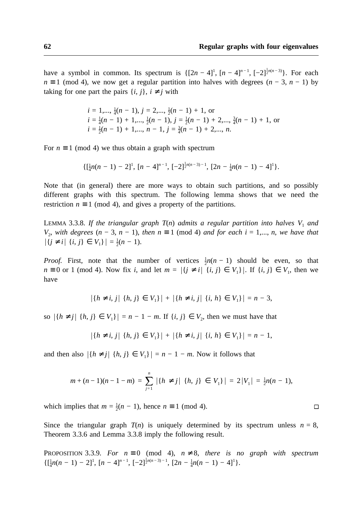have a symbol in common. Its spectrum is  $\{[2n-4]^1, [n-4]^{n-1}, [-2]^{\frac{1}{2}n(n-3)}\}$ . For each  $n \equiv 1 \pmod{4}$ , we now get a regular partition into halves with degrees  $(n-3, n-1)$  by taking for one part the pairs  $\{i, j\}$ ,  $i \neq j$  with

*i* = 1,..., 
$$
\frac{1}{4}(n - 1)
$$
, *j* = 2,...,  $\frac{1}{2}(n - 1) + 1$ , or  
\n*i* =  $\frac{1}{4}(n - 1) + 1$ ,...,  $\frac{1}{2}(n - 1)$ , *j* =  $\frac{1}{2}(n - 1) + 2$ ,...,  $\frac{3}{4}(n - 1) + 1$ , or  
\n*i* =  $\frac{1}{2}(n - 1) + 1$ ,..., *n* - 1, *j* =  $\frac{3}{4}(n - 1) + 2$ ,..., *n*.

For  $n \equiv 1 \pmod{4}$  we thus obtain a graph with spectrum

$$
\{\left[\frac{1}{4}n(n-1)-2\right]^1,\,[n-4]^{n-1},\,[-2]^{1/2(n-3)-1},\,[2n-\frac{1}{4}n(n-1)-4]^1\}.
$$

Note that (in general) there are more ways to obtain such partitions, and so possibly different graphs with this spectrum. The following lemma shows that we need the restriction  $n \equiv 1 \pmod{4}$ , and gives a property of the partitions.

LEMMA 3.3.8. If the triangular graph  $T(n)$  admits a regular partition into halves  $V_1$  and *V*<sub>2</sub>, *with degrees*  $(n-3, n-1)$ , *then*  $n \equiv 1 \pmod{4}$  *and for each i* = 1,..., *n*, *we have that*  $\{j \neq i \mid \{i, j\} \in V_1\}$  =  $\frac{1}{2}(n - 1)$ .

*Proof.* First, note that the number of vertices  $\frac{1}{2}n(n-1)$  should be even, so that *n* ≡ 0 or 1 (mod 4). Now fix *i*, and let *m* =  $|\{j \neq i | \{i, j\} \in V_1\}|$ . If  $\{i, j\} \in V_1$ , then we have

$$
|\{h \neq i, j | \{h, j\} \in V_1\}| + |\{h \neq i, j | \{i, h\} \in V_1\}| = n - 3,
$$

so  $\{h \neq j | \{h, j\} \in V_1\} = n - 1 - m$ . If  $\{i, j\} \in V_2$ , then we must have that

$$
|\{h \neq i, j \mid \{h, j\} \in V_1\}| + |\{h \neq i, j \mid \{i, h\} \in V_1\}| = n - 1,
$$

and then also  $|\{h \neq j | \{h, j\} \in V_1\}| = n - 1 - m$ . Now it follows that

$$
m + (n-1)(n-1-m) = \sum_{j=1}^{n} | \{ h \neq j \} | \{ h, j \} \in V_1 \} | = 2 |V_1| = \frac{1}{2}n(n-1),
$$

which implies that  $m = \frac{1}{2}(n - 1)$ , hence  $n \equiv 1 \pmod{4}$ .

Since the triangular graph  $T(n)$  is uniquely determined by its spectrum unless  $n = 8$ , Theorem 3.3.6 and Lemma 3.3.8 imply the following result.

PROPOSITION 3.3.9. *For*  $n \equiv 0 \pmod{4}$ ,  $n \neq 8$ , *there is no graph with spectrum*  $\{[\frac{1}{4}n(n-1)-2]^1, [n-4]^{n-1}, [-2]^{\frac{1}{2}n(n-3)-1}, [2n-\frac{1}{4}n(n-1)-4]^1\}.$ 

 $\Box$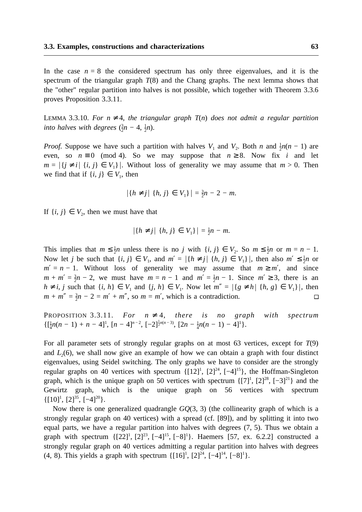In the case  $n = 8$  the considered spectrum has only three eigenvalues, and it is the spectrum of the triangular graph *T*(8) and the Chang graphs. The next lemma shows that the "other" regular partition into halves is not possible, which together with Theorem 3.3.6 proves Proposition 3.3.11.

LEMMA 3.3.10. For  $n \neq 4$ , the triangular graph  $T(n)$  does not admit a regular partition *into halves with degrees*  $(\frac{3}{2}n - 4, \frac{1}{2}n)$ *.* 

*Proof.* Suppose we have such a partition with halves  $V_1$  and  $V_2$ . Both *n* and  $\frac{1}{2}n(n-1)$  are even, so  $n \equiv 0 \pmod{4}$ . So we may suppose that  $n \ge 8$ . Now fix *i* and let  $m = |\{j \neq i \mid \{i, j\} \in V_1\}|$ . Without loss of generality we may assume that  $m > 0$ . Then we find that if  $\{i, j\} \in V_1$ , then

$$
|\{h \neq j \,|\, \{h, j\} \in V_1\}| = \tfrac{3}{2}n - 2 - m.
$$

If  $\{i, j\} \in V_2$ , then we must have that

$$
|\{h \neq j \mid \{h, j\} \in V_1\}| = \frac{1}{2}n - m.
$$

This implies that  $m \leq \frac{1}{2}n$  unless there is no *j* with  $\{i, j\} \in V_2$ . So  $m \leq \frac{1}{2}n$  or  $m = n - 1$ . Now let *j* be such that  $\{i, j\} \in V_1$ , and  $m' = |\{h \neq j | \{h, j\} \in V_1\}|$ , then also  $m' \leq \frac{1}{2}n$  or  $m' = n - 1$ . Without loss of generality we may assume that  $m \ge m'$ , and since  $m + m' = \frac{3}{2}n - 2$ , we must have  $m = n - 1$  and  $m' = \frac{1}{2}n - 1$ . Since  $m' \ge 3$ , there is an *h* ≠ *i*, *j* such that {*i*, *h*} ∈ *V*<sub>1</sub> and {*j*, *h*} ∈ *V*<sub>1</sub>. Now let  $m'' = |\{g \neq h | \{h, g\} \in V_1\}|$ , then  $m + m'' = \frac{3}{2}n - 2 = m' + m''$ , so  $m = m'$ , which is a contradiction.  $\Box$ 

PROPOSITION 3.3.11. *For*  $n \neq 4$ *, there is no graph with spectrum*  $\{[\frac{1}{4}n(n-1)+n-4]^{1}, [n-4]^{n-2}, [-2]^{1/2(n-3)}, [2n-\frac{1}{4}n(n-1)-4]^{1}\}.$ 

For all parameter sets of strongly regular graphs on at most 63 vertices, except for *T*(9) and  $L<sub>2</sub>(6)$ , we shall now give an example of how we can obtain a graph with four distinct eigenvalues, using Seidel switching. The only graphs we have to consider are the strongly regular graphs on 40 vertices with spectrum  $\{[12]^1, [2]^{24}, [-4]^{15}\}$ , the Hoffman-Singleton graph, which is the unique graph on 50 vertices with spectrum  $\{[7]^1, [2]^{28}, [-3]^{21}\}$  and the Gewirtz graph, which is the unique graph on 56 vertices with spectrum  $\{[10]^1, [2]^{35}, [-4]^{20}\}.$ 

Now there is one generalized quadrangle *GQ*(3, 3) (the collinearity graph of which is a strongly regular graph on 40 vertices) with a spread (cf. [89]), and by splitting it into two equal parts, we have a regular partition into halves with degrees (7, 5). Thus we obtain a graph with spectrum  $\{[22]^1, [2]^{23}, [-4]^{15}, [-8]^1\}$ . Haemers [57, ex. 6.2.2] constructed a strongly regular graph on 40 vertices admitting a regular partition into halves with degrees (4, 8). This yields a graph with spectrum  $\{[16]^1, [2]^{24}, [-4]^{14}, [-8]^1\}$ .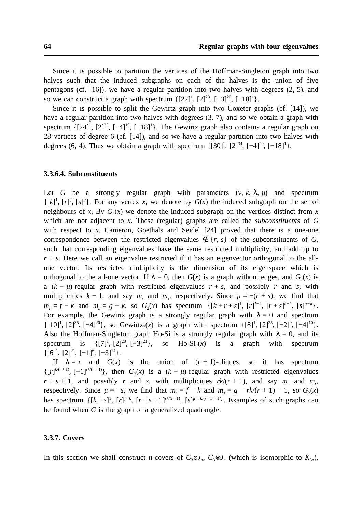Since it is possible to partition the vertices of the Hoffman-Singleton graph into two halves such that the induced subgraphs on each of the halves is the union of five pentagons (cf. [16]), we have a regular partition into two halves with degrees (2, 5), and so we can construct a graph with spectrum  $\{[22]^1, [2]^{28}, [-3]^{20}, [-18]^1\}.$ 

Since it is possible to split the Gewirtz graph into two Coxeter graphs (cf. [14]), we have a regular partition into two halves with degrees (3, 7), and so we obtain a graph with spectrum  $\{[24]^1, [2]^{35}, [-4]^{19}, [-18]^1\}$ . The Gewirtz graph also contains a regular graph on 28 vertices of degree 6 (cf. [14]), and so we have a regular partition into two halves with degrees (6, 4). Thus we obtain a graph with spectrum  $\{ [30]^1, [2]^{34}, [-4]^{20}, [-18]^1 \}$ .

## **3.3.6.4. Subconstituents**

Let *G* be a strongly regular graph with parameters  $(v, k, \lambda, \mu)$  and spectrum  $\{[k]^1, [r]^f, [s]^g\}$ . For any vertex *x*, we denote by  $G(x)$  the induced subgraph on the set of neighbours of *x*. By  $G_2(x)$  we denote the induced subgraph on the vertices distinct from *x* which are not adjacent to *x*. These (regular) graphs are called the *subconstituents* of *G* with respect to *x*. Cameron, Goethals and Seidel [24] proved that there is a one-one correspondence between the restricted eigenvalues  $\notin \{r, s\}$  of the subconstituents of *G*, such that corresponding eigenvalues have the same restricted multiplicity, and add up to  $r + s$ . Here we call an eigenvalue restricted if it has an eigenvector orthogonal to the allone vector. Its restricted multiplicity is the dimension of its eigenspace which is orthogonal to the all-one vector. If  $\lambda = 0$ , then *G(x)* is a graph without edges, and *G*<sub>2</sub>(*x*) is a  $(k - \mu)$ -regular graph with restricted eigenvalues  $r + s$ , and possibly *r* and *s*, with multiplicities  $k - 1$ , and say  $m_k$  and  $m_k$ , respectively. Since  $\mu = -(r + s)$ , we find that  $m_r = f - k$  and  $m_s = g - k$ , so  $G_2(x)$  has spectrum  $\{[k + r + s]^1, [r]^{f-k}, [r + s]^{k-1}, [s]^{g-k}\}.$ For example, the Gewirtz graph is a strongly regular graph with  $\lambda = 0$  and spectrum  $\{[10]^1, [2]^{35}, [-4]^{20}\}\$ , so Gewirtz<sub>2</sub>(*x*) is a graph with spectrum  $\{[8]^1, [2]^{25}, [-2]^9, [-4]^{10}\}\$ . Also the Hoffman-Singleton graph Ho-Si is a strongly regular graph with  $\lambda = 0$ , and its spectrum is  $\{ [7]^1, [2]^{28}, [-3]^{21} \}$ , so Ho-Si<sub>2</sub>(*x*) is a graph with spectrum  $\{[6]^1, [2]^{21}, [-1]^6, [-3]^{14}\}.$ 

If  $\lambda = r$  and  $G(x)$  is the union of  $(r + 1)$ -cliques, so it has spectrum  $\{[r]^{k/(r+1)}, [-1]^{rk/(r+1)}\}$ , then  $G_2(x)$  is a  $(k - \mu)$ -regular graph with restricted eigenvalues  $r + s + 1$ , and possibly *r* and *s*, with multiplicities  $rk/(r + 1)$ , and say *m<sub>r</sub>* and *m<sub>s</sub>*, respectively. Since  $\mu = -s$ , we find that  $m_r = f - k$  and  $m_s = g - rk/(r + 1) - 1$ , so  $G_2(x)$ has spectrum  $\{[k+s]^1, [r]^{f-k}, [r+s+1]^{rk/(r+1)}, [s]^{g-rk/(r+1)-1}\}\$ . Examples of such graphs can be found when *G* is the graph of a generalized quadrangle.

## **3.3.7. Covers**

In this section we shall construct *n*-covers of  $C_3 \otimes J_n$ ,  $C_3 \otimes J_n$  (which is isomorphic to  $K_{3n}$ ),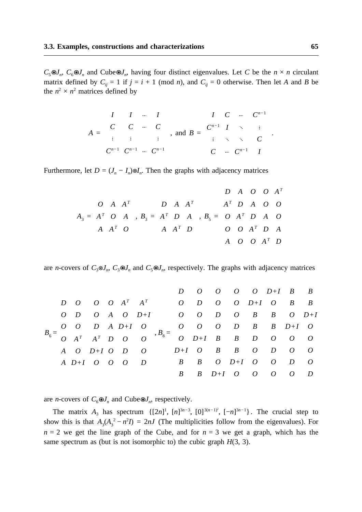$C_5 \otimes J_n$ ,  $C_6 \otimes J_n$  and Cube  $\otimes J_n$ , having four distinct eigenvalues. Let *C* be the  $n \times n$  circulant matrix defined by  $C_{ij} = 1$  if  $j = i + 1$  (mod *n*), and  $C_{ij} = 0$  otherwise. Then let *A* and *B* be the  $n^2 \times n^2$  matrices defined by

$$
A = \begin{pmatrix} I & I & \cdots & I \\ C & C & \cdots & C \\ \vdots & \vdots & & \vdots \\ C^{n-1} & C^{n-1} & \cdots & C^{n-1} \end{pmatrix}, \text{ and } B = \begin{pmatrix} I & C & \cdots & C^{n-1} \\ C^{n-1} & I & \ddots & \vdots \\ \vdots & \ddots & \ddots & C \\ C & \cdots & C^{n-1} & I \end{pmatrix}.
$$

Furthermore, let  $D = (J_n - I_n) \otimes I_n$ . Then the graphs with adjacency matrices

$$
A_3 = \begin{pmatrix} O & A & A^T \\ A^T & O & A \\ A & A^T & O \end{pmatrix}, B_3 = \begin{pmatrix} D & A & A^T \\ A^T & D & A \\ A & A^T & D \end{pmatrix}, B_5 = \begin{pmatrix} D & A & O & O & A^T \\ A^T & D & A & O & O \\ O & A^T & D & A & O \\ O & O & A^T & D & A \\ A & O & O & A^T & D \end{pmatrix}
$$

are *n*-covers of  $C_3 \otimes J_n$ ,  $C_3 \otimes J_n$  and  $C_5 \otimes J_n$ , respectively. The graphs with adjacency matrices

$$
B_{6} = \begin{bmatrix} D & O & O & O & A^{T} & A^{T} \\ O & D & O & A & O & D+I \\ O & O & D & A & D+I & O \\ O & A^{T} & A^{T} & D & O & O \\ A & O & D+I & O & D & O \\ A & D+I & O & D & O & O \end{bmatrix}, B_{8} = \begin{bmatrix} D & O & O & O & O & D+I & B & B \\ O & D & O & O & D+I & O & B & B \\ O & O & O & D & O & B & B & O & D+I \\ O & O & O & O & D & B & B & D+I & O \\ O & D+I & B & B & D & O & O & O \\ D+I & O & B & B & O & D & O & O \\ B & B & O & D+I & O & O & O & D & O \\ B & B & O & D+I & O & O & O & O & D \end{bmatrix}
$$

are *n*-covers of  $C_6 \otimes J_n$  and Cube  $\otimes J_n$ , respectively.

The matrix  $A_3$  has spectrum  $\{[2n]^1, [n]^{3n-3}, [0]^{3(n-1)^2}, [-n]^{3n-1}\}\$ . The crucial step to show this is that  $A_3(A_3^2 - n^2I) = 2nJ$  (The multiplicities follow from the eigenvalues). For  $n = 2$  we get the line graph of the Cube, and for  $n = 3$  we get a graph, which has the same spectrum as (but is not isomorphic to) the cubic graph  $H(3, 3)$ .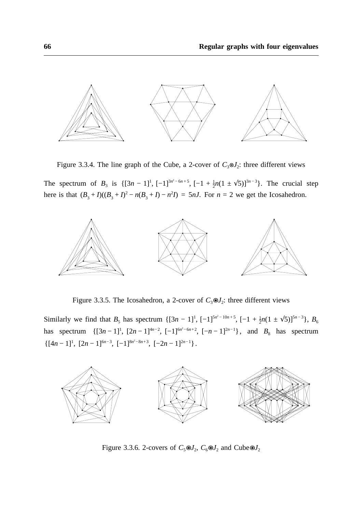

Figure 3.3.4. The line graph of the Cube, a 2-cover of  $C_3 \otimes J_2$ : three different views

The spectrum of *B*<sub>3</sub> is  $\{ [3n - 1]^1, [-1]^{3n^2 - 6n + 5}, [-1 + \frac{1}{2}n(1 \pm \sqrt{5})]^{3n - 3} \}$ . The crucial step here is that  $(B_3 + I)((B_3 + I)^2 - n(B_3 + I) - n^2I) = 5nJ$ . For  $n = 2$  we get the Icosahedron.



Figure 3.3.5. The Icosahedron, a 2-cover of  $C_3 \otimes J_2$ : three different views

Similarly we find that  $B_5$  has spectrum  $\{[3n-1]^1, [-1]^{5n^2-10n+5}, [-1+\frac{1}{2}n(1 \pm \sqrt{5})]^{5n-3}\}, B_6$ has spectrum  $\{ [3n-1]^1, [2n-1]^{4n-2}, [-1]^{6n^2-6n+2}, [-n-1]^{2n-1} \}$ , and  $B_8$  has spectrum  $\{[4n-1]^1, [2n-1]^{6n-3}, [-1]^{8n^2-8n+3}, [-2n-1]^{2n-1}\}.$ 



Figure 3.3.6. 2-covers of  $C_5 \otimes J_2$ ,  $C_6 \otimes J_2$  and Cube  $\otimes J_2$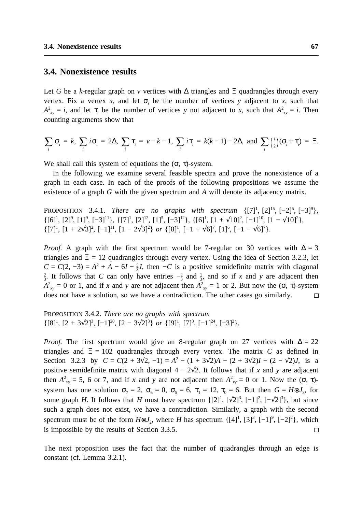## **3.4. Nonexistence results**

Let *G* be a *k*-regular graph on *v* vertices with  $\Delta$  triangles and  $\Xi$  quadrangles through every vertex. Fix a vertex *x*, and let  $\sigma$ , be the number of vertices *y* adjacent to *x*, such that  $A^{2}_{xy} = i$ , and let  $\tau_i$  be the number of vertices *y* not adjacent to *x*, such that  $A^{2}_{xy} = i$ . Then counting arguments show that

$$
\sum_{i} \sigma_{i} = k, \sum_{i} i \sigma_{i} = 2\Delta, \sum_{i} \tau_{i} = v - k - 1, \sum_{i} i \tau_{i} = k(k - 1) - 2\Delta, \text{ and } \sum_{i} {i \choose 2} (\sigma_{i} + \tau_{i}) = \Xi.
$$

We shall call this system of equations the  $(\sigma, \tau)$ -system.

In the following we examine several feasible spectra and prove the nonexistence of a graph in each case. In each of the proofs of the following propositions we assume the existence of a graph *G* with the given spectrum and *A* will denote its adjacency matrix.

PROPOSITION 3.4.1. *There are no graphs with spectrum*  $\{[7]^1, [2]^{15}, [-2]^5, [-3]^9\}$ ,  $\{[6]^1, [2]^9, [1]^9, [-3]^{11}\}, \{[7]^1, [2]^{12}, [1]^5, [-3]^{12}\}, \{[6]^1, [1 + \sqrt{10}]^2, [-1]^{10}, [1 - \sqrt{10}]^2\},$  $\{[7]^1, [1 + 2\sqrt{3}]^2, [-1]^{\text{11}}, [1 - 2\sqrt{3}]^2\}$  or  $\{[8]^1, [-1 + \sqrt{6}]^7, [1]^6, [-1 - \sqrt{6}]^7\}.$ 

*Proof.* A graph with the first spectrum would be 7-regular on 30 vertices with  $\Delta = 3$ triangles and  $\Xi = 12$  quadrangles through every vertex. Using the idea of Section 3.2.3, let  $C = C(2, -3) = A^2 + A - 6I - \frac{5}{3}J$ , then  $-C$  is a positive semidefinite matrix with diagonal  $\frac{2}{3}$ . It follows that *C* can only have entries  $-\frac{2}{3}$  and  $\frac{1}{3}$ , and so if *x* and *y* are adjacent then  $A_{xy}^2 = 0$  or 1, and if *x* and *y* are not adjacent then  $A_{xy}^2 = 1$  or 2. But now the ( $\sigma$ ,  $\tau$ )-system does not have a solution, so we have a contradiction. The other cases go similarly.  $\Box$ 

PROPOSITION 3.4.2. *There are no graphs with spectrum*  $\{ [8]^1, [2 + 3\sqrt{2}]^3, [-1]^{20}, [2 - 3\sqrt{2}]^3 \}$  *or*  $\{ [9]^1, [7]^3, [-1]^{24}, [-3]^2 \}.$ 

*Proof.* The first spectrum would give an 8-regular graph on 27 vertices with  $\Delta = 22$ triangles and  $\Xi = 102$  quadrangles through every vertex. The matrix *C* as defined in Section 3.2.3 by  $C = C(2 + 3\sqrt{2}, -1) = A^2 - (1 + 3\sqrt{2})A - (2 + 3\sqrt{2})I - (2 - \sqrt{2})J$ , is a positive semidefinite matrix with diagonal  $4 - 2\sqrt{2}$ . It follows that if *x* and *y* are adjacent then  $A_{xy}^2 = 5$ , 6 or 7, and if *x* and *y* are not adjacent then  $A_{xy}^2 = 0$  or 1. Now the  $(\sigma, \tau)$ system has one solution  $\sigma_7 = 2$ ,  $\sigma_6 = 0$ ,  $\sigma_5 = 6$ ,  $\tau_1 = 12$ ,  $\tau_0 = 6$ . But then  $G = H \otimes J_3$ , for some graph *H*. It follows that *H* must have spectrum  $\{[2]^1, [\sqrt{2}]^3, [-1]^2, [-\sqrt{2}]^3\}$ , but since such a graph does not exist, we have a contradiction. Similarly, a graph with the second spectrum must be of the form  $H \otimes J_2$ , where *H* has spectrum  $\{[4]^1, [3]^3, [-1]^9, [-2]^2\}$ , which is impossible by the results of Section 3.3.5.  $\Box$ 

The next proposition uses the fact that the number of quadrangles through an edge is constant (cf. Lemma 3.2.1).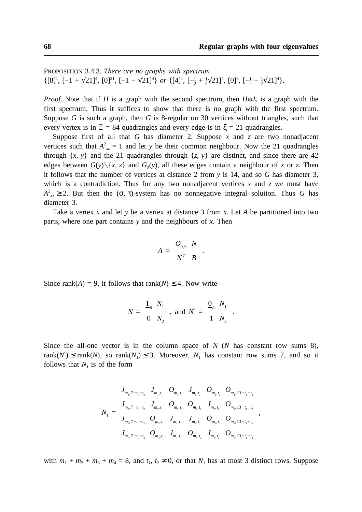PROPOSITION 3.4.3. *There are no graphs with spectrum*  $\{ [8]^1, [-1 + \sqrt{21}]^4, [0]^2, [-1 - \sqrt{21}]^4 \}$  or  $\{ [4]^1, [-\frac{1}{2} + \frac{1}{2} \sqrt{21}]^4, [0]^6, [-\frac{1}{2} - \frac{1}{2} \sqrt{21}]^4 \}.$ 

*Proof.* Note that if *H* is a graph with the second spectrum, then  $H \otimes J_2$  is a graph with the first spectrum. Thus it suffices to show that there is no graph with the first spectrum. Suppose *G* is such a graph, then *G* is 8-regular on 30 vertices without triangles, such that every vertex is in  $\Xi = 84$  quadrangles and every edge is in  $\xi = 21$  quadrangles.

Suppose first of all that *G* has diameter 2. Suppose *x* and *z* are two nonadjacent vertices such that  $A_{xz}^2 = 1$  and let *y* be their common neighbour. Now the 21 quadrangles through  $\{x, y\}$  and the 21 quadrangles through  $\{z, y\}$  are distinct, and since there are 42 edges between  $G(y) \setminus \{x, z\}$  and  $G_2(y)$ , all these edges contain a neighbour of *x* or *z*. Then it follows that the number of vertices at distance 2 from *y* is 14, and so *G* has diameter 3, which is a contradiction. Thus for any two nonadjacent vertices  $x$  and  $z$  we must have  $A^2_{xz} \geq 2$ . But then the  $(\sigma, \tau)$ -system has no nonnegative integral solution. Thus *G* has diameter 3.

Take a vertex *x* and let *y* be a vertex at distance 3 from *x*. Let *A* be partitioned into two parts, where one part contains *y* and the neighbours of *x*. Then

$$
A = \begin{pmatrix} O_{9,9} & N \\ N^T & B \end{pmatrix}.
$$

Since rank $(A) = 9$ , it follows that rank $(N) \leq 4$ . Now write

$$
N = \begin{pmatrix} \frac{1}{8} & N_1 \\ 0 & N_2 \end{pmatrix}, \text{ and } N' = \begin{pmatrix} \frac{0}{8} & N_1 \\ 1 & N_2 \end{pmatrix}.
$$

Since the all-one vector is in the column space of *N* (*N* has constant row sums 8), rank(*N'*)  $\le$  rank(*N*), so rank(*N*<sub>1</sub>)  $\le$  3. Moreover, *N*<sub>1</sub> has constant row sums 7, and so it follows that  $N_1$  is of the form

$$
N_{1} = \begin{pmatrix} J_{m_{1},7-t_{1}-t_{2}} & J_{m_{1},t_{1}} & O_{m_{1},t_{1}} & J_{m_{1},t_{2}} & O_{m_{1},t_{2}} & O_{m_{1},13-t_{1}-t_{2}} \\ J_{m_{2},7-t_{1}-t_{2}} & J_{m_{2},t_{1}} & O_{m_{2},t_{1}} & O_{m_{2},t_{2}} & J_{m_{2},t_{2}} & O_{m_{2},13-t_{1}-t_{2}} \\ J_{m_{3},7-t_{1}-t_{2}} & O_{m_{3},t_{1}} & J_{m_{3},t_{1}} & J_{m_{3},t_{2}} & O_{m_{3},t_{2}} & O_{m_{3},13-t_{1}-t_{2}} \\ J_{m_{4},7-t_{1}-t_{2}} & O_{m_{4},t_{1}} & J_{m_{4},t_{1}} & O_{m_{4},t_{2}} & J_{m_{4},t_{2}} & O_{m_{4},13-t_{1}-t_{2}} \end{pmatrix},
$$

with  $m_1 + m_2 + m_3 + m_4 = 8$ , and  $t_1, t_2 \neq 0$ , or that  $N_1$  has at most 3 distinct rows. Suppose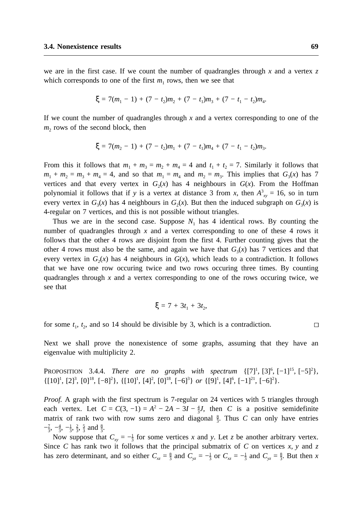we are in the first case. If we count the number of quadrangles through *x* and a vertex *z* which corresponds to one of the first  $m_1$  rows, then we see that

$$
\xi = 7(m_1 - 1) + (7 - t_2)m_2 + (7 - t_1)m_3 + (7 - t_1 - t_2)m_4.
$$

If we count the number of quadrangles through *x* and a vertex corresponding to one of the  $m<sub>2</sub>$  rows of the second block, then

$$
\xi = 7(m_2 - 1) + (7 - t_2)m_1 + (7 - t_1)m_4 + (7 - t_1 - t_2)m_3.
$$

From this it follows that  $m_1 + m_3 = m_2 + m_4 = 4$  and  $t_1 + t_2 = 7$ . Similarly it follows that  $m_1 + m_2 = m_3 + m_4 = 4$ , and so that  $m_1 = m_4$  and  $m_2 = m_3$ . This implies that  $G_3(x)$  has 7 vertices and that every vertex in  $G_2(x)$  has 4 neighbours in  $G(x)$ . From the Hoffman polynomial it follows that if *y* is a vertex at distance 3 from *x*, then  $A_{xy}^3 = 16$ , so in turn every vertex in  $G_3(x)$  has 4 neighbours in  $G_2(x)$ . But then the induced subgraph on  $G_3(x)$  is 4-regular on 7 vertices, and this is not possible without triangles.

Thus we are in the second case. Suppose  $N_1$  has 4 identical rows. By counting the number of quadrangles through  $x$  and a vertex corresponding to one of these 4 rows it follows that the other 4 rows are disjoint from the first 4. Further counting gives that the other 4 rows must also be the same, and again we have that  $G_3(x)$  has 7 vertices and that every vertex in  $G_2(x)$  has 4 neighbours in  $G(x)$ , which leads to a contradiction. It follows that we have one row occuring twice and two rows occuring three times. By counting quadrangles through *x* and a vertex corresponding to one of the rows occuring twice, we see that

$$
\xi = 7 + 3t_1 + 3t_2,
$$

for some  $t_1$ ,  $t_2$ , and so 14 should be divisible by 3, which is a contradiction.

Next we shall prove the nonexistence of some graphs, assuming that they have an eigenvalue with multiplicity 2.

PROPOSITION 3.4.4. *There are no graphs with spectrum*  $\{[7]^1, [3]^6, [-1]^{15}, [-5]^2\}$ ,  $\{[10]^1, [2]^3, [0]^1^8, [-8]^2\}, \{[10]^1, [4]^2, [0]^1^8, [-6]^3\}$  or  $\{[9]^1, [4]^6, [-1]^2, [-6]^2\}.$ 

*Proof.* A graph with the first spectrum is 7-regular on 24 vertices with 5 triangles through each vertex. Let  $C = C(3, -1) = A^2 - 2A - 3I - \frac{4}{3}I$ , then *C* is a positive semidefinite matrix of rank two with row sums zero and diagonal  $\frac{8}{3}$ . Thus *C* can only have entries  $-\frac{7}{3}, -\frac{4}{3}, -\frac{1}{3}, \frac{2}{3}, \frac{5}{3}$  and  $\frac{8}{3}$ .

Now suppose that  $C_{xy} = -\frac{1}{3}$  for some vertices *x* and *y*. Let *z* be another arbitrary vertex. Since *C* has rank two it follows that the principal submatrix of *C* on vertices  $x$ ,  $y$  and  $z$ has zero determinant, and so either  $C_{xz} = \frac{8}{3}$  and  $C_{yz} = -\frac{1}{3}$  or  $C_{xz} = -\frac{1}{3}$  and  $C_{yz} = \frac{8}{3}$ . But then *x* 

 $\Box$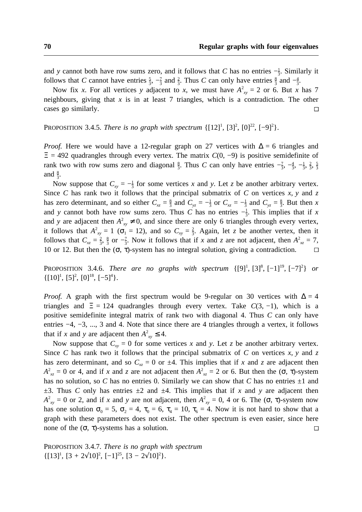and *y* cannot both have row sums zero, and it follows that *C* has no entries  $-\frac{1}{3}$ . Similarly it follows that *C* cannot have entries  $\frac{5}{3}$ ,  $-\frac{7}{3}$  and  $\frac{2}{3}$ . Thus *C* can only have entries  $\frac{8}{3}$  and  $-\frac{4}{3}$ .

Now fix *x*. For all vertices *y* adjacent to *x*, we must have  $A_{xy}^2 = 2$  or 6. But *x* has 7 neighbours, giving that  $x$  is in at least  $7$  triangles, which is a contradiction. The other cases go similarly.  $\Box$ 

PROPOSITION 3.4.5. *There is no graph with spectrum*  $\{[12]^1, [3]^2, [0]^{22}, [-9]^2\}$ .

*Proof.* Here we would have a 12-regular graph on 27 vertices with  $\Delta = 6$  triangles and  $\Xi$  = 492 quadrangles through every vertex. The matrix  $C(0, -9)$  is positive semidefinite of rank two with row sums zero and diagonal  $\frac{8}{3}$ . Thus *C* can only have entries  $-\frac{7}{3}$ ,  $-\frac{4}{3}$ ,  $-\frac{1}{3}$ ,  $\frac{2}{3}$ ,  $\frac{5}{3}$ and  $\frac{8}{3}$ .

Now suppose that  $C_{xy} = -\frac{1}{3}$  for some vertices *x* and *y*. Let *z* be another arbitrary vertex. Since *C* has rank two it follows that the principal submatrix of *C* on vertices  $x$ ,  $y$  and  $z$ has zero determinant, and so either  $C_{xz} = \frac{8}{3}$  and  $C_{yz} = -\frac{1}{3}$  or  $C_{xz} = -\frac{1}{3}$  and  $C_{yz} = \frac{8}{3}$ . But then *x* and *y* cannot both have row sums zero. Thus *C* has no entries  $-\frac{1}{3}$ . This implies that if *x* and *y* are adjacent then  $A_{xy}^2 \neq 0$ , and since there are only 6 triangles through every vertex, it follows that  $A_{xy}^2 = 1$  ( $\sigma_1 = 12$ ), and so  $C_{xy} = \frac{2}{3}$ . Again, let *z* be another vertex, then it follows that  $C_{xz} = \frac{2}{3}$ ,  $\frac{8}{3}$  or  $-\frac{7}{3}$ . Now it follows that if *x* and *z* are not adjacent, then  $A^{2}_{xz} = 7$ , 10 or 12. But then the  $(σ, τ)$ -system has no integral solution, giving a contradiction.  $\Box$ 

**PROPOSITION** 3.4.6. *There are no graphs with spectrum*  $\{[9]^1, [3]^8, [-1]^19, [-7]^2\}$  *or*  $\{[10]^1, [5]^2, [0]^18, [-5]^4\}.$ 

*Proof.* A graph with the first spectrum would be 9-regular on 30 vertices with  $\Delta = 4$ triangles and  $\Xi = 124$  quadrangles through every vertex. Take  $C(3, -1)$ , which is a positive semidefinite integral matrix of rank two with diagonal 4. Thus *C* can only have entries −4, −3, ..., 3 and 4. Note that since there are 4 triangles through a vertex, it follows that if *x* and *y* are adjacent then  $A_{xy}^2 \leq 4$ .

Now suppose that  $C_{xy} = 0$  for some vertices x and y. Let z be another arbitrary vertex. Since *C* has rank two it follows that the principal submatrix of *C* on vertices *x*, *y* and *z* has zero determinant, and so  $C_{xz} = 0$  or  $\pm 4$ . This implies that if *x* and *z* are adjacent then  $A^{2}_{xz} = 0$  or 4, and if *x* and *z* are not adjacent then  $A^{2}_{xz} = 2$  or 6. But then the ( $\sigma$ ,  $\tau$ )-system has no solution, so C has no entries 0. Similarly we can show that C has no entries  $\pm 1$  and  $\pm 3$ . Thus *C* only has entries  $\pm 2$  and  $\pm 4$ . This implies that if *x* and *y* are adjacent then  $A_{xy}^2 = 0$  or 2, and if *x* and *y* are not adjacent, then  $A_{xy}^2 = 0$ , 4 or 6. The ( $\sigma$ ,  $\tau$ )-system now has one solution  $\sigma_0 = 5$ ,  $\sigma_2 = 4$ ,  $\tau_0 = 6$ ,  $\tau_4 = 10$ ,  $\tau_6 = 4$ . Now it is not hard to show that a graph with these parameters does not exist. The other spectrum is even easier, since here none of the  $(σ, τ)$ -systems has a solution.  $\Box$ 

PROPOSITION 3.4.7. *There is no graph with spectrum*  $\{[13]^1, [3 + 2\sqrt{10}]^2, [-1]^{25}, [3 - 2\sqrt{10}]^2\}.$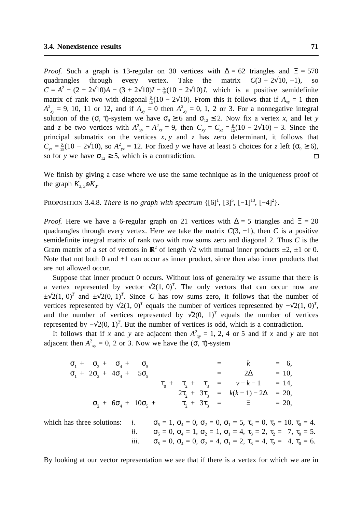*Proof.* Such a graph is 13-regular on 30 vertices with  $\Delta = 62$  triangles and  $\Xi = 570$ quadrangles through every vertex. Take the matrix  $C(3 + 2\sqrt{10}, -1)$ , so  $C = A^2 - (2 + 2\sqrt{10})A - (3 + 2\sqrt{10})I - \frac{7}{15}(10 - 2\sqrt{10})J$ , which is a positive semidefinite matrix of rank two with diagonal  $\frac{8}{15}(10 - 2\sqrt{10})$ . From this it follows that if  $A_{xy} = 1$  then  $A_{xy}^2 = 9$ , 10, 11 or 12, and if  $A_{xy} = 0$  then  $A_{xy}^2 = 0$ , 1, 2 or 3. For a nonnegative integral solution of the (σ, τ)-system we have  $\sigma_9 \ge 6$  and  $\sigma_{12} \le 2$ . Now fix a vertex *x*, and let *y* and *z* be two vertices with  $A_{xy}^2 = A_{xz}^2 = 9$ , then  $C_{xy} = C_{xz} = \frac{8}{15}(10 - 2\sqrt{10}) - 3$ . Since the principal submatrix on the vertices  $x$ ,  $y$  and  $z$  has zero determinant, it follows that  $C_{yz} = \frac{8}{15}(10 - 2\sqrt{10})$ , so  $A_{yz}^2 = 12$ . For fixed *y* we have at least 5 choices for *z* left ( $\sigma$ <sub>9</sub> ≥ 6), so for *y* we have  $\sigma_{12} \geq 5$ , which is a contradiction.  $\Box$ 

We finish by giving a case where we use the same technique as in the uniqueness proof of the graph  $K_3 \oplus K_3$ .

PROPOSITION 3.4.8. *There is no graph with spectrum*  $\{[6]^1, [3]^5, [-1]^{13}, [-4]^2\}$ .

*Proof.* Here we have a 6-regular graph on 21 vertices with  $\Delta = 5$  triangles and  $\Xi = 20$ quadrangles through every vertex. Here we take the matrix  $C(3, -1)$ , then *C* is a positive semidefinite integral matrix of rank two with row sums zero and diagonal 2. Thus *C* is the Gram matrix of a set of vectors in  $\mathbb{R}^2$  of length  $\sqrt{2}$  with mutual inner products  $\pm 2$ ,  $\pm 1$  or 0. Note that not both 0 and  $\pm 1$  can occur as inner product, since then also inner products that are not allowed occur.

Suppose that inner product 0 occurs. Without loss of generality we assume that there is a vertex represented by vector  $\sqrt{2}(1, 0)^T$ . The only vectors that can occur now are  $\pm\sqrt{2}(1, 0)^{T}$  and  $\pm\sqrt{2}(0, 1)^{T}$ . Since *C* has row sums zero, it follows that the number of vertices represented by  $\sqrt{2}(1, 0)^T$  equals the number of vertices represented by  $-\sqrt{2}(1, 0)^T$ , and the number of vertices represented by  $\sqrt{2}(0, 1)^T$  equals the number of vertices represented by  $-\sqrt{2(0, 1)^T}$ . But the number of vertices is odd, which is a contradiction.

It follows that if *x* and *y* are adjacent then  $A_{xy}^2 = 1$ , 2, 4 or 5 and if *x* and *y* are not adjacent then  $A_{xy}^2 = 0$ , 2 or 3. Now we have the  $(\sigma, \tau)$ -system

$$
\begin{array}{ccccccccc}\n\sigma_1 + & \sigma_2 + & \sigma_4 + & \sigma_5 & & & = & k & = & 6, \\
\sigma_1 + & 2\sigma_2 + & 4\sigma_4 + & 5\sigma_5 & & & = & 2\Delta & = 10, \\
\sigma_2 + & 6\sigma_4 + & 10\sigma_5 + & & \tau_2 + & \tau_3 & = & k(k-1) - 2\Delta & = 20, \\
\sigma_3 + & \sigma_4 + & 10\sigma_5 + & & \tau_2 + & 3\sigma_3 & = & \Xi & = 20,\n\end{array}
$$

which has three solutions: *i*.  $\sigma_5 = 1$ ,  $\sigma_4 = 0$ ,  $\sigma_2 = 0$ ,  $\sigma_1 = 5$ ,  $\tau_3 = 0$ ,  $\tau_2 = 10$ ,  $\tau_0 = 4$ . *ii*.  $\sigma_5 = 0$ ,  $\sigma_4 = 1$ ,  $\sigma_2 = 1$ ,  $\sigma_1 = 4$ ,  $\tau_3 = 2$ ,  $\tau_2 = 7$ ,  $\tau_0 = 5$ . *iii*.  $\sigma_5 = 0$ ,  $\sigma_4 = 0$ ,  $\sigma_2 = 4$ ,  $\sigma_1 = 2$ ,  $\tau_3 = 4$ ,  $\tau_2 = 4$ ,  $\tau_0 = 6$ .

By looking at our vector representation we see that if there is a vertex for which we are in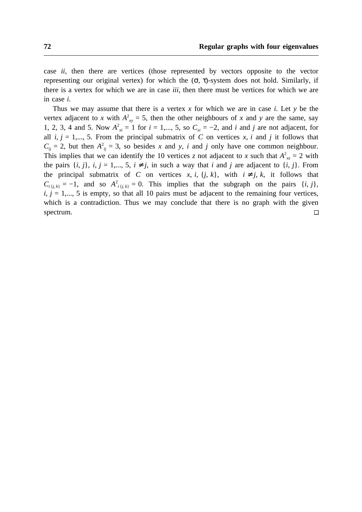case *ii*, then there are vertices (those represented by vectors opposite to the vector representing our original vertex) for which the  $(σ, τ)$ -system does not hold. Similarly, if there is a vertex for which we are in case *iii*, then there must be vertices for which we are in case *i*.

Thus we may assume that there is a vertex *x* for which we are in case *i*. Let *y* be the vertex adjacent to *x* with  $A_{xy}^2 = 5$ , then the other neighbours of *x* and *y* are the same, say 1, 2, 3, 4 and 5. Now  $A_{xi}^2 = 1$  for  $i = 1,..., 5$ , so  $C_{xi} = -2$ , and *i* and *j* are not adjacent, for all  $i, j = 1,..., 5$ . From the principal submatrix of *C* on vertices *x*, *i* and *j* it follows that  $C_{ij} = 2$ , but then  $A_{ij}^2 = 3$ , so besides *x* and *y*, *i* and *j* only have one common neighbour. This implies that we can identify the 10 vertices *z* not adjacent to *x* such that  $A^2_{xz} = 2$  with the pairs  $\{i, j\}$ ,  $i, j = 1,..., 5$ ,  $i \neq j$ , in such a way that *i* and *j* are adjacent to  $\{i, j\}$ . From the principal submatrix of *C* on vertices *x*, *i*, {*j*, *k*}, with  $i \neq j$ , *k*, it follows that  $C_{i,j,k} = -1$ , and so  $A_{i,j,k}^2 = 0$ . This implies that the subgraph on the pairs  $\{i, j\}$ ,  $i, j = 1, \ldots, 5$  is empty, so that all 10 pairs must be adjacent to the remaining four vertices, which is a contradiction. Thus we may conclude that there is no graph with the given spectrum. $\Box$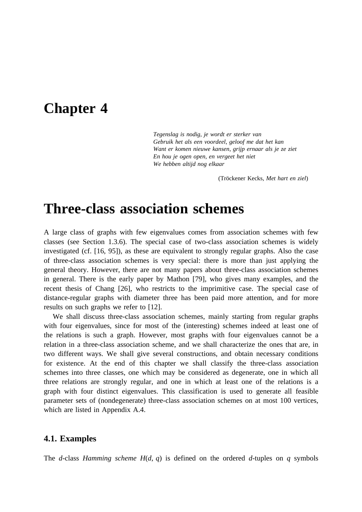# **Chapter 4**

*Tegenslag is nodig*, *je wordt er sterker van Gebruik het als een voordeel*, *geloof me dat het kan Want er komen nieuwe kansen*, *grijp ernaar als je ze ziet En hou je ogen open*, *en vergeet het niet We hebben altijd nog elkaar*

(Tröckener Kecks, *Met hart en ziel*)

## **Three-class association schemes**

A large class of graphs with few eigenvalues comes from association schemes with few classes (see Section 1.3.6). The special case of two-class association schemes is widely investigated (cf. [16, 95]), as these are equivalent to strongly regular graphs. Also the case of three-class association schemes is very special: there is more than just applying the general theory. However, there are not many papers about three-class association schemes in general. There is the early paper by Mathon [79], who gives many examples, and the recent thesis of Chang [26], who restricts to the imprimitive case. The special case of distance-regular graphs with diameter three has been paid more attention, and for more results on such graphs we refer to [12].

We shall discuss three-class association schemes, mainly starting from regular graphs with four eigenvalues, since for most of the (interesting) schemes indeed at least one of the relations is such a graph. However, most graphs with four eigenvalues cannot be a relation in a three-class association scheme, and we shall characterize the ones that are, in two different ways. We shall give several constructions, and obtain necessary conditions for existence. At the end of this chapter we shall classify the three-class association schemes into three classes, one which may be considered as degenerate, one in which all three relations are strongly regular, and one in which at least one of the relations is a graph with four distinct eigenvalues. This classification is used to generate all feasible parameter sets of (nondegenerate) three-class association schemes on at most 100 vertices, which are listed in Appendix A.4.

## **4.1. Examples**

The *d*-class *Hamming scheme H*(*d*, *q*) is defined on the ordered *d*-tuples on *q* symbols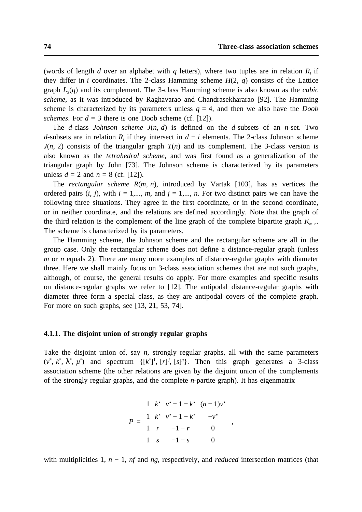(words of length *d* over an alphabet with *q* letters), where two tuples are in relation  $R_i$  if they differ in *i* coordinates. The 2-class Hamming scheme  $H(2, q)$  consists of the Lattice graph  $L_2(q)$  and its complement. The 3-class Hamming scheme is also known as the *cubic scheme*, as it was introduced by Raghavarao and Chandrasekhararao [92]. The Hamming scheme is characterized by its parameters unless  $q = 4$ , and then we also have the *Doob schemes*. For  $d = 3$  there is one Doob scheme (cf. [12]).

The *d*-class *Johnson scheme J*(*n*, *d*) is defined on the *d*-subsets of an *n*-set. Two *d*-subsets are in relation  $R_i$  if they intersect in  $d - i$  elements. The 2-class Johnson scheme  $J(n, 2)$  consists of the triangular graph  $T(n)$  and its complement. The 3-class version is also known as the *tetrahedral scheme*, and was first found as a generalization of the triangular graph by John [73]. The Johnson scheme is characterized by its parameters unless  $d = 2$  and  $n = 8$  (cf. [12]).

The *rectangular scheme R*(*m*, *n*), introduced by Vartak [103], has as vertices the ordered pairs  $(i, j)$ , with  $i = 1, \dots, m$ , and  $j = 1, \dots, n$ . For two distinct pairs we can have the following three situations. They agree in the first coordinate, or in the second coordinate, or in neither coordinate, and the relations are defined accordingly. Note that the graph of the third relation is the complement of the line graph of the complete bipartite graph  $K_{m,n}$ . The scheme is characterized by its parameters.

The Hamming scheme, the Johnson scheme and the rectangular scheme are all in the group case. Only the rectangular scheme does not define a distance-regular graph (unless *m* or *n* equals 2). There are many more examples of distance-regular graphs with diameter three. Here we shall mainly focus on 3-class association schemes that are not such graphs, although, of course, the general results do apply. For more examples and specific results on distance-regular graphs we refer to [12]. The antipodal distance-regular graphs with diameter three form a special class, as they are antipodal covers of the complete graph. For more on such graphs, see [13, 21, 53, 74].

#### **4.1.1. The disjoint union of strongly regular graphs**

Take the disjoint union of, say *n*, strongly regular graphs, all with the same parameters  $(v^*, k^*, \lambda^*, \mu^*)$  and spectrum  $\{[k^*]^1, [r]^f, [s]^g\}$ . Then this graph generates a 3-class association scheme (the other relations are given by the disjoint union of the complements of the strongly regular graphs, and the complete *n*-partite graph). It has eigenmatrix

$$
P = \begin{pmatrix} 1 & k^* & v^* - 1 - k^* & (n-1)v^* \\ 1 & k^* & v^* - 1 - k^* & -v^* \\ 1 & r & -1 - r & 0 \\ 1 & s & -1 - s & 0 \end{pmatrix},
$$

with multiplicities 1, *n* − 1, *nf* and *ng*, respectively, and *reduced* intersection matrices (that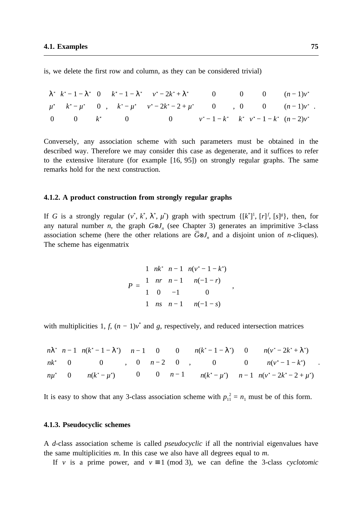is, we delete the first row and column, as they can be considered trivial)

$$
\begin{pmatrix} \lambda^* & k^* - 1 - \lambda^* & 0 \\ \mu^* & k^* - \mu^* & 0 \\ 0 & 0 & k^* \end{pmatrix}, \begin{pmatrix} k^* - 1 - \lambda^* & v^* - 2k^* + \lambda^* & 0 \\ k^* - \mu^* & v^* - 2k^* - 2 + \mu^* & 0 \\ 0 & 0 & v^* - 1 - k^* \end{pmatrix}, \begin{pmatrix} 0 & 0 & (n-1)v^* \\ 0 & 0 & (n-1)v^* \\ k^* & v^* - 1 - k^* & (n-2)v^* \end{pmatrix}.
$$

Conversely, any association scheme with such parameters must be obtained in the described way. Therefore we may consider this case as degenerate, and it suffices to refer to the extensive literature (for example [16, 95]) on strongly regular graphs. The same remarks hold for the next construction.

#### **4.1.2. A product construction from strongly regular graphs**

If *G* is a strongly regular  $(v^*, k^*, \lambda^*, \mu^*)$  graph with spectrum  $\{[k^*]^1, [r]^f, [s]^g\}$ , then, for any natural number *n*, the graph  $G \otimes J_n$  (see Chapter 3) generates an imprimitive 3-class association scheme (here the other relations are  $\overline{G} \otimes J_n$  and a disjoint union of *n*-cliques). The scheme has eigenmatrix

$$
P = \begin{pmatrix} 1 & nk^* & n-1 & n(\nu^* - 1 - k^*) \\ 1 & nr & n-1 & n(-1 - r) \\ 1 & 0 & -1 & 0 \\ 1 & ns & n-1 & n(-1 - s) \end{pmatrix},
$$

with multiplicities 1,  $f$ ,  $(n - 1)v^*$  and  $g$ , respectively, and reduced intersection matrices

$$
\begin{pmatrix} n\lambda^* & n-1 & n(k^* - 1 - \lambda^*) \\ n k^* & 0 & 0 \\ n \mu^* & 0 & n(k^* - \mu^*) \end{pmatrix} \begin{pmatrix} n-1 & 0 & 0 \\ 0 & n-2 & 0 \\ 0 & 0 & n-1 \end{pmatrix} \begin{pmatrix} n(k^* - 1 - \lambda^*) & 0 & n(\nu^* - 2k^* + \lambda^*) \\ 0 & 0 & n(\nu^* - 1 - k^*) \\ n(k^* - \mu^*) & n-1 & n(\nu^* - 2k^* - 2 + \mu^*) \end{pmatrix}.
$$

It is easy to show that any 3-class association scheme with  $p_{11}^2 = n_1$  must be of this form.

## **4.1.3. Pseudocyclic schemes**

A *d*-class association scheme is called *pseudocyclic* if all the nontrivial eigenvalues have the same multiplicities *m*. In this case we also have all degrees equal to *m*.

If *v* is a prime power, and  $v \equiv 1 \pmod{3}$ , we can define the 3-class *cyclotomic*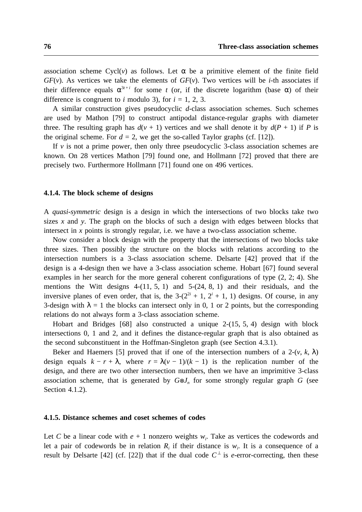association scheme Cycl( $v$ ) as follows. Let  $\alpha$  be a primitive element of the finite field *GF(v)*. As vertices we take the elements of  $GF(v)$ . Two vertices will be *i*-th associates if their difference equals  $\alpha^{3t+i}$  for some *t* (or, if the discrete logarithm (base  $\alpha$ ) of their difference is congruent to *i* modulo 3), for  $i = 1, 2, 3$ .

A similar construction gives pseudocyclic *d*-class association schemes. Such schemes are used by Mathon [79] to construct antipodal distance-regular graphs with diameter three. The resulting graph has  $d(v + 1)$  vertices and we shall denote it by  $d(P + 1)$  if *P* is the original scheme. For  $d = 2$ , we get the so-called Taylor graphs (cf. [12]).

If  $\nu$  is not a prime power, then only three pseudocyclic 3-class association schemes are known. On 28 vertices Mathon [79] found one, and Hollmann [72] proved that there are precisely two. Furthermore Hollmann [71] found one on 496 vertices.

#### **4.1.4. The block scheme of designs**

A *quasi-symmetric* design is a design in which the intersections of two blocks take two sizes *x* and *y*. The graph on the blocks of such a design with edges between blocks that intersect in *x* points is strongly regular, i.e. we have a two-class association scheme.

Now consider a block design with the property that the intersections of two blocks take three sizes. Then possibly the structure on the blocks with relations according to the intersection numbers is a 3-class association scheme. Delsarte [42] proved that if the design is a 4-design then we have a 3-class association scheme. Hobart [67] found several examples in her search for the more general coherent configurations of type (2, 2; 4). She mentions the Witt designs  $4-(11, 5, 1)$  and  $5-(24, 8, 1)$  and their residuals, and the inversive planes of even order, that is, the  $3-(2^{2i} + 1, 2^i + 1, 1)$  designs. Of course, in any 3-design with  $\lambda = 1$  the blocks can intersect only in 0, 1 or 2 points, but the corresponding relations do not always form a 3-class association scheme.

Hobart and Bridges [68] also constructed a unique 2-(15, 5, 4) design with block intersections 0, 1 and 2, and it defines the distance-regular graph that is also obtained as the second subconstituent in the Hoffman-Singleton graph (see Section 4.3.1).

Beker and Haemers [5] proved that if one of the intersection numbers of a 2- $(v, k, \lambda)$ design equals  $k - r + \lambda$ , where  $r = \lambda(v - 1)/(k - 1)$  is the replication number of the design, and there are two other intersection numbers, then we have an imprimitive 3-class association scheme, that is generated by  $G \otimes J_n$  for some strongly regular graph *G* (see Section 4.1.2).

#### **4.1.5. Distance schemes and coset schemes of codes**

Let *C* be a linear code with  $e + 1$  nonzero weights  $w_i$ . Take as vertices the codewords and let a pair of codewords be in relation  $R_i$  if their distance is  $w_i$ . It is a consequence of a result by Delsarte [42] (cf. [22]) that if the dual code  $C^{\perp}$  is *e*-error-correcting, then these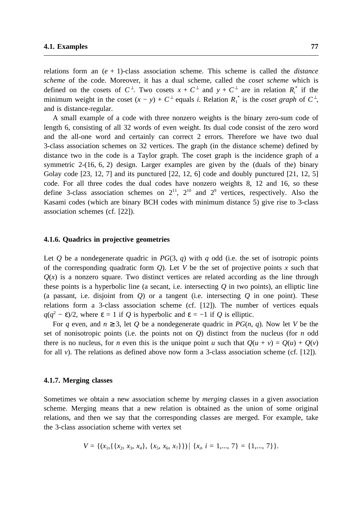relations form an (*e* + 1)-class association scheme. This scheme is called the *distance scheme* of the code. Moreover, it has a dual scheme, called the *coset scheme* which is defined on the cosets of  $C^{\perp}$ . Two cosets  $x + C^{\perp}$  and  $y + C^{\perp}$  are in relation  $R_i^*$  if the minimum weight in the coset  $(x - y) + C^{\perp}$  equals *i*. Relation  $R_1^*$  is the *coset graph* of  $C^{\perp}$ , and is distance-regular.

A small example of a code with three nonzero weights is the binary zero-sum code of length 6, consisting of all 32 words of even weight. Its dual code consist of the zero word and the all-one word and certainly can correct 2 errors. Therefore we have two dual 3-class association schemes on 32 vertices. The graph (in the distance scheme) defined by distance two in the code is a Taylor graph. The coset graph is the incidence graph of a symmetric 2-(16, 6, 2) design. Larger examples are given by the (duals of the) binary Golay code [23, 12, 7] and its punctured [22, 12, 6] code and doubly punctured [21, 12, 5] code. For all three codes the dual codes have nonzero weights 8, 12 and 16, so these define 3-class association schemes on  $2^{11}$ ,  $2^{10}$  and  $2^9$  vertices, respectively. Also the Kasami codes (which are binary BCH codes with minimum distance 5) give rise to 3-class association schemes (cf. [22]).

## **4.1.6. Quadrics in projective geometries**

Let  $Q$  be a nondegenerate quadric in  $PG(3, q)$  with  $q$  odd (i.e. the set of isotropic points of the corresponding quadratic form *Q*). Let *V* be the set of projective points *x* such that  $Q(x)$  is a nonzero square. Two distinct vertices are related according as the line through these points is a hyperbolic line (a secant, i.e. intersecting *Q* in two points), an elliptic line (a passant, i.e. disjoint from *Q*) or a tangent (i.e. intersecting *Q* in one point). These relations form a 3-class association scheme (cf. [12]). The number of vertices equals  $q(q^2 - \varepsilon)/2$ , where  $\varepsilon = 1$  if *Q* is hyperbolic and  $\varepsilon = -1$  if *Q* is elliptic.

For *q* even, and  $n \geq 3$ , let *Q* be a nondegenerate quadric in *PG(n, q)*. Now let *V* be the set of nonisotropic points (i.e. the points not on *Q*) distinct from the nucleus (for *n* odd there is no nucleus, for *n* even this is the unique point *u* such that  $O(u + v) = O(u) + O(v)$ for all *v*). The relations as defined above now form a 3-class association scheme (cf. [12]).

#### **4.1.7. Merging classes**

Sometimes we obtain a new association scheme by *merging* classes in a given association scheme. Merging means that a new relation is obtained as the union of some original relations, and then we say that the corresponding classes are merged. For example, take the 3-class association scheme with vertex set

$$
V = \{ (x_1, \{ \{x_2, x_3, x_4\}, \{x_5, x_6, x_7\} \}) | \{x_i, i = 1,..., 7\} = \{1,..., 7\} \}.
$$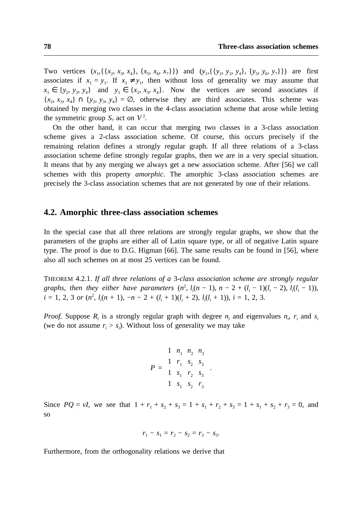Two vertices  $(x_1, \{(x_2, x_3, x_4), (x_5, x_6, x_7)\})$  and  $(y_1, \{(y_2, y_3, y_4), (y_5, y_6, y_7)\})$  are first associates if  $x_1 = y_1$ . If  $x_1 \neq y_1$ , then without loss of generality we may assume that  $x_1 \in \{y_2, y_3, y_4\}$  and  $y_1 \in \{x_2, x_3, x_4\}$ . Now the vertices are second associates if  ${x_2, x_3, x_4} \cap {y_2, y_3, y_4} = \emptyset$ , otherwise they are third associates. This scheme was obtained by merging two classes in the 4-class association scheme that arose while letting the symmetric group  $S_7$  act on  $V^2$ .

On the other hand, it can occur that merging two classes in a 3-class association scheme gives a 2-class association scheme. Of course, this occurs precisely if the remaining relation defines a strongly regular graph. If all three relations of a 3-class association scheme define strongly regular graphs, then we are in a very special situation. It means that by any merging we always get a new association scheme. After [56] we call schemes with this property *amorphic*. The amorphic 3-class association schemes are precisely the 3-class association schemes that are not generated by one of their relations.

## **4.2. Amorphic three-class association schemes**

In the special case that all three relations are strongly regular graphs, we show that the parameters of the graphs are either all of Latin square type, or all of negative Latin square type. The proof is due to D.G. Higman [66]. The same results can be found in [56], where also all such schemes on at most 25 vertices can be found.

THEOREM 4.2.1. *If all three relations of a* 3-*class association scheme are strongly regular graphs*, *then they either have parameters*  $(n^2, l_i(n-1), n-2+(l_i-1)(l_i-2), l_i(l_i-1)),$  $i = 1, 2, 3 \text{ or } (n^2, l_i(n+1), -n-2+(l_i+1)(l_i+2), l_i(l_i+1)), i = 1, 2, 3.$ 

*Proof.* Suppose  $R_i$  is a strongly regular graph with degree  $n_i$  and eigenvalues  $n_i$ ,  $r_i$  and  $s_i$ (we do not assume  $r_i > s_i$ ). Without loss of generality we may take

$$
P = \begin{pmatrix} 1 & n_1 & n_2 & n_3 \\ 1 & r_1 & s_2 & s_3 \\ 1 & s_1 & r_2 & s_3 \\ 1 & s_1 & s_2 & r_3 \end{pmatrix}.
$$

Since  $PQ = vI$ , we see that  $1 + r_1 + s_2 + s_3 = 1 + s_1 + r_2 + s_3 = 1 + s_1 + s_2 + r_3 = 0$ , and so

$$
r_1 - s_1 = r_2 - s_2 = r_3 - s_3.
$$

Furthermore, from the orthogonality relations we derive that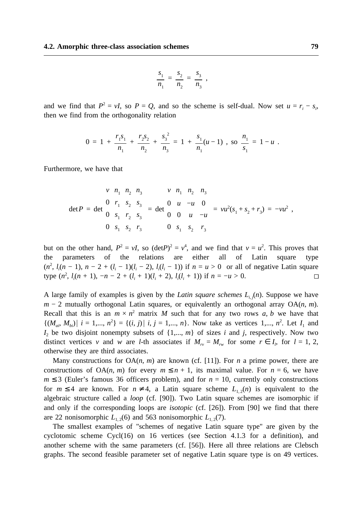$$
\frac{s_1}{n_1} = \frac{s_2}{n_2} = \frac{s_3}{n_3}
$$

,

and we find that  $P^2 = vI$ , so  $P = Q$ , and so the scheme is self-dual. Now set  $u = r_i - s_i$ , then we find from the orthogonality relation

$$
0 = 1 + \frac{r_1 s_1}{n_1} + \frac{r_2 s_2}{n_2} + \frac{s_3^2}{n_3} = 1 + \frac{s_1}{n_1} (u - 1) , \text{ so } \frac{n_1}{s_1} = 1 - u .
$$

Furthermore, we have that

$$
\det P = \det \begin{pmatrix} v & n_1 & n_2 & n_3 \\ 0 & r_1 & s_2 & s_3 \\ 0 & s_1 & r_2 & s_3 \\ 0 & s_1 & s_2 & r_3 \end{pmatrix} = \det \begin{pmatrix} v & n_1 & n_2 & n_3 \\ 0 & u & -u & 0 \\ 0 & 0 & u & -u \\ 0 & s_1 & s_2 & r_3 \end{pmatrix} = v u^2 (s_1 + s_2 + r_3) = -v u^2,
$$

but on the other hand,  $P^2 = vI$ , so  $(\text{det}P)^2 = v^4$ , and we find that  $v = u^2$ . This proves that the parameters of the relations are either all of Latin square  $(n^2, l_i(n-1), n-2 + (l_i-1)(l_i-2), l_i(l_i-1))$  if  $n = u > 0$  or all of negative Latin square type  $(n^2, l_i(n + 1), -n - 2 + (l_i + 1)(l_i + 2), l_i(l_i + 1))$  if  $n = -u > 0$ .  $\Box$ 

A large family of examples is given by the *Latin square schemes*  $L_{i,j}(n)$ . Suppose we have *m* − 2 mutually orthogonal Latin squares, or equivalently an orthogonal array OA(*n*, *m*). Recall that this is an  $m \times n^2$  matrix *M* such that for any two rows *a*, *b* we have that  ${(M_{ai}, M_{bi})}$   $i = 1,..., n^2$  = { $(i, j)$  |  $i, j = 1,..., n$  }. Now take as vertices 1,...,  $n^2$ . Let  $I_1$  and  $I_2$  be two disjoint nonempty subsets of  $\{1,..., m\}$  of sizes *i* and *j*, respectively. Now two distinct vertices *v* and *w* are *l*-th associates if  $M_{r} = M_{rw}$  for some  $r \in I_l$ , for  $l = 1, 2, ...$ otherwise they are third associates.

Many constructions for OA(*n*, *m*) are known (cf. [11]). For *n* a prime power, there are constructions of OA $(n, m)$  for every  $m \leq n + 1$ , its maximal value. For  $n = 6$ , we have  $m \leq 3$  (Euler's famous 36 officers problem), and for  $n = 10$ , currently only constructions for  $m \leq 4$  are known. For  $n \neq 4$ , a Latin square scheme  $L_{1,2}(n)$  is equivalent to the algebraic structure called a *loop* (cf. [90]). Two Latin square schemes are isomorphic if and only if the corresponding loops are *isotopic* (cf. [26]). From [90] we find that there are 22 nonisomorphic  $L_{1,2}(6)$  and 563 nonisomorphic  $L_{1,2}(7)$ .

The smallest examples of "schemes of negative Latin square type" are given by the cyclotomic scheme Cycl(16) on 16 vertices (see Section 4.1.3 for a definition), and another scheme with the same parameters (cf. [56]). Here all three relations are Clebsch graphs. The second feasible parameter set of negative Latin square type is on 49 vertices.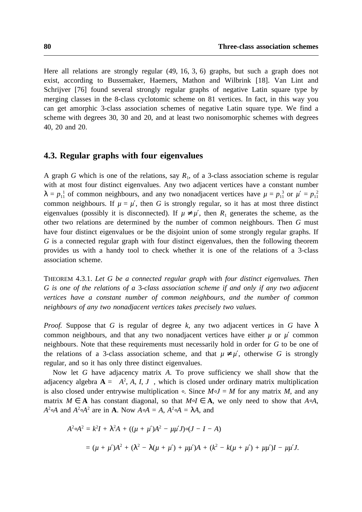Here all relations are strongly regular (49, 16, 3, 6) graphs, but such a graph does not exist, according to Bussemaker, Haemers, Mathon and Wilbrink [18]. Van Lint and Schrijver [76] found several strongly regular graphs of negative Latin square type by merging classes in the 8-class cyclotomic scheme on 81 vertices. In fact, in this way you can get amorphic 3-class association schemes of negative Latin square type. We find a scheme with degrees 30, 30 and 20, and at least two nonisomorphic schemes with degrees 40, 20 and 20.

## **4.3. Regular graphs with four eigenvalues**

A graph *G* which is one of the relations, say  $R_1$ , of a 3-class association scheme is regular with at most four distinct eigenvalues. Any two adjacent vertices have a constant number  $\lambda = p_{11}^{1}$  of common neighbours, and any two nonadjacent vertices have  $\mu = p_{11}^{3}$  or  $\mu' = p_{11}^{2}$ common neighbours. If  $\mu = \mu'$ , then *G* is strongly regular, so it has at most three distinct eigenvalues (possibly it is disconnected). If  $\mu \neq \mu'$ , then  $R_1$  generates the scheme, as the other two relations are determined by the number of common neighbours. Then *G* must have four distinct eigenvalues or be the disjoint union of some strongly regular graphs. If *G* is a connected regular graph with four distinct eigenvalues, then the following theorem provides us with a handy tool to check whether it is one of the relations of a 3-class association scheme.

THEOREM 4.3.1. *Let G be a connected regular graph with four distinct eigenvalues. Then G is one of the relations of a* 3-*class association scheme if and only if any two adjacent vertices have a constant number of common neighbours*, *and the number of common neighbours of any two nonadjacent vertices takes precisely two values.*

*Proof.* Suppose that *G* is regular of degree *k*, any two adjacent vertices in *G* have  $\lambda$ common neighbours, and that any two nonadjacent vertices have either  $\mu$  or  $\mu'$  common neighbours. Note that these requirements must necessarily hold in order for *G* to be one of the relations of a 3-class association scheme, and that  $\mu \neq \mu'$ , otherwise *G* is strongly regular, and so it has only three distinct eigenvalues.

Now let *G* have adjacency matrix *A*. To prove sufficiency we shall show that the adjacency algebra  $A = \langle A^2, A, I, J \rangle$ , which is closed under ordinary matrix multiplication is also closed under entrywise multiplication  $\circ$ . Since  $M \circ J = M$  for any matrix *M*, and any matrix  $M \in A$  has constant diagonal, so that  $M \circ I \in A$ , we only need to show that  $A \circ A$ ,  $A^2 \circ A$  and  $A^2 \circ A^2$  are in **A**. Now  $A \circ A = A$ ,  $A^2 \circ A = \lambda A$ , and

$$
A^{2} \circ A^{2} = k^{2} I + \lambda^{2} A + ((\mu + \mu')A^{2} - \mu \mu' J) \circ (J - I - A)
$$
  
= (\mu + \mu')A^{2} + (\lambda^{2} - \lambda(\mu + \mu') + \mu \mu')A + (k^{2} - k(\mu + \mu') + \mu \mu')I - \mu \mu'J.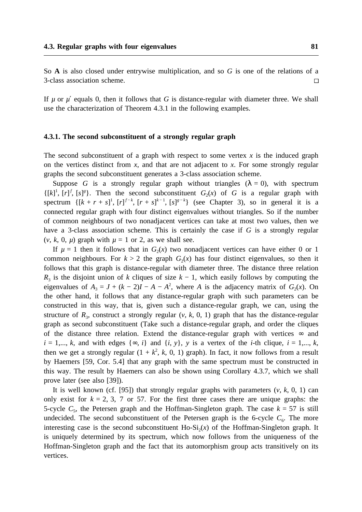So **A** is also closed under entrywise multiplication, and so *G* is one of the relations of a 3-class association scheme.  $\Box$ 

If  $\mu$  or  $\mu'$  equals 0, then it follows that *G* is distance-regular with diameter three. We shall use the characterization of Theorem 4.3.1 in the following examples.

## **4.3.1. The second subconstituent of a strongly regular graph**

The second subconstituent of a graph with respect to some vertex *x* is the induced graph on the vertices distinct from *x*, and that are not adjacent to *x*. For some strongly regular graphs the second subconstituent generates a 3-class association scheme.

Suppose *G* is a strongly regular graph without triangles  $(\lambda = 0)$ , with spectrum  $\{[k]^1, [r]^f, [s]^g\}$ . Then the second subconstituent  $G_2(x)$  of *G* is a regular graph with spectrum  $\{[k + r + s]^1, [r]^{f-k}, [r + s]^{k-1}, [s]^{g-k}\}\$  (see Chapter 3), so in general it is a connected regular graph with four distinct eigenvalues without triangles. So if the number of common neighbours of two nonadjacent vertices can take at most two values, then we have a 3-class association scheme. This is certainly the case if *G* is a strongly regular  $(v, k, 0, \mu)$  graph with  $\mu = 1$  or 2, as we shall see.

If  $\mu = 1$  then it follows that in  $G_2(x)$  two nonadjacent vertices can have either 0 or 1 common neighbours. For  $k > 2$  the graph  $G_2(x)$  has four distinct eigenvalues, so then it follows that this graph is distance-regular with diameter three. The distance three relation  $R_3$  is the disjoint union of *k* cliques of size  $k - 1$ , which easily follows by computing the eigenvalues of  $A_3 = J + (k - 2)I - A - A^2$ , where *A* is the adjacency matrix of  $G_2(x)$ . On the other hand, it follows that any distance-regular graph with such parameters can be constructed in this way, that is, given such a distance-regular graph, we can, using the structure of  $R_3$ , construct a strongly regular  $(v, k, 0, 1)$  graph that has the distance-regular graph as second subconstituent (Take such a distance-regular graph, and order the cliques of the distance three relation. Extend the distance-regular graph with vertices  $\infty$  and  $i = 1, \ldots, k$ , and with edges  $\{\infty, i\}$  and  $\{i, y\}$ , *y* is a vertex of the *i*-th clique,  $i = 1, \ldots, k$ , then we get a strongly regular  $(1 + k^2, k, 0, 1)$  graph). In fact, it now follows from a result by Haemers [59, Cor. 5.4] that any graph with the same spectrum must be constructed in this way. The result by Haemers can also be shown using Corollary 4.3.7, which we shall prove later (see also [39]).

It is well known (cf. [95]) that strongly regular graphs with parameters  $(v, k, 0, 1)$  can only exist for  $k = 2, 3, 7$  or 57. For the first three cases there are unique graphs: the 5-cycle  $C_5$ , the Petersen graph and the Hoffman-Singleton graph. The case  $k = 57$  is still undecided. The second subconstituent of the Petersen graph is the 6-cycle  $C_6$ . The more interesting case is the second subconstituent  $Ho-Si<sub>2</sub>(x)$  of the Hoffman-Singleton graph. It is uniquely determined by its spectrum, which now follows from the uniqueness of the Hoffman-Singleton graph and the fact that its automorphism group acts transitively on its vertices.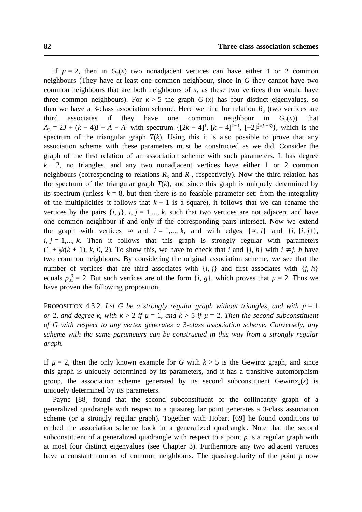If  $\mu = 2$ , then in  $G_2(x)$  two nonadjacent vertices can have either 1 or 2 common neighbours (They have at least one common neighbour, since in *G* they cannot have two common neighbours that are both neighbours of *x*, as these two vertices then would have three common neighbours). For  $k > 5$  the graph  $G_2(x)$  has four distinct eigenvalues, so then we have a 3-class association scheme. Here we find for relation  $R_3$  (two vertices are third associates if they have one common neighbour in  $G_2(x)$  that  $A_3 = 2J + (k - 4)I - A - A^2$  with spectrum  $\{[2k - 4]^1, [k - 4]^{k-1}, [-2]^{\frac{1}{2}k(k-3)}\}$ , which is the spectrum of the triangular graph  $T(k)$ . Using this it is also possible to prove that any association scheme with these parameters must be constructed as we did. Consider the graph of the first relation of an association scheme with such parameters. It has degree  $k - 2$ , no triangles, and any two nonadjacent vertices have either 1 or 2 common neighbours (corresponding to relations  $R_3$  and  $R_2$ , respectively). Now the third relation has the spectrum of the triangular graph  $T(k)$ , and since this graph is uniquely determined by its spectrum (unless  $k = 8$ , but then there is no feasible parameter set: from the integrality of the multiplicities it follows that  $k - 1$  is a square), it follows that we can rename the vertices by the pairs  $\{i, j\}$ ,  $i, j = 1,..., k$ , such that two vertices are not adjacent and have one common neighbour if and only if the corresponding pairs intersect. Now we extend the graph with vertices  $\infty$  and  $i = 1,..., k$ , and with edges  $\{\infty, i\}$  and  $\{i, \{i, j\}\}\$ ,  $i, j = 1, \ldots, k$ . Then it follows that this graph is strongly regular with parameters  $(1 + \frac{1}{2}k(k + 1), k, 0, 2)$ . To show this, we have to check that *i* and  $\{j, h\}$  with  $i \neq j$ , *h* have two common neighbours. By considering the original association scheme, we see that the number of vertices that are third associates with  $\{i, j\}$  and first associates with  $\{j, h\}$ equals  $p_{31}^3 = 2$ . But such vertices are of the form  $\{i, g\}$ , which proves that  $\mu = 2$ . Thus we have proven the following proposition.

PROPOSITION 4.3.2. Let G be a strongly regular graph without triangles, and with  $\mu = 1$ *or* 2, *and degree* k, *with*  $k > 2$  *if*  $\mu = 1$ , *and*  $k > 5$  *if*  $\mu = 2$ . Then the second subconstituent *of G with respect to any vertex generates a* 3-*class association scheme. Conversely*, *any scheme with the same parameters can be constructed in this way from a strongly regular graph.*

If  $\mu = 2$ , then the only known example for *G* with  $k > 5$  is the Gewirtz graph, and since this graph is uniquely determined by its parameters, and it has a transitive automorphism group, the association scheme generated by its second subconstituent Gewirtz<sub>2</sub>(*x*) is uniquely determined by its parameters.

Payne [88] found that the second subconstituent of the collinearity graph of a generalized quadrangle with respect to a quasiregular point generates a 3-class association scheme (or a strongly regular graph). Together with Hobart [69] he found conditions to embed the association scheme back in a generalized quadrangle. Note that the second subconstituent of a generalized quadrangle with respect to a point  $p$  is a regular graph with at most four distinct eigenvalues (see Chapter 3). Furthermore any two adjacent vertices have a constant number of common neighbours. The quasiregularity of the point *p* now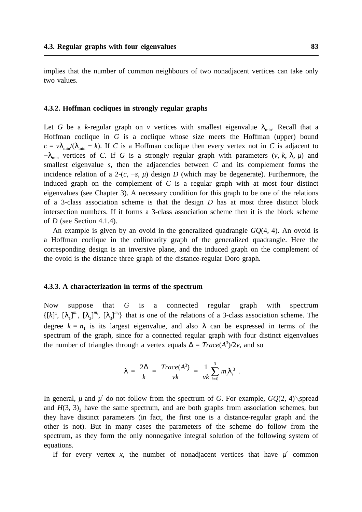implies that the number of common neighbours of two nonadjacent vertices can take only two values.

#### **4.3.2. Hoffman cocliques in strongly regular graphs**

Let *G* be a *k*-regular graph on *v* vertices with smallest eigenvalue  $\lambda_{min}$ . Recall that a Hoffman coclique in *G* is a coclique whose size meets the Hoffman (upper) bound  $c = v\lambda_{\min}/(\lambda_{\min} - k)$ . If *C* is a Hoffman coclique then every vertex not in *C* is adjacent to  $-\lambda_{\min}$  vertices of *C*. If *G* is a strongly regular graph with parameters (*v*, *k*,  $\lambda$ ,  $\mu$ ) and smallest eigenvalue  $s$ , then the adjacencies between  $C$  and its complement forms the incidence relation of a 2- $(c, -s, \mu)$  design *D* (which may be degenerate). Furthermore, the induced graph on the complement of *C* is a regular graph with at most four distinct eigenvalues (see Chapter 3). A necessary condition for this graph to be one of the relations of a 3-class association scheme is that the design *D* has at most three distinct block intersection numbers. If it forms a 3-class association scheme then it is the block scheme of *D* (see Section 4.1.4).

An example is given by an ovoid in the generalized quadrangle *GQ*(4, 4). An ovoid is a Hoffman coclique in the collinearity graph of the generalized quadrangle. Here the corresponding design is an inversive plane, and the induced graph on the complement of the ovoid is the distance three graph of the distance-regular Doro graph.

#### **4.3.3. A characterization in terms of the spectrum**

Now suppose that *G* is a connected regular graph with spectrum  $\{[k]^1, [\lambda_1]^{m_1}, [\lambda_2]^{m_2}, [\lambda_3]^{m_3}\}\$  that is one of the relations of a 3-class association scheme. The degree  $k = n_1$  is its largest eigenvalue, and also  $\lambda$  can be expressed in terms of the spectrum of the graph, since for a connected regular graph with four distinct eigenvalues the number of triangles through a vertex equals  $\Delta = Trace(A^3)/2v$ , and so

$$
\lambda = \frac{2\Delta}{k} = \frac{Trace(A^3)}{vk} = \frac{1}{vk} \sum_{i=0}^{3} m_i \lambda_i^3.
$$

In general,  $\mu$  and  $\mu'$  do not follow from the spectrum of *G*. For example, *GQ*(2, 4) spread and  $H(3, 3)$ <sub>3</sub> have the same spectrum, and are both graphs from association schemes, but they have distinct parameters (in fact, the first one is a distance-regular graph and the other is not). But in many cases the parameters of the scheme do follow from the spectrum, as they form the only nonnegative integral solution of the following system of equations.

If for every vertex *x*, the number of nonadjacent vertices that have  $\mu'$  common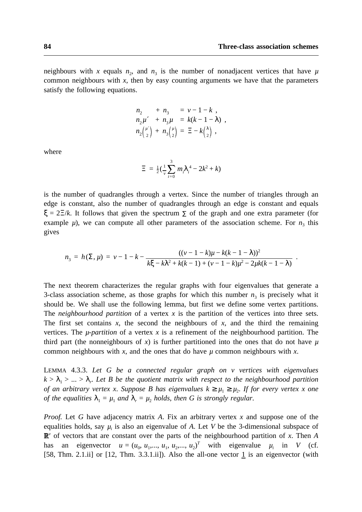neighbours with *x* equals  $n_2$ , and  $n_3$  is the number of nonadjacent vertices that have  $\mu$ common neighbours with  $x$ , then by easy counting arguments we have that the parameters satisfy the following equations.

$$
n_2 + n_3 = v - 1 - k,
$$
  
\n
$$
n_2 \mu' + n_3 \mu = k(k - 1 - \lambda),
$$
  
\n
$$
n_2 {\mu' \choose 2} + n_3 {\mu \choose 2} = \Xi - k {\lambda \choose 2},
$$

where

$$
\Xi = \frac{1}{2}(\frac{1}{v}\sum_{i=0}^{3}m_{i}\lambda_{i}^{4}-2k^{2}+k)
$$

is the number of quadrangles through a vertex. Since the number of triangles through an edge is constant, also the number of quadrangles through an edge is constant and equals  $\xi = 2E/k$ . It follows that given the spectrum  $\Sigma$  of the graph and one extra parameter (for example  $\mu$ ), we can compute all other parameters of the association scheme. For  $n_3$  this gives

$$
n_3 = h(\Sigma, \mu) = v - 1 - k - \frac{((v - 1 - k)\mu - k(k - 1 - \lambda))^2}{k\xi - k\lambda^2 + k(k - 1) + (v - 1 - k)\mu^2 - 2\mu k(k - 1 - \lambda)}.
$$

The next theorem characterizes the regular graphs with four eigenvalues that generate a 3-class association scheme, as those graphs for which this number  $n_3$  is precisely what it should be. We shall use the following lemma, but first we define some vertex partitions. The *neighbourhood partition* of a vertex *x* is the partition of the vertices into three sets. The first set contains  $x$ , the second the neighbours of  $x$ , and the third the remaining vertices. The *µ*-*partition* of a vertex *x* is a refinement of the neighbourhood partition. The third part (the nonneighbours of *x*) is further partitioned into the ones that do not have  $\mu$ common neighbours with *x*, and the ones that do have  $\mu$  common neighbours with *x*.

LEMMA 4.3.3. *Let G be a connected regular graph on v vertices with eigenvalues*  $k > \lambda_1 > ... > \lambda_r$ . Let B be the quotient matrix with respect to the neighbourhood partition *of an arbitrary vertex x. Suppose B has eigenvalues*  $k \geq \mu_1 \geq \mu_2$ *. If for every vertex x one of the equalities*  $\lambda_1 = \mu_1$  *and*  $\lambda_r = \mu_2$  *holds, then G is strongly regular.* 

*Proof.* Let *G* have adjacency matrix *A*. Fix an arbitrary vertex *x* and suppose one of the equalities holds, say  $\mu_i$  is also an eigenvalue of *A*. Let *V* be the 3-dimensional subspace of  $\mathbb{R}^{\nu}$  of vectors that are constant over the parts of the neighbourhood partition of *x*. Then *A* has an eigenvector  $u = (u_0, u_1, \dots, u_1, u_2, \dots, u_2)^T$  with eigenvalue  $\mu_i$  in *V* (cf. [58, Thm. 2.1.ii] or [12, Thm. 3.3.1.ii]). Also the all-one vector  $1$  is an eigenvector (with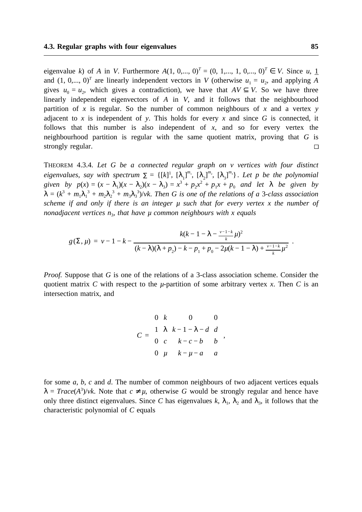eigenvalue *k*) of *A* in *V*. Furthermore  $A(1, 0,..., 0)^{T} = (0, 1,..., 1, 0,..., 0)^{T} \in V$ . Since *u*, 1 and  $(1, 0,..., 0)^T$  are linearly independent vectors in *V* (otherwise  $u_1 = u_2$ , and applying *A* gives  $u_0 = u_2$ , which gives a contradiction), we have that  $AV \subset V$ . So we have three linearly independent eigenvectors of *A* in *V*, and it follows that the neighbourhood partition of *x* is regular. So the number of common neighbours of *x* and a vertex *y* adjacent to *x* is independent of *y*. This holds for every *x* and since *G* is connected, it follows that this number is also independent of *x*, and so for every vertex the neighbourhood partition is regular with the same quotient matrix, proving that *G* is strongly regular.  $\Box$ 

THEOREM 4.3.4. *Let G be a connected regular graph on v vertices with four distinct*  $eigenvalues$ , say with spectrum  $\Sigma = \{ [k]^1, [\lambda_1]^{m_1}, [\lambda_2]^{m_2}, [\lambda_3]^{m_3} \}$ . Let p be the polynomial *given by*  $p(x) = (x - \lambda_1)(x - \lambda_2)(x - \lambda_3) = x^3 + p_2x^2 + p_1x + p_0$  *and let*  $\lambda$  *be given by*  $\lambda = (k^3 + m_1 \lambda_1^3 + m_2 \lambda_2^3 + m_3 \lambda_3^3)/v$ k. Then G is one of the relations of a 3-*class association scheme if and only if there is an integer µ such that for every vertex x the number of nonadjacent vertices n<sub>3</sub>, that have*  $\mu$  *common neighbours with x equals* 

$$
g(\Sigma, \mu) = \nu - 1 - k - \frac{k(k - 1 - \lambda - \frac{\nu - 1 - k}{k} \mu)^2}{(k - \lambda)(\lambda + p_2) - k - p_1 + p_0 - 2\mu(k - 1 - \lambda) + \frac{\nu - 1 - k}{k} \mu^2}
$$

*Proof.* Suppose that *G* is one of the relations of a 3-class association scheme. Consider the quotient matrix *C* with respect to the  $\mu$ -partition of some arbitrary vertex *x*. Then *C* is an intersection matrix, and

$$
C = \begin{pmatrix} 0 & k & 0 & 0 \\ 1 & \lambda & k-1-\lambda-d & d \\ 0 & c & k-c-b & b \\ 0 & \mu & k-\mu-a & a \end{pmatrix},
$$

for some *a*, *b*, *c* and *d*. The number of common neighbours of two adjacent vertices equals  $\lambda = Trace(A^3)/\nu k$ . Note that  $c \neq \mu$ , otherwise G would be strongly regular and hence have only three distinct eigenvalues. Since *C* has eigenvalues  $k$ ,  $\lambda_1$ ,  $\lambda_2$  and  $\lambda_3$ , it follows that the characteristic polynomial of *C* equals

.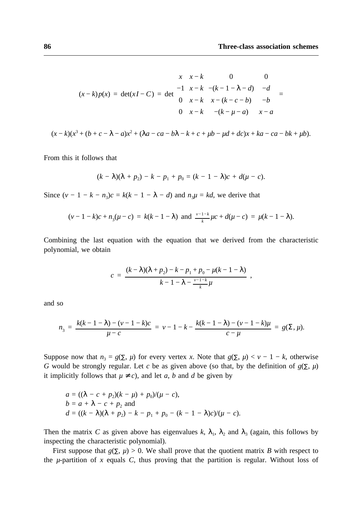$$
(x-k)p(x) = \det(xI - C) = \det\begin{pmatrix} x & x-k & 0 & 0 \ -1 & x-k & -(k-1-\lambda-d) & -d \ 0 & x-k & x-(k-c-b) & -b \ 0 & x-k & -(k-\mu-a) & x-a \end{pmatrix} =
$$

 $(x-k)(x^3 + (b+c-\lambda-a)x^2 + (\lambda a - ca - b\lambda - k + c + \mu b - \mu d + dc)x + ka - ca - bk + \mu b).$ 

From this it follows that

$$
(k - \lambda)(\lambda + p_2) - k - p_1 + p_0 = (k - 1 - \lambda)c + d(\mu - c).
$$

Since  $(v - 1 - k - n_3)c = k(k - 1 - \lambda - d)$  and  $n_3\mu = kd$ , we derive that

$$
(v-1-k)c + n_3(\mu-c) = k(k-1-\lambda)
$$
 and  $\frac{v-1-k}{k}\mu c + d(\mu-c) = \mu(k-1-\lambda)$ .

Combining the last equation with the equation that we derived from the characteristic polynomial, we obtain

$$
c = \frac{(k - \lambda)(\lambda + p_2) - k - p_1 + p_0 - \mu(k - 1 - \lambda)}{k - 1 - \lambda - \frac{\nu - 1 - k}{k} \mu},
$$

and so

$$
n_3 = \frac{k(k-1-\lambda)-(v-1-k)c}{\mu-c} = v-1-k-\frac{k(k-1-\lambda)-(v-1-k)\mu}{c-\mu} = g(\Sigma,\mu).
$$

Suppose now that  $n_3 = g(\Sigma, \mu)$  for every vertex *x*. Note that  $g(\Sigma, \mu) < v - 1 - k$ , otherwise *G* would be strongly regular. Let *c* be as given above (so that, by the definition of  $g(\Sigma, \mu)$ ) it implicitly follows that  $\mu \neq c$ , and let *a*, *b* and *d* be given by

$$
a = ((\lambda - c + p_2)(k - \mu) + p_0)/(\mu - c),
$$
  
\n
$$
b = a + \lambda - c + p_2 \text{ and}
$$
  
\n
$$
d = ((k - \lambda)(\lambda + p_2) - k - p_1 + p_0 - (k - 1 - \lambda)c)/(\mu - c).
$$

Then the matrix *C* as given above has eigenvalues *k*,  $\lambda_1$ ,  $\lambda_2$  and  $\lambda_3$  (again, this follows by inspecting the characteristic polynomial).

First suppose that  $g(\Sigma, \mu) > 0$ . We shall prove that the quotient matrix *B* with respect to the  $\mu$ -partition of  $x$  equals  $C$ , thus proving that the partition is regular. Without loss of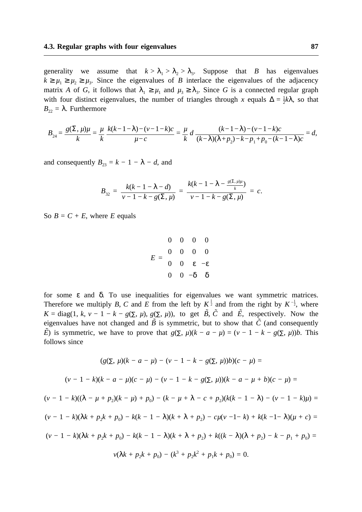generality we assume that  $k > \lambda_1 > \lambda_2 > \lambda_3$ . Suppose that *B* has eigenvalues  $k \geq \mu_1 \geq \mu_2 \geq \mu_3$ . Since the eigenvalues of *B* interlace the eigenvalues of the adjacency matrix *A* of *G*, it follows that  $\lambda_1 \geq \mu_1$  and  $\mu_3 \geq \lambda_3$ . Since *G* is a connected regular graph with four distinct eigenvalues, the number of triangles through *x* equals  $\Delta = \frac{1}{2}k\lambda$ , so that  $B_{22} = \lambda$ . Furthermore

$$
B_{24} = \frac{g(\Sigma, \mu)\mu}{k} = \frac{\mu}{k} \frac{k(k-1-\lambda)-(v-1-k)c}{\mu-c} = \frac{\mu}{k} d \frac{(k-1-\lambda)-(v-1-k)c}{(k-\lambda)(\lambda+p_2)-k-p_1+p_0-(k-1-\lambda)c} = d,
$$

and consequently  $B_{23} = k - 1 - \lambda - d$ , and

$$
B_{32} = \frac{k(k-1-\lambda-d)}{\nu-1-k-g(\Sigma,\mu)} = \frac{k(k-1-\lambda-\frac{g(\Sigma,\mu)\mu}{k})}{\nu-1-k-g(\Sigma,\mu)} = c.
$$

So  $B = C + E$ , where *E* equals

$$
E = \begin{pmatrix} 0 & 0 & 0 & 0 \\ 0 & 0 & 0 & 0 \\ 0 & 0 & \varepsilon & -\varepsilon \\ 0 & 0 & -\delta & \delta \end{pmatrix}
$$

for some ε and δ. To use inequalities for eigenvalues we want symmetric matrices. Therefore we multiply *B*, *C* and *E* from the left by  $K^{\frac{1}{2}}$  and from the right by  $K^{-\frac{1}{2}}$ , where *K* = diag(1, *k*, *v* − 1 − *k* − *g*( $\Sigma$ ,  $\mu$ ), *g*( $\Sigma$ ,  $\mu$ )), to get  $\tilde{B}$ ,  $\tilde{C}$  and  $\tilde{E}$ , respectively. Now the eigenvalues have not changed and  $\tilde{B}$  is symmetric, but to show that  $\tilde{C}$  (and consequently *E* $)$  is symmetric, we have to prove that  $g(\Sigma, \mu)(k - a - \mu) = (v - 1 - k - g(\Sigma, \mu))b$ . This follows since

$$
(g(\Sigma, \mu)(k - a - \mu) - (\nu - 1 - k - g(\Sigma, \mu))b)(c - \mu) =
$$
  

$$
(\nu - 1 - k)(k - a - \mu)(c - \mu) - (\nu - 1 - k - g(\Sigma, \mu))(k - a - \mu + b)(c - \mu) =
$$
  

$$
(\nu - 1 - k)((\lambda - \mu + p_2)(k - \mu) + p_0) - (k - \mu + \lambda - c + p_2)(k(k - 1 - \lambda) - (\nu - 1 - k)\mu) =
$$
  

$$
(\nu - 1 - k)(\lambda k + p_2 k + p_0) - k(k - 1 - \lambda)(k + \lambda + p_2) - c\mu(\nu - 1 - k) + k(k - 1 - \lambda)(\mu + c) =
$$
  

$$
(\nu - 1 - k)(\lambda k + p_2 k + p_0) - k(k - 1 - \lambda)(k + \lambda + p_2) + k((k - \lambda)(\lambda + p_2) - k - p_1 + p_0) =
$$
  

$$
\nu(\lambda k + p_2 k + p_0) - (k^3 + p_2 k^2 + p_1 k + p_0) = 0.
$$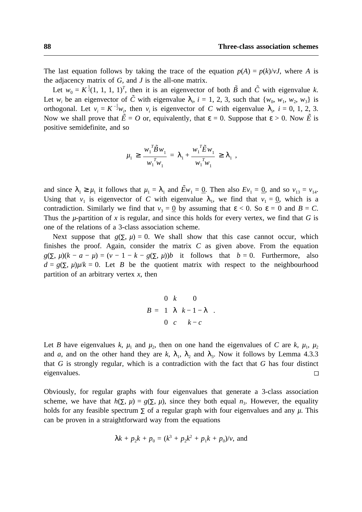The last equation follows by taking the trace of the equation  $p(A) = p(k)/vJ$ , where *A* is the adjacency matrix of *G*, and *J* is the all-one matrix.

Let  $w_0 = K^{\frac{1}{2}}(1, 1, 1, 1)^T$ , then it is an eigenvector of both  $\tilde{B}$  and  $\tilde{C}$  with eigenvalue k. Let  $w_i$  be an eigenvector of  $\tilde{C}$  with eigenvalue  $\lambda_i$ ,  $i = 1, 2, 3$ , such that  $\{w_0, w_1, w_2, w_3\}$  is orthogonal. Let  $v_i = K^{-\frac{1}{2}}w_i$ , then  $v_i$  is eigenvector of *C* with eigenvalue  $\lambda_i$ ,  $i = 0, 1, 2, 3$ . Now we shall prove that  $\tilde{E} = O$  or, equivalently, that  $\varepsilon = 0$ . Suppose that  $\varepsilon > 0$ . Now  $\tilde{E}$  is positive semidefinite, and so

$$
\mu_1 \geq \frac{{w_1}^T \tilde{B} w_1}{w_1^T w_1} = \lambda_1 + \frac{{w_1}^T \tilde{E} w_1}{w_1^T w_1} \geq \lambda_1 ,
$$

and since  $\lambda_1 \ge \mu_1$  it follows that  $\mu_1 = \lambda_1$  and  $\tilde{E}w_1 = 0$ . Then also  $Ev_1 = 0$ , and so  $v_{13} = v_{14}$ . Using that  $v_1$  is eigenvector of *C* with eigenvalue  $\lambda_1$ , we find that  $v_1 = 0$ , which is a contradiction. Similarly we find that  $v_3 = 0$  by assuming that  $\varepsilon < 0$ . So  $\varepsilon = 0$  and  $B = C$ . Thus the  $\mu$ -partition of *x* is regular, and since this holds for every vertex, we find that *G* is one of the relations of a 3-class association scheme.

Next suppose that  $g(\Sigma, \mu) = 0$ . We shall show that this case cannot occur, which finishes the proof. Again, consider the matrix *C* as given above. From the equation  $g(\Sigma, \mu)(k - a - \mu) = (v - 1 - k - g(\Sigma, \mu))b$  it follows that  $b = 0$ . Furthermore, also  $d = g(\Sigma, \mu)\mu/k = 0$ . Let *B* be the quotient matrix with respect to the neighbourhood partition of an arbitrary vertex *x*, then

$$
B = \begin{pmatrix} 0 & k & 0 \\ 1 & \lambda & k-1-\lambda \\ 0 & c & k-c \end{pmatrix}.
$$

Let *B* have eigenvalues *k*,  $\mu_1$  and  $\mu_2$ , then on one hand the eigenvalues of *C* are *k*,  $\mu_1$ ,  $\mu_2$ and *a*, and on the other hand they are *k*,  $\lambda_1$ ,  $\lambda_2$  and  $\lambda_3$ . Now it follows by Lemma 4.3.3 that *G* is strongly regular, which is a contradiction with the fact that *G* has four distinct eigenvalues.  $\Box$ 

Obviously, for regular graphs with four eigenvalues that generate a 3-class association scheme, we have that  $h(\Sigma, \mu) = g(\Sigma, \mu)$ , since they both equal  $n_3$ . However, the equality holds for any feasible spectrum  $\Sigma$  of a regular graph with four eigenvalues and any  $\mu$ . This can be proven in a straightforward way from the equations

$$
\lambda k + p_2 k + p_0 = (k^3 + p_2 k^2 + p_1 k + p_0)/v
$$
, and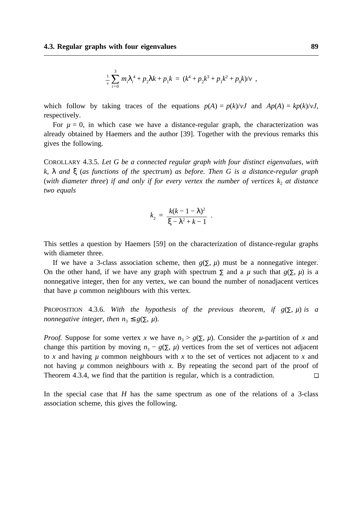$$
\frac{1}{v}\sum_{i=0}^{3} m_{i}\lambda_{i}^{4} + p_{2}\lambda k + p_{1}k = (k^{4} + p_{2}k^{3} + p_{1}k^{2} + p_{0}k)/v,
$$

which follow by taking traces of the equations  $p(A) = p(k)/vJ$  and  $Ap(A) = kp(k)/vJ$ , respectively.

For  $\mu = 0$ , in which case we have a distance-regular graph, the characterization was already obtained by Haemers and the author [39]. Together with the previous remarks this gives the following.

COROLLARY 4.3.5. *Let G be a connected regular graph with four distinct eigenvalues*, *with k*, λ *and* ξ (*as functions of the spectrum*) *as before. Then G is a distance-regular graph* (with diameter three) if and only if for every vertex the number of vertices  $k<sub>2</sub>$  at distance *two equals*

$$
k_2 = \frac{k(k-1-\lambda)^2}{\xi - \lambda^2 + k - 1} \; .
$$

This settles a question by Haemers [59] on the characterization of distance-regular graphs with diameter three.

If we have a 3-class association scheme, then  $g(\Sigma, \mu)$  must be a nonnegative integer. On the other hand, if we have any graph with spectrum  $\Sigma$  and a  $\mu$  such that  $g(\Sigma, \mu)$  is a nonnegative integer, then for any vertex, we can bound the number of nonadjacent vertices that have *µ* common neighbours with this vertex.

PROPOSITION 4.3.6. *With the hypothesis of the previous theorem, if*  $g(\Sigma, \mu)$  *is a nonnegative integer, then*  $n_3 \leq g(\Sigma, \mu)$ .

*Proof.* Suppose for some vertex *x* we have  $n_3 > g(\Sigma, \mu)$ . Consider the *µ*-partition of *x* and change this partition by moving  $n_3 - g(\Sigma, \mu)$  vertices from the set of vertices not adjacent to *x* and having  $\mu$  common neighbours with *x* to the set of vertices not adjacent to *x* and not having  $\mu$  common neighbours with  $\bar{x}$ . By repeating the second part of the proof of Theorem 4.3.4, we find that the partition is regular, which is a contradiction.  $\Box$ 

In the special case that *H* has the same spectrum as one of the relations of a 3-class association scheme, this gives the following.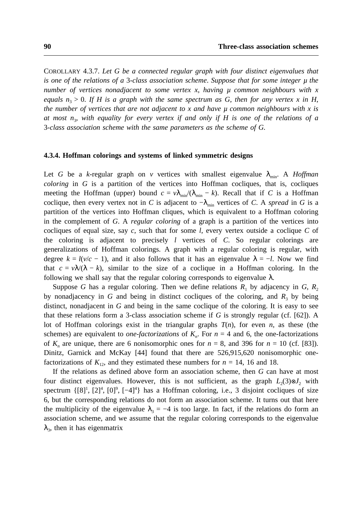COROLLARY 4.3.7. *Let G be a connected regular graph with four distinct eigenvalues that is one of the relations of a* 3-*class association scheme*. *Suppose that for some integer µ the number of vertices nonadjacent to some vertex x*, *having µ common neighbours with x equals*  $n_3 > 0$ *. If H is a graph with the same spectrum as G, then for any vertex x in H, the number of vertices that are not adjacent to x and have µ common neighbours with x is at most n*3, *with equality for every vertex if and only if H is one of the relations of a* 3-*class association scheme with the same parameters as the scheme of G.*

#### **4.3.4. Hoffman colorings and systems of linked symmetric designs**

Let *G* be a *k*-regular graph on *v* vertices with smallest eigenvalue  $\lambda_{\min}$ . A *Hoffman coloring* in *G* is a partition of the vertices into Hoffman cocliques, that is, cocliques meeting the Hoffman (upper) bound  $c = v\lambda_{min}/(\lambda_{min} - k)$ . Recall that if *C* is a Hoffman coclique, then every vertex not in *C* is adjacent to  $-\lambda_{\min}$  vertices of *C*. A *spread* in *G* is a partition of the vertices into Hoffman cliques, which is equivalent to a Hoffman coloring in the complement of *G*. A *regular coloring* of a graph is a partition of the vertices into cocliques of equal size, say *c*, such that for some *l*, every vertex outside a coclique *C* of the coloring is adjacent to precisely *l* vertices of *C*. So regular colorings are generalizations of Hoffman colorings. A graph with a regular coloring is regular, with degree  $k = l(v/c - 1)$ , and it also follows that it has an eigenvalue  $\lambda = -l$ . Now we find that  $c = v\lambda/(\lambda - k)$ , similar to the size of a coclique in a Hoffman coloring. In the following we shall say that the regular coloring corresponds to eigenvalue  $\lambda$ .

Suppose *G* has a regular coloring. Then we define relations  $R_1$  by adjacency in *G*,  $R_2$ by nonadjacency in *G* and being in distinct cocliques of the coloring, and  $R_3$  by being distinct, nonadjacent in *G* and being in the same coclique of the coloring. It is easy to see that these relations form a 3-class association scheme if *G* is strongly regular (cf. [62]). A lot of Hoffman colorings exist in the triangular graphs *T*(*n*), for even *n*, as these (the schemes) are equivalent to *one-factorizations* of  $K_n$ . For  $n = 4$  and 6, the one-factorizations of  $K_n$  are unique, there are 6 nonisomorphic ones for  $n = 8$ , and 396 for  $n = 10$  (cf. [83]). Dinitz, Garnick and McKay [44] found that there are 526,915,620 nonisomorphic onefactorizations of  $K_{12}$ , and they estimated these numbers for  $n = 14$ , 16 and 18.

If the relations as defined above form an association scheme, then *G* can have at most four distinct eigenvalues. However, this is not sufficient, as the graph  $L_2(3) \otimes J_2$  with spectrum  $\{ [8]^1, [2]^4, [0]^9, [-4]^4 \}$  has a Hoffman coloring, i.e., 3 disjoint cocliques of size 6, but the corresponding relations do not form an association scheme. It turns out that here the multiplicity of the eigenvalue  $\lambda_3 = -4$  is too large. In fact, if the relations do form an association scheme, and we assume that the regular coloring corresponds to the eigenvalue  $\lambda_3$ , then it has eigenmatrix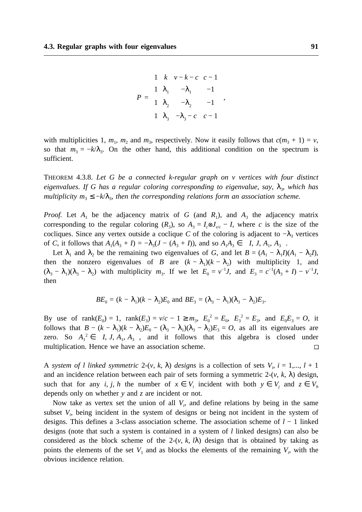$$
P = \begin{pmatrix} 1 & k & v - k - c & c - 1 \\ 1 & \lambda_1 & -\lambda_1 & -1 \\ 1 & \lambda_2 & -\lambda_2 & -1 \\ 1 & \lambda_3 & -\lambda_3 - c & c - 1 \end{pmatrix},
$$

with multiplicities 1,  $m_1$ ,  $m_2$  and  $m_3$ , respectively. Now it easily follows that  $c(m_3 + 1) = v$ , so that  $m_3 = -k/\lambda_3$ . On the other hand, this additional condition on the spectrum is sufficient.

THEOREM 4.3.8. *Let G be a connected k-regular graph on v vertices with four distinct eigenvalues. If G has a regular coloring corresponding to eigenvalue, say,*  $\lambda_3$ *, which has multiplicity*  $m_3 \leq -k/\lambda_3$ , *then the corresponding relations form an association scheme.* 

*Proof.* Let  $A_1$  be the adjacency matrix of *G* (and  $R_1$ ), and  $A_3$  the adjacency matrix corresponding to the regular coloring  $(R_3)$ , so  $A_3 = I_c \otimes J_{\nu/c} - I$ , where *c* is the size of the cocliques. Since any vertex outside a coclique *C* of the coloring is adjacent to  $-\lambda_3$  vertices of *C*, it follows that  $A_1(A_3 + I) = -\lambda_3(J - (A_3 + I))$ , and so  $A_1A_3 \in \langle I, J, A_1, A_3 \rangle$ .

Let  $\lambda_1$  and  $\lambda_2$  be the remaining two eigenvalues of *G*, and let  $B = (A_1 - \lambda_1 I)(A_1 - \lambda_2 I)$ , then the nonzero eigenvalues of *B* are  $(k - \lambda_1)(k - \lambda_2)$  with multiplicity 1, and  $(\lambda_3 - \lambda_1)(\lambda_3 - \lambda_2)$  with multiplicity  $m_3$ . If we let  $E_0 = v^{-1}J$ , and  $E_3 = c^{-1}(A_3 + I) - v^{-1}J$ , then

$$
BE_0 = (k - \lambda_1)(k - \lambda_2)E_0 \text{ and } BE_3 = (\lambda_3 - \lambda_1)(\lambda_3 - \lambda_2)E_3.
$$

By use of  $\text{rank}(E_0) = 1$ ,  $\text{rank}(E_3) = v/c - 1 \ge m_3$ ,  $E_0^2 = E_0$ ,  $E_3^2 = E_3$ , and  $E_0E_3 = O$ , it follows that  $B - (k - \lambda_1)(k - \lambda_2)E_0 - (\lambda_3 - \lambda_1)(\lambda_3 - \lambda_2)E_3 = 0$ , as all its eigenvalues are zero. So  $A_1^2 \in \langle I, J, A_1, A_3 \rangle$ , and it follows that this algebra is closed under multiplication. Hence we have an association scheme.  $\Box$ 

A system of *l* linked symmetric 2-(*v*, *k*,  $\lambda$ ) designs is a collection of sets  $V_i$ ,  $i = 1,..., l + 1$ and an incidence relation between each pair of sets forming a symmetric  $2-(v, k, \lambda)$  design, such that for any *i*, *j*, *h* the number of  $x \in V_i$  incident with both  $y \in V_i$  and  $z \in V_h$ depends only on whether *y* and *z* are incident or not.

Now take as vertex set the union of all  $V_i$ , and define relations by being in the same subset  $V_i$ , being incident in the system of designs or being not incident in the system of designs. This defines a 3-class association scheme. The association scheme of *l* − 1 linked designs (note that such a system is contained in a system of *l* linked designs) can also be considered as the block scheme of the 2- $(v, k, l\lambda)$  design that is obtained by taking as points the elements of the set  $V_1$  and as blocks the elements of the remaining  $V_i$ , with the obvious incidence relation.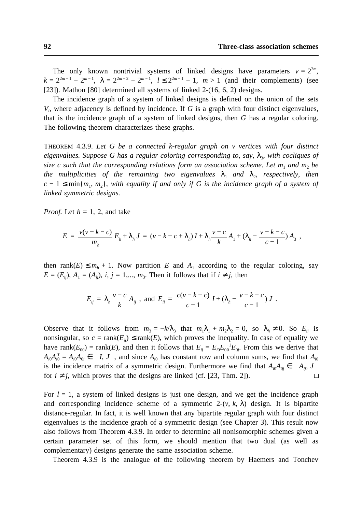The only known nontrivial systems of linked designs have parameters  $v = 2^{2m}$ ,  $k = 2^{2m-1} - 2^{m-1}$ ,  $\lambda = 2^{2m-2} - 2^{m-1}$ ,  $l \le 2^{2m-1} - 1$ ,  $m > 1$  (and their complements) (see [23]). Mathon [80] determined all systems of linked 2-(16, 6, 2) designs.

The incidence graph of a system of linked designs is defined on the union of the sets *Vi* , where adjacency is defined by incidence. If *G* is a graph with four distinct eigenvalues, that is the incidence graph of a system of linked designs, then *G* has a regular coloring. The following theorem characterizes these graphs.

THEOREM 4.3.9. *Let G be a connected k-regular graph on v vertices with four distinct*  $eigenvalues. Suppose G has a regular coloring corresponding to, say,  $\lambda_3$ , with cocliques of$ *size c such that the corresponding relations form an association scheme. Let m<sub>1</sub> and m<sub>2</sub> be the multiplicities of the remaining two eigenvalues*  $\lambda_1$  *and*  $\lambda_2$ *, respectively, then*  $c - 1 \leq \min\{m_1, m_2\}$ , *with equality if and only if G is the incidence graph of a system of linked symmetric designs.*

*Proof.* Let  $h = 1, 2$ , and take

$$
E = \frac{v(v - k - c)}{m_h} E_h + \lambda_h J = (v - k - c + \lambda_h) I + \lambda_h \frac{v - c}{k} A_1 + (\lambda_h - \frac{v - k - c}{c - 1}) A_3,
$$

then rank( $E \le m_h + 1$ . Now partition  $E$  and  $A_1$  according to the regular coloring, say  $E = (E_{ii})$ ,  $A_1 = (A_{ii})$ ,  $i, j = 1,..., m_3$ . Then it follows that if  $i \neq j$ , then

$$
E_{ij} = \lambda_h \frac{v - c}{k} A_{ij}
$$
, and  $E_{ii} = \frac{c(v - k - c)}{c - 1} I + (\lambda_h - \frac{v - k - c}{c - 1}) J$ .

Observe that it follows from  $m_3 = -k/\lambda_3$  that  $m_1\lambda_1 + m_2\lambda_2 = 0$ , so  $\lambda_h \neq 0$ . So  $E_{ii}$  is nonsingular, so  $c = \text{rank}(E_{ii}) \leq \text{rank}(E)$ , which proves the inequality. In case of equality we have rank $(E_{00})$  = rank $(E)$ , and then it follows that  $E_{ij} = E_{i0}E_{00}^{-1}E_{0j}$ . From this we derive that  $A_{i0}A_{i0}^T = A_{i0}A_{0i} \in \langle I, J \rangle$ , and since  $A_{i0}$  has constant row and column sums, we find that  $A_{i0}$ is the incidence matrix of a symmetric design. Furthermore we find that  $A_{i0}A_{0j} \in \langle A_{ij}, J \rangle$ for  $i \neq j$ , which proves that the designs are linked (cf. [23, Thm. 2]).  $\Box$ 

For  $l = 1$ , a system of linked designs is just one design, and we get the incidence graph and corresponding incidence scheme of a symmetric  $2-(v, k, \lambda)$  design. It is bipartite distance-regular. In fact, it is well known that any bipartite regular graph with four distinct eigenvalues is the incidence graph of a symmetric design (see Chapter 3). This result now also follows from Theorem 4.3.9. In order to determine all nonisomorphic schemes given a certain parameter set of this form, we should mention that two dual (as well as complementary) designs generate the same association scheme.

Theorem 4.3.9 is the analogue of the following theorem by Haemers and Tonchev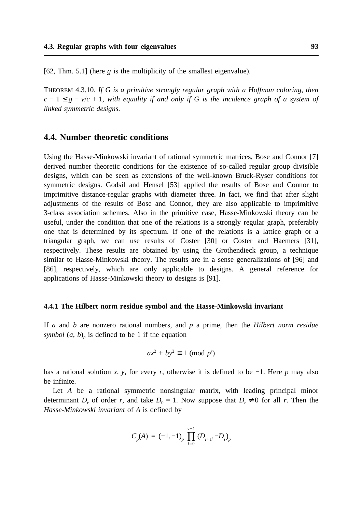[62, Thm. 5.1] (here *g* is the multiplicity of the smallest eigenvalue).

THEOREM 4.3.10. *If G is a primitive strongly regular graph with a Hoffman coloring*, *then*  $c - 1 \leq g - v/c + 1$ , *with equality if and only if G is the incidence graph of a system of linked symmetric designs.*

## **4.4. Number theoretic conditions**

Using the Hasse-Minkowski invariant of rational symmetric matrices, Bose and Connor [7] derived number theoretic conditions for the existence of so-called regular group divisible designs, which can be seen as extensions of the well-known Bruck-Ryser conditions for symmetric designs. Godsil and Hensel [53] applied the results of Bose and Connor to imprimitive distance-regular graphs with diameter three. In fact, we find that after slight adjustments of the results of Bose and Connor, they are also applicable to imprimitive 3-class association schemes. Also in the primitive case, Hasse-Minkowski theory can be useful, under the condition that one of the relations is a strongly regular graph, preferably one that is determined by its spectrum. If one of the relations is a lattice graph or a triangular graph, we can use results of Coster [30] or Coster and Haemers [31], respectively. These results are obtained by using the Grothendieck group, a technique similar to Hasse-Minkowski theory. The results are in a sense generalizations of [96] and [86], respectively, which are only applicable to designs. A general reference for applications of Hasse-Minkowski theory to designs is [91].

## **4.4.1 The Hilbert norm residue symbol and the Hasse-Minkowski invariant**

If *a* and *b* are nonzero rational numbers, and *p* a prime, then the *Hilbert norm residue symbol*  $(a, b)$ <sup>*p*</sup> is defined to be 1 if the equation

$$
ax^2 + by^2 \equiv 1 \pmod{p'}
$$

has a rational solution *x*, *y*, for every *r*, otherwise it is defined to be −1. Here *p* may also be infinite.

Let *A* be a rational symmetric nonsingular matrix, with leading principal minor determinant *D<sub>r</sub>* of order *r*, and take *D*<sub>0</sub> = 1. Now suppose that *D<sub>r</sub>*  $\neq$  0 for all *r*. Then the *Hasse-Minkowski invariant* of *A* is defined by

$$
C_p(A) = (-1,-1)_p \prod_{i=0}^{v-1} (D_{i+1},-D_i)_p
$$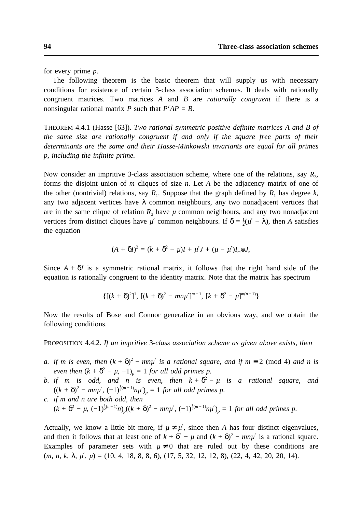for every prime *p*.

The following theorem is the basic theorem that will supply us with necessary conditions for existence of certain 3-class association schemes. It deals with rationally congruent matrices. Two matrices *A* and *B* are *rationally congruent* if there is a nonsingular rational matrix *P* such that  $P<sup>T</sup>AP = B$ .

THEOREM 4.4.1 (Hasse [63]). *Two rational symmetric positive definite matrices A and B of the same size are rationally congruent if and only if the square free parts of their determinants are the same and their Hasse-Minkowski invariants are equal for all primes p*, *including the infinite prime.*

Now consider an impritive 3-class association scheme, where one of the relations, say  $R_3$ , forms the disjoint union of *m* cliques of size *n*. Let *A* be the adjacency matrix of one of the other (nontrivial) relations, say  $R_1$ . Suppose that the graph defined by  $R_1$  has degree  $k$ , any two adjacent vertices have  $\lambda$  common neighbours, any two nonadjacent vertices that are in the same clique of relation  $R_3$  have  $\mu$  common neighbours, and any two nonadjacent vertices from distinct cliques have  $\mu'$  common neighbours. If  $\delta = \frac{1}{2}(\mu' - \lambda)$ , then *A* satisfies the equation

$$
(A + \delta I)^2 = (k + \delta^2 - \mu)I + \mu'J + (\mu - \mu')I_m \otimes J_n
$$

Since  $A + \delta I$  is a symmetric rational matrix, it follows that the right hand side of the equation is rationally congruent to the identity matrix. Note that the matrix has spectrum

$$
\{[(k+\delta)^2]^1, [(k+\delta)^2 - mn\mu']^{m-1}, [k+\delta^2 - \mu]^{m(n-1)}\}
$$

Now the results of Bose and Connor generalize in an obvious way, and we obtain the following conditions.

PROPOSITION 4.4.2. *If an impritive* 3-*class association scheme as given above exists*, *then*

- *a. if m is even, then*  $(k + \delta)^2 m\mu'$  *is a rational square, and if*  $m \equiv 2 \pmod{4}$  *and n is even then*  $(k + \delta^2 - \mu, -1)_p = 1$  *for all odd primes p.*
- *b.* if m is odd, and n is even, then  $k + \delta^2 \mu$  is a rational square, and  $((k + \delta)^2 - m\eta\mu', (-1)^{\frac{1}{2}(m-1)}n\mu')_p = 1$  for all odd primes p.
- *c. if m and n are both odd*, *then*  $(k + \delta^2 - \mu, (-1)^{\frac{1}{2}(n-1)}n)_p((k + \delta)^2 - mn\mu', (-1)^{\frac{1}{2}(m-1)}n\mu')_p = 1$  *for all odd primes p.*

Actually, we know a little bit more, if  $\mu \neq \mu'$ , since then *A* has four distinct eigenvalues, and then it follows that at least one of  $k + \delta^2 - \mu$  and  $(k + \delta)^2 - mn\mu'$  is a rational square. Examples of parameter sets with  $\mu \neq 0$  that are ruled out by these conditions are (*m*, *n*, *k*, λ, *µ*′, *µ*) = (10, 4, 18, 8, 8, 6), (17, 5, 32, 12, 12, 8), (22, 4, 42, 20, 20, 14).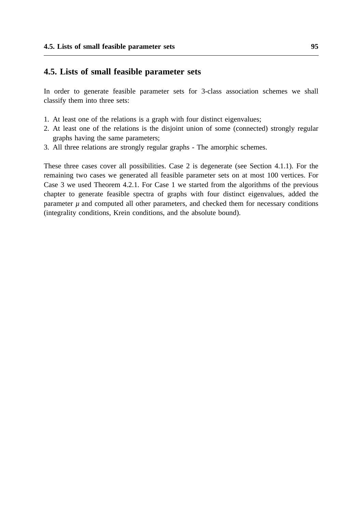## **4.5. Lists of small feasible parameter sets**

In order to generate feasible parameter sets for 3-class association schemes we shall classify them into three sets:

- 1. At least one of the relations is a graph with four distinct eigenvalues;
- 2. At least one of the relations is the disjoint union of some (connected) strongly regular graphs having the same parameters;
- 3. All three relations are strongly regular graphs The amorphic schemes.

These three cases cover all possibilities. Case 2 is degenerate (see Section 4.1.1). For the remaining two cases we generated all feasible parameter sets on at most 100 vertices. For Case 3 we used Theorem 4.2.1. For Case 1 we started from the algorithms of the previous chapter to generate feasible spectra of graphs with four distinct eigenvalues, added the parameter  $\mu$  and computed all other parameters, and checked them for necessary conditions (integrality conditions, Krein conditions, and the absolute bound).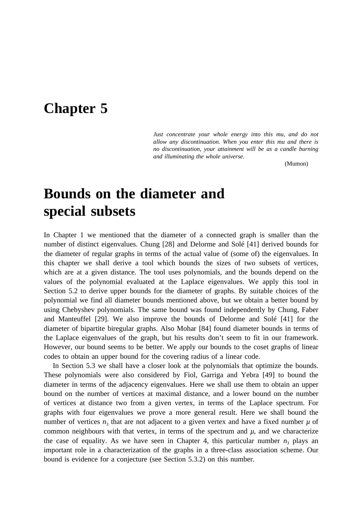## **Chapter 5**

*Just concentrate your whole energy into this mu*, *and do not allow any discontinuation. When you enter this mu and there is no discontinuation*, *your attainment will be as a candle burning and illuminating the whole universe.*

(Mumon)

# **Bounds on the diameter and special subsets**

In Chapter 1 we mentioned that the diameter of a connected graph is smaller than the number of distinct eigenvalues. Chung [28] and Delorme and Solé [41] derived bounds for the diameter of regular graphs in terms of the actual value of (some of) the eigenvalues. In this chapter we shall derive a tool which bounds the sizes of two subsets of vertices, which are at a given distance. The tool uses polynomials, and the bounds depend on the values of the polynomial evaluated at the Laplace eigenvalues. We apply this tool in Section 5.2 to derive upper bounds for the diameter of graphs. By suitable choices of the polynomial we find all diameter bounds mentioned above, but we obtain a better bound by using Chebyshev polynomials. The same bound was found independently by Chung, Faber and Manteuffel [29]. We also improve the bounds of Delorme and Solé [41] for the diameter of bipartite biregular graphs. Also Mohar [84] found diameter bounds in terms of the Laplace eigenvalues of the graph, but his results don't seem to fit in our framework. However, our bound seems to be better. We apply our bounds to the coset graphs of linear codes to obtain an upper bound for the covering radius of a linear code.

In Section 5.3 we shall have a closer look at the polynomials that optimize the bounds. These polynomials were also considered by Fiol, Garriga and Yebra [49] to bound the diameter in terms of the adjacency eigenvalues. Here we shall use them to obtain an upper bound on the number of vertices at maximal distance, and a lower bound on the number of vertices at distance two from a given vertex, in terms of the Laplace spectrum. For graphs with four eigenvalues we prove a more general result. Here we shall bound the number of vertices  $n_3$  that are not adjacent to a given vertex and have a fixed number  $\mu$  of common neighbours with that vertex, in terms of the spectrum and  $\mu$ , and we characterize the case of equality. As we have seen in Chapter 4, this particular number  $n_3$  plays an important role in a characterization of the graphs in a three-class association scheme. Our bound is evidence for a conjecture (see Section 5.3.2) on this number.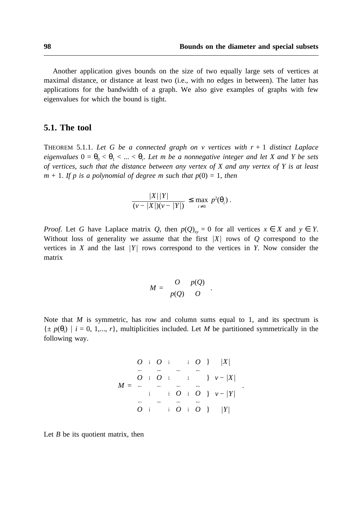Another application gives bounds on the size of two equally large sets of vertices at maximal distance, or distance at least two (i.e., with no edges in between). The latter has applications for the bandwidth of a graph. We also give examples of graphs with few eigenvalues for which the bound is tight.

### **5.1. The tool**

THEOREM 5.1.1. *Let G be a connected graph on v vertices with r* + 1 *distinct Laplace eigenvalues*  $0 = \theta_0 < \theta_1 < ... < \theta_r$ . Let m be a nonnegative integer and let X and Y be sets *of vertices*, *such that the distance between any vertex of X and any vertex of Y is at least*  $m + 1$ . If p is a polynomial of degree m such that  $p(0) = 1$ , then

$$
\frac{|X||Y|}{(\nu-|X|)(\nu-|Y|)} \leq \max_{i \neq 0} p^2(\theta_i).
$$

*Proof.* Let *G* have Laplace matrix *Q*, then  $p(Q)_{xy} = 0$  for all vertices  $x \in X$  and  $y \in Y$ . Without loss of generality we assume that the first  $|X|$  rows of  $Q$  correspond to the vertices in *X* and the last  $|Y|$  rows correspond to the vertices in *Y*. Now consider the matrix

$$
M = \begin{pmatrix} O & p(Q) \\ p(Q) & O \end{pmatrix}.
$$

Note that *M* is symmetric, has row and column sums equal to 1, and its spectrum is  $\{\pm p(\theta_i) \mid i = 0, 1, \dots, r\}$ , multiplicities included. Let *M* be partitioned symmetrically in the following way.

$$
M = \begin{pmatrix} O & \vdots & O & \vdots & \vdots & O \\ \vdots & \vdots & \vdots & \vdots & \vdots & \vdots \\ O & \vdots & O & \vdots & \vdots & \vdots \\ \vdots & \vdots & \vdots & O & \vdots & O \\ O & \vdots & \vdots & O & \vdots & O \end{pmatrix} \begin{pmatrix} X \\ Y \\ Y \\ Y \\ Y \\ Y \\ Y \\ Y \\ Y \\ Y \\ Y \\ Y \\ Y \\ Y \\ Y
$$

.

Let *B* be its quotient matrix, then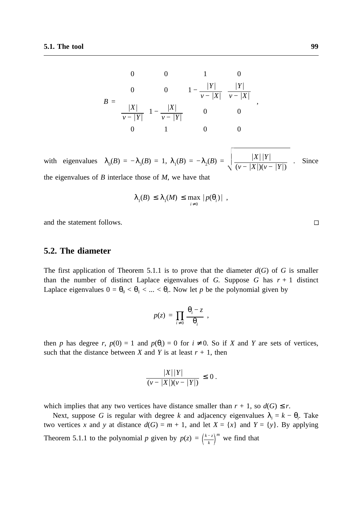$$
B = \begin{pmatrix} 0 & 0 & 1 & 0 \\ 0 & 0 & 1 - \frac{|Y|}{v - |X|} & \frac{|Y|}{v - |X|} \\ \frac{|X|}{v - |Y|} & 1 - \frac{|X|}{v - |Y|} & 0 & 0 \\ 0 & 1 & 0 & 0 \end{pmatrix},
$$

with eigenvalues  $\lambda_0(B) = -\lambda_3(B) = 1$ ,  $\lambda_1(B) = -\lambda_2(B) = \sqrt{\frac{|X||Y|}{(\nu - |X|)(\nu - |Y|)}}$ . Since the eigenvalues of *B* interlace those of *M*, we have that

$$
\lambda_{i}(B) \leq \lambda_{i}(M) \leq \max_{i \neq 0} |p(\theta_{i})|,
$$

and the statement follows.

### **5.2. The diameter**

The first application of Theorem 5.1.1 is to prove that the diameter  $d(G)$  of *G* is smaller than the number of distinct Laplace eigenvalues of *G*. Suppose *G* has  $r + 1$  distinct Laplace eigenvalues  $0 = \theta_0 < \theta_1 < ... < \theta_r$ . Now let *p* be the polynomial given by

$$
p(z) = \prod_{i \neq 0} \frac{\theta_i - z}{\theta_i} ,
$$

then *p* has degree *r*,  $p(0) = 1$  and  $p(\theta_i) = 0$  for  $i \neq 0$ . So if *X* and *Y* are sets of vertices, such that the distance between *X* and *Y* is at least  $r + 1$ , then

$$
\frac{|X||Y|}{(\nu - |X|)(\nu - |Y|)} \leq 0.
$$

which implies that any two vertices have distance smaller than  $r + 1$ , so  $d(G) \leq r$ .

Next, suppose *G* is regular with degree *k* and adjacency eigenvalues  $\lambda_i = k - \theta_i$ . Take two vertices *x* and *y* at distance  $d(G) = m + 1$ , and let  $X = \{x\}$  and  $Y = \{y\}$ . By applying Theorem 5.1.1 to the polynomial *p* given by  $p(z) = \left(\frac{k-z}{k}\right)^m$  we find that *m*

 $\Box$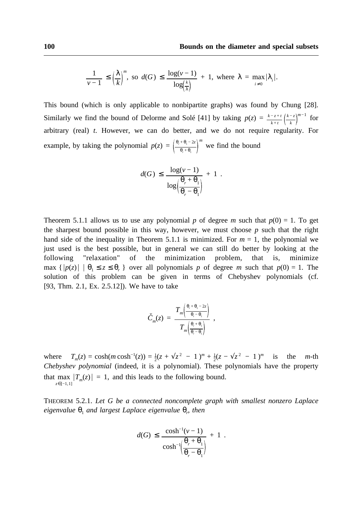$$
\frac{1}{\nu-1} \le \left(\frac{\lambda}{k}\right)^m, \text{ so } d(G) \le \frac{\log(\nu-1)}{\log\left(\frac{k}{\lambda}\right)} + 1, \text{ where } \lambda = \max_{i \ne 0} |\lambda_i|.
$$

This bound (which is only applicable to nonbipartite graphs) was found by Chung [28]. Similarly we find the bound of Delorme and Solé [41] by taking  $p(z) = \frac{k-z+t}{k+t} \left(\frac{k-z}{k}\right)^{m-1}$  for *k* − *z k m*−1 arbitrary (real) *t*. However, we can do better, and we do not require regularity. For example, by taking the polynomial  $p(z) = \left(\frac{\theta_r + \theta_1 - 2z}{\theta_r + \theta_1}\right)^m$  we find the bound *m*

$$
d(G) \le \frac{\log(v-1)}{\log(\frac{\theta_r + \theta_1}{\theta_r - \theta_1})} + 1.
$$

Theorem 5.1.1 allows us to use any polynomial *p* of degree *m* such that  $p(0) = 1$ . To get the sharpest bound possible in this way, however, we must choose *p* such that the right hand side of the inequality in Theorem 5.1.1 is minimized. For  $m = 1$ , the polynomial we just used is the best possible, but in general we can still do better by looking at the following "relaxation" of the minimization problem, that is, minimize max  $\{ |p(z)| \mid \theta_1 \leq z \leq \theta_r \}$  over all polynomials p of degree m such that  $p(0) = 1$ . The solution of this problem can be given in terms of Chebyshev polynomials (cf. [93, Thm. 2.1, Ex. 2.5.12]). We have to take

$$
\check{C}_m(z) = \frac{T_m\left(\frac{\theta_r + \theta_1 - 2z}{\theta_r - \theta_1}\right)}{T_m\left(\frac{\theta_r + \theta_1}{\theta_r - \theta_1}\right)} ,
$$

where  $T_m(z) = \cosh(m \cosh^{-1}(z)) = \frac{1}{2}(z + \sqrt{z^2 - 1})^m + \frac{1}{2}(z - \sqrt{z^2 - 1})^m$  is the *m*-th *Chebyshev polynomial* (indeed, it is a polynomial). These polynomials have the property that max  $|T_m(z)| = 1$ , and this leads to the following bound. *z*∈[−1,1]

THEOREM 5.2.1. *Let G be a connected noncomplete graph with smallest nonzero Laplace eigenvalue*  $θ_1$  *and largest Laplace eigenvalue*  $θ_2$ *, then* 

$$
d(G) \leq \frac{\cosh^{-1}(v-1)}{\cosh^{-1}\left(\frac{\theta_r + \theta_1}{\theta_r - \theta_1}\right)} + 1.
$$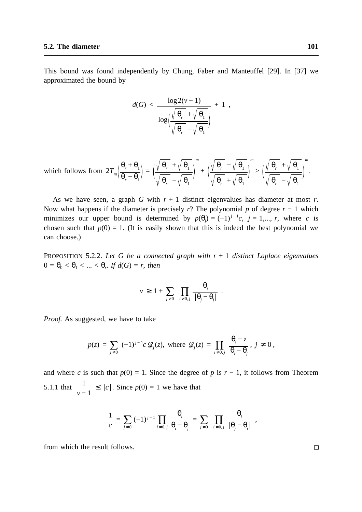This bound was found independently by Chung, Faber and Manteuffel [29]. In [37] we approximated the bound by

$$
d(G) < \frac{\log 2(\nu - 1)}{\log \left( \frac{\sqrt{\theta_r} + \sqrt{\theta_1}}{\sqrt{\theta_r} - \sqrt{\theta_1}} \right)} + 1,
$$

which follows from  $2T_m$  $\theta_r + \theta_1$  $\theta_r - \theta_1$  $=\left(\frac{\sqrt{\theta_r} + \sqrt{\theta_1}}{1}\right)$  $\theta_r - \sqrt{\theta_1}$ *m*  $+\left(\frac{\sqrt{\theta_r}-\sqrt{\theta_1}}{2}\right)$  $\theta_r$  +  $\sqrt{\theta_1}$ *m*  $> \left(\frac{\sqrt{\theta_r} + \sqrt{\theta_1}}{1}\right)$  $\theta_r - \sqrt{\theta_1}$ *m* .

As we have seen, a graph *G* with  $r + 1$  distinct eigenvalues has diameter at most *r*. Now what happens if the diameter is precisely  $r$ ? The polynomial  $p$  of degree  $r - 1$  which minimizes our upper bound is determined by  $p(\theta_j) = (-1)^{j-1}c$ ,  $j = 1,..., r$ , where *c* is chosen such that  $p(0) = 1$ . (It is easily shown that this is indeed the best polynomial we can choose.)

PROPOSITION 5.2.2. *Let G be a connected graph with r* + 1 *distinct Laplace eigenvalues*  $0 = \theta_0 < \theta_1 < \ldots < \theta_r$ . If  $d(G) = r$ , then

$$
\nu \geq 1 + \sum_{j \neq 0} \prod_{i \neq 0, j} \frac{\theta_i}{|\theta_j - \theta_i|} .
$$

*Proof.* As suggested, we have to take

$$
p(z) = \sum_{j \neq 0} (-1)^{j-1} c \mathfrak{L}_j(z), \text{ where } \mathfrak{L}_j(z) = \prod_{i \neq 0, j} \frac{\theta_i - z}{\theta_i - \theta_j}, j \neq 0,
$$

and where *c* is such that  $p(0) = 1$ . Since the degree of *p* is  $r - 1$ , it follows from Theorem 5.1.1 that  $\frac{1}{\sqrt{1-\epsilon}} \leq |c|$ . Since  $p(0) = 1$  we have that *v* − 1 ≤ *c*

$$
\frac{1}{c} = \sum_{j \neq 0} (-1)^{j-1} \prod_{i \neq 0, j} \frac{\theta_i}{\theta_i - \theta_j} = \sum_{j \neq 0} \prod_{i \neq 0, j} \frac{\theta_i}{|\theta_j - \theta_i|} ,
$$

from which the result follows.

 $\Box$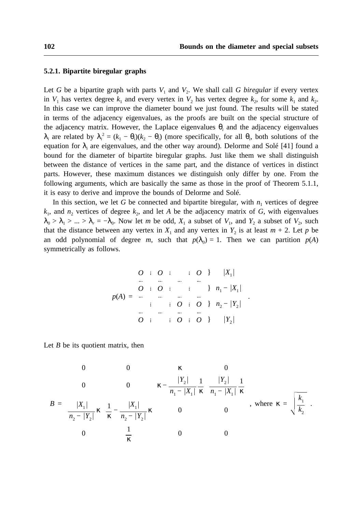.

### **5.2.1. Bipartite biregular graphs**

Let *G* be a bipartite graph with parts  $V_1$  and  $V_2$ . We shall call *G biregular* if every vertex in  $V_1$  has vertex degree  $k_1$  and every vertex in  $V_2$  has vertex degree  $k_2$ , for some  $k_1$  and  $k_2$ . In this case we can improve the diameter bound we just found. The results will be stated in terms of the adjacency eigenvalues, as the proofs are built on the special structure of the adjacency matrix. However, the Laplace eigenvalues  $θ<sub>i</sub>$  and the adjacency eigenvalues  $\lambda_i$  are related by  $\lambda_i^2 = (k_1 - \theta_i)(k_2 - \theta_i)$  (more specifically, for all  $\theta_i$ , both solutions of the equation for  $\lambda_i$  are eigenvalues, and the other way around). Delorme and Solé [41] found a bound for the diameter of bipartite biregular graphs. Just like them we shall distinguish between the distance of vertices in the same part, and the distance of vertices in distinct parts. However, these maximum distances we distinguish only differ by one. From the following arguments, which are basically the same as those in the proof of Theorem 5.1.1, it is easy to derive and improve the bounds of Delorme and Solé.

In this section, we let *G* be connected and bipartite biregular, with  $n_1$  vertices of degree  $k_1$ , and  $n_2$  vertices of degree  $k_2$ , and let *A* be the adjacency matrix of *G*, with eigenvalues  $\lambda_0 > \lambda_1 > ... > \lambda_r = -\lambda_0$ . Now let *m* be odd,  $X_1$  a subset of  $V_1$ , and  $Y_2$  a subset of  $V_2$ , such that the distance between any vertex in  $X_1$  and any vertex in  $Y_2$  is at least  $m + 2$ . Let p be an odd polynomial of degree *m*, such that  $p(\lambda_0) = 1$ . Then we can partition  $p(A)$ symmetrically as follows.

$$
p(A) = \begin{pmatrix} 0 & \vdots & 0 & \vdots & \vdots & 0 \\ \vdots & \vdots & \vdots & \vdots & \vdots & \vdots \\ 0 & \vdots & 0 & \vdots & \vdots & \vdots \\ \vdots & \vdots & \vdots & \vdots & 0 & \vdots \\ 0 & \vdots & \vdots & \vdots & 0 & \vdots \\ 0 & \vdots & \vdots & \vdots & 0 & \vdots \end{pmatrix} \begin{pmatrix} |X_1| \\ \vdots \\ \vdots \\ \vdots \\ \vdots \\ \vdots \\ \vdots \\ |X_2| \end{pmatrix}
$$

Let  $B$  be its quotient matrix, then

$$
B = \begin{pmatrix}\n0 & 0 & \kappa & 0 \\
0 & 0 & \kappa - \frac{|Y_2|}{n_1 - |X_1|} \frac{1}{\kappa} & \frac{|Y_2|}{n_1 - |X_1|} \frac{1}{\kappa} \\
\frac{|X_1|}{n_2 - |Y_2|} \kappa & \frac{1}{\kappa} - \frac{|X_1|}{n_2 - |Y_2|} \kappa & 0 & 0 \\
0 & \frac{1}{\kappa} & 0 & 0\n\end{pmatrix}, \text{ where } \kappa = \sqrt{\frac{k_1}{k_2}}.
$$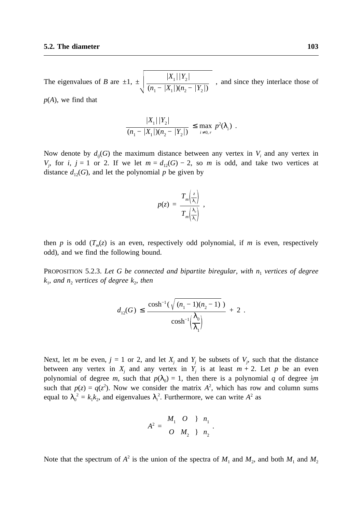The eigenvalues of *B* are  $\pm 1$ ,  $\pm \sqrt{\frac{|X_1||Y_2|}{|X_1||X_2|}}$ , and since they interlace those of  $\frac{|P_1|+|P_2|}{(n_1-|X_1|)(n_2-|Y_2|)},$ 

*p*(*A*), we find that

$$
\frac{|X_1||Y_2|}{(n_1-|X_1|)(n_2-|Y_2|)} \le \max_{i \neq 0, r} p^2(\lambda_i).
$$

Now denote by  $d_{ii}(G)$  the maximum distance between any vertex in  $V_i$  and any vertex in *V<sub>j</sub>*, for *i*, *j* = 1 or 2. If we let  $m = d_{12}(G) - 2$ , so *m* is odd, and take two vertices at distance  $d_{12}(G)$ , and let the polynomial p be given by

$$
p(z) = \frac{T_m\left(\frac{z}{\lambda_1}\right)}{T_m\left(\frac{\lambda_0}{\lambda_1}\right)} \ ,
$$

then *p* is odd  $(T_m(z)$  is an even, respectively odd polynomial, if *m* is even, respectively odd), and we find the following bound.

PROPOSITION 5.2.3. Let G be connected and bipartite biregular, with  $n_1$  vertices of degree  $k_1$ *, and*  $n_2$  *vertices of degree*  $k_2$ *, then* 

$$
d_{12}(G) \le \frac{\cosh^{-1}(\sqrt{(n_1 - 1)(n_2 - 1)})}{\cosh^{-1}(\frac{\lambda_0}{\lambda_1})} + 2.
$$

Next, let *m* be even,  $j = 1$  or 2, and let  $X_j$  and  $Y_j$  be subsets of  $V_j$ , such that the distance between any vertex in  $X_i$  and any vertex in  $Y_i$  is at least  $m + 2$ . Let  $p$  be an even polynomial of degree *m*, such that  $p(\lambda_0) = 1$ , then there is a polynomial *q* of degree  $\frac{1}{2}m$ such that  $p(z) = q(z^2)$ . Now we consider the matrix  $A^2$ , which has row and column sums equal to  $\lambda_0^2 = k_1 k_2$ , and eigenvalues  $\lambda_i^2$ . Furthermore, we can write  $A^2$  as

$$
A^2 = \begin{pmatrix} M_1 & O \\ O & M_2 \end{pmatrix} \begin{matrix} \vdots & \vdots \\ \vdots & \vdots \\ \vdots & \vdots \\ \vdots & \vdots \\ \vdots & \vdots \\ \vdots & \vdots \\ \vdots & \vdots \\ \vdots & \vdots \\ \vdots & \vdots \\ \vdots & \vdots \\ \vdots & \vdots \\ \vdots & \vdots \\ \vdots & \vdots \\ \vdots & \vdots \\ \vdots & \vdots \\ \vdots & \vdots \\ \vdots & \vdots \\ \vdots & \vdots \\ \vdots & \vdots \\ \vdots & \vdots \\ \vdots & \vdots \\ \vdots & \vdots \\ \vdots & \vdots \\ \vdots & \vdots \\ \vdots & \vdots \\ \vdots & \vdots \\ \vdots & \vdots \\ \vdots & \vdots \\ \vdots & \vdots \\ \vdots & \vdots \\ \vdots & \vdots \\ \vdots & \vdots \\ \vdots & \vdots \\ \vdots & \vdots \\ \vdots & \vdots \\ \vdots & \vdots \\ \vdots & \vdots \\ \vdots & \vdots \\ \vdots & \vdots \\ \vdots & \vdots \\ \vdots & \vdots \\ \vdots & \vdots \\ \vdots & \vdots \\ \vdots & \vdots \\ \vdots & \vdots \\ \vdots & \vdots \\ \vdots & \vdots \\ \vdots & \vdots \\ \vdots & \vdots \\ \vdots & \vdots \\ \vdots & \vdots \\ \vdots & \vdots \\ \vdots & \vdots \\ \vdots & \vdots \\ \vdots & \vdots \\ \vdots & \vdots \\ \vdots & \vdots \\ \vdots & \vdots \\ \vdots & \vdots \\ \vdots & \vdots \\ \vdots & \vdots \\ \vdots & \vdots \\ \vdots & \vdots \\ \vdots & \vdots \\ \vdots & \vdots \\ \vdots & \vdots \\ \vdots & \vdots \\ \vdots & \vdots \\ \vdots & \vdots \\ \vdots & \vdots \\ \vdots & \vdots \\ \vdots & \vdots \\ \vdots & \vdots \\ \vdots & \vdots \\ \vdots & \vdots \\ \vdots & \vdots \\ \vdots & \vdots \\ \vdots & \vdots \\ \vdots & \vdots \\ \vdots & \vdots \\ \vdots & \vdots \\ \vdots & \vdots \\ \vdots & \vdots \\ \vdots & \vdots \\ \vdots & \vdots \\ \vdots & \vdots \\ \vdots & \vdots \\ \vdots & \vdots \\ \vdots & \vdots \\ \vdots & \vdots \\ \vdots & \vdots
$$

Note that the spectrum of  $A^2$  is the union of the spectra of  $M_1$  and  $M_2$ , and both  $M_1$  and  $M_2$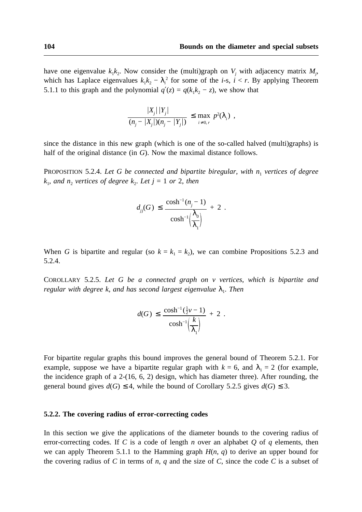have one eigenvalue  $k_1k_2$ . Now consider the (multi)graph on  $V_j$  with adjacency matrix  $M_j$ , which has Laplace eigenvalues  $k_1k_2 - \lambda_i^2$  for some of the *i*-s, *i* < *r*. By applying Theorem 5.1.1 to this graph and the polynomial  $q'(z) = q(k_1k_2 - z)$ , we show that

$$
\frac{|X_j||Y_j|}{(n_j - |X_j|)(n_j - |Y_j|)} \le \max_{i \neq 0, r} p^2(\lambda_i) ,
$$

since the distance in this new graph (which is one of the so-called halved (multi)graphs) is half of the original distance (in *G*). Now the maximal distance follows.

PROPOSITION 5.2.4. Let G be connected and bipartite biregular, with  $n_1$  vertices of degree  $k_1$ , and  $n_2$  *vertices of degree*  $k_2$ . Let  $j = 1$  or 2, then

$$
d_{jj}(G) \leq \frac{\cosh^{-1}(n_j-1)}{\cosh^{-1}(\frac{\lambda_0}{\lambda_1})} + 2.
$$

When *G* is bipartite and regular (so  $k = k_1 = k_2$ ), we can combine Propositions 5.2.3 and 5.2.4.

COROLLARY 5.2.5. *Let G be a connected graph on v vertices*, *which is bipartite and regular with degree k, and has second largest eigenvalue*  $\lambda_1$ *. Then* 

$$
d(G) \leq \frac{\cosh^{-1}(\frac{1}{2}\nu - 1)}{\cosh^{-1}(\frac{k}{\lambda_1})} + 2.
$$

For bipartite regular graphs this bound improves the general bound of Theorem 5.2.1. For example, suppose we have a bipartite regular graph with  $k = 6$ , and  $\lambda_1 = 2$  (for example, the incidence graph of a 2-(16, 6, 2) design, which has diameter three). After rounding, the general bound gives  $d(G) \leq 4$ , while the bound of Corollary 5.2.5 gives  $d(G) \leq 3$ .

### **5.2.2. The covering radius of error-correcting codes**

In this section we give the applications of the diameter bounds to the covering radius of error-correcting codes. If *C* is a code of length *n* over an alphabet *Q* of *q* elements, then we can apply Theorem 5.1.1 to the Hamming graph  $H(n, q)$  to derive an upper bound for the covering radius of *C* in terms of *n*, *q* and the size of *C*, since the code *C* is a subset of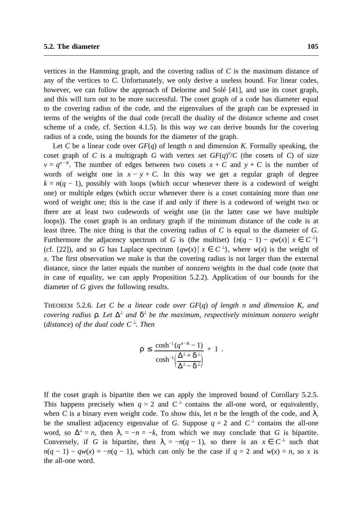vertices in the Hamming graph, and the covering radius of *C* is the maximum distance of any of the vertices to *C*. Unfortunately, we only derive a useless bound. For linear codes, however, we can follow the approach of Delorme and Solé [41], and use its coset graph, and this will turn out to be more successful. The coset graph of a code has diameter equal to the covering radius of the code, and the eigenvalues of the graph can be expressed in terms of the weights of the dual code (recall the duality of the distance scheme and coset scheme of a code, cf. Section 4.1.5). In this way we can derive bounds for the covering radius of a code, using the bounds for the diameter of the graph.

Let *C* be a linear code over *GF*(*q*) of length *n* and dimension *K*. Formally speaking, the coset graph of *C* is a multigraph *G* with vertex set  $GF(q)^n/C$  (the cosets of *C*) of size  $v = q^{n-K}$ . The number of edges between two cosets  $x + C$  and  $y + C$  is the number of words of weight one in  $x - y + C$ . In this way we get a regular graph of degree  $k = n(q - 1)$ , possibly with loops (which occur whenever there is a codeword of weight one) or multiple edges (which occur whenever there is a coset containing more than one word of weight one; this is the case if and only if there is a codeword of weight two or there are at least two codewords of weight one (in the latter case we have multiple loops)). The coset graph is an ordinary graph if the minimum distance of the code is at least three. The nice thing is that the covering radius of *C* is equal to the diameter of *G*. Furthermore the adjacency spectrum of *G* is (the multiset)  ${n(q - 1) - qw(x) | x \in C^{\perp}}$ (cf. [22]), and so *G* has Laplace spectrum  $\{qw(x) | x \in C^{\perp}\}\$ , where  $w(x)$  is the weight of *x*. The first observation we make is that the covering radius is not larger than the external distance, since the latter equals the number of nonzero weights in the dual code (note that in case of equality, we can apply Proposition 5.2.2). Application of our bounds for the diameter of *G* gives the following results.

THEOREM 5.2.6. *Let C be a linear code over GF*(*q*) *of length n and dimension K*, *and covering radius* ρ*. Let* ∆⊥ *and* δ⊥ *be the maximum*, *respectively minimum nonzero weight* (*distance*) *of the dual code C* <sup>⊥</sup> . *Then*

$$
\rho \leq \frac{\cosh^{-1}(q^{n-K}-1)}{\cosh^{-1}\left(\frac{\Delta^{\perp}+\delta^{\perp}}{\Delta^{\perp}-\delta^{\perp}}\right)} + 1.
$$

If the coset graph is bipartite then we can apply the improved bound of Corollary 5.2.5. This happens precisely when  $q = 2$  and  $C^{\perp}$  contains the all-one word, or equivalently, when *C* is a binary even weight code. To show this, let *n* be the length of the code, and  $\lambda_r$ be the smallest adjacency eigenvalue of *G*. Suppose  $q = 2$  and  $C^{\perp}$  contains the all-one word, so  $\Delta^{\perp} = n$ , then  $\lambda_r = -n = -k$ , from which we may conclude that *G* is bipartite. Conversely, if *G* is bipartite, then  $\lambda_r = -n(q-1)$ , so there is an  $x \in C^{\perp}$  such that  $n(q-1) - qw(x) = -n(q-1)$ , which can only be the case if  $q = 2$  and  $w(x) = n$ , so *x* is the all-one word.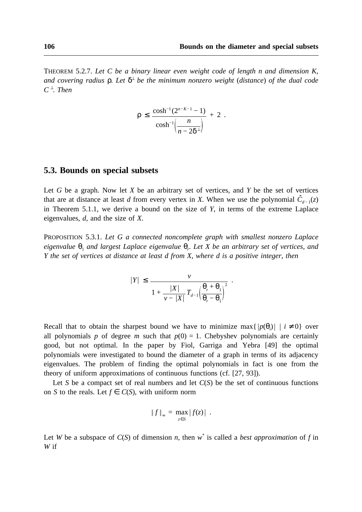THEOREM 5.2.7. *Let C be a binary linear even weight code of length n and dimension K*, *and covering radius* ρ*. Let* δ⊥ *be the minimum nonzero weight* (*distance*) *of the dual code*  $C^{\perp}$ . *Then* 

$$
\rho \leq \frac{\cosh^{-1}(2^{n-K-1}-1)}{\cosh^{-1}\left(\frac{n}{n-2\delta^{\perp}}\right)} + 2.
$$

### **5.3. Bounds on special subsets**

Let *G* be a graph. Now let *X* be an arbitrary set of vertices, and *Y* be the set of vertices that are at distance at least *d* from every vertex in *X*. When we use the polynomial  $\check{C}_{d-1}(z)$ in Theorem 5.1.1, we derive a bound on the size of *Y*, in terms of the extreme Laplace eigenvalues, *d*, and the size of *X*.

PROPOSITION 5.3.1. *Let G a connected noncomplete graph with smallest nonzero Laplace eigenvalue*  $\theta_1$  *and largest Laplace eigenvalue*  $\theta_r$ . Let X be *an arbitrary set of vertices, and Y the set of vertices at distance at least d from X*, *where d is a positive integer*, *then*

$$
|Y| \leq \frac{\nu}{1 + \frac{|X|}{\nu - |X|} T_{d-1} \left(\frac{\theta_r + \theta_1}{\theta_r - \theta_1}\right)^2}.
$$

Recall that to obtain the sharpest bound we have to minimize max $\{|p(\theta_i)| \mid i \neq 0\}$  over all polynomials *p* of degree *m* such that  $p(0) = 1$ . Chebyshev polynomials are certainly good, but not optimal. In the paper by Fiol, Garriga and Yebra [49] the optimal polynomials were investigated to bound the diameter of a graph in terms of its adjacency eigenvalues. The problem of finding the optimal polynomials in fact is one from the theory of uniform approximations of continuous functions (cf. [27, 93]).

Let *S* be a compact set of real numbers and let  $C(S)$  be the set of continuous functions on *S* to the reals. Let  $f \in C(S)$ , with uniform norm

$$
\|f\|_{\infty} = \max_{z \in S} |f(z)|.
$$

Let *W* be a subspace of  $C(S)$  of dimension *n*, then  $w^*$  is called a *best approximation* of *f* in *W* if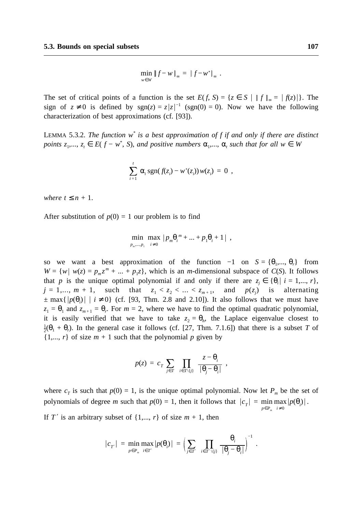$$
\min_{w \in W} \|f - w\|_{\infty} = \|f - w^*\|_{\infty}.
$$

The set of critical points of a function is the set  $E(f, S) = \{z \in S \mid ||f||_{\infty} = |f(z)|\}$ . The sign of  $z \neq 0$  is defined by sgn(*z*) =  $z|z|^{-1}$  (sgn(0) = 0). Now we have the following characterization of best approximations (cf. [93]).

LEMMA 5.3.2. *The function w\* is a best approximation of f if and only if there are distinct points*  $z_1, ..., z_t \in E(f - w^*$ , *S*), *and positive numbers*  $\alpha_1, ..., \alpha_t$  *such that for all*  $w \in W$ 

$$
\sum_{i=1}^{t} \alpha_i \, \text{sgn}(f(z_i) - w^*(z_i)) w(z_i) = 0 ,
$$

*where*  $t \leq n + 1$ .

After substitution of  $p(0) = 1$  our problem is to find

$$
\min_{p_m,\dots,p_1} \max_{i \neq 0} |p_m \theta_i^m + \dots + p_1 \theta_i + 1|,
$$

so we want a best approximation of the function  $-1$  on  $S = {\theta_1, \dots, \theta_r}$  from  $W = \{w \mid w(z) = p_m z^m + \dots + p_1 z\}$ , which is an *m*-dimensional subspace of *C*(*S*). It follows that *p* is the unique optimal polynomial if and only if there are  $z_i \in {\theta_i}$   $i = 1,..., r$ ,  $j = 1,..., m + 1$ , such that  $z_1 < z_2 < ... < z_{m+1}$ , and  $p(z_i)$  is alternating  $\pm$  max $\{ |p(\theta_i)| \mid i \neq 0 \}$  (cf. [93, Thm. 2.8 and 2.10]). It also follows that we must have  $z_1 = \theta_1$  and  $z_{m+1} = \theta_r$ . For  $m = 2$ , where we have to find the optimal quadratic polynomial, it is easily verified that we have to take  $z_2 = \theta_h$ , the Laplace eigenvalue closest to  $\frac{1}{2}(\theta_1 + \theta_r)$ . In the general case it follows (cf. [27, Thm. 7.1.6]) that there is a subset *T* of  $\{1, \ldots, r\}$  of size  $m + 1$  such that the polynomial p given by

$$
p(z) = c_T \sum_{j \in T} \prod_{i \in T \setminus \{j\}} \frac{z - \theta_i}{|\theta_j - \theta_i|},
$$

where  $c_T$  is such that  $p(0) = 1$ , is the unique optimal polynomial. Now let  $P_m$  be the set of polynomials of degree *m* such that  $p(0) = 1$ , then it follows that  $|c_T| = \min_{n \in \mathbb{Z}} \max |p(\theta) - \hat{c}|$ .  $p \in P_m$  *i* ≠ 0

If *T'* is an arbitrary subset of  $\{1,..., r\}$  of size  $m + 1$ , then

$$
|c_{T'}| = \min_{p \in P_m} \max_{i \in T'} |p(\theta_i)| = \left(\sum_{j \in T'} \prod_{i \in T' \setminus \{j\}} \frac{\theta_i}{|\theta_j - \theta_i|}\right)^{-1}.
$$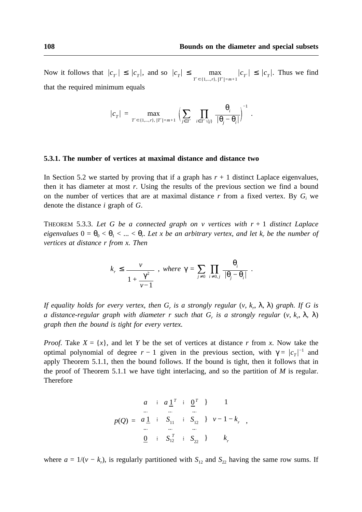.

.

Now it follows that  $|c_T| \leq |c_T|$ , and so  $|c_T| \leq \max_{T' \subset \{1,\ldots,r\}, |T'| = m+1} |c_T| \leq |c_T|$ . Thus we find that the required minimum equals

$$
|c_{T}| = \max_{T' \subset \{1,\ldots,r\}, |T'| = m+1} \left( \sum_{j \in T'} \prod_{i \in T'\setminus\{j\}} \frac{\theta_{i}}{|\theta_{j} - \theta_{i}|} \right)^{-1}
$$

#### **5.3.1. The number of vertices at maximal distance and distance two**

In Section 5.2 we started by proving that if a graph has  $r + 1$  distinct Laplace eigenvalues, then it has diameter at most *r*. Using the results of the previous section we find a bound on the number of vertices that are at maximal distance  $r$  from a fixed vertex. By  $G_i$  we denote the distance *i* graph of *G*.

THEOREM 5.3.3. *Let G be a connected graph on v vertices with r* + 1 *distinct Laplace eigenvalues*  $0 = \theta_0 < \theta_1 < ... < \theta_r$ . Let x be an arbitrary vertex, and let k<sub>r</sub> be the number of *vertices at distance r from x. Then*

$$
k_r \le \frac{v}{1 + \frac{\gamma^2}{v - 1}} \text{ , where } \gamma = \sum_{j \neq 0} \prod_{i \neq 0, j} \frac{\theta_i}{|\theta_j - \theta_i|}
$$

*If equality holds for every vertex, then*  $G_r$  *is a strongly regular*  $(v, k_r, \lambda, \lambda)$  *graph. If* G *is a distance-regular graph with diameter r such that*  $G_r$  *is a strongly regular*  $(v, k_r, \lambda, \lambda)$ *graph then the bound is tight for every vertex.*

*Proof.* Take  $X = \{x\}$ , and let *Y* be the set of vertices at distance *r* from *x*. Now take the optimal polynomial of degree  $r - 1$  given in the previous section, with  $\gamma = |c_T|^{-1}$  and apply Theorem 5.1.1, then the bound follows. If the bound is tight, then it follows that in the proof of Theorem 5.1.1 we have tight interlacing, and so the partition of *M* is regular. Therefore

*p*(*Q*) = *a a* 1 *<sup>T</sup>* 0 *<sup>T</sup> a* 1 *S*<sup>11</sup> *S*<sup>12</sup> 0 *S <sup>T</sup>* <sup>12</sup> *S*<sup>22</sup> } 1 } *v* − 1 − *kr* } *kr* ,

where  $a = 1/(v - k_r)$ , is regularly partitioned with  $S_{12}$  and  $S_{22}$  having the same row sums. If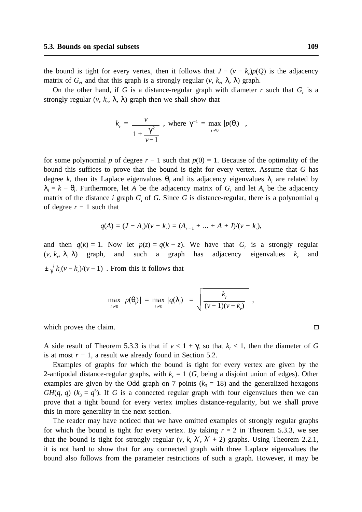the bound is tight for every vertex, then it follows that  $J - (v - k_r)p(Q)$  is the adjacency matrix of  $G_r$ , and that this graph is a strongly regular  $(v, k_r, \lambda, \lambda)$  graph.

On the other hand, if *G* is a distance-regular graph with diameter *r* such that  $G<sub>r</sub>$  is a strongly regular  $(v, k_r, \lambda, \lambda)$  graph then we shall show that

$$
k_r = \frac{v}{1 + \frac{\gamma^2}{v - 1}} \text{ , where } \gamma^{-1} = \max_{i \neq 0} |p(\theta_i)| \text{ ,}
$$

for some polynomial *p* of degree  $r - 1$  such that  $p(0) = 1$ . Because of the optimality of the bound this suffices to prove that the bound is tight for every vertex. Assume that *G* has degree *k*, then its Laplace eigenvalues  $\theta_i$  and its adjacency eigenvalues  $\lambda_i$  are related by  $\lambda_i = k - \theta_i$ . Furthermore, let *A* be the adjacency matrix of *G*, and let  $A_i$  be the adjacency matrix of the distance *i* graph  $G_i$  of  $G$ . Since  $G$  is distance-regular, there is a polynomial  $q$ of degree  $r - 1$  such that

$$
q(A) = (J - A_r)/(v - k_r) = (A_{r-1} + ... + A + I)/(v - k_r),
$$

and then  $q(k) = 1$ . Now let  $p(z) = q(k - z)$ . We have that  $G_r$  is a strongly regular  $(v, k_r, \lambda, \lambda)$  graph, and such a graph has adjacency eigenvalues  $k_r$  and  $\pm \sqrt{k_r(\nu - k_r)}$ /( $\nu - 1$ ). From this it follows that

$$
\max_{i \neq 0} |p(\theta_i)| = \max_{i \neq 0} |q(\lambda_i)| = \sqrt{\frac{k_r}{(\nu - 1)(\nu - k_r)}} ,
$$

which proves the claim.

A side result of Theorem 5.3.3 is that if  $v < 1 + \gamma$ , so that  $k_r < 1$ , then the diameter of G is at most  $r - 1$ , a result we already found in Section 5.2.

Examples of graphs for which the bound is tight for every vertex are given by the 2-antipodal distance-regular graphs, with  $k_r = 1$  ( $G_r$  being a disjoint union of edges). Other examples are given by the Odd graph on 7 points  $(k_3 = 18)$  and the generalized hexagons *GH*(*q*, *q*) ( $k_3 = q^5$ ). If *G* is a connected regular graph with four eigenvalues then we can prove that a tight bound for every vertex implies distance-regularity, but we shall prove this in more generality in the next section.

The reader may have noticed that we have omitted examples of strongly regular graphs for which the bound is tight for every vertex. By taking  $r = 2$  in Theorem 5.3.3, we see that the bound is tight for strongly regular  $(v, k, \lambda', \lambda' + 2)$  graphs. Using Theorem 2.2.1, it is not hard to show that for any connected graph with three Laplace eigenvalues the bound also follows from the parameter restrictions of such a graph. However, it may be

 $\Box$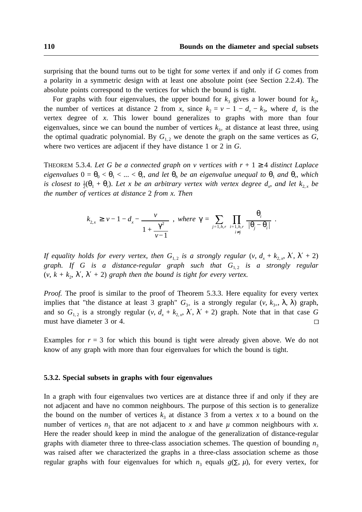surprising that the bound turns out to be tight for *some* vertex if and only if *G* comes from a polarity in a symmetric design with at least one absolute point (see Section 2.2.4). The absolute points correspond to the vertices for which the bound is tight.

For graphs with four eigenvalues, the upper bound for  $k_3$  gives a lower bound for  $k_2$ , the number of vertices at distance 2 from *x*, since  $k_2 = v - 1 - d_x - k_3$ , where  $d_x$  is the vertex degree of *x*. This lower bound generalizes to graphs with more than four eigenvalues, since we can bound the number of vertices  $k_{3+}$  at distance at least three, using the optimal quadratic polynomial. By  $G_{1,2}$  we denote the graph on the same vertices as  $G$ , where two vertices are adjacent if they have distance 1 or 2 in *G*.

THEOREM 5.3.4. Let G be a connected graph on v vertices with  $r + 1 \geq 4$  distinct Laplace *eigenvalues*  $0 = \theta_0 < \theta_1 < ... < \theta_r$ , *and let*  $\theta_h$  *be an eigenvalue unequal to*  $\theta_1$  *and*  $\theta_r$ , *which is closest to*  $\frac{1}{2}(\theta_1 + \theta_r)$ . Let x be an arbitrary vertex with vertex degree  $d_x$ , and let  $k_{2,x}$  be *the number of vertices at distance* 2 *from x. Then*

$$
k_{2,x} \geq \nu - 1 - d_x - \frac{\nu}{1 + \frac{\gamma^2}{\nu - 1}} \text{ , where } \gamma = \sum_{j=1,h,r} \prod_{\substack{i=1,h,r \\ i \neq j}} \frac{\theta_i}{|\theta_j - \theta_i|} .
$$

*If equality holds for every vertex, then*  $G_{1,2}$  *is a strongly regular* (*v,*  $d_x + k_{2,x}$ *,*  $\lambda'$ *,*  $\lambda' + 2$ *) graph.* If G is a distance-regular graph such that G<sub>1,2</sub> is a strongly regular  $(v, k + k_2, \lambda', \lambda' + 2)$  *graph then the bound is tight for every vertex.* 

*Proof.* The proof is similar to the proof of Theorem 5.3.3. Here equality for every vertex implies that "the distance at least 3 graph"  $G_{3+}$  is a strongly regular  $(v, k_{3+}, \lambda, \lambda)$  graph, and so  $G_{1,2}$  is a strongly regular  $(v, d_x + k_{2,x}, \lambda', \lambda' + 2)$  graph. Note that in that case G must have diameter 3 or 4.  $\Box$ 

Examples for  $r = 3$  for which this bound is tight were already given above. We do not know of any graph with more than four eigenvalues for which the bound is tight.

### **5.3.2. Special subsets in graphs with four eigenvalues**

In a graph with four eigenvalues two vertices are at distance three if and only if they are not adjacent and have no common neighbours. The purpose of this section is to generalize the bound on the number of vertices  $k_3$  at distance 3 from a vertex x to a bound on the number of vertices  $n_3$  that are not adjacent to x and have  $\mu$  common neighbours with x. Here the reader should keep in mind the analogue of the generalization of distance-regular graphs with diameter three to three-class association schemes. The question of bounding  $n_3$ was raised after we characterized the graphs in a three-class association scheme as those regular graphs with four eigenvalues for which  $n_3$  equals  $g(\Sigma, \mu)$ , for every vertex, for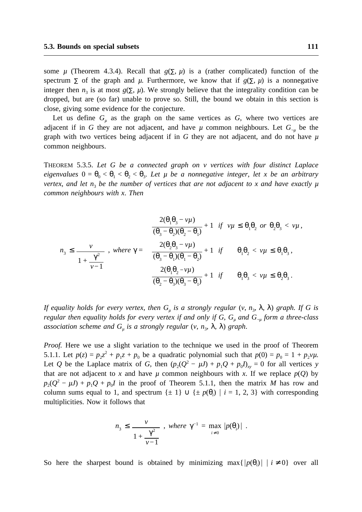some  $\mu$  (Theorem 4.3.4). Recall that  $g(\Sigma, \mu)$  is a (rather complicated) function of the spectrum  $\Sigma$  of the graph and  $\mu$ . Furthermore, we know that if  $g(\Sigma, \mu)$  is a nonnegative integer then  $n_3$  is at most  $g(\Sigma, \mu)$ . We strongly believe that the integrality condition can be dropped, but are (so far) unable to prove so. Still, the bound we obtain in this section is close, giving some evidence for the conjecture.

Let us define  $G_{\mu}$  as the graph on the same vertices as  $G$ , where two vertices are adjacent if in *G* they are not adjacent, and have  $\mu$  common neighbours. Let  $G_{\mu\nu}$  be the graph with two vertices being adjacent if in  $G$  they are not adjacent, and do not have  $\mu$ common neighbours.

THEOREM 5.3.5. *Let G be a connected graph on v vertices with four distinct Laplace eigenvalues*  $0 = \theta_0 < \theta_1 < \theta_2 < \theta_3$ . Let  $\mu$  be a nonnegative integer, let x be an arbitrary *vertex, and let n<sub>3</sub> be the number of vertices that are not adjacent to x and have exactly*  $\mu$ *common neighbours with x*. *Then*

$$
n_3 \le \frac{\nu}{1 + \frac{\gamma^2}{\nu - 1}} \ , \ where \ \gamma = \begin{cases} \displaystyle \frac{2(\theta_1 \theta_3 - \nu \mu)}{(\theta_3 - \theta_2)(\theta_2 - \theta_1)} + 1 & \text{if } \nu \mu \le \theta_1 \theta_2 \ or \ \theta_2 \theta_3 < \nu \mu \end{cases}, \\ \displaystyle \frac{2(\theta_2 \theta_3 - \nu \mu)}{(\theta_3 - \theta_1)(\theta_1 - \theta_2)} + 1 & \text{if } \theta_1 \theta_2 < \nu \mu \le \theta_1 \theta_3, \\ \displaystyle \frac{2(\theta_1 \theta_2 - \nu \mu)}{(\theta_2 - \theta_3)(\theta_3 - \theta_1)} + 1 & \text{if } \theta_1 \theta_3 < \nu \mu \le \theta_2 \theta_3. \end{cases}
$$

*If equality holds for every vertex, then*  $G_u$  *is a strongly regular*  $(v, n_3, \lambda, \lambda)$  *graph. If* G *is regular then equality holds for every vertex if and only if G,*  $G_{\mu}$  *and*  $G_{\mu}$  *<i>form a three-class association scheme and*  $G_{\mu}$  *is a strongly regular* (*v*, *n*<sub>3</sub>,  $\lambda$ ,  $\lambda$ ) *graph*.

*Proof.* Here we use a slight variation to the technique we used in the proof of Theorem 5.1.1. Let  $p(z) = p_2 z^2 + p_1 z + p_0$  be a quadratic polynomial such that  $p(0) = p_0 = 1 + p_2 \nu \mu$ . Let *Q* be the Laplace matrix of *G*, then  $(p_2(Q^2 - \mu J) + p_1Q + p_0I)_{xy} = 0$  for all vertices *y* that are not adjacent to *x* and have  $\mu$  common neighbours with *x*. If we replace  $p(Q)$  by  $p_2(Q^2 - \mu J) + p_1 Q + p_0 I$  in the proof of Theorem 5.1.1, then the matrix *M* has row and column sums equal to 1, and spectrum  $\{\pm 1\} \cup \{\pm p(\theta_i) \mid i = 1, 2, 3\}$  with corresponding multiplicities. Now it follows that

$$
n_3 \leq \frac{v}{1 + \frac{\gamma^2}{v - 1}} \text{ , where } \gamma^{-1} = \max_{i \neq 0} |p(\theta_i)| \text{ .}
$$

So here the sharpest bound is obtained by minimizing max $\{|p(\theta_i)| \mid i \neq 0\}$  over all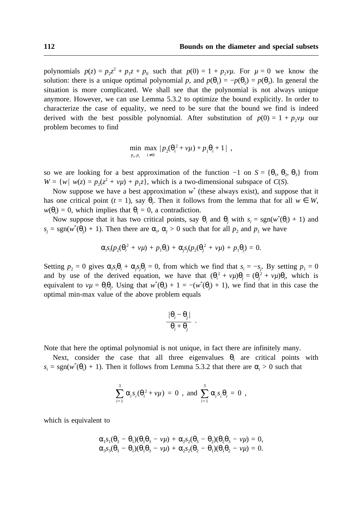polynomials  $p(z) = p_2 z^2 + p_1 z + p_0$  such that  $p(0) = 1 + p_2 \nu \mu$ . For  $\mu = 0$  we know the solution: there is a unique optimal polynomial *p*, and  $p(\theta_1) = -p(\theta_2) = p(\theta_3)$ . In general the situation is more complicated. We shall see that the polynomial is not always unique anymore. However, we can use Lemma 5.3.2 to optimize the bound explicitly. In order to characterize the case of equality, we need to be sure that the bound we find is indeed derived with the best possible polynomial. After substitution of  $p(0) = 1 + p_2 \nu \mu$  our problem becomes to find

$$
\min_{p_2, p_1} \max_{i \neq 0} |p_2(\theta_i^2 + v\mu) + p_1\theta_i + 1|,
$$

so we are looking for a best approximation of the function  $-1$  on  $S = {\theta_1, \theta_2, \theta_3}$  from  $W = \{w \mid w(z) = p_2(z^2 + \nu \mu) + p_1 z\}$ , which is a two-dimensional subspace of *C*(*S*).

Now suppose we have a best approximation *w*\* (these always exist), and suppose that it has one critical point ( $t = 1$ ), say  $\theta_i$ . Then it follows from the lemma that for all  $w \in W$ ,  $w(\theta_i) = 0$ , which implies that  $\theta_i = 0$ , a contradiction.

Now suppose that it has two critical points, say  $\theta_i$  and  $\theta_j$  with  $s_i = \text{sgn}(w^*(\theta_i) + 1)$  and  $s_j = \text{sgn}(w^*(\theta_j) + 1)$ . Then there are  $\alpha_i$ ,  $\alpha_j > 0$  such that for all  $p_2$  and  $p_1$  we have

$$
\alpha_i s_i (p_2(\theta_i^2 + \nu \mu) + p_1 \theta_i) + \alpha_j s_j (p_2(\theta_i^2 + \nu \mu) + p_1 \theta_i) = 0.
$$

Setting  $p_2 = 0$  gives  $\alpha_i s_i \theta_i + \alpha_j s_j \theta_j = 0$ , from which we find that  $s_i = -s_j$ . By setting  $p_1 = 0$ and by use of the derived equation, we have that  $(\theta_i^2 + \nu \mu)\theta_j = (\theta_j^2 + \nu \mu)\theta_i$ , which is equivalent to  $v\mu = \theta_i \theta_j$ . Using that  $w^*(\theta_j) + 1 = -(w^*(\theta_j) + 1)$ , we find that in this case the optimal min-max value of the above problem equals

$$
\frac{|\Theta_i - \Theta_j|}{\Theta_i + \Theta_j}
$$

.

Note that here the optimal polynomial is not unique, in fact there are infinitely many.

Next, consider the case that all three eigenvalues  $\theta_i$  are critical points with  $s_i = \text{sgn}(w^*(\theta_i) + 1)$ . Then it follows from Lemma 5.3.2 that there are  $\alpha_i > 0$  such that

$$
\sum_{i=1}^3 \alpha_i s_i (\theta_i^2 + v\mu) = 0
$$
, and 
$$
\sum_{i=1}^3 \alpha_i s_i \theta_i = 0
$$
,

which is equivalent to

$$
\alpha_1 s_1(\theta_3 - \theta_1)(\theta_1 \theta_3 - \nu \mu) + \alpha_2 s_2(\theta_3 - \theta_2)(\theta_2 \theta_3 - \nu \mu) = 0,\n\alpha_3 s_3(\theta_3 - \theta_1)(\theta_1 \theta_3 - \nu \mu) + \alpha_2 s_2(\theta_2 - \theta_1)(\theta_1 \theta_2 - \nu \mu) = 0.
$$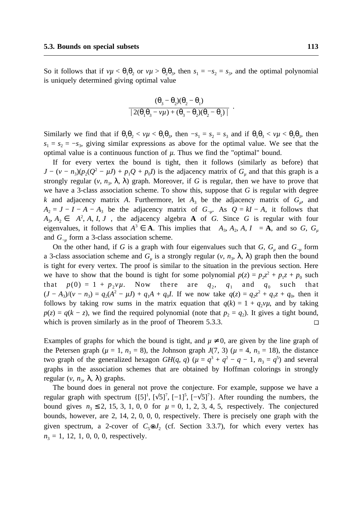So it follows that if  $v\mu < \theta_1\theta_2$  or  $v\mu > \theta_2\theta_3$ , then  $s_1 = -s_2 = s_3$ , and the optimal polynomial is uniquely determined giving optimal value

$$
\frac{(\theta_3-\theta_2)(\theta_2-\theta_1)}{|2(\theta_1\theta_3-\nu\mu)+(\theta_3-\theta_2)(\theta_2-\theta_1)|}.
$$

Similarly we find that if  $\theta_1 \theta_2 < v\mu < \theta_1 \theta_3$ , then  $-s_1 = s_2 = s_3$  and if  $\theta_1 \theta_3 < v\mu < \theta_2 \theta_3$ , then  $s_1 = s_2 = -s_3$ , giving similar expressions as above for the optimal value. We see that the optimal value is a continuous function of  $\mu$ . Thus we find the "optimal" bound.

If for every vertex the bound is tight, then it follows (similarly as before) that  $J - (v - n_3)(p_2(Q^2 - \mu J) + p_1Q + p_0I)$  is the adjacency matrix of  $G_\mu$  and that this graph is a strongly regular  $(v, n_3, \lambda, \lambda)$  graph. Moreover, if *G* is regular, then we have to prove that we have a 3-class association scheme. To show this, suppose that *G* is regular with degree *k* and adjacency matrix *A*. Furthermore, let  $A_3$  be the adjacency matrix of  $G_n$ , and  $A_2 = J - I - A - A_3$  be the adjacency matrix of  $G_{\neg v}$ . As  $Q = kI - A$ , it follows that  $A_3, A_2 \in \langle A^2, A, I, J \rangle$ , the adjacency algebra **A** of *G*. Since *G* is regular with four eigenvalues, it follows that  $A^3 \in \mathbf{A}$ . This implies that  $\langle A_3, A_2, A, I \rangle = \mathbf{A}$ , and so *G*,  $G_\mu$ and  $G_{\neg \theta}$  form a 3-class association scheme.

On the other hand, if *G* is a graph with four eigenvalues such that *G*,  $G_{\mu}$  and  $G_{\nu\mu}$  form a 3-class association scheme and  $G_{\mu}$  is a strongly regular  $(v, n_3, \lambda, \lambda)$  graph then the bound is tight for every vertex. The proof is similar to the situation in the previous section. Here we have to show that the bound is tight for some polynomial  $p(z) = p_2 z^2 + p_1 z + p_0$  such that  $p(0) = 1 + p_2 v \mu$ . Now there are  $q_2$ ,  $q_1$  and  $q_0$  such that  $(J - A_3)/(v - n_3) = q_2(A^2 - \mu J) + q_1A + q_0I$ . If we now take  $q(z) = q_2z^2 + q_1z + q_0$ , then it follows by taking row sums in the matrix equation that  $q(k) = 1 + q_2 \nu \mu$ , and by taking  $p(z) = q(k - z)$ , we find the required polynomial (note that  $p_2 = q_2$ ). It gives a tight bound, which is proven similarly as in the proof of Theorem 5.3.3.  $\Box$ 

Examples of graphs for which the bound is tight, and  $\mu \neq 0$ , are given by the line graph of the Petersen graph ( $\mu = 1$ ,  $n_3 = 8$ ), the Johnson graph  $J(7, 3)$  ( $\mu = 4$ ,  $n_3 = 18$ ), the distance two graph of the generalized hexagon  $GH(q, q)$  ( $\mu = q^3 + q^2 - q - 1$ ,  $n_3 = q^5$ ) and several graphs in the association schemes that are obtained by Hoffman colorings in strongly regular (*v*, *n*<sub>3</sub>, λ, λ) graphs.

The bound does in general not prove the conjecture. For example, suppose we have a regular graph with spectrum  $\{ [5]^1, [\sqrt{5}]^7, [-1]^5, [-\sqrt{5}]^7 \}$ . After rounding the numbers, the bound gives  $n_3 \le 2$ , 15, 3, 1, 0, 0 for  $\mu = 0, 1, 2, 3, 4, 5$ , respectively. The conjectured bounds, however, are 2, 14, 2, 0, 0, 0, respectively. There is precisely one graph with the given spectrum, a 2-cover of  $C_5 \otimes J_2$  (cf. Section 3.3.7), for which every vertex has  $n_3 = 1, 12, 1, 0, 0, 0,$  respectively.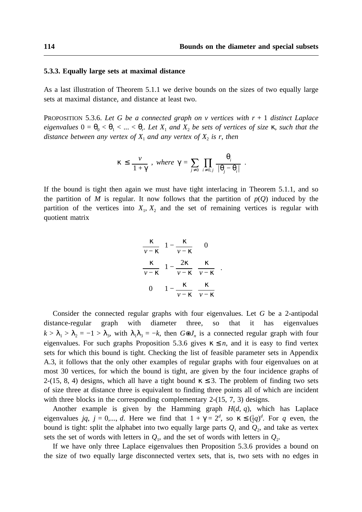.

### **5.3.3. Equally large sets at maximal distance**

As a last illustration of Theorem 5.1.1 we derive bounds on the sizes of two equally large sets at maximal distance, and distance at least two.

PROPOSITION 5.3.6. *Let G be a connected graph on v vertices with r* + 1 *distinct Laplace eigenvalues*  $0 = \theta_0 < \theta_1 < ... < \theta_r$ . Let  $X_1$  *and*  $X_2$  *be sets of vertices of size*  $\kappa$ *, such that the distance between any vertex of*  $X_1$  *and any vertex of*  $X_2$  *is r, then* 

$$
\kappa \le \frac{v}{1+\gamma} \ , \ where \ \gamma = \sum_{j\neq 0} \prod_{i\neq 0, j} \frac{\theta_i}{|\theta_j - \theta_i|}
$$

If the bound is tight then again we must have tight interlacing in Theorem 5.1.1, and so the partition of *M* is regular. It now follows that the partition of  $p(Q)$  induced by the partition of the vertices into  $X_1, X_2$  and the set of remaining vertices is regular with quotient matrix

$$
\begin{pmatrix}\n\kappa & 1 - \frac{\kappa}{\nu - \kappa} & 0 \\
\frac{\kappa}{\nu - \kappa} & 1 - \frac{2\kappa}{\nu - \kappa} & \frac{\kappa}{\nu - \kappa} \\
0 & 1 - \frac{\kappa}{\nu - \kappa} & \frac{\kappa}{\nu - \kappa}\n\end{pmatrix}.
$$

Consider the connected regular graphs with four eigenvalues. Let *G* be a 2-antipodal distance-regular graph with diameter three, so that it has eigenvalues  $k > \lambda_1 > \lambda_2 = -1 > \lambda_3$ , with  $\lambda_1 \lambda_3 = -k$ , then  $G \otimes J_n$  is a connected regular graph with four eigenvalues. For such graphs Proposition 5.3.6 gives  $\kappa \leq n$ , and it is easy to find vertex sets for which this bound is tight. Checking the list of feasible parameter sets in Appendix A.3, it follows that the only other examples of regular graphs with four eigenvalues on at most 30 vertices, for which the bound is tight, are given by the four incidence graphs of 2-(15, 8, 4) designs, which all have a tight bound  $\kappa \le 3$ . The problem of finding two sets of size three at distance three is equivalent to finding three points all of which are incident with three blocks in the corresponding complementary 2-(15, 7, 3) designs.

Another example is given by the Hamming graph *H*(*d*, *q*), which has Laplace eigenvalues *jq*, *j* = 0,..., *d*. Here we find that  $1 + \gamma = 2^d$ , so  $\kappa \le (\frac{1}{2}q)^d$ . For *q* even, the bound is tight: split the alphabet into two equally large parts  $Q_1$  and  $Q_2$ , and take as vertex sets the set of words with letters in  $Q_1$ , and the set of words with letters in  $Q_2$ .

If we have only three Laplace eigenvalues then Proposition 5.3.6 provides a bound on the size of two equally large disconnected vertex sets, that is, two sets with no edges in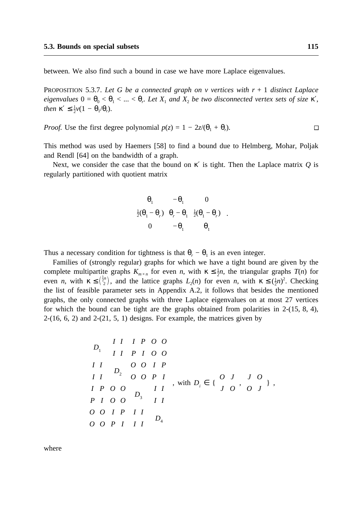between. We also find such a bound in case we have more Laplace eigenvalues.

PROPOSITION 5.3.7. *Let G be a connected graph on v vertices with r* + 1 *distinct Laplace eigenvalues*  $0 = \theta_0 < \theta_1 < ... < \theta_r$ . Let  $X_1$  *and*  $X_2$  *be two disconnected vertex sets of size*  $\kappa'$ , *then*  $\kappa' \leq \frac{1}{2}\nu(1 - \theta_1/\theta_r)$ .

*Proof.* Use the first degree polynomial  $p(z) = 1 - 2z/(\theta_1 + \theta_r)$ .  $\Box$ 

This method was used by Haemers [58] to find a bound due to Helmberg, Mohar, Poljak and Rendl [64] on the bandwidth of a graph.

Next, we consider the case that the bound on κ′ is tight. Then the Laplace matrix *Q* is regularly partitioned with quotient matrix

$$
\begin{pmatrix}\n\theta_1 & -\theta_1 & 0 \\
\frac{1}{2}(\theta_1 - \theta_r) & \theta_r - \theta_1 & \frac{1}{2}(\theta_1 - \theta_r) \\
0 & -\theta_1 & \theta_1\n\end{pmatrix}.
$$

Thus a necessary condition for tightness is that  $\theta_r - \theta_1$  is an even integer.

Families of (strongly regular) graphs for which we have a tight bound are given by the complete multipartite graphs  $K_{m \times n}$  for even *n*, with  $\kappa \leq \frac{1}{2}n$ , the triangular graphs  $T(n)$  for even *n*, with  $\kappa \le (\frac{1}{2}n)$ , and the lattice graphs  $L_2(n)$  for even *n*, with  $\kappa \le (\frac{1}{2}n)^2$ . Checking the list of feasible parameter sets in Appendix A.2, it follows that besides the mentioned graphs, the only connected graphs with three Laplace eigenvalues on at most 27 vertices for which the bound can be tight are the graphs obtained from polarities in 2-(15, 8, 4),  $2-(16, 6, 2)$  and  $2-(21, 5, 1)$  designs. For example, the matrices given by

$$
\begin{pmatrix}\nI & I & I & P & O & O \\
D_1 & I & I & P & I & O & O \\
I & I & D_2 & O & O & I & P \\
I & I & O & O & P & I & I \\
I & P & O & O & O & I & I \\
I & P & O & O & O & I & I \\
P & I & O & O & O & I & I & I \\
O & O & I & P & I & I & O \\
O & O & P & I & I & I & O\n\end{pmatrix}, \text{ with } D_i \in \{ \begin{pmatrix} 0 & J \\ J & O \end{pmatrix}, \begin{pmatrix} J & O \\ O & J \end{pmatrix} \},
$$

where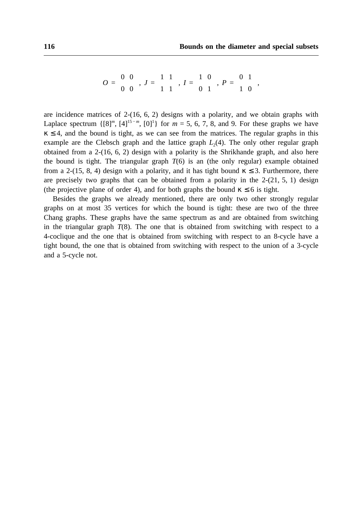$$
O = \begin{pmatrix} 0 & 0 \\ 0 & 0 \end{pmatrix}, J = \begin{pmatrix} 1 & 1 \\ 1 & 1 \end{pmatrix}, I = \begin{pmatrix} 1 & 0 \\ 0 & 1 \end{pmatrix}, P = \begin{pmatrix} 0 & 1 \\ 1 & 0 \end{pmatrix},
$$

are incidence matrices of 2-(16, 6, 2) designs with a polarity, and we obtain graphs with Laplace spectrum  $\{ [8]^m, [4]^{15-m}, [0]^1 \}$  for  $m = 5, 6, 7, 8$ , and 9. For these graphs we have  $\kappa \leq 4$ , and the bound is tight, as we can see from the matrices. The regular graphs in this example are the Clebsch graph and the lattice graph  $L<sub>2</sub>(4)$ . The only other regular graph obtained from a 2-(16, 6, 2) design with a polarity is the Shrikhande graph, and also here the bound is tight. The triangular graph  $T(6)$  is an (the only regular) example obtained from a 2-(15, 8, 4) design with a polarity, and it has tight bound  $\kappa \le 3$ . Furthermore, there are precisely two graphs that can be obtained from a polarity in the  $2-(21, 5, 1)$  design (the projective plane of order 4), and for both graphs the bound  $\kappa \le 6$  is tight.

Besides the graphs we already mentioned, there are only two other strongly regular graphs on at most 35 vertices for which the bound is tight: these are two of the three Chang graphs. These graphs have the same spectrum as and are obtained from switching in the triangular graph *T*(8). The one that is obtained from switching with respect to a 4-coclique and the one that is obtained from switching with respect to an 8-cycle have a tight bound, the one that is obtained from switching with respect to the union of a 3-cycle and a 5-cycle not.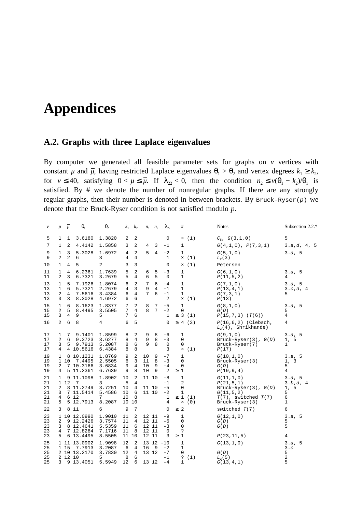# **Appendices**

## **A.2. Graphs with three Laplace eigenvalues**

By computer we generated all feasible parameter sets for graphs on *v* vertices with constant  $\mu$  and  $\overline{\mu}$ , having restricted Laplace eigenvalues  $\theta_1 > \theta_2$  and vertex degrees  $k_1 \geq k_2$ , for  $v \le 40$ , satisfying  $0 < \mu \le \overline{\mu}$ . If  $\lambda_{22} < 0$ , then the condition  $n_2 \le v(\theta_1 - k_2)/\theta_1$  is satisfied. By # we denote the number of nonregular graphs. If there are any strongly regular graphs, then their number is denoted in between brackets. By  $ByBruck-Ryser(p)$  we denote that the Bruck-Ryser condition is not satisfied modulo *p*.

| ν                                | $\mu$                       | $\mu$               | $\theta_1$                                                   | $\theta_2$                                     | $k_1$                              | k <sub>2</sub>                     |                                           | $n_1$ $n_2$      | $\lambda_{22}$                         | #                                                 |                              | <b>Notes</b>                                                                                                  | Subsection 2.2.*                          |
|----------------------------------|-----------------------------|---------------------|--------------------------------------------------------------|------------------------------------------------|------------------------------------|------------------------------------|-------------------------------------------|------------------|----------------------------------------|---------------------------------------------------|------------------------------|---------------------------------------------------------------------------------------------------------------|-------------------------------------------|
| 5                                | 1                           | 1                   | 3.6180                                                       | 1.3820                                         | 2                                  | 2                                  |                                           |                  | 0                                      |                                                   | $\times$ (1)                 | $C_5$ , $G(3,1,0)$                                                                                            | 5                                         |
| 7                                | 1                           | 2                   | 4.4142                                                       | 1.5858                                         | 3                                  | 2                                  | 4                                         | 3                | -1                                     | 1                                                 |                              | $G(4,1,0)$ , $P(7,3,1)$                                                                                       | 3.a,d, 4, 5                               |
| 9<br>9                           | 1<br>$\overline{a}$         | 3<br>$\overline{a}$ | 5.3028<br>6                                                  | 1.6972<br>3                                    | 4<br>4                             | 2<br>$\overline{4}$                | 5                                         | 4                | $-2$<br>1                              | 1                                                 | $\times$ (1)                 | G(5,1,0)<br>$L_2(3)$                                                                                          | 3.a, 5                                    |
| 10                               | 1                           | 4                   | 5                                                            | 2                                              | 3                                  | 3                                  |                                           |                  | 0                                      |                                                   | $\times$ (1)                 | Petersen                                                                                                      |                                           |
| 11<br>11                         | 1<br>2                      | 4<br>3              | 6.2361<br>6.7321                                             | 1.7639<br>3.2679                               | 5<br>5                             | 2<br>$\overline{4}$                | 6<br>6                                    | 5<br>5           | $-3$<br>$\mathbf{0}$                   | 1<br>$\mathbf{1}$                                 |                              | G(6,1,0)<br>P(11, 5, 2)                                                                                       | 3.a, 5<br>4                               |
| 13<br>13<br>13<br>13             | 1<br>1<br>2<br>3            | 5<br>6<br>4<br>3    | 7.1926<br>5.7321<br>7.5616<br>8.3028                         | 1.8074<br>2.2679<br>3.4384<br>4.6972           | 6<br>4<br>6<br>6                   | 2<br>3<br>4<br>6                   | 7<br>9<br>7                               | 6<br>4<br>6      | -4<br>-1<br>$-1$<br>$\overline{2}$     | 1<br>1<br>1                                       | $\times$ (1)                 | G(7,1,0)<br>P(13, 4, 1)<br>G(7, 3, 1)<br>P(13)                                                                | 3.a, 5<br>3.c,d, 4<br>5                   |
| 15<br>15<br>15                   | 1<br>2<br>3                 | 6<br>5<br>4         | 8.1623<br>8.4495<br>9                                        | 1.8377<br>3.5505<br>5                          | 7<br>7<br>7                        | 2<br>4<br>6                        | 8<br>8                                    | 7<br>7           | $-5$<br>$-2$<br>1                      | 1<br>$\mathbf 0$                                  | $\geq 3(1)$                  | G(8,1,0)<br>G(D)<br>$P(15, 7, 3)$ $(\overline{T(6)})$                                                         | 3.a, 5<br>5<br>4                          |
| 16                               | 2                           | 6                   | 8                                                            | 4                                              | 6                                  | 5                                  |                                           |                  | 0                                      |                                                   | $\geq 4$ (3)                 | $P(16, 6, 2)$ (Clebsch,<br>$L2(4)$ , Shrikhande)                                                              | 4                                         |
| 17<br>17<br>17<br>17             | 1<br>2<br>3<br>4            | 7<br>6<br>5         | 9.1401<br>9.3723<br>9.7913<br>4 10.5616                      | 1.8599<br>3.6277<br>5.2087<br>6.4384           | 8<br>8<br>8<br>8                   | 2<br>$\overline{4}$<br>6<br>8      | 9<br>9<br>9                               | 8<br>8<br>8      | -6<br>$-3$<br>0<br>3                   | 1<br>0<br>0                                       | $\times$ (1)                 | G(9,1,0)<br>Bruck-Ryser(3), $G(D)$<br>Bruck-Ryser(7)<br>P(17)                                                 | 5<br>3.a,<br>-5<br>1,<br>1                |
| 19<br>19<br>19<br>19             | 1<br>$\mathbf{1}$<br>2<br>4 | 8<br>10<br>5        | 10.1231<br>7.4495<br>7 10.3166<br>11.2361                    | 1.8769<br>2.5505<br>3.6834<br>6.7639           | 9<br>6<br>9<br>9                   | 2<br>3<br>$\overline{4}$<br>8      | 10<br>11<br>10<br>10                      | 9<br>8<br>9<br>9 | $-7$<br>$-3$<br>$-4$<br>2              | 1<br>0<br>$\mathbf 0$<br>$\geq 1$                 |                              | G(10,1,0)<br>Bruck-Ryser(3)<br>G(D)<br>P(19, 9, 4)                                                            | 3.a, 5<br>1,<br>3<br>5<br>4               |
| 21<br>21<br>21<br>21<br>21<br>21 | 1<br>2<br>3<br>4<br>5       | 9<br>1 12           | 11,1098<br>7<br>8 11.2749<br>7 11.5414<br>6 12<br>5 12.7913  | 1.8902<br>3<br>3.7251<br>5.4586<br>7<br>8.2087 | 10<br>5<br>10<br>10<br>10<br>10 10 | 2<br>$\overline{4}$<br>4<br>6<br>8 | 11 10<br>11 10<br>11 10                   |                  | $-8$<br>$-1$<br>$-5$<br>$-2$<br>1<br>4 | 1<br>2<br>$\mathbf 0$<br>1                        | $\geq 1$ (1)<br>$\times$ (0) | G(11,1,0)<br>P(21, 5, 1)<br>Bruck-Ryser(3), $G(D)$<br>G(11,5,2)<br>$T(7)$ , switched $T(7)$<br>Bruck-Ryser(3) | 3.a, 5<br>3.b.d. 4<br>1, 5<br>5<br>6<br>1 |
| 22                               | 3                           |                     | 8 1 1                                                        | 6                                              | 9                                  | 7                                  |                                           |                  | 0                                      | $\geq$ 2                                          |                              | switched $T(7)$                                                                                               | 6                                         |
| 23<br>23<br>23<br>23<br>23       | 2<br>3<br>4<br>5            | 8<br>6              | 1 10 12.0990<br>9 12.2426<br>12.4641<br>7 12.8284<br>13.4495 | 1.9010<br>3.7574<br>5.5359<br>7.1716<br>8.5505 | 11<br>11<br>11<br>11<br>11 10      | 2<br>4<br>6<br>8                   | 12 11<br>12 11<br>12 11<br>12 11<br>12 11 |                  | -9<br>$-6$<br>$-3$<br>0<br>3           | 1<br>$\mathbf 0$<br>$\mathbf 0$<br>S.<br>$\geq 1$ |                              | G(12,1,0)<br>G(D)<br>G(D)<br>P(23, 11, 5)                                                                     | 3.a,<br>5<br>5<br>5<br>4                  |
| 25<br>25<br>25<br>25<br>25       | 3                           | 1 15<br>2 12 10     | 1 11 13.0902<br>7.7913<br>2 10 13.2170<br>9 13.4051          | 1.9098<br>3.2087<br>3.7830<br>5<br>5.5949      | 12<br>6<br>12<br>8<br>12           | 2<br>4<br>4<br>6<br>6              | 13 12<br>16<br>13 12<br>13 12             | 9                | $-10$<br>$-2$<br>$-7$<br>-1<br>$-4$    | 1<br>1<br>0<br>ċ.<br>1                            | (1)                          | G(13,1,0)<br>G(D)<br>$L_{2}(5)$<br>G(13, 4, 1)                                                                | 3.a,<br>5<br>3.c<br>5<br>2<br>5           |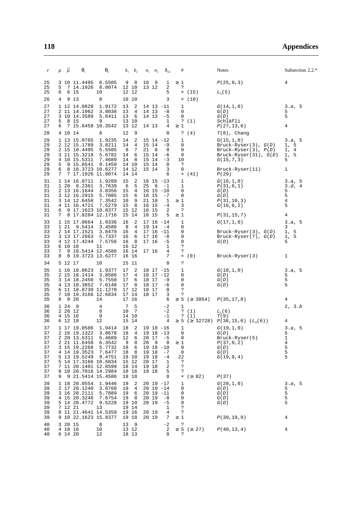| v                                                        | $\mu$<br>$\mu$                        | $\theta_1$                                                                                                                                                                         | $\theta_2$                                                         | $k_1$ $k_2$                                                                                       | $n_1$ $n_2$                                                                                      | $\lambda_{22}$                                     | #                                                         |             | <b>Notes</b>                                                                                                                                    | Subsection 2.2.*                                    |
|----------------------------------------------------------|---------------------------------------|------------------------------------------------------------------------------------------------------------------------------------------------------------------------------------|--------------------------------------------------------------------|---------------------------------------------------------------------------------------------------|--------------------------------------------------------------------------------------------------|----------------------------------------------------|-----------------------------------------------------------|-------------|-------------------------------------------------------------------------------------------------------------------------------------------------|-----------------------------------------------------|
| 25<br>25<br>25                                           | 5<br>7<br>6                           | 3 10 11.4495<br>14.1926<br>6 15                                                                                                                                                    | 6.5505<br>8.8074<br>10                                             | 9<br>8<br>12 10<br>12 12                                                                          | 16<br>9<br>13 12                                                                                 | 1<br>2<br>5                                        | $\geq 1$<br>S.<br>×                                       | (15)        | P(25, 9, 3)<br>$L_3(5)$                                                                                                                         | 4                                                   |
| 26<br>27<br>27<br>27<br>27<br>27                         | 4<br>5<br>8<br>6                      | 9 13<br>1 12 14.0828<br>2 11 14.1962<br>3 10 14.3589<br>- 15<br>7 15.6458 10.3542                                                                                                  | 8<br>1.9172<br>3.8038<br>5.6411<br>9                               | 10 10<br>13<br>2<br>13<br>4<br>13<br>6<br>13 10<br>13 12                                          | $14$ $13$ $-11$<br>14 13<br>14 13<br>14 13                                                       | 3<br>-8<br>$-5$<br>1<br>4                          | ×<br>1<br>0<br>0<br>ċ.<br>$\geq 1$                        | (10)<br>(1) | G(14,1,0)<br>G(D)<br>G(D)<br>Schläfli<br>P(27, 13, 6)                                                                                           | 3.a, 5<br>5<br>5<br>4                               |
| 28<br>29<br>29<br>29<br>29<br>29<br>29<br>29             | 4 10 14<br>5<br>6                     | 1 13 15.0765<br>2 12 15.1789<br>2 15 10.4495<br>3 11 15.3218<br>4 10 15.5311<br>9 15.8541<br>8 16.3723 10.6277                                                                     | 8<br>1.9235<br>3.8211<br>5.5505<br>5.6782<br>7.4689<br>9.1459      | 12<br>9<br>2<br>14<br>4<br>14<br>7<br>8<br>14<br>6<br>14<br>8<br>14 10<br>14 12                   | 15 14<br>15 14<br>21<br>8<br>15 14<br>15 14<br>15 14<br>15 14                                    | 0<br>-12<br>$-9$<br>0<br>-6<br>$-3$<br>0<br>3<br>6 | S.<br>1<br>0<br>0<br>0<br>10<br>S.<br>0                   | (4)         | $T(8)$ , Chang<br>G(15,1,0)<br>$Bruck-Ryser(3)$ , $G(D)$<br>Bruck-Ryser(3), $P(D)$<br>Bruck-Ryser(31), $G(D)$<br>G(15, 7, 3)<br>Bruck-Ryser(11) | 5<br>3.a,<br>-5<br>1,<br>1, 4<br>1,<br>-5<br>5<br>1 |
| 29<br>31<br>31<br>31<br>31<br>31<br>31<br>31<br>31       | 7<br>1 20<br>6<br>7                   | 7 17.1926 11.8074<br>1 14 16.0711<br>8.2361<br>2 13 16.1644<br>3 12 16.2915<br>3 14 12.6458<br>4 11 16.4721<br>9 17.1623 10.8377<br>8 17.8284 12.1716                              | 1.9289<br>3.7639<br>3.8356<br>5.7085<br>7.3542<br>7.5279           | 14 14<br>2<br>15<br>6<br>5<br>15<br>4<br>15<br>6<br>9<br>10<br>15<br>8<br>15 12<br>15 14          | 16 15<br>25<br>6<br>16 15<br>16 15<br>21 10<br>16 15<br>16 15<br>16 15                           | -13<br>-1<br>$-10$<br>$-7$<br>1<br>-4<br>2<br>5    | ×<br>1<br>1<br>0<br>0<br>$\geq 1$<br>3<br>ċ.<br>$\geq 1$  | (41)        | P(29)<br>G(16,1,0)<br>P(31,6,1)<br>G(D)<br>G(D)<br>P(31, 10, 3)<br>G(16,6,2)<br>P(31, 15, 7)                                                    | 5<br>3.a,<br>3.d,<br>4<br>5<br>5<br>4<br>5<br>4     |
| 33<br>33<br>33<br>33<br>33<br>33<br>33<br>33             | 1 21<br>6 10 18<br>7<br>8             | 1 15 17.0664<br>9.5414<br>2 14 17.1521<br>3 13 17.2663<br>4 12 17.4244<br>9 18.5414 12.4586<br>8 19.3723 13.6277                                                                   | 1.9336<br>3.4586<br>3.8479<br>5.7337<br>7.5756<br>11               | 16<br>2<br>8<br>4<br>4<br>16<br>16<br>6<br>16<br>8<br>16 12<br>16 14<br>16 16                     | 17 16<br>19 14<br>17 16<br>17 16<br>17 16<br>17 16                                               | -14<br>$-4$<br>-11<br>$-8$<br>$-5$<br>1<br>4<br>7  | 1<br>0<br>0<br>0<br>0<br>ċ.<br>S.<br>×                    | (0)         | G(17,1,0)<br>$Bruck-Ryser(3)$ , $G(D)$<br>Bruck-Ryser $(7)$ , $G(D)$<br>G(D)<br>Bruck-Ryser(3)                                                  | 3.a,<br>5<br>3<br>1, 5<br>5<br>1,<br>5<br>1         |
| 34<br>35<br>35<br>35<br>35<br>35<br>35<br>35             | 5 12 17<br>9<br>8                     | 1 16 18.0623<br>2 15 18.1414<br>3 14 18.2450<br>4 13 18.3852<br>6 11 18.8730 11.1270<br>7 10 19.3166 12.6834<br>-20                                                                | 10<br>1.9377<br>3.8586<br>5.7550<br>7.6148<br>14                   | 15 11<br>2<br>17<br>17<br>4<br>17<br>6<br>17<br>8<br>17 12<br>17 14<br>17 16                      | 18 17 -15<br>18 17<br>18 17<br>18 17<br>18 17<br>18 17                                           | 0<br>-12<br>-9<br>-6<br>0<br>3<br>6                | ċ.<br>1<br>0<br>0<br>0<br>2<br>?<br>$\geq 5$              | (2 3854)    | G(18,1,0)<br>G(D)<br>G(D)<br>G(D)<br>P(35, 17, 8)                                                                                               | 3.a, 5<br>5<br>5<br>5<br>4                          |
| 36<br>36<br>36<br>36                                     | 1 24<br>2 20 12<br>4 15 16<br>6 12 18 | 9                                                                                                                                                                                  | 4<br>6<br>9<br>12                                                  | 5<br>-7<br>7<br>10<br>14 10<br>15 14                                                              |                                                                                                  | $-2$<br>$-2$<br>$-1$<br>4                          | 1<br>S.<br>ċ.<br>$\geq 5$                                 | (1)<br>(1)  | $L_2(6)$<br>T(9)<br>$( \geq 32728)$ $P(36, 15, 6)$ $(L_3(6))$                                                                                   | 2,<br>3.b<br>4                                      |
| 37<br>37<br>37<br>37<br>37<br>37<br>37<br>37<br>37<br>37 | 8                                     | 1 17 19.0586<br>2 16 19.1322<br>2 20 13.5311<br>2 21 11.6458<br>3 15 19.2268<br>4 14 19.3523<br>5 13 19.5249<br>5 14 17.3166 10.6834<br>7 11 20.1401 12.8599<br>10 20.7016 14.2984 | 1.9414<br>3.8678<br>5.4689<br>6.3542<br>5.7732<br>7.6477<br>9.4751 | 2<br>18<br>4<br>18<br>12<br>6<br>9<br>8<br>18<br>6<br>18<br>8<br>18 10<br>15 12<br>18 14<br>18 16 | 19 18 -16<br>19 18 -13<br>20 17<br>28<br>9<br>19 18<br>19 18<br>19 18<br>20 17<br>19 18<br>19 18 | $-5$<br>0<br>$-10$<br>$-7$<br>$-4$<br>1<br>2<br>5  | 1<br>0<br>0<br>$\geq 1$<br>0<br>0<br>22<br>ċ.<br>ċ.<br>ċ. |             | G(19,1,0)<br>G(D)<br>Bruck-Ryser(5)<br>P(37, 9, 2)<br>G(D)<br>G(D)<br>G(19, 9, 4)                                                               | 3.a, 5<br>5<br>1<br>4<br>5<br>5<br>5                |
| 37<br>39<br>39<br>39<br>39<br>39<br>39<br>39<br>39       | 9<br>7 12 21                          | 9 21.5414 15.4586<br>1 18 20.0554<br>2 17 20.1240<br>3 16 20.2111<br>4 15 20.3246<br>5 14 20.4772<br>8 11 21.4641 14.5359<br>9 10 22.1623 15.8377                                  | 1.9446<br>3.8760<br>5.7889<br>7.6754<br>9.5228<br>13               | 18 18<br>19<br>2<br>19<br>4<br>19<br>6<br>19<br>8<br>19 10<br>19 14<br>19 16<br>19 18             | 20 19 -17<br>$2019 - 14$<br>20 19<br>20 19<br>20 19<br>20 19<br>20 19                            | 8<br>-11<br>$-8$<br>$-5$<br>1<br>4<br>7            | ×<br>1<br>0<br>0<br>0<br>0<br>ċ.<br>ċ.<br>$\geq 1$        | (282)       | P(37)<br>G(20,1,0)<br>G(D)<br>G(D)<br>G(D)<br>G(D)<br>P(39, 19, 9)                                                                              | 3.a, 5<br>5<br>5<br>5<br>5<br>4                     |
| 40<br>40<br>40                                           | 3 20 15<br>4 18 16<br>6 14 20         |                                                                                                                                                                                    | 8<br>10<br>12                                                      | 13<br>9<br>13 12<br>18 13                                                                         |                                                                                                  | $-2$<br>2<br>0                                     | S.<br>$\geq 5$<br>ċ.                                      | (2 27)      | P(40, 13, 4)                                                                                                                                    | 4                                                   |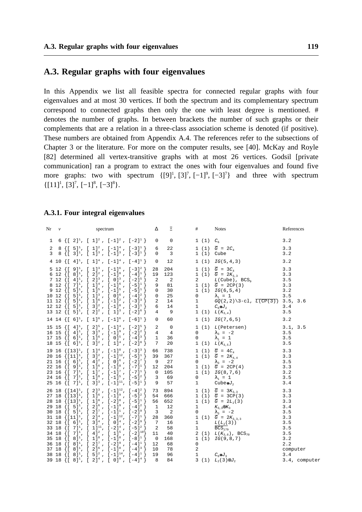## **A.3. Regular graphs with four eigenvalues**

In this Appendix we list all feasible spectra for connected regular graphs with four eigenvalues and at most 30 vertices. If both the spectrum and its complementary spectrum correspond to connected graphs then only the one with least degree is mentioned. # denotes the number of graphs. In between brackets the number of such graphs or their complements that are a relation in a three-class association scheme is denoted (if positive). These numbers are obtained from Appendix A.4. The references refer to the subsections of Chapter 3 or the literature. For more on the computer results, see [40]. McKay and Royle [82] determined all vertex-transitive graphs with at most 26 vertices. Godsil [private communication] ran a program to extract the ones with four eigenvalues and found five more graphs: two with spectrum  $\{ [9]^1, [3]^7, [-1]^9, [-3]^7 \}$  and three with spectrum  $\{[11]^1, [3]^7, [-1]^8, [-3]^8\}.$ 

## **A.3.1. Four integral eigenvalues**

| Nr                | $\mathcal V$ | spectrum                                                                                                                                                                                                                                                                                                                                                                                                                                                                                                                                                                                                                                                                                             | Δ                                                                     | Ξ                                                                              | #                                                              |                             | <b>Notes</b>                                                                                                                                                                                                                                                                                            | References                                                                                   |  |
|-------------------|--------------|------------------------------------------------------------------------------------------------------------------------------------------------------------------------------------------------------------------------------------------------------------------------------------------------------------------------------------------------------------------------------------------------------------------------------------------------------------------------------------------------------------------------------------------------------------------------------------------------------------------------------------------------------------------------------------------------------|-----------------------------------------------------------------------|--------------------------------------------------------------------------------|----------------------------------------------------------------|-----------------------------|---------------------------------------------------------------------------------------------------------------------------------------------------------------------------------------------------------------------------------------------------------------------------------------------------------|----------------------------------------------------------------------------------------------|--|
| $\mathbf{1}$<br>2 |              | 6 $\{ [ 2]^1, [ 1]^2, [ -1]^2, [ -2]^1 \}$<br>8 $\{ [ 5]^1, [ 1]^2, [ -1]^4, [ -3]^1 \}$                                                                                                                                                                                                                                                                                                                                                                                                                                                                                                                                                                                                             | 0<br>6                                                                | 0<br>22                                                                        |                                                                | 1 (1) $C_6$<br>1(1)         | $\overline{G}$ = 2 $C_4$                                                                                                                                                                                                                                                                                | 3.2<br>3.3                                                                                   |  |
| 3                 |              | 8 $\{ [3]^1, [1]^3, [-1]^3, [-3]^1 \}$                                                                                                                                                                                                                                                                                                                                                                                                                                                                                                                                                                                                                                                               | 0                                                                     | 3                                                                              |                                                                | 1(1)                        | Cube                                                                                                                                                                                                                                                                                                    | 3.2                                                                                          |  |
|                   |              | 4 10 $\{ [ 4]^1, [ 1]^4, [ -1]^4, [ -4]^1 \}$                                                                                                                                                                                                                                                                                                                                                                                                                                                                                                                                                                                                                                                        | 0                                                                     | 12                                                                             |                                                                | 1(1)                        | IG(5, 4, 3)                                                                                                                                                                                                                                                                                             | 3.2                                                                                          |  |
|                   |              | 5 12 $\{ [ 9]^1, [ 1]^3, [ -1]^6, [ -3]^2 \}$<br>6 12 $\{ [ 8]^1, [ 2]^2, [ -1]^8, [ -4]^1 \}$<br>7 12 $\{ [4]^1, [2]^3, [0]^3, [-2]^5 \}$<br>8 12 $\{[7]^1, [1]^4, [-1]^6, [-5]^1\}$<br>9 12 $\{[5]^1, [1]^5, [-1]^5, [-5]^1\}$<br>10 12 $\{[5]^1, [1]^3, [0]^6, [-4]^2\}$<br>11 12 $\{ [5]^1, [1]^6, [-1]^2, [-3]^3 \}$<br>12 12 $\{[5]^1, [3]^2, [-1]^8, [-3]^1\}$<br>13 12 $\{[5]^1, [2]^2, [1]^3, [-2]^6\}$                                                                                                                                                                                                                                                                                     | 28<br>19<br>2<br>9<br>0<br>0<br>2<br>6<br>$\overline{4}$              | 204<br>123<br>2<br>81<br>30<br>25<br>14<br>14<br>- 9                           | 2<br>$\mathbf 0$<br>$\mathbf{1}$<br>$\mathbf{1}$               | 1(1)<br>1(1)<br>1(1)        | 1 (1) $\overline{G} = 3C_4$<br>$\overline{G}$ = 2K <sub>3.3</sub><br>$L(Cube)$ , BCS,<br>$\overline{G}$ = 2CP(3)<br>IG(6, 5, 4)<br>$\lambda_1 = 1$<br>$GQ(2,2)\3$ -cl, $L(CP(3))$ 3.5, 3.6<br>$C_6$ o. $J_2$<br>1 (1) $L(K_{3,4})$                                                                      | 3.3<br>3.3<br>3.5<br>3.3<br>3.2<br>3.5<br>3.4<br>3.5                                         |  |
|                   |              | 14 14 $\{[6]^1, [1]^6, [-1]^6, [-6]^1\}$                                                                                                                                                                                                                                                                                                                                                                                                                                                                                                                                                                                                                                                             | 0                                                                     | 60                                                                             |                                                                |                             | 1(1) IG(7, 6, 5)                                                                                                                                                                                                                                                                                        | 3.2                                                                                          |  |
|                   |              | 15 15 $\{[4]^1, [2]^5, [-1]^4, [-2]^5\}$<br>16 15 $\{[4]^1, [3]^3, [-1]^9, [-2]^2\}$<br>17 15 $\{[6]^1, [1]^6, [0]^5, [-4]^3\}$<br>18 15 $\{[6]^1, [3]^2, [1]^4, [-2]^8\}$                                                                                                                                                                                                                                                                                                                                                                                                                                                                                                                           | 2<br>4<br>$\mathbf{1}$<br>7                                           | $\mathbf 0$<br>4<br>36<br>20                                                   | 0<br>0                                                         | 1(1)                        | 1(1) L(Petersen)<br>$\lambda_3 = -2$<br>$\lambda_1 = 1$<br>$L(K_{3,5})$                                                                                                                                                                                                                                 | 3.1, 3.5<br>3.5<br>3.5<br>3.5                                                                |  |
|                   |              | 19 16 $\{ [13]^1, [1]^{4}, [[-1]^{8}, [-3]^{3} \}$<br>20 16 $\{(11)^1, [3]^2, [-1]^{12}, [-5]^1\}$<br>21 16 $\{[ 6]^1, [ 4]^2, [ 0]^6, [ -2]^7 \}$<br>22 16 $\{ [ 9]^1, [ 1]^6, [ -1]^8, [ -7]^1 \}$<br>23 16 $\{ [ 7]^1, [ 1]^7, [ -1]^7, [ -7]^1 \}$<br>24 16 $\{ [ 7]^1, [ 1]^8, [ -1]^5, [ -5]^2 \}$<br>25 16 $\{ [ 7]^1, [ 3]^3, [ -1]^{11}, [ -5]^1 \}$                                                                                                                                                                                                                                                                                                                                        | 66<br>39<br>9<br>12<br>0<br>3<br>9                                    | 738<br>367<br>27<br>204<br>105<br>69<br>57                                     | 0<br>$\mathbf{1}$<br>0<br>$\mathbf{1}$                         | 1(1)<br>1(1)<br>1(1)<br>(1) | $\overline{G}$ = 4 $C_4$<br>$\overline{G}$ = 2K <sub>4,4</sub><br>$\lambda_3 = -2$<br>$\overline{G}$ = 2CP(4)<br>IG(8, 7, 6)<br>$\lambda_1 = 1$<br>Cube $\mathbf{C}$ <sub>2</sub>                                                                                                                       | 3.3<br>3.3<br>3.5<br>3.3<br>3.2<br>3.5<br>3.4                                                |  |
|                   |              | 26 18 $\{ [14]^1, [2]^3, [-1]^12, [-4]^2 \}$<br>27 18 $\{(13)^1, [1]^\frac{6}{7}, [-1]^\frac{6}{7}, [-5]^\frac{3}{7}\}$<br>28 18 $\{ [13]^1, [1]^8, [-2]^8, [-5]^1 \}$<br>$2]^6$ , $[-1]^9$ , $[-4]^2$<br>29 18 $\{[5]^1, [$<br>30 18 $\{[5]^1, [$<br>$2]^7$ , $[-1]^1$ , $[-2]^9$<br>31 18 $\{(11)^1, [2]^4, [-1]^{12}, [-7]^1\}$<br>32 18 $\{[6]^1, [3]^4, [0]^4, [-2]^9\}$<br>33 18 $\{ [ 7]^1, [ 1]^1, [ -2]^4, [ -5]^2 \}$<br>34 18 $\{ [ 7]^1, [ 4]^2, [ 1]^5, [ -2]^10 \}$<br>35 18 $\{ [ 8]^1, [ 1]^8, [ -1]^8, [ -8]^1 \}$<br>36 18 $\{ [ 8]^1, [ 2]^7, [ -2]^9, [ -4]^1 \}$<br>37 18 $\{ [ 8]^{1}, [ 2]^{6}, [ -1]^{8}, [ -4]^{3} \}$<br>38 18 $\{ [ 8]^1, [ 5]^2, [ -1]^{14}, [ -4]^1 \}$ | 73<br>54<br>56<br>1<br>3<br>28<br>7<br>2<br>11<br>0<br>12<br>10<br>19 | 894<br>666<br>652<br>12<br>2<br>360<br>16<br>58<br>40<br>168<br>68<br>78<br>96 | 1<br>$\mathbf 0$<br>1<br>$\mathbf{1}$<br>$\mathsf 0$<br>2<br>1 | 1(1)<br>1(1)<br>1(1)        | $\overline{G}$ = 3 $K_{3,3}$<br>1 (1) $\overline{G}$ = 3CP(3)<br>1 (1) $\overline{G} = 2L_2(3)$<br>$K_{3,3}\oplus K_{3}$<br>$\lambda_3 = -2$<br>$\overline{G}$ = 2K <sub>3,3,3</sub><br>$L(L_2(3))$<br>$\overline{BCS_{179}}$<br>2 (1) $L(K_{3,6})$ , BCS <sub>70</sub><br>IG(9, 8, 7)<br>$C_6$ o $J_3$ | 3.3<br>3.3<br>3.3<br>3.4<br>3.5<br>3.3<br>3.5<br>3.5<br>3.5<br>3.2<br>2.2<br>computer<br>3.4 |  |
|                   |              | 39 18 $\{ [ 8]^1, [ 2]^4, [ 0]^9, [ -4]^4 \}$                                                                                                                                                                                                                                                                                                                                                                                                                                                                                                                                                                                                                                                        | 8                                                                     | 84                                                                             |                                                                |                             | 3 (1) $L_2(3)$ $\otimes J_2$                                                                                                                                                                                                                                                                            | 3.4, computer                                                                                |  |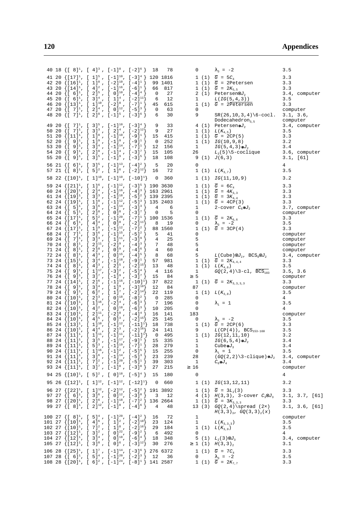| 40 18 $\{ [ 8]^1, [ 4]^3, [ -1]^8, [ -2]^6 \}$                                                                                                                                                                                                                                                                                                                                                                                                                                                                                                                                                                                                                                                                                                                  |  | 18                                                            | 78                                                                            | 0                                                         |              | $\lambda_3 = -2$                                                                                                                                                                                                                                         | 3.5                                                                                                           |
|-----------------------------------------------------------------------------------------------------------------------------------------------------------------------------------------------------------------------------------------------------------------------------------------------------------------------------------------------------------------------------------------------------------------------------------------------------------------------------------------------------------------------------------------------------------------------------------------------------------------------------------------------------------------------------------------------------------------------------------------------------------------|--|---------------------------------------------------------------|-------------------------------------------------------------------------------|-----------------------------------------------------------|--------------|----------------------------------------------------------------------------------------------------------------------------------------------------------------------------------------------------------------------------------------------------------|---------------------------------------------------------------------------------------------------------------|
| 41 20 $\{ [17]^1, [1]^5, [-1]^{10}, [-3]^4 \}$ 120 1816<br>42 20 $\{[16]^1, [10]^8, [-2]^{10}, [-4]^1\}$<br>43 20 $\{[14]^1, [4]^2, [-1]^{16}, [-6]^1\}$<br>44 20 $\{[6]^1, [2]^5, [0]^{10}, [-4]^4\}$<br>45 20 $\{ [ 6]^1, [ 3]^4, [ 1]^4, [ -2]^1 \}$<br>46 20 $\{(13)^1, [1]^{10}, [-2]^8, [-7]^1\}$<br>47 20 $\{ [ 7]^1, [ 2]^4, [ 0]^12, [ -5]^3 \}$<br>48 20 $\{ [ 7]^1, [ 2]^8, [ -1]^5, [ -3]^6 \}$                                                                                                                                                                                                                                                                                                                                                     |  | 66<br>0<br>6<br>45<br>0<br>6                                  | 99 1401<br>817<br>27<br>12<br>615<br>63<br>30                                 | 1<br>0<br>9                                               | 1(1)<br>1(1) | 1 (1) $\overline{G} = 5C_4$<br>$\overline{G}$ = 2Petersen<br>1 (1) $\overline{G}$ = 2 $K_{5,5}$<br>2 (1) Petersen&J,<br>$L(\textit{IG}(5,4,3))$<br>$\overline{G}$ = 2Petersen<br>$SR(26, 10, 3, 4)$ \6-cocl.                                             | 3.3<br>3.3<br>3.3<br>$3.4$ , comp<br>3.5<br>3.3<br>computer<br>3.1, 3.6,                                      |
| 49 20 $\{ [ 7]^1, [ 3]^5, [ -1]^{10}, [ -3]^4 \}$<br>50 20 $\{[-7]^1, [3]^3, [2]^4, [-2]^{12}\}$<br>51 20 $\{(11)^1, [1]^8, [-1]^{10}, [-9]^1\}$<br>52 20 $\{ [ 9]^1, [ 1]^9, [ -1]^9, [ -9]^1 \}$<br>53 20 $\{ [ 9]^1, [ 3]^4, [ -1]^{14}, [ -7]^1 \}$<br>54 20 $\{ [ 9]^1, [ 2]^8, [ -1]^4, [ -3]^7 \}$<br>55 20 $\{[9]^1, [3]^5, [-1]^9, [-3]^5\}$                                                                                                                                                                                                                                                                                                                                                                                                           |  | 9<br>9<br>15<br>0<br>12<br>15<br>18                           | 33<br>27<br>415<br>252<br>156<br>105<br>108                                   | 1<br>26                                                   | 1(1)<br>1(1) | Dodecahedro $n_{3,5}$<br>4 (1) Petersen $\mathbf{v}_2$<br>1 (1) $L(K_{4,5})$<br>$\overline{G}$ = 2CP(5)<br>IG(10, 9, 8)<br>$IG(5, 4, 3)$ and $J_2$<br>$L_3(5)\S$ -coclique<br>9 $(1)$ $J(6,3)$                                                           | computer<br>$3.4$ , comp<br>3.5<br>3.3<br>3.2<br>3.4<br>$3.6$ , comp<br>3.1, [61]                             |
| 56 21 $\{[6]^1, [3]^5, [-1]^1, [-4]^2\}$<br>57 21 $\{[8]^1, [5]^2, [1]^6, [-2]^{12}\}$<br>58 22 $\{ [10]^1, [1]^10, [-1]^10, [-10]^1 \}$                                                                                                                                                                                                                                                                                                                                                                                                                                                                                                                                                                                                                        |  | 5<br>16<br>$\overline{\phantom{0}}$                           | 20<br>72<br>360                                                               | $\mathbf 0$                                               |              | 1 (1) $L(K_{3,7})$<br>1(1) IG(11,10,9)                                                                                                                                                                                                                   | $\overline{4}$<br>3.5<br>3.2                                                                                  |
| 59 24 $\{ [21]^1, [1]^6, [-1]^{12}, [-3]^5 \}$ 190 3630<br>60 24 $(20)^1$ , $[2]^4$ , $[-1]^{16}$ , $[-4]^3$ 163 2961<br>61 24 $\{ [19]^1, [3]^3, [-1]^18, [-5]^2 \}$<br>62 24 $\{ [19]^1, [1]^8, [-1]^12, [-5]^3 \}$<br>63 24 $\{ [ 5]^1, [ 3]^6, [ -1]^{14}, [ -3]^3 \}$<br>64 24 $\{[5]^1, [2]^8, [0]^8, [-3]^7\}$<br>65 24 $\{[17]^1, [5]^2, [-1]^2, [-7]^1\}$<br>66 24 $\{ [ 6]^1, [ 4]^4, [ 0]^8, [ -2]^1 \}$<br>67 24 $\{ [17]^1, [ 1]^9, [ -1]^2, [ -7]^2 \}$<br>68 24 $\{ [ 7]^{1}, [ 3]^{6}, [ -1]^{15}, [ -5]^{2} \}$<br>69 24 $\{ [7]^1, [3]^3, [1]^1, [-3]^9 \}$<br>70 24 $\left\{ \begin{bmatrix} 8 \end{bmatrix}^1, \begin{bmatrix} 2 \end{bmatrix} \right\}^1, \begin{bmatrix} -2 \end{bmatrix}^9, \begin{bmatrix} -4 \end{bmatrix}^3 \right\}$ |  | 4<br>0<br>8<br>5<br>4<br>7                                    | 139 2395<br>135 2403<br>6<br>5<br>100 1536<br>19<br>88 1560<br>41<br>25<br>48 | 1<br>0<br>0<br>0<br>5<br>5                                | 1(1)         | 1 (1) $\overline{G} = 6C_4$<br>1 (1) $\overline{G}$ = 4 $K_{3,3}$<br>$\overline{G}$ = 3 $K_{4,4}$<br>1 (1) $\overline{G}$ = 4CP(3)<br>2-cover $C_6$ $\mathbf{C}_2$<br>1 (1) $\overline{G} = 2K_{6,6}$<br>$\lambda_3 = -2$<br>$1(1)$ $G = 3CP(4)$         | 3.3<br>3.3<br>3.3<br>3.3<br>$3.7$ , comp<br>computer<br>3.3<br>3.5<br>3.3<br>computer<br>computer<br>computer |
| 71 24 $\{ [ 8]^1, [ 2]^8, [ 0]^9, [ -4]^6 \}$<br>72 24 $\{[8]^1, [4]^3, [0]^{15}, [4]^5$<br>73 24 $\{ [15]^1, [3]^4, [-1]^18, [-9]^1 \}$<br>74 24 $\{ [ 8]^1, [ 4]^3, [ 2]^5, [ -2]^{15} \}$<br>75 24 $\{[-9]^1, [1]^1^7, [-3]^2, [-5]^4\}$<br>76 24 $\{ [ 9]^1, [ 3]^7, [ -1]^9, [ -3]^7 \}$<br>77 24 $\{ [14]^1, [2]^6, [-1]^{16}, [-10]^1 \}$<br>78 24 $\{ [ 9]^1, [ 3]^4, [ 1]^9, [ -3]^{10} \}$<br>79 24 $\{ [ 9]^1, [ 6]^2, [ 1]^7, [ -2]^{14} \}$<br>80 24 $\{ [10]^1, [2]^3, [0]^18, [-8]^2$<br>81 24 $\{[10]^1, [1]^{16}, [-2]^4, [-6]^3 \}$<br>82 24 $\{[10]^1, [4]^2, [0]^{18}, [-6]^3 \}$                                                                                                                                                           |  | 4<br>8<br>57<br>13<br>4<br>15<br>37<br>12<br>22<br>0<br>7     | 60<br>68<br>981<br>48<br>116<br>84<br>822<br>84<br>119<br>285<br>196          | 4<br>5<br>1<br>$\geq 5$<br>87<br>0<br>0                   |              | $L(Cube) \otimes J_2$ , BCS <sub>9</sub> $\otimes J_2$<br>1 (1) $\overline{G} = 2K_{4,4,4}$<br>1 (1) $L(K_{4,6})$<br>$GQ(2,4)\3$ -cl, BCS <sub>183</sub><br>1 (1) $\overline{G}$ = $2K_{3,3,3,3}$<br>1 (1) $L(K_{3,8})$<br>$\lambda_1 = 1$               | computer<br>$3.4$ , comp<br>3.3<br>3.5<br>3.5, 3.6<br>computer<br>3.3<br>computer<br>3.5<br>4<br>3.5          |
| 83 24 $\{ [10]^1, [2]^1, [-2]^8, [-4]^4 \}$<br>84 24 $\{ [10]^1, [4]^5, [0]^3, [0^2]^15 \}$<br>85 24 $\{ [13]^1, [1]^{10}, [1]^{12}, [11]^1 \}$<br>86 24 $\{(10)^1, [4]^4, [2]^3, [-2]^{16}\}$<br>87 24 $\{ [11]^1, [1]^{11}, [-1]^{11}, [-11]^1 \}$<br>88 24 $\left\{ [11]^1, [3]^5, [-1]^1, [-9]^1 \right\}$ 15 335<br>89 24 $\{ [11]^{1}, [5]^{3}, [11]^{19}, [17]^{10} \}$<br>90 24 $\{ [11]^1, [1]^{16}, [1]^2, [15]^5 \}$<br>91 24 $\{ [11]^1, [3]^6, [-1]^{14}, [-5]^3 \}$<br>92 24 $\{ [11]^1, [7]^2, [-1]^{20}, [-5]^1 \}$<br>93 24 $\{ [11]^1, [3]^7, [-1]^8, [-3]^8 \}$                                                                                                                                                                              |  | 10<br>16<br>25<br>18<br>24<br>0<br>28<br>15<br>23<br>39<br>27 | 205<br>141<br>145<br>738<br>141<br>495<br>279<br>255<br>239<br>303<br>215     | 0<br>183<br>0<br>9<br>1<br>1<br>0<br>28<br>1<br>$\geq 16$ |              | $\lambda_3 = -2$<br>1 (1) $\overline{G}$ = 2CP(6)<br>$L(CP(4))$ , BCS <sub>153-160</sub><br>1(1) IG(12, 11, 10)<br>$IG(6, 5, 4)$ av $\overline{\phantom{a}}_2$<br>Cube $\mathbf{v}_3$<br>$\lambda_1 = 1$<br>$(GQ(2,2)\3$ -clique) $J_2$<br>$C_6$ o $J_4$ | 4<br>computer<br>3.5<br>3.3<br>3.5<br>3.2<br>3.4<br>3.4<br>3.5<br>$3.4$ , comp<br>3.4<br>computer             |
| 94 25 $\{ [10]^1, [5]^2, [0]^{18}, [5]^4 \}$<br>95 26 $\{ [12]^1, [1]^{12}, [ -1]^{12}, [ -12]^1 \}$                                                                                                                                                                                                                                                                                                                                                                                                                                                                                                                                                                                                                                                            |  | 15<br>$\overline{\phantom{0}}$                                | 180<br>660                                                                    | 0                                                         |              | 1(1) IG(13, 12, 11)                                                                                                                                                                                                                                      | 4<br>3.2                                                                                                      |
| 96 27 $\{ [22]^1, [1]^{12}, [ -2]^{12}, [ -5]^2 \}$ 191 3892<br>97 27 $\{ [ 6]^1, [ 3]^6, [ 0]^12, [ -3]^8 \}$<br>98 27 $\{ [20]^1, [2]^6, [-1]^18, [-7]^2 \}$ 136 2664<br>99 27 $\{[8]^1, [2]^{12}, [-1]^8, [-4]^6\}$                                                                                                                                                                                                                                                                                                                                                                                                                                                                                                                                          |  | 3<br>4                                                        | 12<br>48                                                                      |                                                           |              | 1 (1) $G = 3L_2(3)$<br>4 (1) $H(3,3)$ , 3-cover $C_3\otimes J_3$<br>1 (1) $\overline{G}$ = 3 $K_{3,3,3}$<br>13 (3) $GQ(2,4)$ spread (2x)<br>$H(3,3)_{3}$ , GQ(3,3) <sub>2</sub> (x)                                                                      | 3.3<br>3.1, 3.7,<br>3.3<br>3.1, 3.6,                                                                          |
| 100 27 $\{ [ 8]^1, [ 5]^4, [ -1]^{20}, [ -4]^2 \}$<br>101 27 $\{ [10]^1, [4]^6, [1]^2, [ -2]^{18} \}$<br>102 27 $\{ [10]^1, [7]^2, [1]^8, [-2]^{16} \}$<br>103 27 $\{ [12]^{1}, [3]^{2}, [0]^{22}, [9]^{2} \}$<br>$104$ 27 $\{[12]^1, [3]^4, [0]^{18}, [-6]^4\}$<br>$105$ 27 $\{[12]^1, [3]^8, [0]^8, [-6]^4\}$                                                                                                                                                                                                                                                                                                                                                                                                                                                 |  | 16<br>23<br>29<br>6<br>18<br>30                               | 72<br>124<br>184<br>492<br>348<br>276                                         | 1<br>1<br>0                                               |              | $L(K_{3,3,3})$<br>1 (1) $L(K_{3,9})$<br>5 (1) $L_2(3) \otimes J_3$<br>$\geq 1$ (1) $H(3,3)$ <sub>2</sub>                                                                                                                                                 | computer<br>3.5<br>3.5<br>4<br>$3.4$ , comp<br>3.1                                                            |
| 106 28 $\{ [25]^1, [1]^7, [-1]^{14}, [-3]^6 \}$ 276 6372<br>107 28 $\{ [6]^1, [5]^4, [-1]^{20}, [-2]^3 \}$ 12 36<br>108 28 $\{ [20]^1, [6]^2, [-1]^{24}, [-8]^1 \}$ 141 2587                                                                                                                                                                                                                                                                                                                                                                                                                                                                                                                                                                                    |  |                                                               |                                                                               | 0                                                         |              | 1 (1) $\overline{G}$ = 7 $C_4$<br>$\lambda_3 = -2$<br>1 (1) $\overline{G}$ = 2K <sub>7.7</sub>                                                                                                                                                           | 3.3<br>3.5<br>3.3                                                                                             |
|                                                                                                                                                                                                                                                                                                                                                                                                                                                                                                                                                                                                                                                                                                                                                                 |  |                                                               |                                                                               |                                                           |              |                                                                                                                                                                                                                                                          |                                                                                                               |

|               | 40 18 $\{ [ 8]^1, [ 4]^3, [ -1]^8, [ -2]^6 \}$                                                              |                                                  |                                                                              |              | 18       | 78         | 0            |       | $\lambda_2 = -2$                                                   | 3.5                        |
|---------------|-------------------------------------------------------------------------------------------------------------|--------------------------------------------------|------------------------------------------------------------------------------|--------------|----------|------------|--------------|-------|--------------------------------------------------------------------|----------------------------|
|               | 41 20 $\{[17]^1, [1]^5, [-1]^{10}, [-3]^4\}$ 120 1816                                                       |                                                  |                                                                              |              |          |            |              | 1(1)  | $\overline{G}$ = 5 $C_4$                                           | 3.3                        |
|               | 42 20 $\{ [16]^1, [1]^8, [ -2]^10, [ -4]^1 \}$                                                              |                                                  |                                                                              |              |          | 99 1401    |              | 1(1)  | $\overline{G}$ = 2Petersen                                         | 3.3                        |
|               | 43 20 $\{ [14]^1, [4]^2, [-1]^{16}, [-6]^1 \}$                                                              |                                                  |                                                                              |              | 66       | 817        |              | 1(1)  | $\overline{G}$ = 2K <sub>5,5</sub>                                 | 3.3                        |
|               | 44 20 $\{[6]^1, [2]^5, [0]^{10}, [4]^4\}$                                                                   |                                                  |                                                                              |              | 0        | 27         |              |       | 2 (1) Petersen&J,                                                  | 3.4, computer              |
| 45 20         | $\{[6]^{1},$                                                                                                | $\blacksquare$                                   | $3]^4$ , [ 1] <sup>4</sup> , [-2] <sup>11</sup> }                            |              | 6        | 12         | 1            |       | L(TG(5, 4, 3))                                                     | 3.5                        |
|               | 46 20 $\{ [13]^1,$                                                                                          |                                                  | $[-1]^{10}$ , $[-2]^{8}$ , $[-7]^{1}$                                        |              | 45       | 615        |              | 1(1)  | $G = 2$ Petersen                                                   | 3.3                        |
|               | 47 20 $\{ [ 7]^1, [ 2]^4, [ 0]^12, [ -5]^3 \}$                                                              |                                                  |                                                                              |              | 0        | 63         | 0            |       |                                                                    | computer                   |
|               | 48 20 $\{$ [ $7$ ] $^1$ , [ $2$ ] $^8$ , [-1] $^5$ , [-3] $^6$ $\}$                                         |                                                  |                                                                              |              | 6        | 30         | 9            |       | $SR(26, 10, 3, 4)$ \6-cocl.                                        | 3.1, 3.6,                  |
|               |                                                                                                             |                                                  |                                                                              |              |          |            |              |       | Dodecahedron <sub>3.5</sub>                                        | computer                   |
|               | 49 20 $\{$ [ $7$ ] $^1$ , [ $3$ ] $^5$ , [-1] $^{10}$ , [-3] $^4$ }                                         |                                                  |                                                                              |              | 9        | 33         |              |       | 4 (1) Petersen $\mathbf{v}_2$                                      | 3.4, computer              |
|               | 50 20 $\{[-7]^1,[-3]^3,[-2]^4,[-2]^{12}\}$                                                                  |                                                  |                                                                              |              | 9        | 27         |              | 1(1)  | $L(K_{4,5})$                                                       | 3.5                        |
|               | 51 20 $\{ [11]^1, [11]^8, [ -1]^{10}, [ -9]^1 \}$                                                           |                                                  |                                                                              |              | 15       | 415        |              | 1(1)  | $\overline{G}$ = 2CP(5)                                            | 3.3                        |
|               | 52 20 $\{$ [ 9] $^1$ , [ 1] $^9$ , [-1] $^9$ , [-9] $^1$ ]                                                  |                                                  |                                                                              |              | 0        | 252        |              | 1(1)  | IG(10, 9, 8)                                                       | 3.2                        |
|               | 53 20 $\{$ [ 9] $^1$ , [ 3] $^4$ , [-1] $^{14}$ , [-7] $^1$ ]<br>54 20 $\{[9]^1,$                           |                                                  | $[-2]^8$ , $[-1]^4$ , $[-3]^7$                                               |              | 12<br>15 | 156<br>105 | 1<br>26      |       | $IG(5, 4, 3)$ and $J_2$<br>$L_3(5)\$ 3-coclique                    | 3.4                        |
|               | 55 20 $\{[9]^1, [3]^5, [-1]^9, [-3]^5\}$                                                                    |                                                  |                                                                              |              | 18       | 108        |              | 9 (1) | J(6,3)                                                             | 3.6, computer<br>3.1, [61] |
|               |                                                                                                             |                                                  |                                                                              |              |          |            |              |       |                                                                    |                            |
|               | 56 21 $\{$ [ 6] <sup>1</sup> , [ 3] <sup>5</sup> , [-1] <sup>13</sup> , [-4] <sup>2</sup> }                 |                                                  |                                                                              |              | 5        | 20         | 0            |       |                                                                    | 4                          |
|               | 57 21 $\{[8]^1, [5]^2, [1]^6, [-2]^{12}\}$                                                                  |                                                  |                                                                              |              | 16       | 72         |              |       | 1 (1) $L(K_{3,7})$                                                 | 3.5                        |
|               | 58 22 $\{ [10]^1, [1]^{10}, [ -1]^{10}, [ -10]^1 \}$                                                        |                                                  |                                                                              |              | 0        | 360        |              |       | 1(1) IG(11,10,9)                                                   | 3.2                        |
|               | 59 24 $\{ [21]^1, [1]^6, [[-1]^{12}, [-3]^5 \}$ 190 3630                                                    |                                                  |                                                                              |              |          |            |              | 1(1)  | $\overline{G} = 6C_4$                                              | 3.3                        |
|               | 60 24 $\{ [ 20 ]1, [ 2 ]4, [ -1 ]16, [ -4 ]3 \}$                                                            |                                                  |                                                                              |              |          | 163 2961   |              | 1(1)  | $\overline{G}$ = 4 $K_{3,3}$                                       | 3.3                        |
| 61 24         | $\{ [19]^1, [3]^3, [-1]^18, [-5]^2 \}$                                                                      |                                                  |                                                                              |              |          | 139 2395   |              | 1(1)  | $\overline{G}$ = 3 $K_{4,4}$                                       | 3.3                        |
| 62 24         | $\{ [19]^1, [1]^8, [ -1]^{12}, [ -5]^3$                                                                     |                                                  |                                                                              |              |          | 135 2403   |              | 1(1)  | $\overline{G}$ = 4CP(3)                                            | 3.3                        |
|               | 63 24 $\{[5]^1,$                                                                                            | - E -                                            | $3]^{6}$ , $[-1]^{14}$ , $[-3]^{3}$                                          |              | 4        | 6          | $\mathbf{1}$ |       | 2-cover $C_6$ a $J_2$                                              | 3.7, computer              |
|               | 64 24 $\{$ [ 5] $^1$ , [ 2] $^8$ , [ 0] $^8$ , [-3] $^7$ }                                                  |                                                  |                                                                              |              | 0        | 5          | $\mathbf 0$  |       |                                                                    | computer                   |
|               | 65 24 $\{[17]^1,$                                                                                           | I.                                               | $5]^2$ , $[-1]^{20}$ , $[-7]^1$ }                                            |              |          | 100 1536   | 1            | (1)   | $\overline{G}$ = 2K <sub>6,6</sub>                                 | 3.3                        |
|               | 66 24 $\{[6]^1,$                                                                                            |                                                  | $[-4]^4$ , $[-0]^8$ , $[-2]^{11}$                                            |              | 8        | 19         | 0            |       | $\lambda_{3} = -2$                                                 | 3.5                        |
| 67 24         | $\{ [17]^1,$                                                                                                |                                                  | $[-1]^9$ , $[-1]^{12}$ , $[-7]^2$                                            |              |          | 88 1560    | 1            | (1)   | $\overline{G}$ = 3CP(4)                                            | 3.3                        |
| 68 24         | $7]^{1}$ ,<br>3 E                                                                                           | $\mathbb T$                                      | $3]^6$ , $[-1]^{15}$ , $[-5]^2$                                              |              | 5        | 41         | 0            |       |                                                                    | computer                   |
| 69 24         | $\{[-7]^1,$                                                                                                 | $\mathbb T$                                      | $3]^3$ , $[1]^1$ , $[-3]^9$<br>2] <sup>11</sup> , $[-2]^9$ , $[-4]^3$        |              | 4        | 25         | 5            |       |                                                                    | computer                   |
| 70 24         | $8]^{1}$ ,<br>3 E -                                                                                         | -E                                               |                                                                              |              | 7        | 48         | 5            |       |                                                                    | computer                   |
| 71 24         | $\{[-8]^1,$                                                                                                 | Ι.                                               | $2]^8$ , [ 0] <sup>9</sup> , [-4] <sup>6</sup><br>, $[0]^{15}$ , $[-4]^{5}$  |              | 4        | 60         | 4            |       |                                                                    | computer                   |
| 72 24         | $\{ [ 8]^{1} \}$                                                                                            | 4 <sup>3</sup><br>$\mathsf{L}$<br>$\mathfrak{c}$ | $3]^4$ , $[-1]^{18}$ , $[-9]^{1}$                                            |              | 8        | 68         | 5            |       | $L$ (Cube) $\otimes J_2$ , BCS <sub>9</sub> $\otimes J_2$          | 3.4, computer              |
| 73 24<br>7424 | ${15}^{\circ}$<br>$8]^{1}$ ,<br>$\{ \Gamma$                                                                 | $4$ ] <sup>3</sup> ,<br>$\mathbb{I}$             | $[2]^5$ , $[-2]^{15}$                                                        |              | 57<br>13 | 981<br>48  | 1            | 1(1)  | $(1)$ $G = 2K_{4,4,4}$                                             | 3.3<br>3.5                 |
| 75 24         | $\{ [9]^{1},$                                                                                               | $\lfloor$                                        | $1]^{17}$ , $[-3]^{2}$ , $[-5]^{4}$                                          |              | 4        | 116        | 1            |       | $L(K_{4,6})$<br>$GQ(2,4)\3$ -cl, BCS <sub>183</sub>                | 3.5, 3.6                   |
| 76 24         | $9]^{1}$ ,<br>3 E                                                                                           | I.                                               | $3]^7$ , $[-1]^9$ , $[-3]^7$                                                 |              | 15       | 84         | $\geq 5$     |       |                                                                    | computer                   |
|               | 77 24 $\{[14]^1, [$                                                                                         |                                                  | $2]$ <sup>6</sup> , $[-1]$ <sup>16</sup> , $[-10]$ <sup>1</sup> }            |              | 37       | 822        |              | 1(1)  | $\overline{G}$ = 2K <sub>3,3,3,3</sub>                             | 3.3                        |
| 78 24 {[      | $9]^{1}$ ,                                                                                                  | $3^4$<br>$\mathbf{r}$                            | , $[1]^9$ , $[-3]^{10}$                                                      |              | 12       | 84         | 87           |       |                                                                    | computer                   |
|               | 79 24 {[ 9] <sup>1</sup> ,                                                                                  | $\mathbb{R}$                                     | $6]$ <sup>2</sup> , [ 1] <sup>7</sup>                                        | $[-2]^{14}$  | 22       | 119        |              |       | 1 (1) $L(K_{3,8})$                                                 | 3.5                        |
|               | 80 24 $\{[10]^{\scriptscriptstyle{\perp}}$ ,                                                                | $2^{\frac{3}{3}}$<br>Ι.                          | $\begin{bmatrix} 0 \end{bmatrix}^{18}, \begin{bmatrix} -8 \end{bmatrix}^{2}$ |              | 0        | 285        | 0            |       |                                                                    | 4                          |
|               | 81 24 $\{[10]^1,$                                                                                           | $\lceil$                                         | $1]^{16}$ , $[-2]^{4}$ , $[-6]^{3}$                                          |              | 7        | 196        | 0            |       | $\lambda_1 = 1$                                                    | 3.5                        |
| 82 24         | ${101}$ ,                                                                                                   | $\lceil$                                         | 4] <sup>2</sup> , [ 0] <sup>18</sup> , [-6] <sup>3</sup> }                   |              | 10       | 205        | 0            |       |                                                                    | 4                          |
| 83 24         | $\{ [ 10 ]^{1},$                                                                                            | $\mathbb{I}$                                     | $2]^{11}$ , $[-2]^{8}$                                                       | , $[-4]^{4}$ | 16       | 141        | 183          |       |                                                                    | computer                   |
| 84 24         | $\{ [ 10 ]^{1},$                                                                                            |                                                  | $[4]^5$ , $[0]^3$ , $[-2]^{15}$                                              |              | 25       | 145        | 0            |       | $\lambda_3 = -2$                                                   | 3.5                        |
| 85 24         | $\{[13]^1,$                                                                                                 |                                                  | $[1]^{10}$ , $[-1]^{12}$ , $[-11]^{1}$                                       |              | 18       | 738        | 1            |       | $(1)$ G = 2CP(6)                                                   | 3.3                        |
|               | 86 24 $\{ [10]^1, [4]^4, [2]^3, [ -2 ]^{16} \}$<br>87 24 $\{ [11]^1, [1]^{11}, [1]^{11}, [11]^1, [11]^1 \}$ |                                                  |                                                                              |              | 24<br>0  | 141<br>495 | 9            |       | $L(\text{CP}(4))$ , $\text{BCS}_{153-160}$                         | 3.5                        |
|               | 88 24 $\{ [11]^1, [3]^5, [-1]^1, [-9]^1 \}$                                                                 |                                                  |                                                                              |              | 15       |            | 1            |       | 1(1) IG(12,11,10)                                                  | 3.2                        |
|               | 89 24 $\{ [11]^1, [5]^3, [ -1]^{19}, [ -7]^1 \}$                                                            |                                                  |                                                                              |              | 28       | 335<br>279 | 1            |       | $IG(6, 5, 4)$ a $J_2$<br>Cube $\omega$ ,                           | 3.4<br>3.4                 |
|               | 90 24 $\{ [11]^1, [1]^{16}, [1]^2, [5]^5 \}$                                                                |                                                  |                                                                              |              | 15       | 255        | 0            |       | $\lambda_1 = 1$                                                    | 3.5                        |
|               | 91 24 $\{[11]^1,$                                                                                           | $\lceil$                                         | $3]$ <sup>6</sup> , $[-1]$ <sup>14</sup> , $[-5]$ <sup>3</sup> )             |              | 23       | 239        | 28           |       | $(GQ(2,2)\3$ -clique) $J_2$                                        | 3.4, computer              |
|               | 92 24 $\{ [11]^1, [7]^2, [-1]^2, [-5]^1 \}$                                                                 |                                                  |                                                                              |              | 39       | 303        | 1            |       | $C_6$ o $J_4$                                                      | 3.4                        |
|               | 93 24 $\{ [11]^1, [3]^7, [-1]^8, [-3]^8 \}$                                                                 |                                                  |                                                                              |              | 27       | 215        | $\geq 16$    |       |                                                                    | computer                   |
|               | 94 25 $\{ [10]^1, [5]^2, [0]^{18}, [-5]^4 \}$                                                               |                                                  |                                                                              |              | 15       | 180        | 0            |       |                                                                    | 4                          |
|               |                                                                                                             |                                                  |                                                                              |              |          |            |              |       |                                                                    |                            |
|               | 95 26 $\{ [12]^1, [1]^{12}, [ -1]^{12}, [ -12]^1 \}$                                                        |                                                  |                                                                              |              | $\circ$  | 660        |              |       | 1(1) IG(13, 12, 11)                                                | 3.2                        |
|               | 96 27 $\{ [22]^1, [1]^{12}, [ -2]^{12}, [ -5]^2 \}$ 191 3892                                                |                                                  |                                                                              |              |          |            |              | 1(1)  | $\overline{G}$ = 3L <sub>2</sub> (3)                               | 3.3                        |
|               | 97 27 $\{$ [ 6] <sup>1</sup> , [ 3] <sup>6</sup> , [ 0] <sup>12</sup> , [-3] <sup>8</sup> $\}$              |                                                  |                                                                              |              | 3        | 12         |              |       | 4 (1) $H(3,3)$ , 3-cover $C_3\otimes T_3$                          | 3.1, 3.7, [61]             |
|               | 98 27 $\{ [ 20 ]^{1}, [ 2]^{6}, [ -1]^{18}, [ -7]^{2} \}$ 136 2664                                          |                                                  |                                                                              |              |          |            |              | 1(1)  | $\overline{G}$ = 3 $K_{3,3,3}$                                     | 3.3                        |
|               | 99 27 $\{ [ 8]^1, [ 2]^12, [ -1]^8, [ -4]^6 \}$                                                             |                                                  |                                                                              |              | 4        | 48         |              |       | 13 (3) $GQ(2,4)$ spread (2x)                                       | 3.1, 3.6, [61]             |
|               |                                                                                                             |                                                  |                                                                              |              |          |            |              |       | $H(3,3)_{3}$ , $GQ(3,3)_{2}(x)$                                    |                            |
|               | 00 27 $\{[8]^1, [5]^4, [-1]^{20}, [-4]^2\}$                                                                 |                                                  |                                                                              |              | 16       | 72         | 1            |       |                                                                    | computer                   |
|               | 01 27 $\{ [ 10 ]^{1}, [ 4 ]^{6}, [ 1 ]^{2}, [ -2 ]^{18} \}$                                                 |                                                  |                                                                              |              | 23       | 124        | 1            |       | $L(K_{3,3,3})$                                                     | 3.5                        |
|               | 02 27 $\{[10]^1, [7]^2, [1]^8, [-2]^{16}\}$                                                                 |                                                  |                                                                              |              | 29       | 184        |              |       | 1 (1) $L(K_{3,9})$                                                 | 3.5                        |
|               | 03 27 $\{[12]^1,$<br>04 27 $\{ [12]^1, [3]^4, [0]^{18}, [6]^{4} \}$                                         |                                                  | $[3]^2$ , $[0]^2$ , $[-9]^2$                                                 |              | 6        | 492        | 0            |       |                                                                    | 4                          |
|               | 05 27 $\{ [12]^1, [3]^8, [0]^6, [ -3]^{12} \}$                                                              |                                                  |                                                                              |              | 18<br>30 | 348<br>276 |              |       | 5 (1) $L_2(3)$ $\otimes J_3$<br>$\geq 1$ (1) $H(3,3)$ <sub>2</sub> | 3.4, computer<br>3.1       |
|               |                                                                                                             |                                                  |                                                                              |              |          |            |              |       |                                                                    |                            |
|               | 06 28 $\{ [25]^1, [1]^7, [ -1]^{14}, [ -3]^6 \}$ 276 6372                                                   |                                                  |                                                                              |              |          |            |              | 1(1)  | $\overline{G}$ = 7 $C_4$                                           | 3.3                        |
|               | 07 28 $\{ [ 6]^1, [ 5]^4, [ -1]^{20}, [ -2]^3 \}$                                                           |                                                  |                                                                              |              | 12       | 36         | 0            |       | $\lambda_{3} = -2$                                                 | 3.5                        |
|               | 08 28 $\{ [ 20 ]^{1}, [ 6 ]^{2}, [ -1 ]^{24}, [ -8 ]^{1} \}$ 141 2587                                       |                                                  |                                                                              |              |          |            |              | 1(1)  | $\overline{G}$ = 2K <sub>7.7</sub>                                 | 3.3                        |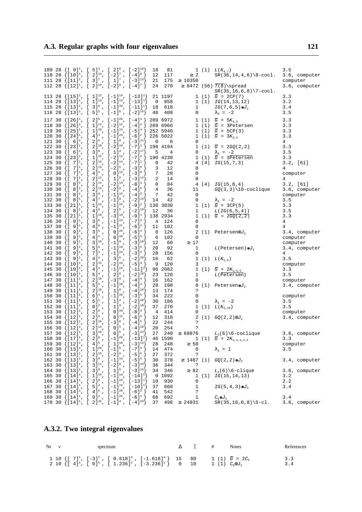| 109 28 $\{ [ 9]^1, [ 5]^3, [ 2]^6, [ -2]^18 \}$<br>110 28 $\{ [10]^1, [2]^{14}, [-2]^7, [-4]^6 \}$<br>111 28 $\{ [11]^1, [3]^7, [1]^7, [-3]^{13} \}$<br>112 28 $\{ [12]^1, [2]^{14}, [ -2]^6, [ -4]^7 \}$                                                                                                                              |             |                            |                                        | 18<br>12<br>21<br>24       | 81<br>117<br>175<br>270                           | $\geq 2$<br>$\geq 10350$        |      | 1 (1) $L(K_{4,7})$<br>$SR(36, 14, 4, 6)$ 8-cocl.<br>≥ 8472 (56) $T(8)$ \spread<br>$SR(35, 16, 6, 8)\$ 7-cocl.                        | 3.5<br>3.6, computer<br>computer<br>3.6, computer           |
|----------------------------------------------------------------------------------------------------------------------------------------------------------------------------------------------------------------------------------------------------------------------------------------------------------------------------------------|-------------|----------------------------|----------------------------------------|----------------------------|---------------------------------------------------|---------------------------------|------|--------------------------------------------------------------------------------------------------------------------------------------|-------------------------------------------------------------|
| 113 28 $\{ [15]^1, [1]^12, [-1]^14, [-13]^1 \}$<br>114 28 $\{(13)^1, [1]^{13}, [-1]^{13}, [-13]^1\}$<br>115 28 $\{(13)^1, [3]^6, [-1]^{20}, [-11]^1\}$<br>116 28 $\{ [13]^1, [5]^5, [-1]^6, [-2]^{16} \}$                                                                                                                              |             |                            |                                        | 0<br>18<br>48              | 21 1197<br>858<br>618<br>408                      | $\mathbf{1}$<br>0               | 1(1) | 1 (1) $\overline{G}$ = 2CP(7)<br>IG(14, 13, 12)<br>$IG(7, 6, 5)$ a $J_2$<br>$\lambda_3 = -2$                                         | 3.3<br>3.2<br>3.4<br>3.5                                    |
| 117 30 $\{ [26]^1, [2]^5, [-1]^{20}, [-4]^4 \}$<br>118 30 $\{ [26]^1, [1]^{12}, [-2]^{15}, [-4]^2 \}$<br>119 30 $\{(25)^1, [1]^{10}, [-1]^{15}, [-5]^4\}$<br>120 30 $\{ [24]^1, [4]^3, [-1]^{24}, [-6]^2 \}$<br>121 30 $\{[6]^1, [2]^9\}$                                                                                              |             | , $[1]^9$ , $[-3]^{11}$    |                                        | 0                          | 289 6972<br>289 6966<br>252 5940<br>226 5022<br>6 | 0                               | 1(1) | 1 (1) $\overline{G} = 5K_{3,3}$<br>$\overline{G}$ = 3Petersen<br>1 (1) $\overline{G}$ = 5CP(3)<br>1 (1) $\overline{G}$ = 3 $K_{5,5}$ | 3.3<br>3.3<br>3.3<br>3.3<br>4                               |
| 122 30 $\{ [23]^1, [2]^{10}, [2]^{18}, [77]^1 \}$<br>123 30 $\{ [ 6]^1, [ 3]^8, [ 1]^4 \}$<br>124 30 $\{ [23]^1, [1]^{15}, [2]^{12}, [7]^{2} \}$<br>125 30 $\{ [ 7]^1, [ 2]^14, [ -2]^14, [ -7]^1 \}$<br>126 30 $\{ [ 7]^1, [ 2]^15, [ -2]^5 \}$                                                                                       |             |                            | , $[-2]^{17}$<br>, $[-3]$ <sup>9</sup> | 5<br>0<br>3                | 196 4194<br>4<br>190 4230<br>42<br>12             | 0<br>0                          |      | 1 (1) $\overline{G} = 2GQ(2,2)$<br>$\lambda_3 = -2$<br>1 (1) $\overline{G}$ = 3Petersen<br>4(4) IG(15, 7, 3)                         | 3.3<br>3.5<br>3.3<br>3.2, [61]<br>4                         |
| 127 30 $\{ [ 7]^1, [ 4]^5, [ 0]^15 \}$<br>128 30 $\{ [ 7]^1, [ 2]^12, [ 1]^5, [ -3]^12 \}$<br>129 30 $\{[8]^1, [2]^{14}, [-2]^{14}$<br>130 30 $\{ [ 8]^{1}, [ 2]^{15}, [ -2]^{9}, [ -4]^{5} \}$<br>131 30 $\{ [ 8]^1, [ 3]^9, [ -1]^{15}, [ -4]^5 \}$                                                                                  |             |                            | , $[-3]^9$<br>, $[-8]$ $^1$            | 7<br>2<br>0<br>4<br>7      | 28<br>14<br>84<br>36<br>42                        | 0<br>0<br>11<br>0               |      | 4(4) IG(15, 8, 4)<br>$GQ(3,3)\10$ -coclique                                                                                          | computer<br>4<br>3.2, [61]<br>3.6, computer<br>computer     |
| 132 30 $\{ [ 8]^1, [ 4]^7, [ -1]^8, [ -2]^14 \}$<br>133 30 $\{ [21]^1, [1]^{12}, [1]^{15} \}$<br>134 30 $\{[8]^1, [4]^5, [2]^5\}$<br>135 30 $\{ [21]^1, [1]^{18}, [ -3]^{10}, [ -9]^1 \}$<br>136 30 $\{ [ 9]^1, [ 3]^8, [ -1]^1^9, [ -7]^2 \}$                                                                                         |             |                            | , $[-9]^{2}$<br>, $[-2]^{19}$          | 14<br>130<br>12<br>4       | 42<br>3030<br>36<br>138 2934<br>124               | 0<br>1<br>1<br>0                |      | $\lambda_3 = -2$<br>$(1)$ $\overline{G}$ = 3CP(5)<br>L(IG(6, 5, 4))<br>$1(1)$ $G = 2GQ(2,2)$                                         | 3.5<br>3.3<br>3.5<br>3.3<br>4                               |
| 137 30 $\{[9]^1, [$<br>138 30 $\{[9]^1, [3]^5, [0]^{20}, [6]^4\}$<br>139 30 $\{[9]^1, [4]^4, [0]^{20}, [5]^5\}$<br>140 30 $\{ [ 9]^1, [ 3]^10, [ -1]^9 \}$<br>141 30 $\{ [9]^1, [5]^5, [-1]^1^9, [-3]^5 \}$                                                                                                                            | $4^{\circ}$ | , $[-1]^{21}$ , $[-6]^{2}$ | , $[-3]^{10}$                          | 11<br>0<br>6<br>12<br>20   | 102<br>126<br>102<br>60<br>92                     | 0<br>0<br>$\geq$ 17<br>1        |      | 2 (1) Petersen $\mathcal{X}_3$<br>$L$ (Petersen) $\mathbf{w}_2$                                                                      | 4<br>3.4, computer<br>computer<br>computer<br>3.4, computer |
| 142 30 $\{ [ 9]^1, [ 7]^3, [ -1]^{24}, [ -3]^2 \}$<br>143 30 $\{ [ 9]^1, [ 4]^4, [ 3]^5, [ -2]^2^0 \}$<br>144 30 $\{(10)^1, [2]^{15}, [-2]^{10}, [-5]^4\}$<br>145 30 $\{ [19]^1, [4]^4, [-1]^{24}, [-11]^1 \}$                                                                                                                         |             |                            |                                        | 28<br>16<br>9              | 156<br>62<br>120<br>96 2082                       | 0<br>3                          |      | 1 (1) $L(K_{5,6})$<br>1 (1) $\overline{G}$ = 2K <sub>5,5,5</sub>                                                                     | 4<br>3.5<br>computer<br>3.3                                 |
| 146 30 $\{ [10]^1, [5]^4, [2]^5, [-2]^{20} \}$<br>147 30 $\{ [11]^1, [2]^{16}, [53]^9, [4]^{4} \}$<br>148 30 $\{ [11]^1, [5]^5, [-1]^{20}, [-4]^4 \}$<br>149 30 $\{ [11]^1, [2]^{10}, [1]^{9} \}$<br>150 30 $\{ [11]^1, [6]^4, [-1]^{20}, [-3]^5 \}$                                                                                   |             |                            | , $[-4]^{10}$                          | 23<br>16<br>28<br>13<br>34 | 120<br>162<br>198<br>174<br>222                   | 1<br>0<br>?<br>0                |      | L(Petersen)<br>8 (1) Petersen $\mathbb{Z}_3$                                                                                         | 3.5<br>computer<br>3.4, computer<br>computer                |
| 151 30 $\{ [11]^1, [5]^5, [1]^4 \}$<br>152 30 $\{ [11]^1, [8]^2, [1]^9 \}$<br>153 30 $\{ [12]^1, [2]^6, [0]^2, [8]^3 \}$<br>154 30 $\{ [12]^1, [2]^9, [0]^{15}, [6]^{5} \}$<br>155 30 $\{(12)^1, [2]^{16}, [-3]^{8}, [-4]^{5}\}$                                                                                                       |             |                            | , $[-2]^{20}$<br>, $[-2]^{18}$         | 30<br>37<br>4<br>12<br>22  | 186<br>270<br>414<br>318<br>244                   | 0<br>0<br>?                     |      | $\lambda_3 = -2$<br>1 (1) $L(K_{3,10})$<br>2 (1) $GQ(2,2)\otimes J_2$                                                                | 3.5<br>3.5<br>computer<br>3.4, computer                     |
| 156 30 $\{ [12]^1, [2]^{14}, [0]^5, [-4]^{10} \}$<br>157 30 $\{ [12]^1, [3]^{10}, [0]^5, [-3]^{14} \}$<br>158 30 $\{ [17]^1, [2]^8, [-1]^2, [-13]^1 \}$                                                                                                                                                                                |             |                            |                                        | 20<br>27<br>28             | 254<br>240<br>248                                 | S.<br>$\geq 68876$<br>$\geq 50$ |      | $L_3(6)\$ 6-coclique<br>46 1590 1 (1) $\overline{G} = 2K_{3,3,3,3,3}$                                                                | 3.6, computer<br>3.3<br>computer                            |
| 159 30 $\{12\}^1$ , $\{4\}^5$ , $\{1\}^{10}$ , $[-3]^{14}$<br>160 30 $\{13\}^1$ , $\{1\}^{20}$ , $[-1]^5$ , $[-7]^4$<br>161 30 $\{13\}^1$ , $\{2\}^{15}$ , $\{-2\}^9$ , $\{-5\}^5$<br>162 30 $\{(13)^1, [3]^9, [-1]^{15}, [-5]^5\}$<br>163 30 $\{(13)^1, [3]^1, [-2]^8, [-3]^{10}\}$<br>164 30 $\{ [13]^1, [3]^9, [1]^5, [-3]^{15} \}$ |             |                            |                                        | 14<br>27<br>30<br>36<br>34 | 474<br>372<br>378<br>344<br>346                   | 0<br>?<br>S.<br>$\geq 82$       |      | $\lambda_1 = 1$<br>$\geq$ 1487 (1) GQ(2,2) $\omega_{2}$<br>$L_3(6)\$ 6-clique                                                        | 3.5<br>3.4, computer<br>3.6, computer                       |
| 165 30 $\{(14)^1, [1]^{14}, [-1]^{14}, [-1]^{14}]$<br>166 30 $\{ [14]^1, [2]^9, [-1]^19, [-13]^1 \}$<br>167 30 $\{ [14]^1, [5]^4, [-1]^24, [-10]^1 \}$<br>168 30 $\{(14)^1, [4]^6, [-1]^{20}, [-6]^3\}$                                                                                                                                |             |                            |                                        | 10<br>37<br>41             | 0 1092<br>930<br>660<br>542                       | 0<br>1<br>S.                    | 1(1) | IG(15, 14, 13)<br>$IG(5, 4, 3)$ a $J_3$                                                                                              | 3.2<br>2.2<br>3.4                                           |
| 169 30 $\{(14)^1, [9]^2, [-1]^{26}, [-6]^1\}$<br>170 30 $\{ [14]^1, [2]^{15}, [-1]^4, [-4]^{10} \}$                                                                                                                                                                                                                                    |             |                            |                                        | 66<br>37                   | 692                                               | 1<br>$498 \ge 24931$            |      | $C_6$ out<br>$SR(35, 16, 6, 8)\$ 5-cl.                                                                                               | 3.4<br>3.6, computer                                        |

## **A.3.2. Two integral eigenvalues**

| $Nr \nu$ | spectrum                                                                                                                                                         |  | $\Lambda$ $\Xi$ # | <b>Notes</b> | References |
|----------|------------------------------------------------------------------------------------------------------------------------------------------------------------------|--|-------------------|--------------|------------|
|          | 1 10 $\{[7]^1, [-3]^1, [0.618]^4, [-1.618]^4\}$ 15 80 1 (1) $\overline{G} = 2C_5$<br>2 10 $\{[4]^1, [0]^5, [1.236]^2, [-3.236]^2\}$ 0 10 1 (1) $C_5 \otimes J_2$ |  |                   |              | 3.3<br>3.4 |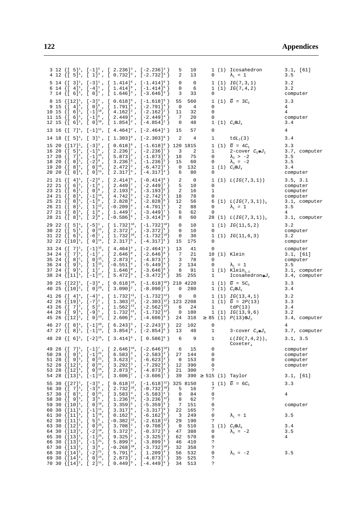|                      | 3 12 $\{[5]^1, [-1]^5, [2.236]^3, [-2.236]^3 \}$<br>4 12 $\{[5]^1, [1]^3, [0.732]^4, [-2.732]^4\}$                                                                                                                                                                                                                                                                                                                                                          | 5<br>2                                 | 10<br>13                                    | 0                                                                   | 1 (1) Icosahedron<br>$\lambda_1 = 1$                                                                                                      | 3.1, [61]<br>3.5                                                                           |
|----------------------|-------------------------------------------------------------------------------------------------------------------------------------------------------------------------------------------------------------------------------------------------------------------------------------------------------------------------------------------------------------------------------------------------------------------------------------------------------------|----------------------------------------|---------------------------------------------|---------------------------------------------------------------------|-------------------------------------------------------------------------------------------------------------------------------------------|--------------------------------------------------------------------------------------------|
|                      | 5 14 $\{[3]^1, [-3]^1, [1.414]^6, [-1.414]^6\}$<br>6 14 $\{$ [ 4] <sup>1</sup> , [-4] <sup>1</sup> , [ 1.414] <sup>6</sup> , [-1.414] <sup>6</sup> }<br>7 14 $\{[ 6]^1, [ 0]^7, [ 1.646]^3, [ -3.646]^3 \}$                                                                                                                                                                                                                                                 | 0<br>0<br>3                            | $\mathbf 0$<br>6<br>33                      | 0                                                                   | 1(1) IG(7,3,1)<br>1(1) IG(7, 4, 2)                                                                                                        | 3.2<br>3.2<br>computer                                                                     |
|                      | 8 15 $\{ [12]^1, [-3]^2, [0.618]^6, [-1.618]^6 \}$<br>9 15 $\{ [4]^1, [0]^6, [1.791]^4, [ -2.791]^4 \}$<br>10 15 $($ [ 6] <sup>1</sup> , [-1] <sup>10</sup> , [ 4.162] <sup>2</sup> , [-2.162] <sup>2</sup> )<br>11 15 $\{ [ 6]^1, [ -1]^6, [ 2.449]^4, [ -2.449]^4 \}$<br>12 15 $\{ [ 6]^1, [ 0]^10, [ 1.854]^2, [ -4.854]^2 \}$                                                                                                                           | 55<br>$\mathbf 0$<br>11<br>7<br>0      | 560<br>$\overline{4}$<br>32<br>20<br>48     | $\mathbf 0$<br>$\mathbf 0$<br>$\mathbf 0$                           | 1 (1) $\overline{G}$ = 3 $C_6$<br>1 (1) $C_5 \otimes J_3$                                                                                 | 3.3<br>4<br>$\overline{4}$<br>computer<br>3.4                                              |
|                      | 13 16 $\{ [ 7]^1, [ -1]^1, [ 4.464]^2, [ -2.464]^2 \}$<br>14 18 $\{[5]^1, [3]^1, [1.303]^8, [-2.303]^8\}$                                                                                                                                                                                                                                                                                                                                                   | 15<br>2                                | 57<br>4                                     | 0<br>1                                                              | tdL <sub>2</sub> (3)                                                                                                                      | 4<br>3.4                                                                                   |
|                      | 15 20 $\{ [17]^1, [-3]^3, [0.618]^8, [-1.618]^8 \}$ 120 1815<br>16 20 $\{[5]^1, [-1]^5, [2.236]^7, [-2.236]^7\}$<br>17 20 $\{$ $[$ $7$ $]$ <sup>1</sup> , $[-1]$ <sup>15</sup> , $[$ $5.873$ $]$ <sup>2</sup> , $[-1.873]$ <sup>2</sup> $\}$<br>18 20 $\{[8]^1, [-2]^9, [3.236]^5, [-1.236]^5 \}$<br>19 20 $(8)^1$ , $[0]^{15}$ , $[2.472]^2$ , $[-6.472]^2$<br>20 20 $\{ [ 8]^1, [ 0]^1, [ 2.317]^4, [ -4.317]^4 \}$                                       | 3<br>18<br>15<br>0<br>6                | 2<br>75<br>60<br>132<br>80                  | $\mathbf{1}$<br>0<br>0<br>$\Omega$                                  | 1 (1) $\overline{G} = 4C_5$<br>2-cover $C_5$ $\mathbb{C}$ <sub>2</sub><br>$\lambda_3$ > -2<br>$\lambda_3 = -2$<br>1 (1) $C_5 \otimes J_4$ | 3.3<br>3.7, computer<br>3.5<br>3.5<br>3.4<br>computer                                      |
|                      | 21 21 $\{ [ 4]^1, [ -2]^8, [ 2.414]^6, [ -0.414]^6 \}$<br>22 21 $\{[6]^1, [-1]^6, [2.449]^7, [-2.449]^7 \}$<br>23 21 $\{ [ 6]^1, [ 0]^8, [ 2.193]^6, [ -3.193]^6 \}$<br>24 21 $\{ [ 8]^1, [ -1]^{14}, [ 4.742]^3, [ -2.742]^3 \}$<br>25 21 $\{[8]^1, [-1]^8, [2.828]^6, [-2.828]^6$<br>26 21 $\{ [ 8]^1, [ 1]^12, [ -0.209]^4, [ -4.791]^4 \}$<br>27 21 $\{[8]^1, [1]^6, [1.449]^7, [-3.449]^7\}$<br>28 21 $\{ [ 8]^1, [ 2]^8, [ -0.586]^6, [ -3.414]^6 \}$ | 2<br>5<br>2<br>18<br>12<br>2<br>6<br>8 | 0<br>10<br>16<br>78<br>56<br>88<br>62<br>60 | $\mathbf 0$<br>$\mathbf{1}$<br>$\mathbf 0$<br>6<br>0<br>$\mathbf 0$ | 1(1) L(IG(7,3,1))<br>$(1) L(IG(7,3,1))_3$<br>$\lambda_1 = 1$<br>28 (1) $L(TG(7,3,1))_2$                                                   | 3.5, 3.1<br>computer<br>computer<br>computer<br>3.1, computer<br>3.5<br>4<br>3.1, computer |
|                      | 29 22 $\{[-5]^1, [-5]^1, [-1.732]^{10}, [-1.732]^{10}\}$<br>30 22 $\{[5]^1, [0]^{11}, [2.372]^5, [-3.372]^5\}$<br>31 22 $\{[6]^1, [-6]^1, [1.732]^{10}, [-1.732]^{10}\}$<br>32 22 $\{ [10]^1, [0]^{11}, [2.317]^5, [-4.317]^5 \}$                                                                                                                                                                                                                           | 0<br>0<br>0<br>15                      | 10<br>10<br>30<br>175                       | $\mathbf 0$<br>$\mathbf 0$                                          | 1(1) IG(11, 5, 2)<br>1(1) IG(11, 6, 3)                                                                                                    | 3.2<br>computer<br>3.2<br>computer                                                         |
|                      | 33 24 $\{ [ 7]^1, [ -1]^{15}, [ 4.464]^4, [ -2.464]^4 \}$<br>34 24 $\{ [ 7]^1, [ -1]^7, [ 2.646]^8, [ -2.646]^8 \}$<br>35 24 $\{[8]^1, [0]^{15}, [2.873]^4, [-4.873]^4 \}$<br>36 24 $\{ [ 9]^1, [ 1]^15, [ -0.551]^4, [ -5.449]^4 \}$<br>37 24 $\{[9]^1, [1]^7, [1.646]^8, [-3.646]^8\}$<br>38 24 $\{ [11]^1, [-1]^1, [5.472]^3, [-3.472]^3 \}$                                                                                                             | 13<br>7<br>3<br>2<br>8<br>35           | 41<br>21<br>78<br>134<br>91<br>255          | 0<br>$\mathbf 0$<br>0<br>1                                          | 10 (1) Klein<br>$\lambda_1 = 1$<br>1 (1) $Klein1,3$<br>Icosahedron <sup>®</sup> ,                                                         | computer<br>3.1, [61]<br>computer<br>3.5<br>3.1, computer<br>3.4, computer                 |
|                      | 39 25 $\{ [22]^1, [-3]^4, [0.618]^{10}, [-1.618]^{10} \}$<br>40 25 $\{ [10]^{1}, [0]^{20}, [3.090]^{2}, [ -8.090]^{2} \}$                                                                                                                                                                                                                                                                                                                                   | 0                                      | 210 4220<br>280                             |                                                                     | 1 (1) $\overline{G} = 5C_5$<br>1 (1) $C_5 \otimes J_5$                                                                                    | 3.3<br>3.4                                                                                 |
|                      | 41 26 $\{[-4]^1, [-4]^1, [-1.732]^{12}, [-1.732]^{12}\}$<br>42 26 $\{ [19]^1, [-7]^1, [1.303]^{12}, [-2.303]^{12} \}$<br>43 26 $\{ [ 7]^1, [ 5]^1, [ 1.562]^{12}, [ -2.562]^{12} \}$<br>44 26 $(19)^1$ , $[-9]^1$ , $[1.732]^{12}$ , $[-1.732]^{12}$<br>45 26 $\{ [12]^1, [0]^{13}, [2.606]^6, [-4.606]^6 \}$                                                                                                                                               | 0<br>6<br>0<br>24                      | 0<br>123 2208<br>24<br>180<br>318           | $\mathbf{1}$                                                        | 1(1) IG(13, 4, 1)<br>1 (1) $\overline{G} = 2P(13)$<br>tdP(13)<br>1(1) IG(13,9,6)<br>$\geq$ 85 (1) $P(13)$ $\&J_2$                         | 3.2<br>3.3<br>3.4<br>3.2<br>3.4, computer                                                  |
|                      | 46 27 $\{ [ 8]^1, [ -1]^{20}, [ 6.243]^3, [ -2.243]^3 \}$<br>47 27 $\{[8]^1, [-1]^{14}, [3.854]^6, [-2.854]^6\}$                                                                                                                                                                                                                                                                                                                                            | 22<br>13                               | 102<br>48                                   | 0<br>$\mathbf{1}$                                                   | $3$ -cover $C_3$ a $J_3$                                                                                                                  | 4<br>3.7, computer                                                                         |
|                      | 48 28 $\{[6]^1, [-2]^{15}, [3.414]^6, [0.586]^6\}$                                                                                                                                                                                                                                                                                                                                                                                                          | 6                                      | 9                                           | 1                                                                   | $L(TG(7, 4, 2))$ ,<br>$\texttt{Coxeter}_4$                                                                                                | 3.1, 3.5                                                                                   |
|                      | 49 28 $\{ [ 7]^1, [ -1]^7, [ 2.646]^{10}, [ -2.646]^{10} \}$<br>50 28 {[ 9] <sup>1</sup> , [-1] <sup>21</sup> , [ 6.583] <sup>3</sup> , [-2.583] <sup>3</sup><br>51 28 {[ 9] <sup>1</sup> , [ 0] <sup>21</sup> , [ 3.623] <sup>3</sup> , [-6.623] <sup>3</sup> }<br>52 28 $\{ [12]^1, [0]^2, [3.292]^3, [-7.292]^3 \}$<br>53 28 $(12)^1$ , $[0]^{15}$ , $[2.873]^{6}$ , $[-4.873]^{6}$<br>54 28 $\{ [13]^1, [-1]^{13}, [3.606]^7, [-3.606]^7 \}$            | 6<br>27<br>0<br>12<br>21<br>39         | 15<br>144<br>153<br>390<br>300              | 0<br>0<br>0<br>$\mathbf 0$<br>ċ.                                    | $390 \ge 515$ (1) Taylor                                                                                                                  | computer<br>computer<br>computer<br>computer<br>3.1, [61]                                  |
|                      | 55 30 $\{ [27]^1, [-3]^5, [0.618]^{12}, [-1.618]^{12} \}$ 325 8150<br>56 30 $\{ [ 7]^1, [ -3]^9, [ 2.732]^{10}, [ -0.732]^{10} \}$<br>57 30 $\{[8]^1, [0]^2, [3.583]^4, [-5.583]^4 \}$                                                                                                                                                                                                                                                                      | 5<br>0                                 | 16<br>84                                    | ċ.<br>0                                                             | 1 (1) $\overline{G} = 6C_{5}$                                                                                                             | 3.3<br>4                                                                                   |
|                      | 58 30 $\{ [9]^1, [3]^5, [1.236]^{12}, [ -3.236]^{12} \}$<br>59 30 $\{101^1, [011^9, [3.359]^{5}, [-5.359]^{5}\}$                                                                                                                                                                                                                                                                                                                                            | 8<br>7                                 | 62<br>151                                   | ċ.<br>0                                                             |                                                                                                                                           | computer                                                                                   |
| 62 30 $\{ [11]^1, [$ | 60 30 $\left\{ \begin{bmatrix} 11 \end{bmatrix}^1, \begin{bmatrix} -1 \end{bmatrix}^{11}, \begin{bmatrix} 3.317 \end{bmatrix}^9, \begin{bmatrix} -3.317 \end{bmatrix}^9 \right\}$<br>61 30 $\{ [11]^1, [1]^{19}, [0.162]^5, [6.162]^5 \}$<br>$5]^5$ , $[-0.382]^{12}$ , $[-2.618]^{12}]$<br>63 30 $\{[12]^1, [0]^{25}, [3.708]^2, [-9.708]^2$<br>64 30 $\{[13]^1, [-2]^{19}, [5.372]^5, [-0.372]^5$<br>65 30 $\{[13]^1, [-1]^{25}, [9.325]^2, [-3.325]^2$   | 22<br>3<br>29<br>0<br>47<br>62         | 165<br>249<br>190<br>510<br>388<br>570      | $\ddot{\cdot}$<br>0<br>ċ.<br>$\mathbf{1}$<br>0<br>0                 | $\lambda_1 = 1$<br>$(1)$ $C_5 \otimes J_6$<br>$\lambda_{\scriptscriptstyle{2}} = -2$                                                      | 3.5<br>3.4<br>3.5<br>4                                                                     |
|                      | 66 30 $\{ [13]^1, [-1]^2, [5.899]^4, [-3.899]^4 \}$<br>67 30 $\{ [13]^1, [3]^9, [-0.268]^{10}, [-3.732]^{10} \}$<br>68 30 $\{[14]^1, [-2]^{21}, [5.791]^4, [1.209]^4\}$<br>69 30 $\{[14]^1, [0]^{15}, [2.873]^7, [-4.873]^7\}$<br>70 30 $\{ [14]^1, [2]^{11}, [0.449]^9, [-4.449]^9 \}$                                                                                                                                                                     | 46<br>32<br>56<br>35<br>34             | 410<br>358<br>532<br>525<br>513             | S.<br>ċ.<br>0<br>ċ.<br>ċ.                                           | $\lambda_3 = -2$                                                                                                                          | 3.5                                                                                        |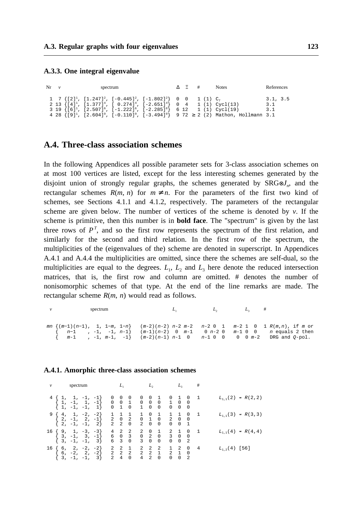### **A.3.3. One integral eigenvalue**

|  | $\Pr$ v spectrum |                                                                                 |  |  | $\Delta \quad \Xi \quad \# \quad$ Notes                                                            | References |
|--|------------------|---------------------------------------------------------------------------------|--|--|----------------------------------------------------------------------------------------------------|------------|
|  |                  | 1 7 $\{ [2]^1, [1.247]^2, [-0.445]^2, [-1.802]^2 \}$ 0 0 1 (1) $C_7$            |  |  |                                                                                                    | 3.1, 3.5   |
|  |                  | 2 13 $\{ [4]^1, [1.377]^4, [0.274]^4, [-2.651]^4 \}$ 0 4 1 (1) Cycl(13)         |  |  |                                                                                                    | 3.1        |
|  |                  | 3 19 $\{ [ 6 ]^1, [ 2.507 ]^6, [-1.222 ]^6, [-2.285 ]^6 \}$ 6 12 1 (1) Cycl(19) |  |  |                                                                                                    | 3.1        |
|  |                  |                                                                                 |  |  | 4 28 $\{ [ 9 ]^1, [ 2.604 ]^9, [-0.110 ]^9, [-3.494 ]^9 \}$ 9 72 $\geq 2$ (2) Mathon, Hollmann 3.1 |            |

### **A.4. Three-class association schemes**

In the following Appendices all possible parameter sets for 3-class association schemes on at most 100 vertices are listed, except for the less interesting schemes generated by the disjoint union of strongly regular graphs, the schemes generated by SRG⊗*J<sub>n</sub>*, and the rectangular schemes  $R(m, n)$  for  $m \neq n$ . For the parameters of the first two kind of schemes, see Sections 4.1.1 and 4.1.2, respectively. The parameters of the rectangular scheme are given below. The number of vertices of the scheme is denoted by *v*. If the scheme is primitive, then this number is in **bold face**. The "spectrum" is given by the last three rows of  $P<sup>T</sup>$ , and so the first row represents the spectrum of the first relation, and similarly for the second and third relation. In the first row of the spectrum, the multiplicities of the (eigenvalues of the) scheme are denoted in superscript. In Appendices A.4.1 and A.4.4 the multiplicities are omitted, since there the schemes are self-dual, so the multiplicities are equal to the degrees.  $L_1$ ,  $L_2$  and  $L_3$  here denote the reduced intersection matrices, that is, the first row and column are omitted. # denotes the number of nonisomorphic schemes of that type. At the end of the line remarks are made. The rectangular scheme *R*(*m*, *n*) would read as follows.

| $\nu$ spectrum                                                                                                                                                                                                                                                    | $L_1$ $L_2$ $L_3$ # |  |  |
|-------------------------------------------------------------------------------------------------------------------------------------------------------------------------------------------------------------------------------------------------------------------|---------------------|--|--|
| $mn \{(m-1)(n-1), 1, 1-m, 1-n\}$ $(m-2)(n-2)$ $n-2$ $m-2$ $n-2$ 0 1 $m-2$ 1 0 1 $R(m,n)$ , if m or<br>${n-1, -1, -1, n-1}$ $(m-1)(n-2)$ 0 m-1 0 n-2 0 m-1 0 0 n equals 2 then<br>$\{m-1, m-1, m-1, -1\}$ $(m-2)(n-1)$ $n-1$ 0 $n-1$ 0 0 0 $m-2$ DRG and $Q-pol$ . |                     |  |  |

### **A.4.1. Amorphic three-class association schemes**

| v | spectrum                                                                                                                                                                                                                                                                                                                                                                   | $L_{2}$ | $L3$ # |                              |
|---|----------------------------------------------------------------------------------------------------------------------------------------------------------------------------------------------------------------------------------------------------------------------------------------------------------------------------------------------------------------------------|---------|--------|------------------------------|
|   | $\begin{array}{c cccccc} 4 & \{ & 1, & 1, & -1, & -1 \} & 0 & 0 & 0 & 0 & 0 & 1 & 0 & 1 & 0 \\ \{ & 1, & -1, & 1, & -1 \} & 0 & 0 & 1 & 0 & 0 & 0 & 1 & 0 & 0 \\ \{ & 1, & -1, & -1, & 1 \} & 0 & 1 & 0 & 1 & 0 & 0 & 0 & 0 & 0 \\ \end{array}$                                                                                                                            |         |        | $L_{1,1}(2)$ $\sim$ $R(2,2)$ |
|   | $\begin{array}{c cccccc}9 & \left\{\begin{array}{cccccc}4\ , & 1\ , & -2\ , & -2\end{array}\right\} & 1 & 1 & 1 & 1 & 0 & 1 & 1 & 1 & 0\\2\ , & -1\ , & 2\ , & -1\end{array}\right\} & 2 & 0 & 2 & 0 & 1 & 0 & 2 & 0 & 0\\2\ , & -1\ , & -1\ , & 2\end{array}\quad\begin{array}{c cccccc}1 & 1 & 1 & 0 & 1 & 1 & 1 & 0\\2\ 0 & 2 & 0 & 1 & 0 & 2 & 0 & 0\\2\ 0 & 0 & 0 & $ |         |        | $L_{1,1}(3) \cong R(3,3)$    |
|   | $\begin{array}{c cccccc} 16 & \left\{\begin{array}{ccccc} 9, & 1, & -3, & -3 \\ 3, & -1, & 3, & -1 \end{array}\right\} & \begin{array}{ccccc} 4 & 2 & 2 & 2 & 0 & 1 & 2 & 1 & 0 \\ 6 & 0 & 3 & 0 & 2 & 0 & 3 & 0 & 0 \\ 3, & -1, & -1, & 3 & 6 & 3 & 0 & 3 & 0 & 0 & 0 & 0 & 2 \end{array} \end{array}$                                                                    |         |        | $L_{1,1}(4) \cong R(4,4)$    |
|   | $\begin{array}{c cccccc} 16 & \left[ \begin{array}{ccccc} 6 \ , & 2 \ , & -2 \ , & -2 \end{array} \right] & 2 & 2 & 1 & 2 & 2 & 2 & 1 & 2 & 0 \\ 6 \ , & -2 \ , & 2 \ , & -2 \end{array} & 2 & 2 & 2 & 2 & 2 & 1 & 2 & 1 & 0 \\ 2 \ , & 2 \ & 2 \ & 2 \ & 2 \ & 2 \ & 2 \ & 0 \ & 0 \ & 0 \ & 2 \end{array}$                                                               |         |        | $L_{1,2}(4)$ [56]            |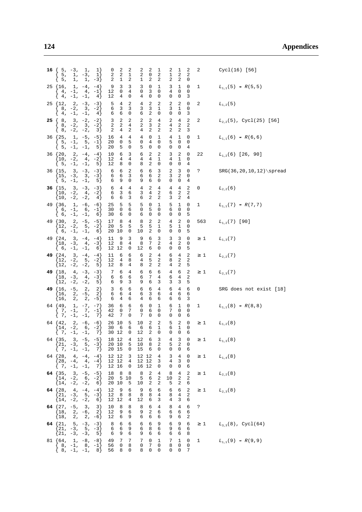| $16 \{ 5, -3, 1, 1 \}$<br>5,                                                                                                                                          | $5, 1, -3, 1$                                                                                  | $1, 1, -3$ |                | 0<br>2<br>2    | 2<br>2<br>1             | 2<br>1<br>2    | 2<br>2<br>1    | 2<br>0<br>2             | ı<br>2<br>2                       | 2<br>1<br>2  | 1<br>2<br>2  | 2<br>2<br>0              | 2            | Cycl(16) [56]                |
|-----------------------------------------------------------------------------------------------------------------------------------------------------------------------|------------------------------------------------------------------------------------------------|------------|----------------|----------------|-------------------------|----------------|----------------|-------------------------|-----------------------------------|--------------|--------------|--------------------------|--------------|------------------------------|
| $25\{16, 1, -4, -4\}$<br>$\{4, -1, -1, 4\}$                                                                                                                           | $\{4, -1, 4, -1\}$                                                                             |            |                | 9<br>12<br>12  | 3<br>0<br>4             | 3<br>4<br>0    | 3<br>0<br>4    | 0<br>3<br>0             | 1<br>0<br>0                       | 3<br>4<br>0  | 1<br>0<br>0  | 0<br>0<br>3              | 1            | $L_{1,1}(5) \approx R(5,5)$  |
| $25\{12, 2, -3, -3\}$<br>$\{4, -1, -1, \ldots \}$                                                                                                                     | $\begin{bmatrix} 8, -2, 3, -2 \end{bmatrix}$                                                   |            | $4\}$          | 5<br>6<br>6    | 4<br>3<br>6             | 2<br>3<br>0    | 4<br>3<br>6    | 2<br>3<br>2             | 2<br>1<br>0                       | 2<br>3<br>0  | 2<br>1<br>0  | 0<br>0<br>3              | 2            | $L_{1,2}(5)$                 |
| <b>25</b> { 8, 3, -2, -2}<br>$\{8, -2, -2, 3\}$                                                                                                                       | $\left[ 8, -2, 3, -2 \right]$                                                                  |            |                | 3<br>2<br>2    | 2<br>2<br>4             | 2<br>4<br>2    | 2<br>2<br>4    | 2<br>3<br>2             | 4<br>2<br>2                       | 2<br>4<br>2  | 4<br>2<br>2  | 2<br>2<br>3              | 2            | $L_{2,2}(5)$ , Cycl(25) [56] |
| $36\{25, 1, -5, -5\}$<br>$\left\{ \begin{array}{ccc} 5, & -1, & 5, & -1 \\ 5, & -1, & -1, & 5 \end{array} \right\}$                                                   |                                                                                                |            |                | 16<br>20<br>20 | 4<br>0<br>5             | 4<br>5<br>0    | 4<br>0<br>5    | O<br>4<br>0             | 1<br>0<br>0                       | 4<br>5<br>0  | ı<br>0<br>0  | 0<br>0<br>4              | ı            | $L_{1,1}(6) = R(6,6)$        |
| $36\{20, 2, -4, -4\}$<br>$\begin{array}{cc} \{10, -2, 4, -2\} \\ 5, -1, -1, 5 \end{array}$                                                                            |                                                                                                |            |                | 10<br>12<br>12 | 6<br>4<br>8             | 3<br>4<br>0    | 6<br>4<br>8    | 2<br>4<br>2             | 2<br>1<br>0                       | 3<br>4<br>0  | 2<br>1<br>0  | 0<br>0<br>4              | 22           | $L_{1,2}(6)$ [26, 90]        |
| $\begin{array}{c} 36\ \left\{15\,,\quad 3\,,\ -3\,,\ -3\right\} \\ \left\{15\,,\ -3\,,\quad 3\,,\ -3\right\} \\ \left\{5\,,\ -1\,,\ -1\,,\quad 5\right\} \end{array}$ |                                                                                                |            |                | - 6<br>6<br>6  | 6<br>6<br>9             | 2<br>3<br>0    | 6<br>6<br>9    | 6<br>6<br>6             | 3<br>2<br>0                       | 2<br>3<br>0  | 3<br>2<br>0  | 0<br>0<br>4              | ?            | $SRG(36, 20, 10, 12)$ spread |
| <b>36</b> $\{15, 3, -3, -3\}$<br>$\{10, -2, -2, 4\}$                                                                                                                  | 10, $-2$ , $4$ , $-2$ }                                                                        |            |                | 6<br>6<br>6    | 4<br>3<br>6             | 4<br>6<br>3    | 4<br>3<br>6    | 2<br>4<br>2             | 4<br>2<br>2                       | 4<br>6<br>3  | 4<br>2<br>2  | 2<br>2<br>4              | 0            | $L_{2,2}(6)$                 |
| $49 \{36, 1, -6, -6\}$                                                                                                                                                | $\left\{\n\begin{array}{ccc}\n6, & -1, & 6, & -1 \\ 6, & -1, & -1, & 6\n\end{array}\n\right\}$ |            |                | 25<br>30<br>30 | 5<br>0<br>6             | 5<br>6<br>0    | 5<br>0<br>6    | 0<br>5<br>0             | 1<br>0<br>0                       | 5<br>6<br>0  | ı.<br>0<br>0 | 0<br>0<br>5              | 1            | $L_{1,1}(7) \approx R(7,7)$  |
| 49 $\{30, 2, -5, -5\}$<br>$\begin{Bmatrix} 12, & -2, & 5, & -2 \\ 6, & -1, & -1, & 6 \end{Bmatrix}$                                                                   |                                                                                                |            |                | 17<br>20       | 8<br>5<br>20 10         | 4<br>5<br>0    | 8<br>5<br>10   | 2<br>5<br>2             | 2<br>1<br>0                       | 4<br>5<br>0  | 2<br>1<br>0  | 0<br>0<br>5              | 563          | $L_{1,2}(7)$ [90]            |
| $49\{24, 3, -4, -4\}$                                                                                                                                                 | $18, -3, 4, -3$<br>$\{6, -1, -1, 6\}$                                                          |            |                | 11<br>12       | 9<br>8<br>12 12         | 3<br>4<br>0    | 9<br>8<br>12   | 6<br>7<br>6             | 3<br>2<br>0                       | 3<br>4<br>0  | 3<br>2<br>0  | 0<br>0<br>5              | $\geq 1$     | $L_{1,3}(7)$                 |
| 49 $\{24, 3, -4, -4\}$<br>$\begin{array}{ccc} \{12, -2, 5, -2\} \\ \{12, -2, -2, 5\} \end{array}$                                                                     |                                                                                                |            |                | 11<br>12<br>12 | 6<br>4<br>8             | 6<br>8<br>4    | 6<br>4<br>8    | 2<br>5<br>2             | 4<br>2<br>2                       | 6<br>8<br>4  | 4<br>2<br>2  | 2<br>2<br>5              | $\geq 1$     | $L_{2,2}(7)$                 |
| 49 ${18, 4, -3, -3}$<br>$\{12, -2, -2, 5\}$                                                                                                                           | $18, -3, 4, -3$                                                                                |            |                | 7<br>6<br>6    | 6<br>6<br>9             | 4<br>6<br>3    | 6<br>6<br>9    | 6<br>7<br>6             | 6<br>4<br>3                       | 4<br>6<br>3  | 6<br>4<br>3  | 2<br>2<br>5              | $\geq 1$     | $L_{2,3}(7)$                 |
| 49 $\{16, -5,$<br>$\{16, 2, 2, -5\}$                                                                                                                                  | $16, 2, -5,$                                                                                   | 2,         | $2\}$<br>$2\}$ | 3<br>6<br>6    | 6<br>6<br>4             | 6<br>4<br>6    | 6<br>6<br>4    | 6<br>3<br>6             | 4<br>6<br>6                       | 6<br>4<br>6  | 4<br>6<br>6  | 6<br>6<br>3              | 0            | SRG does not exist [18]      |
| 64 $\{49, 1, -7, -7\}$                                                                                                                                                | $7, -1, 7, -1$<br>$7, -1, -1, 7$                                                               |            |                | 36<br>42<br>42 | 6<br>0<br>7             | 6<br>7<br>0    | 6<br>0<br>7    | 0<br>6<br>0             | 1<br>0<br>0                       | 6<br>7<br>0  | ı.<br>0<br>0 | 0<br>0<br>6              | $\mathbf{1}$ | $L_{1,1}(8) \cong R(8,8)$    |
| 64 $\{42, 2, -6, -6\}$<br>$\{7, -1, -1, 7\}$                                                                                                                          | $\begin{bmatrix} 14 & -2 & 6 & -2 \end{bmatrix}$                                               |            |                | 30             | 26 10<br>6<br>30 12     | 5<br>6<br>0    | 10<br>6<br>12  | 2<br>6<br>2             | 2<br>1<br>0                       | 5<br>6<br>0  | 2<br>1<br>0  | 0<br>0<br>6              | $\geq 1$     | $L_{1,2}(8)$                 |
| 64 $\{35, 3, -5, -5\}$                                                                                                                                                | $\begin{bmatrix} 21 & -3 & 5 & -3 \\ 7 & -1 & -1 & 7 \end{bmatrix}$                            |            |                |                | 18 12<br>20 10<br>20 15 | 4<br>5<br>0    | 12<br>10<br>15 | 6<br>8<br>6             | $\overline{\mathbf{3}}$<br>2<br>0 | 4<br>5<br>0  | 3<br>2<br>0  | $\overline{0}$<br>U<br>6 | $\geq 1$     | $L_{\rm 1,\,3}(\,8\,)$       |
| $64 \{28, 4, -4, -4\}$<br>$\begin{Bmatrix} 28 & -4 & 4 & -4 \\ 7 & -1 & -1 & 7 \end{Bmatrix}$                                                                         |                                                                                                |            |                |                | 12 12<br>12 12<br>12 16 | 3<br>4<br>0    |                | 12 12<br>12 12<br>16 12 | 4<br>3<br>0                       | 3<br>4<br>0  | 4<br>3<br>0  | 0<br>0<br>6              | $\geq 1$     | $L_{1,4}(8)$                 |
| 64 $\{35, 3, -5, -5\}$<br>$\{14, -2, 6, -2\}$<br>$\{14, -2, -2, 6\}$                                                                                                  |                                                                                                |            |                | 18<br>20       | 8<br>20 10              | 8<br>5 10<br>5 | 8<br>- 5<br>10 | 2<br>6<br>2             | 4<br>2<br>2                       | 8<br>10<br>5 | 4<br>2<br>2  | 2<br>2<br>6              | $\geq 1$     | $L_{2,2}(8)$                 |
| 64 $\{28, 4, -4, -4\}$<br>$\begin{array}{cc} \{21, -3, 5, -3\} \\ \{14, -2, -2, 6\} \end{array}$                                                                      |                                                                                                |            |                | 12<br>12       | 9<br>- 8<br>12 12       | 6<br>8<br>4    | 9<br>8<br>12   | 6<br>8<br>6             | 6<br>4<br>3                       | 6<br>8<br>4  | 6<br>4<br>3  | 2<br>2<br>6              | $\geq 1$     | $L_{2,3}(8)$                 |
| 64 $\{27, -5, 3, 3\}$<br>$\{18, 2, -6, 2\}$<br>$\{18, 2, 2, -6\}$                                                                                                     |                                                                                                |            |                | 10<br>12<br>12 | 8<br>9<br>6             | 8<br>6<br>9    | 8<br>9<br>6    | 6<br>2<br>6             | 4<br>6<br>6                       | 8<br>6<br>9  | 4<br>6<br>6  | 6<br>6<br>2              | ?            |                              |
| 64 $\begin{array}{cc} \{21, & 5, & -3, & -3\} \{21, & -3, & 5, & -3\} \{21, & -3, & -3, & 5\} \end{array}$                                                            |                                                                                                |            |                | 8<br>6<br>6    | 6<br>6<br>9             | 6<br>9<br>6    | 6<br>6<br>9    | 6<br>8<br>6             | 9<br>6<br>6                       | 6<br>9<br>6  | 9<br>6<br>6  | 6<br>6<br>8              | $\geq 1$     | $L_{3,3}(8)$ , Cycl(64)      |
| 81 $\{64, 1, -8, -8\}$                                                                                                                                                | $8, -1, 8, -1$<br>8, $-1$ , $-1$ , 8                                                           |            |                | 49<br>56<br>56 | 7<br>0<br>8             | 7<br>8<br>0    | 7<br>0<br>8    | 0<br>7<br>0             | 1<br>0<br>0                       | 7<br>8<br>0  | 1<br>0<br>0  | 0<br>0<br>7              | 1            | $L_{1,1}(9) \cong R(9,9)$    |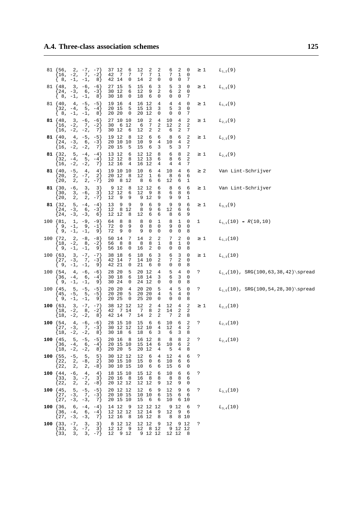|                         | $81 \{56, 2, -7, -7\}$         | $16, -2, 7, -2$<br>$8, -1, -1,$                                                                  |          | $8\}$                | 37 12<br>42<br>- 7<br>42 14                | 6<br>7<br>0          | 12<br>-7<br>14          | 2<br>7<br>2        | 2<br>1<br>0 | 6<br>7<br>0               | 2<br>1<br>0      | 0<br>0<br>7    |    | $\geq 1$ | $L_{1,2}(9)$                             |
|-------------------------|--------------------------------|--------------------------------------------------------------------------------------------------|----------|----------------------|--------------------------------------------|----------------------|-------------------------|--------------------|-------------|---------------------------|------------------|----------------|----|----------|------------------------------------------|
|                         | $81 \{48, 3, -6, -6\}$         | $24, -3, 6, -3$<br>$\{8, -1, -1, \ldots\}$                                                       |          | $8\}$                | 27 15<br>30 12<br>30 18                    | 5<br>6<br>0          | 15<br>12<br>18          | 6<br>9<br>6        | 3<br>2<br>0 | 5<br>6<br>0               | 3<br>2<br>0      | 0<br>0<br>7    |    | $\geq 1$ | $L_{1,3}(9)$                             |
|                         | $81 \{40, 4, -5, -5\}$         | $32, -4, 5, -4$<br>$\{8, -1, -1, \ldots\}$                                                       |          | $8\}$                | 19 16<br>20 15<br>20 20                    | 4<br>5<br>0          | 16 12<br>15 13<br>20 12 |                    | 4<br>3<br>0 | 4<br>5<br>0               | 4<br>3<br>0      | 0<br>0<br>7    |    | $\geq 1$ | $L_{1,4}(9)$                             |
|                         | 81 $\{48, 3, -6, -6\}$         | $16, -2, 7, -2$<br>$\{16, -2, -2,$                                                               |          | 7 }                  | 27 10 10<br>30<br>6<br>30 12               | 12<br>6              | 10<br>6<br>12           | 2<br>7<br>2        | 4<br>2<br>2 | 10<br>12<br>6             | 4<br>2<br>2      | 2<br>2<br>7    |    | $\geq 1$ | $L_{2,2}(9)$                             |
|                         | <b>81</b> $\{40, 4, -5, -5\}$  | $24, -3, 6, -3$<br>$ 16, -2, -2,$                                                                |          | - 7 }                | 19 12<br>20 10 10<br>20 15                 | 8<br>5               | 12<br>10<br>15          | 6<br>9<br>6        | 6<br>4<br>3 | 8<br>10<br>5              | 6<br>4<br>3      | 2<br>2<br>7    |    | $\geq 1$ | $L_{2,3}(9)$                             |
|                         | <b>81</b> $\{32, 5, -4, -4\}$  | $32, -4, 5, -4$<br>$16, -2, -2,$                                                                 |          | 7 }                  | 13 12<br>12 12<br>12 16                    | 6<br>8<br>4          | 12 12<br>12 13<br>16 12 |                    | 8<br>6<br>4 | 6<br>8<br>4               | 8<br>6<br>4      | 2<br>2<br>7    |    | $\geq 1$ | $L_{2,4}(9)$                             |
|                         | <b>81</b> {40, -5, 4,          | $20, 2, -7,$<br>$20, 2, 2, -7$                                                                   |          | $4$ }<br>2           | 19 10 10<br>20 12<br>20 8 12               | 8                    | 10<br>12<br>8           | 6<br>1<br>6        | 4<br>6<br>6 | 10<br>8<br>12             | 4<br>6<br>6      | 6<br>6<br>1    |    | $\geq$ 2 | Van Lint-Schrijver                       |
|                         | <b>81</b> $\{30, -6, 3,$       | $30, 3, -6,$<br>$\begin{bmatrix} 20, 2, 2, \end{bmatrix}$                                        |          | 3<br>3<br>$-7$ }     | 9 12<br>12 12<br>12<br>9                   | 8<br>6<br>9          | 12 12<br>12             | 9<br>9 1 2         | 6<br>8<br>9 | 8<br>6<br>9               | 6<br>8<br>9      | 6<br>6<br>1    |    | $\geq 1$ | Van Lint-Schrijver                       |
|                         | <b>81</b> $\{32, 5, -4, -4\}$  | $\begin{array}{cc} \{24, -3, 6, -3\} \\ \{24, -3, -3, 6\} \end{array}$                           |          | $6$ }                | - 9<br>13<br>12<br>8 12<br>12 12           | 9<br>8               | 9<br>8<br>12            | 6<br>9<br>6        | 9<br>6<br>6 | 9<br>12<br>8              | 9<br>6<br>6      | 6<br>6<br>9    |    | $\geq 1$ | $L_{3,3}(9)$                             |
|                         | $100 \{81, 1, -9, -9\}$        | 9, $-1$ , 9, $-1$ }<br>$9, -1, -1,$                                                              |          | 9 }                  | 64<br>- 8<br>72<br>0<br>72<br>9            | 8<br>9<br>0          | 8<br>0<br>9             | 0<br>8<br>0        | 1<br>0<br>0 | 8<br>9<br>0               | 1<br>0<br>0      | 0<br>0<br>8    | 1  |          | $L_{1,1}(10) \cong R(10,10)$             |
|                         | $100 \{72, 2, -8, -8\}$        | $\begin{bmatrix} 18, & -2, & 8, & -2 \end{bmatrix}$<br>{ 9, -1, -1,                              |          | 9                    | 50 14<br>56<br>8<br>56 16                  | 7<br>8<br>0          | 14<br>8<br>16           | 2<br>8<br>2        | 2<br>1<br>0 | 7<br>8<br>0               | 2<br>1<br>0      | 0<br>0<br>8    |    | $\geq 1$ | $L_{1,2}(10)$                            |
|                         | $100 \{63, 3, -7, -7\}$        | $\begin{Bmatrix} 27 & -3 & 7 & -3 \\ 9 & -1 & -1 & 9 \end{Bmatrix}$                              |          |                      | 38 18<br>42 14<br>42 21                    | 6<br>7<br>0          | 18<br>14 10<br>21       | 6<br>6             | 3<br>2<br>0 | 6<br>7<br>0               | 3<br>2<br>0      | 0<br>0<br>8    |    | $\geq 1$ | $L_{1,3}(10)$                            |
| $100 \{54, 4, -6, -6\}$ |                                | $36, -4, 6, -4$<br>9, $-1$ , $-1$ ,                                                              |          | $9\}$                | 28 20<br>30 18<br>30 24                    | 5<br>6<br>0          | 20 12<br>18 14<br>24 12 |                    | 4<br>3<br>0 | 5<br>6<br>0               | 4<br>3<br>0      | 0<br>0<br>8    | ?  |          | $L_{1.4}(10)$ , SRG(100,63,38,42)\spread |
| $100 \{45, 5, -5, -5\}$ |                                | $\{45, -5, 5, -5\}$<br>{ 9, -1, -1,                                                              |          | 9                    | 20 20<br>20 20<br>20 25                    | 4<br>5<br>0          | 20 20<br>20 20<br>25 20 |                    | 5<br>4<br>0 | 4<br>5<br>0               | 5<br>4<br>0      | 0<br>0<br>8    | ?  |          | $L_{1.5}(10)$ , SRG(100,54,28,30) spread |
|                         | 100 $\{63, 3, -7, -7\}$        | $18, -2, 8, -2$<br>$\begin{bmatrix} 18, -2, -2, \end{bmatrix}$                                   |          | $8\}$                | 38 12 12<br>42<br>$7\overline{ }$<br>42 14 | 14<br>$\overline{7}$ | 12<br>7<br>14           | 2<br>8<br>2        | 4<br>2<br>2 | 12<br>14<br>7             | 4<br>2<br>2      | 2<br>2<br>8    |    | $\geq 1$ | $L_{2,2}(10)$                            |
|                         | <b>100</b> $\{54, 4, -6, -6\}$ | $27, -3, 7, -3$<br>$\{18, -2, -2, 8\}$                                                           |          |                      | 28 15 10<br>30 12 12<br>30 18 6            |                      | 15<br>12 10<br>18 6     | - 6                | 6<br>4<br>3 | 10<br>12<br>6             | 6<br>4<br>3      | 2<br>2<br>8    | ?  |          | $L_{2,3}(10)$                            |
| 100 $\{45, 5, -5, -5\}$ |                                | $36, -4,$<br>$\begin{bmatrix} 18, -2, -2, \end{bmatrix}$                                         |          | $6, -4$<br>8         | 20 16 8<br>20 15 10<br>20 20               | - 5                  | 16 12<br>15 14<br>20 12 |                    | 8<br>6<br>4 | 8 <sup>8</sup><br>10<br>5 | 8<br>6<br>4      | 2<br>2<br>8    | 3. |          | $L_{\rm 2\,,\,4}$ ( $10$ )               |
|                         | $100 \{55, -5,$                | $22, 2, -8,$<br>22, 2,                                                                           | 5,<br>2, | $5$ }<br>2<br>$-8$ } | 30 12 12<br>30 15 10<br>30 10 15           |                      | 12<br>15<br>10          | 6<br>0<br>6        | 4<br>6<br>6 | 12<br>10<br>15            | 4<br>6<br>6      | 6<br>6<br>0    | ?  |          |                                          |
|                         | $100 \{44, -6,$                | $33, 3, -7,$<br>$\{22, 2,$                                                                       | 4,<br>2, | 4<br>3<br>$-8$ }     | 18 15 10<br>20 16<br>20 12 12              | - 8                  | 15 12<br>16<br>12 12    | 8                  | 6<br>8<br>9 | 10<br>- 8<br>12           | 6<br>8<br>9      | 6<br>6<br>0    | ċ. |          |                                          |
|                         | 100 $\{45, 5, -5, -5\}$        | $\begin{bmatrix} 27 & -3 & 7 & -3 \end{bmatrix}$<br>$\begin{bmatrix} 27 & -3 & -3 \end{bmatrix}$ |          | $7$ }                | 20 12 12<br>20 10 15<br>20 15 10           |                      | 12<br>10 10<br>15       | - 6<br>- 6         | 9<br>6<br>6 | 12<br>15<br>10            | 9<br>6<br>6      | 6<br>6<br>10   | ?  |          | $L_{3,3}(10)$                            |
| 100 $\{36, 6, -4, -4\}$ |                                | $36, -4, 6, -4$<br>$\{27, -3, -3,$                                                               |          | - 7 }                | 14 12<br>12 12 12<br>12 16                 | - 9<br>- 8           | 12 14<br>16 12          | 12 12 12           | 9<br>8      | 12<br>8                   | 9 1 2<br>9       | 6<br>6<br>8 10 | ?  |          | $L_{3,4}(10)$                            |
|                         | 100 $\{33, -7,$                | $33, 3, -7,$<br>33, 3,                                                                           | 3,       | 3<br>3<br>$3, -7$ }  | 8 12 12<br>12 12 9<br>12<br>9 12           |                      | 12 12                   | 12 8 12<br>9 12 12 | 9           | 12                        | 9 12 12<br>12 12 | 9 12<br>8      | ?  |          |                                          |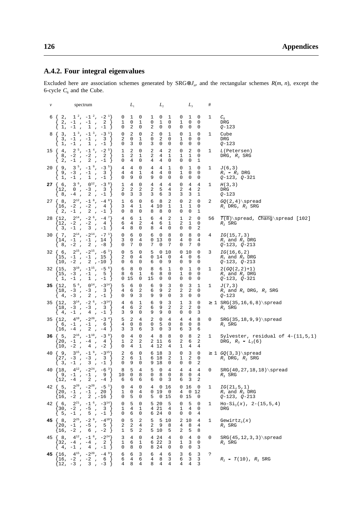## **A.4.2. Four integral eigenvalues**

Excluded here are association schemes generated by SRG⊗*Jn*, and the rectangular schemes *R*(*m*, *n*), except the 6-cycle  $C_6$  and the Cube.

| v  | spectrum                                                                                                                                                                                     | $L_1$                                                   | $L_2$                                                                                                            | $L_3$                                                                  | #  |                                                                |
|----|----------------------------------------------------------------------------------------------------------------------------------------------------------------------------------------------|---------------------------------------------------------|------------------------------------------------------------------------------------------------------------------|------------------------------------------------------------------------|----|----------------------------------------------------------------|
|    | $6\{2, 1^2, -1^2, -2^1\}$<br>$\left\{\n \begin{array}{cccccc}\n 2, & -1, & -1, & 2 \\  1, & -1, & 1, & -1\n \end{array}\n \right\}$                                                          | 0<br>$\mathbf{1}$<br>0<br>0<br>1<br>1<br>2<br>0<br>0    | $\mathbf{0}$<br>1<br>ı,<br>1<br>0<br>0<br>2<br>0<br>0                                                            | $\mathbf{1}$<br>0<br>0<br>0<br>1<br>0<br>0<br>0<br>0                   | ı. | $C_6$<br>DRG<br>$Q - 123$                                      |
|    | $8\{3, 1^3, -1^3, -3^1\}$<br>$\left\{\n \begin{array}{ccc}\n 3, & -1 \\  1, & -1 \\  \end{array}\n \right.\n \left\{\n \begin{array}{ccc}\n -1 & , & 3 \\  1, & -1\n \end{array}\n \right\}$ | 0<br>2<br>0<br>2<br>0<br>1<br>0<br>3<br>0               | 2<br>0<br>1<br>2<br>0<br>0<br>3<br>0<br>0                                                                        | 0<br>$\mathbf{1}$<br>0<br>0<br>1<br>0<br>0<br>0<br>0                   | 1  | Cube<br>DRG<br>$Q - 123$                                       |
|    | $15\{4, 2^5, -1^4, -2^5\}$<br>8, $-2$ , $-2$ , 2 }<br>$\{2, -1, 2, -1$                                                                                                                       | ı<br>2<br>0<br>2<br>1<br>1<br>4<br>0<br>0               | 4<br>2<br>2<br>4<br>2<br>1<br>0<br>4<br>4                                                                        | 2<br>0<br>0<br>1<br>1<br>0<br>0<br>0<br>1                              | ı. | L(Petersen)<br>DRG, $R_2$ SRG                                  |
| 20 | $\{9, 3^5, -1^9, -3^5\}$<br>$\left\{\n \begin{array}{ccc}\n 9, & -3, & -1, & 3 \\  1, & -1, & 1, & -1\n \end{array}\n \right\}$                                                              | 4<br>4<br>0<br>4<br>4<br>1<br>0<br>9<br>0               | 4<br>4<br>1<br>4<br>4<br>0<br>9<br>0<br>0                                                                        | 0<br>$\mathbf{1}$<br>0<br>0<br>1<br>0<br>0<br>0<br>0                   | 1  | J(6,3)<br>$R_1 \bullet R_2$ DRG<br>$Q-123, Q-321$              |
|    | <b>27</b> { 6, 3 <sup>6</sup> , $0^{12}$ , -3 <sup>8</sup> }<br>$\begin{cases} 12, & 0, -3, 3 \\ 8, -4, & 2, -1 \end{cases}$                                                                 | 1<br>4<br>0<br>2<br>2<br>2<br>0<br>3<br>3               | 4<br>4<br>4<br>2<br>5<br>4<br>3<br>6<br>3                                                                        | 0<br>4<br>4<br>2<br>4<br>2<br>3<br>3<br>1                              | ı. | H(3,3)<br>DRG<br>$Q - 123$                                     |
|    | 27 $\{8, 2^{12}, -1^{8}, -4^{6}\}$<br>$16, -2, -2, 4$<br>$\{2, -1, 2, -1\}$                                                                                                                  | 1<br>6<br>0<br>3<br>4<br>1<br>0<br>8<br>0               | 2<br>6<br>8<br>4 10<br>1<br>8<br>0<br>8                                                                          | 2<br>0<br>0<br>1<br>1<br>0<br>0<br>1<br>0                              | 2  | $GQ(2,4) \$<br>$R_1$ DRG, $R_2$ SRG                            |
|    | 28 $\{12, 2^{14}, -2^{6}, -4^{7}\}$<br>$\begin{bmatrix} 12, -2, -2, 4 \end{bmatrix}$<br>$\{3, -1, 3, -1\}$                                                                                   | 4<br>6<br>ı<br>4<br>2<br>6<br>4<br>8<br>0               | 4<br>2<br>6<br>6<br>4<br>1<br>8<br>4<br>0                                                                        | 2<br>1<br>0<br>2<br>1<br>0<br>0<br>0<br>2                              | 56 | $T(8) \simeq$ , Chang $\simeq$ [102]<br>$R_2$ SRG              |
|    | 30 { 7, $2^{14}$ , $-2^{14}$ , $-7^{1}$ }<br>$14, -1, -1, 14$<br>$\begin{bmatrix} 8, -2, 2, -8 \end{bmatrix}$                                                                                | 0<br>6<br>0<br>3<br>0<br>4<br>7<br>0<br>0               | 6<br>$\overline{\phantom{0}}$<br>8<br>013<br>0<br>7<br>7<br>0                                                    | 8<br>0<br>0<br>4<br>0<br>4<br>7<br>0<br>0                              | 4  | IG(15, 7, 3)<br>$R_1$ and $R_3$ DRG<br>$Q-123$ , $Q-213$       |
|    | 32 { 6, $2^{15}$ , $-2^{15}$ , $-6^{1}$ }<br>$15, -1, -1, 15$<br>$\{10, -2, 2, -10\}$                                                                                                        | 0<br>5<br>0<br>2<br>0<br>4<br>6<br>0<br>0               | 5<br>010<br>$0 \t14$<br>0<br>6<br>0<br>9                                                                         | 010<br>0<br>0<br>4<br>6<br>9<br>0<br>0                                 | 3  | IG(16, 6, 2)<br>$R_1$ and $R_3$ DRG<br>$Q-123, Q-213$          |
|    | 32 $\{15, 3^{10}, -1^{15}, -5^{6}\}$<br>$\begin{bmatrix} 15, & -3, & -1, & 5 \end{bmatrix}$<br>$\{ 1, -1, 1, -1 \}$                                                                          | 6<br>8<br>0<br>8<br>6<br>1<br>015<br>0                  | 8<br>6<br>1<br>6<br>8<br>0<br>15<br>0<br>0                                                                       | 0<br>$\mathbf{1}$<br>0<br>1<br>0<br>0<br>0<br>0<br>0                   | 1  | $2(GQ(2,2)+1)$<br>$R_1$ and $R_2$ DRG<br>$Q-123, Q-321$        |
|    | <b>35</b> $\{12, 5^6, 0^{14}, -3^{14}\}$<br>$\begin{bmatrix} 18 & -3 & -3 & -3 \end{bmatrix}$<br>$4, -3, 2, -1$                                                                              | 5<br>6<br>0<br>6<br>2<br>4<br>9<br>3<br>0               | 9<br>6<br>3<br>9<br>2<br>6<br>9<br>9<br>0                                                                        | 3<br>0<br>1<br>2<br>2<br>0<br>3<br>0<br>0                              | 1  | J(7,3)<br>$R_1$ and $R_3$ DRG, $R_2$ SRG<br>$Q - 123$          |
|    | 35 $\{12, 3^{14}, -2^{6}, -3^{14}\}$<br>$18, -3, -3, 3$<br>$\{4, -1, 4, -1 \}$                                                                                                               | 4<br>6<br>ı<br>2<br>4<br>6<br>3<br>9<br>0               | 9<br>6<br>3<br>2<br>6<br>9<br>9<br>9<br>0                                                                        | 3<br>ı<br>0<br>2<br>2<br>0<br>0<br>0<br>3                              |    | $\geq 1$ SRG(35,16,6,8)\spread<br>$R_2$ SRG                    |
|    | 35 $\{12, 4^{10}, -2^{20}, -3^{4}\}$<br>$6, -1, -1,$<br>6<br>$\{16, -4, 2, -4 \}$                                                                                                            | 5<br>2<br>4<br>4<br>0<br>8<br>3<br>3<br>6               | 2<br>0<br>4<br>5<br>0<br>0<br>3<br>0<br>3                                                                        | 8<br>4<br>4<br>8<br>0<br>8<br>3<br>6<br>6                              | 0  | $SRG(35, 18, 9, 9)$ spread<br>$R_3$ SRG                        |
|    | <b>36</b> { 5, $2^{16}$ , $-1^{10}$ , $-3^{9}$ }<br>$20, -1, -4, 4$<br>${10, -2, 4, -2}$                                                                                                     | 4<br>0<br>0<br>2<br>1<br>2<br>0<br>4<br>1               | 4<br>- 8<br>8<br>6<br>2 11<br>4 12<br>4                                                                          | 8<br>2<br>0<br>2<br>2<br>6<br>4<br>4<br>1                              | 1. | Sylvester, residual of $4-(11,5,1)$<br>DRG, $R_3 \cong L_2(6)$ |
|    | 40 $\{9, 3^{15}, -1^{9}, -3^{15}\}$<br>$\left\{\n \begin{array}{ccc}\n 27, & -3, & -3, & 3 \\  3, & -1, & 3, & -1\n \end{array}\n \right\}$                                                  | 2<br>0<br>6<br>2<br>6<br>1<br>0<br>-9<br>0              | 6 18<br>3<br>6 18<br>2<br>9 18<br>0                                                                              | 0<br>3<br>0<br>1<br>2<br>0<br>2<br>0<br>0                              |    | $\geq 1$ GQ(3,3) \spread<br>$R_1$ DRG, $R_2$ SRG               |
|    | 40 $\{18, 4^{12}, -2^{24}, -6^{3}\}$<br>9<br>$9, -1, -1,$<br>$\{12, -4, 2, -4 \}$                                                                                                            | 8<br>5<br>4<br>10 0<br>8<br>6<br>6<br>6                 | 5<br>$\overline{4}$<br>$\overline{0}$<br>8 0<br>$\overline{0}$<br>$\overline{0}$<br>$\overline{\mathbf{3}}$<br>6 | 4<br>$4\overline{ }$<br>4<br>8<br>$0\quad 4$<br>$\mathbf{3}$<br>2<br>6 | 0  | $SRG(40, 27, 18, 18)$ spread<br>$R_3$ SRG                      |
|    | 42 { 5, $2^{20}$ , $-2^{20}$ , $-5^{1}$ }<br>$20, -1, -1, 20$<br>$\{16, -2, 2, -16\}$                                                                                                        | 0<br>4<br>0<br>$\mathbf{0}$<br>1<br>4<br>5<br>0<br>0    | 4 0 16<br>0190<br>5 0 15                                                                                         | 016<br>$\overline{\phantom{0}}$<br>4<br>0 12<br>015<br>$\cup$          | 1  | IG(21, 5, 1)<br>$R_1$ and $R_3$ DRG<br>$Q-123$ , $Q-213$       |
|    | 42 { 6, $2^{21}$ , $-1^{6}$ , $-3^{14}$ }<br>$\begin{bmatrix} 30, -2, -5, 3 \end{bmatrix}$<br>$\{5, -1, 5, -1 \}$                                                                            | 5<br>0<br>0<br>4<br>1<br>1<br>$\mathbf{0}$<br>- 6<br>0  | 5 20<br>5<br>4 21<br>4<br>6 24<br>$\overline{\phantom{0}}$                                                       | - 5<br>0<br>$\overline{0}$<br>4<br>1<br>0<br>0<br>0<br>4               | 1  | $Ho-Si_2(x), 2-(15,5,4)$<br>DRG                                |
|    | 45 $\{8, 2^{25}, -2^{9}, -4^{10}\}$<br>$20, -1, -5, 5$<br>$\{16, -2, 6, -2 \}$                                                                                                               | 5<br>$\mathbf{0}$<br>2<br>2<br>2<br>4<br>5<br>2<br>1    | 5<br>5 10<br>2 9<br>8<br>5 10<br>5                                                                               | 2 10<br>4<br>4<br>8<br>4<br>5<br>2<br>8                                | 1  | Gewirtz, $(x)$<br>$R_3$ SRG                                    |
|    | 45 { 8, $4^{12}$ , $-1^{8}$ , $-2^{24}$ }<br>$32, -4, -4, 2$<br>$\{4, -1, 4, -1 \}$                                                                                                          | 3<br>4<br>0<br>6<br>1<br>1<br>0<br>8<br>0               | 4 2 4<br>4<br>6 22<br>3<br>8 2 4<br>0                                                                            | 4<br>0<br>0<br>3<br>$\mathbf{1}$<br>0<br>0<br>3<br>0                   | 0  | $SRG(45, 12, 3, 3)$ spread<br>$R_2$ SRG                        |
|    | 45 $\{16, 4^{15}, -2^{20}, -4^{9}\}$<br>$16, -2, -2, 6$<br>$\{12, -3, 3, -3$                                                                                                                 | 6<br>3<br>6<br>4<br>6<br>6<br>$4\overline{ }$<br>4<br>8 | 4<br>6<br>6<br>4<br>8<br>3<br>4<br>4<br>8                                                                        | 3<br>6<br>3<br>3<br>3<br>6<br>3<br>4<br>4                              | ?  | $R_2 \cong T(10)$ , $R_3$ SRG                                  |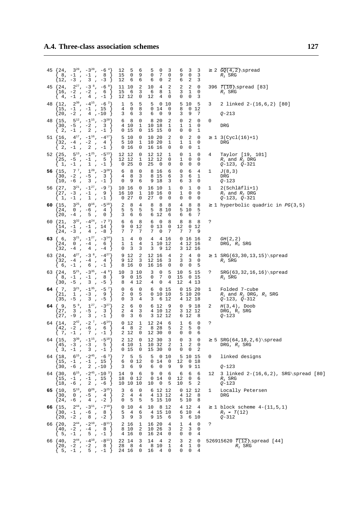|    |                   | $8, -1, -1, 8$<br>$\{12, -3, \ldots$      |                | 45 $\{24, 3^{20}, -3^{20}, -6^{4}\}$<br>$3, -3$                               | 12<br>5<br>15<br>0<br>12<br>6                                       | 6<br>9<br>6         | 5<br>0<br>6             | 0<br>7<br>0                          | 3<br>0<br>2                       | 6<br>9<br>6    | 3<br>0<br>2                   | 3<br>3<br>3                                |    | $\geq$ 2 GQ(4,2) spread<br>$R_3$ SRG                                   |
|----|-------------------|-------------------------------------------|----------------|-------------------------------------------------------------------------------|---------------------------------------------------------------------|---------------------|-------------------------|--------------------------------------|-----------------------------------|----------------|-------------------------------|--------------------------------------------|----|------------------------------------------------------------------------|
|    |                   | $16, -2, -2,$<br>{ 4, -1 ,                |                | 45 {24, $2^{27}$ , -3 <sup>8</sup> , -6 <sup>9</sup> }<br>6<br>- }<br>$4, -1$ | 11 10<br>15<br>6<br>12 12                                           | 2<br>3<br>0         | 10<br>6<br>12           | 4<br>8<br>4                          | 2<br>1<br>0                       | 2<br>3<br>0    | 2<br>1<br>0                   | $\overline{\phantom{0}}$<br>0<br>3         |    | 396 $T(10)$ spread [83]<br>$R_2$ SRG                                   |
| 48 | $\{12,$           | $15, -1, -1, 15$<br>{20, -2 , 4 ,-10      |                | $2^{30}$ , $-4^{15}$ , $-6^{2}$                                               | 1<br>5<br>4<br>0<br>3<br>6                                          | 5<br>8<br>3         | 5<br>6                  | $0 \t14$<br>0                        | 010<br>0<br>9                     | 8<br>3         | 5 10<br>9                     | 5<br>012<br>7                              | 3  | 2 linked 2-(16,6,2) [80]<br>$Q - 213$                                  |
|    |                   | $30, -5, -2, 3$<br>$2, -1$ ,              |                | 48 $\{15, 5^{12}, -1^{15}, -3^{20}\}$<br>$2, -1$                              | $_{\rm 8}$<br>6<br>4 10<br>015                                      | 0<br>1<br>0         | 10 18<br>15 15          | 8 2 0                                | 2<br>1<br>0                       | 0<br>1<br>0    | 2<br>1<br>0                   | 0<br>0<br>1                                | 0  | DRG                                                                    |
|    |                   | $32, -4, -2, 4$<br>{ 2, -1 ,              |                | 51 $\{16, 4^{17}, -1^{16}, -4^{17}\}$<br>2, $-1$ }                            | 5 10<br>5 10<br>0 16                                                | 0<br>1<br>0         | 10 20<br>10 20<br>16 16 |                                      | 2<br>1<br>0                       | 0<br>1<br>0    | 2<br>1<br>0                   | 0<br>0<br>1                                |    | $\geq 1$ 3(Cycl(16)+1)<br>DRG                                          |
| 52 | $\{25,$           | $25, -5, -1, 5$<br>$\{1, -1, $            |                | $5^{13}$ , $-1^{25}$ , $-5^{13}$<br>$1, -1$                                   | 12 12<br>12 12<br>025                                               | O<br>1<br>0         | 12 12<br>12 12<br>25    | 0                                    | ı<br>0<br>0                       | 0<br>1<br>0    | 1<br>0<br>0                   | 0<br>0<br>0                                | 4  | Taylor [19, 101]<br>$R_1$ and $R_2$ DRG<br>$Q-123, Q-321$              |
|    |                   | $30, -2, -5, 3$<br>$10, -6, 3, -1$        |                | 56 $\{15, 7^7, 1^{20}, -3^{28}\}$                                             | 6<br>8<br>4<br>8<br>0<br>9                                          | 0<br>3<br>6         |                         | 8 16<br>8 15<br>9 18                 | 6<br>6<br>3                       | 0<br>3<br>6    | 6<br>6<br>3                   | 4<br>1<br>0                                | 1  | J(8,3)<br>DRG<br>$Q - 123$                                             |
|    | $56 \{27,$        | $27, -3, -1,$<br>{ 1, -1 ,                |                | $3^{21}$ , $-1^{27}$ , $-9^{7}$<br>9<br><sup>}</sup><br>$1, -1$               | 10 16<br>16 10<br>027                                               | 0<br>1<br>0         | 16 10<br>10 16<br>27    | 0                                    | ı<br>0<br>0                       | 0<br>1<br>0    | 1<br>0<br>0                   | 0<br>0<br>0                                | ı  | $2(Schlāfli+1)$<br>$R_1$ and $R_2$ DRG<br>$Q-123, Q-321$               |
|    | 60 $\{15,$<br>24, | $3^{25}$ ,<br>$0$ , $-6$ ,<br>$\{20, -4,$ | 5,             | $0^{16}$ , $-5^{18}$ }<br>4<br>0                                              | 2<br>- 8<br>5<br>5<br>3<br>6                                        | 4<br>5<br>6         | 8<br>5                  | 8<br>- 8<br>6 12                     | 8<br>10<br>6                      | 4<br>5<br>6    | 8<br>10<br>6                  | 8<br>5<br>7                                |    | $\geq$ 1 hyperbolic quadric in PG(3,5)                                 |
|    |                   | $14, -1, -1, 14$<br>$24, -3,$             |                | 60 $\{21, 3^{32}, -4^{24}, -7^{3}\}$<br>$4, -8$                               | 6<br>6<br>9<br>7<br>7                                               | 8<br>012<br>7       | 6<br>7                  | $\overline{\phantom{0}}$<br>013<br>0 | 8<br>0<br>7                       | 8<br>12<br>7   | 8<br>7                        | 8<br>0 12<br>9                             | ?  |                                                                        |
| 63 | 24,               | $\{32, -4,$                               | $0, -4, 6$     | $\{6, 3^{21}, -1^{27}, -3^{14}\}$<br><sup>}</sup><br>$4, -4$                  | 1<br>4<br>1<br>1<br>3<br>0                                          | 0<br>4<br>3         | 4<br>3                  | 4 16<br>1 10 12<br>9                 | -12                               |                | 0 16 16<br>4 12 16<br>3 12 16 |                                            | 2  | GH(2, 2)<br>DRG, $R_3$ SRG                                             |
|    |                   | $32, -4, -4,$                             |                | 63 $\{24, 4^{27}, -3^{8}, -4^{27}\}$<br>4<br>{ 6, -1 , 6 , -1 }               | 9 12<br>9 1 2<br>8 16                                               | 2<br>3<br>0         | 12 16<br>12 16<br>16 16 |                                      | 4<br>3<br>0                       | 2<br>3<br>0    | 4<br>3<br>0                   | $\overline{0}$<br>0<br>5                   |    | $\geq 1$ SRG(63,30,13,15) \spread<br>$R_2$ SRG                         |
|    |                   | $8, -1, -1,$<br>$30, -5,$                 | $\mathbf{3}$   | 63 $\{24, 5^{21}, -3^{35}, -4^{6}\}$<br>8<br>$-5$                             | 10<br>9<br>8                                                        | 3 10<br>015<br>4 12 | 3<br>0<br>4             | 0<br>7<br>0                          | 5<br>0<br>4                       | 10<br>15<br>12 |                               | 5 15<br>015<br>4 13                        | S. | $SRG(63, 32, 16, 16)$ spread<br>$R_3$ SRG                              |
| 64 |                   | $21, 1, -3, 9$<br>$\{35, -5, 3, -5$       |                | 7, $3^{21}$ , $-1^{35}$ , $-5^{7}$ }                                          | 6<br>0<br>2<br>0<br>0<br>3                                          | 0<br>5<br>4         | 6<br>3                  | 0 15<br>0 10 10                      | 6 12                              |                | 01520<br>5 10 20<br>4 12 18   |                                            | ı  | Folded 7-cube<br>$R_1$ and $R_2$ DRG, $R_3$ SRG<br>$Q-123, Q-312$      |
| 64 | 27,               | $3, -5$<br>{27, -9,                       |                | $\{9, 5^9, 1^{27}, -3^{27}\}$<br>3<br>$3, -1$                                 | 2<br>- 6<br>2<br>4<br>3<br>0                                        | 0<br>3<br>6         |                         | 6 12<br>4 10 12<br>3 12 12           | 9                                 | 0              | 3 12 12<br>6 12               | 9 18<br>- 8                                | 2  | $H(3,4)$ , Doob<br>DRG, $R_2$ SRG<br>$Q - 123$                         |
|    |                   | $42, -2, -6, 6$                           |                | 64 $\{14, 2^{42}, -2^7, -6^{14}\}$<br>$\{7, -1, 7, -1 \}$                     | $0\;12$<br>4 8<br>2 12 0                                            | 1<br>2              | 12 24<br>12 30          | 8 2 8                                | 6<br>5<br>$\overline{\mathbf{0}}$ | 1<br>2<br>0    | 6<br>5<br>$\overline{0}$      | 0<br>0<br>-6                               | ?  |                                                                        |
|    |                   | $45, -3, -3, 5$<br>$3, -1,$               |                | $3, -1$                                                                       | 64 $\{15, 3^{30}, -1^{15}, -5^{18}\}$ 2 12 0 12 30 3<br>4 10<br>015 | 1<br>0              | 10 32<br>15 30          |                                      | 2<br>0                            | 1<br>0         | $\overline{a}$<br>0           | $0 \quad 3 \quad 0$<br>$\overline{0}$<br>2 |    | $\geq$ 5 SRG(64,18,2,6) \spread<br>DRG, $R_2$ SRG                      |
|    |                   | $15, -1, -1, 15$<br>{30, -6,              |                | 64 $\{18, 6^{15}, -2^{45}, -6^{3}\}$<br>$2, -10$                              | 7<br>-5<br>6<br>3<br>6                                              | 5<br>012<br>9       | 5<br>6                  | $0\quad10$<br>$0 \t14$<br>0          | 0<br>9                            | 12<br>9        | 5 10 15                       | 0 <sub>18</sub><br>9 11                    | 0  | linked designs<br>$Q - 123$                                            |
|    |                   | $15, -1, -1, 15$<br>$\{18, -6,$           |                | 64 $\{30, 6^{15}, -2^{45}, -10^{3}\}$<br>$2, -6$                              | 14<br>9<br>18<br>10 10 10                                           | 6<br>012            | 9<br>10                 | 0<br>$0 \t14$<br>0                   | 6<br>0<br>5                       | 6<br>12<br>10  | 6<br>0<br>5                   | 6<br>6<br>2                                | 12 | 3 linked 2-(16,6,2), SRG\spread [80]<br>$R_3$ SRG<br>$Q - 123$         |
|    | 65 {10,           | $5^{13}$ ,<br>$[30, 0, -5,$<br>{24, -6,   |                | $0^{26}$ , $-3^{25}$ }<br>$\overline{4}$<br>}<br>$4, -2$                      | 3<br>6<br>2<br>$\overline{4}$<br>0<br>5                             | 0<br>4<br>5         |                         | 6 12 12<br>4 13 12<br>5 15 10        |                                   |                | 0 12 12<br>4 12<br>5 10       | 8<br>8                                     | 1  | Locally Petersen<br>DRG                                                |
|    |                   | $30, -1, -6,$<br>$\{20, -2,$              | 8 <sub>1</sub> | 66 ${15, 2^{44}, -3^{11}, -7^{10}}$<br>8<br>$-2$                              | 010<br>5<br>4<br>3<br>9                                             | 4<br>6<br>3         |                         | 10 8 12<br>4 15 10<br>9 15           | 6                                 | 3              | 4 12<br>6 10                  | 4<br>4<br>6 10                             |    | $\geq 1$ block scheme $4 - (11, 5, 1)$<br>$R_3$ = $T(12)$<br>$Q - 312$ |
|    |                   | $40, -2, -4, 8$<br>5, -1,                 |                | 66 ${20, 2^{44}, -2^{10}, -8^{11}}$<br>$5, -1$                                | 2 16<br>8 10<br>4 16                                                | 1<br>2<br>0         | 16 20<br>10 26<br>16 24 |                                      | 4<br>3<br>0                       | 1<br>2<br>0    | 4<br>3<br>0                   | 0<br>0<br>4                                | S. |                                                                        |
|    |                   | $20, -2,$<br>$5, -1,$                     | $-2$ ,         | 66 $\{40, 2^{44}, -4^{10}, -8^{11}\}$<br>8<br>$5, -1$                         | 22 14<br>28<br>- 8<br>24 16                                         | 3<br>4<br>0         | 14<br>16                | 4<br>8 10<br>4                       | 2<br>1<br>0                       | 3<br>4<br>0    | 2<br>1<br>0                   | 0<br>0<br>4                                |    | 526915620 $T(12)$ spread [44]<br>$R_2$ SRG                             |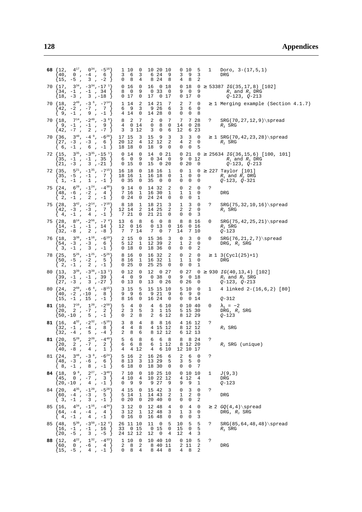|    | 40,        |                                                 | 0, $-4$ ,                | 68 $\{12, 4^{17}, 0^{34}, -5^{16}\}$<br>6 }<br>$15, -5, 3, -2$                                                 | 3<br>0         | 1 10<br>6<br>8                          | U<br>3<br>4                         |                            | 10 20 10<br>6 24<br>8 2 4    | 9<br>8                | 3                | 0 <sub>10</sub><br>- 9<br>4 8                      | 5<br>3<br>2                       | 1            | Doro, $3-(17,5,1)$<br>DRG                                                                   |
|----|------------|-------------------------------------------------|--------------------------|----------------------------------------------------------------------------------------------------------------|----------------|-----------------------------------------|-------------------------------------|----------------------------|------------------------------|-----------------------|------------------|----------------------------------------------------|-----------------------------------|--------------|---------------------------------------------------------------------------------------------|
|    | 70 {17,    | 34, -1, -1, 34                                  |                          | $3^{34}$ , $-3^{34}$ , $-17^{1}$<br>$\{18, -3, 3, -18\}$                                                       | 8              | 0 16<br>$\overline{\phantom{0}}$<br>017 | 0<br>9<br>0                         | 16<br>17                   | 0, 33                        | 0 18<br>0<br>017      | 9                | 0 <sub>18</sub><br>$\overline{\phantom{0}}$<br>017 | 9<br>0                            |              | $0 \geq 53387 \text{ IG}(35, 17, 8)$ [102]<br>$R_1$ and $R_3$ DRG<br>$Q-123, Q-213$         |
|    | 70 {18,    | { 9, -1 ,                                       |                          | $2^{49}$ , -3 <sup>6</sup> , -7 <sup>14</sup> }<br>$42, -2, -7, 7$<br>$9, -1$                                  | 6              | 1 14<br>9<br>4 14                       | 2<br>3<br>0                         | 14 21<br>14 28             | 9 26                         | 7<br>6<br>0           | 2<br>3<br>0      | 7<br>6<br>0                                        | 0<br>0<br>8                       |              | $\geq$ 1 Merging example (Section 4.1.7)                                                    |
|    |            | $9, -1, -1,$                                    |                          | 70 $\{18, 7^{14}, -2^{49}, -3^{6}\}$<br>9<br>$\{42, -7, 2, -7 \}$                                              | 8<br>4<br>3    | 2                                       | $\overline{7}$<br>$0 \t14$<br>3 1 2 | 2<br>0<br>3                | 0<br>8<br>0                  | 7<br>0<br>6           | 7<br>14<br>12    |                                                    | 7 28<br>028<br>6 23               | ?            | $SRG(70, 27, 12, 9)$ spread<br>$R_3$ SRG                                                    |
|    |            | $27, -3, -3$                                    |                          | 70 $\{36, 3^{40}, -4^9, -6^{20}\}$<br>, 6}<br>{ 6, -1 , 6 , -1 }                                               | 17 15<br>18 18 | 20 12                                   | 3<br>4<br>0                         | 15<br>12 12<br>18          | 9<br>9                       | 3<br>2<br>0           | 3<br>4<br>0      | 3<br>2<br>0                                        | U<br>0<br>5                       |              | $\geq 1$ SRG(70,42,23,28) \spread<br>$R_2$ SRG                                              |
|    |            | $35, -1, -1, 35$<br>$\{21, -3, 3, -21$          |                          | 72 $\{15, 3^{35}, -3^{35}, -15^{1}\}$<br>$\cdot$                                                               | 6              | $0 \t14$<br>0<br>015                    | 0<br>9<br>0                         | 14<br>15                   | 0.34                         | 021<br>0<br>020       | 9                | 0 21<br>020                                        | 0 12<br>$\overline{\phantom{0}}$  |              | $0 \geq 25634 \text{ IG}(36, 15, 6)$ [100, 101]<br>$R_1$ and $R_3$ DRG<br>$Q-123$ , $Q-213$ |
|    |            | $35, -5, -1, 7$                                 |                          | 72 $\{35, 5^{21}, -1^{35}, -7^{15}\}$<br>$1, -1$ , $1$ , $-1$ }                                                | 16 18<br>18 16 | 0, 35                                   | $\cup$<br>1<br>0                    | 18 16<br>16 18<br>35       | 0                            | $\perp$<br>0<br>0     | 0<br>1<br>0      | $\mathbf{1}$<br>0<br>0                             | 0<br>$\overline{0}$               |              | $0 \geq 227$ Taylor [101]<br>$R_1$ and $R_2$ DRG<br>$Q-123, Q-321$                          |
|    |            |                                                 |                          | 75 $\{24, 6^{20}, -1^{24}, -4^{30}\}$<br>$48, -6, -2, 4$<br>$2, -1, 2, -1$                                     |                | 9 14<br>7 16<br>024                     | 0<br>1<br>0                         | 14 32<br>16 30<br>24 24    |                              | 2<br>1<br>0           | 0<br>1<br>$\cup$ | 2<br>1<br>0                                        | $\overline{\mathbf{0}}$<br>0<br>1 | ?            | DRG                                                                                         |
|    |            | $42, -3, -3,$                                   |                          | 75 $\{28, 3^{42}, -2^{14}, -7^{18}\}$<br>7<br>$4, -1, 4, -1$                                                   |                | 8 18<br>12 14<br>7 21                   | ı<br>2<br>0                         | 18 21<br>14 25<br>21 21    |                              | 3<br>2<br>0           | ı.<br>2<br>0     | 3<br>2<br>0                                        | 0<br>0<br>3                       | ?            | $SRG(75, 32, 10, 16)$ spread<br>$R_2$ SRG                                                   |
|    |            | $14, -1, -1, 14$<br>${32, -8, 2, -8}$           |                          | 75 $\{28, 8^{14}, -2^{56}, -7^{4}\}$                                                                           | 13<br>12<br>7  | 6                                       | 8<br>016<br>7 14                    | 6<br>7                     | 0<br>013<br>0                | 8<br>0<br>7           | 8<br>16<br>14    |                                                    | 8 16<br>0 <sub>16</sub><br>7 10   | 0            | $SRG(75, 42, 25, 21)$ spread<br>$R_3$ SRG<br>$Q - 123$                                      |
|    |            | $54, -3, -3,$                                   |                          | 76 ${18, 3^{38}, -1^{18}, -6^{19}}$<br>6 }<br>$3, -1, 3, -1$                                                   |                | 2 15<br>5 12<br>0 <sub>18</sub>         | 0<br>1<br>0                         | 15 36<br>12 39<br>18 36    |                              | 3<br>2<br>0           | 0<br>1<br>0      | 3<br>2<br>0                                        | $\overline{\mathbf{0}}$<br>0<br>2 | 0            | $SRG(76, 21, 2, 7)$ spread<br>DRG, $R_2$ SRG                                                |
| 78 | $\{25,$    | $50, -5, -2,$                                   |                          | $5^{26}$ , $-1^{25}$ , $-5^{26}$ }<br>5<br>{ 2, -1 , 2 , -1 }                                                  |                | 8 16<br>8 16<br>025                     | 0<br>1<br>U                         | 16 32<br>25 25             | 16 32                        | 2<br>1<br>0           | 0<br>1<br>0      | 2<br>1<br>0                                        | 0<br>0<br>1                       |              | $\geq 1$ 3(Cycl(25)+1)<br>DRG                                                               |
|    |            | $39, -1, -1, 39$<br>$27, -3, 3, -27$            |                          | 80 $\{13, 3^{39}, -3^{39}, -13^{1}\}$                                                                          | 4              | 0 12<br>$\overline{0}$<br>013           | 0<br>9<br>0                         | 12<br>$\overline{0}$<br>13 | -38                          | 027<br>0<br>026       |                  | 0 27<br>9 0 18<br>$0\quad26$                       | $\overline{0}$                    |              | $0 \ge 930$ IG(40,13,4) [102]<br>$R_1$ and $R_3$ SRG<br>$Q-123$ , $Q-213$                   |
|    |            | $40, -2, -10$                                   |                          | 80 $\{24, 2^{60}, -6^{4}, -8^{15}\}$<br>8<br>$\mathbf{r}$<br>$\{15\, , \ -1\,$ , $15\,$ , $-1\,$ $\}$          | 9              | 3 15<br>9<br>8 16                       | 5<br>6<br>0                         |                            | 15 15 10<br>9 21<br>16 24    | 9<br>0                | 6                | 5 10<br>9<br>$0 \t 0 \t 14$                        | $\overline{0}$<br>0               | $\mathbf{1}$ | 4 linked 2-(16,6,2) [80]<br>$Q - 312$                                                       |
|    | 20,        |                                                 | $2, -7,$                 | <b>81</b> {10, $7^{10}$ , $1^{20}$ , $-2^{50}$ }<br>$\overline{a}$<br>{50,-10 , 5 , -1 }                       | 5<br>2<br>0    | 4<br>3<br>2                             | 0<br>5<br>- 8                       | 4<br>3<br>2                |                              | 6 10<br>1 15<br>6 12  |                  | 0 10 40<br>5 15 30<br>8 12 29                      |                                   | 0            | $\lambda_3 = -2$<br>DRG, $R_2$ SRG<br>Q-123                                                 |
|    |            |                                                 |                          | 81 $\{16, 4^{32}, -2^{32}, -5^{16}\}$<br>$32, -1, -4, 8$<br>$\{32, -4, 5, -4 \}$                               | 3<br>4<br>2    | 8<br>4<br>8                             | $\overline{4}$<br>8<br>- 6          |                            | 8 8 16<br>4 15 12<br>8 12 12 |                       |                  | 4 16 12<br>8 12 12<br>6 12 13                      |                                   | ?            | $R_3$ SRG                                                                                   |
|    | 20,        | <b>81</b> $\{20, 5^{20}, \ldots\}$<br>$40, -8,$ | $2, -7,$<br>4,           | , $2^{20}$ , $-4^{40}$ }<br>$\overline{a}$<br>$1 \}$                                                           | 6<br>4         |                                         | 5 6 8<br>6 8<br>4 1 2               | 6<br>4                     |                              | 6 6 8<br>1 12<br>6 10 |                  | 8 12 20<br>12 10 17                                | 8 8 2 4                           | S.           | $R2$ SRG (unique)                                                                           |
|    |            | ${48, -3, -6,$<br>$8, -1, 8,$                   |                          | 81 $\{24, 3^{48}, -3^{8}, -6^{24}\}$<br>6<br>$-1$                                                              |                | 5 16<br>8 1 3<br>6 18                   | 2<br>3<br>0                         | 16 26<br>13 29<br>18 30    |                              | 6<br>5<br>0           | 2<br>3<br>0      | 6<br>5<br>0                                        | 0<br>0<br>7                       | ?            |                                                                                             |
|    | 45,        | <b>84</b> $\{18, 9^8,$<br>$20, -10$ , 4, $-1$   | $0, -7,$                 | $2^{27}$ , $-3^{48}$ }<br>3 }                                                                                  | 0              | 7 10<br>4 10<br>9                       | 0<br>4<br>9                         |                            | 10 25 10<br>10 22<br>9 27    | 12<br>9               | 9                | 01010<br>4 12<br>9                                 | 4<br>1                            | 1            | J(9,3)<br>DRG<br>Q-123                                                                      |
|    |            | $60, -4, -3,$                                   |                          | 84 $\{20, 4^{35}, -1^{20}, -5^{28}\}$<br>$5 \}$<br>$\{3, -1, 3, -1 \}$                                         |                | 4 15<br>5 14<br>020                     | 0<br>1<br>0                         | 15 42<br>14 43<br>20 40    |                              | 3<br>2<br>0           | 0<br>1<br>0      | 3<br>2<br>0                                        | 0<br>0<br>2                       | ?            | DRG                                                                                         |
|    |            |                                                 |                          | 85 ${16, 4^{34}, -1^{16}, -4^{34}}$<br>$\begin{bmatrix} 64 & -4 & -4 \end{bmatrix}$ , 4<br>$\{4, -1, 4, -1 \}$ | 0              | 312<br>3 12<br>16                       | 0<br>1<br>0                         | 12 48<br>12 48<br>16 48    |                              | 4<br>3<br>0           | 0<br>1<br>0      | 4<br>3<br>0                                        | 0<br>0<br>3                       |              | $\geq$ 2 GQ(4,4) \spread<br>DRG, $R_2$ SRG                                                  |
|    |            | $16, -1, -1, 16$<br>$20, -5, 3, -5$             |                          | 85 $\{48, 5^{30}, -3^{50}, -12^{4}\}$<br>- }                                                                   | 26<br>33       | 11 10<br>24 12 12                       | 015                                 | 11<br>12                   | 0<br>015<br>0                | 5<br>0<br>4           | 10<br>15<br>12   | 5<br>0<br>4                                        | 5<br>5<br>3                       | ?            | $SRG(85, 64, 48, 48)$ spread<br>$R_3$ SRG                                                   |
| 88 | 12,<br>60, | 0<br>$15, -5, 4, -1$                            | $, -6$<br>$\overline{ }$ | $4^{22}$ , $1^{32}$ , $-4^{33}$ }<br>4                                                                         | 2<br>0         | 1 10<br>8<br>8                          | 0<br>2<br>4                         |                            | 10 40 10<br>8 40 11<br>844   | 8                     | 4                | 010<br>2 11<br>8                                   | 5<br>2<br>2                       | ?            | DRG                                                                                         |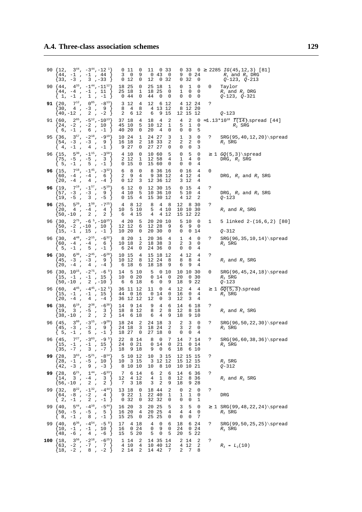|     |                |                 | 90 $\{12, 3^{44}, -3^{44}, -12^{1}\}$<br>$44, -1, -1, 44$<br>$33, -3, 3, -33$                                                         |                                         | 3                           | 011<br>0<br>012      | 0<br>9<br>0           | 11<br>12    | 043                              | 0, 33<br>0<br>0.32 | 9              | 0.32                 | $0 \t24$<br>0                      |                      | 0 33 0 $\geq$ 2285 <i>IG</i> (45, 12, 3) [81]<br>$R_1$ and $R_3$ DRG<br>$Q-123, Q-213$ |
|-----|----------------|-----------------|---------------------------------------------------------------------------------------------------------------------------------------|-----------------------------------------|-----------------------------|----------------------|-----------------------|-------------|----------------------------------|--------------------|----------------|----------------------|------------------------------------|----------------------|----------------------------------------------------------------------------------------|
| 90  |                |                 | $\{44, 4^{33}, -1^{44}, -11^{12}\}$<br>44, -4, -1, 11<br>$1, -1$ , $1$ , $-1$ }                                                       |                                         | 18 25<br>25 18              | 0 44                 | 0<br>1<br>0           | 44          | 25 18<br>18 25<br>0              | ı<br>0<br>0        | 0<br>1<br>0    | 1<br>0<br>0          | 0<br>0<br>0                        | 0                    | Taylor<br>$R_1$ and $R_2$ DRG<br>$Q-123, Q-321$                                        |
| 91  |                |                 | $\{20, 7^{12}, 0^{65}, -8^{13}\}$<br>$30, 4, -3, 9$<br>$\{40, -12, 2, -2$                                                             | $\rightarrow$                           | 8<br>2                      | 3 1 2<br>4           | 4<br>8<br>6 12        | 12<br>6     | 4 13 12                          | 6 12<br>9 15       |                | 8 12 20              | 4 12 24<br>12 15 12                | S.                   | $Q - 123$                                                                              |
|     |                |                 | 91 {60, $2^{65}$ , $-5^{12}$ , $-10^{13}$ }<br>$24, -2, -2, 10$<br>$\{6, -1, 6, -1$                                                   |                                         | 37 18<br>45 10<br>40 20     |                      | 4<br>5<br>0           | 18<br>20    | 4<br>10 12<br>4                  | 2<br>1<br>0        | 4<br>5<br>0    | 2<br>1<br>0          | 0<br>5                             |                      | $0 \approx 1.13*10^{18} \overline{T(14)}$ spread [44]<br>$R_2$ SRG                     |
| 95  |                |                 | $\{36, 3^{57}, -2^{18}, -9^{19}\}$<br>$54, -3, -3, 9$<br>$\{4, -1, 4, -1 \}$                                                          |                                         | 10 24<br>16 18              | 9 27                 | 1<br>2<br>0           |             | 24 27<br>18 33<br>27 27          | 3<br>2<br>0        | 1<br>2<br>0    | 3<br>2<br>0          | 0<br>0<br>3                        | ?                    | $SRG(95, 40, 12, 20)$ spread<br>$R_2$ SRG                                              |
|     |                |                 | 96 $\{15, 5^{30}, -1^{15}, -3^{50}\}$<br>$75, -5, -5, 3$<br>$\{5, -1, 5, -1$                                                          | $\cdot$                                 |                             | 4 10<br>2 12<br>015  | 0<br>1<br>0           |             | 10 60<br>12 58<br>15 60          | 5<br>4<br>0        | 0<br>1<br>0    | 5<br>4<br>0          | 0<br>0<br>4                        |                      | $\geq 1$ GQ(5,3)\spread<br>DRG, $R_2$ SRG                                              |
| 96  |                |                 | ${15, 7^{18}, -1^{45}, -3^{32}}$<br>$60, -4, -4,$<br>$\{20, -4, 4, -4 \}$                                                             | 6                                       | 6<br>2                      | - 8<br>9<br>0 12     | 0<br>4<br>3           |             | 8 36 16<br>9 38 12<br>12 36 12   |                    |                | 0 16<br>4 12<br>3 12 | 4<br>4<br>4                        | 0                    | DRG, $R_2$ and $R_3$ SRG                                                               |
| 96  |                | $57, -3, -3$    | ${19, 7^{19}, -1^{57}, -5^{19}}$<br>$\begin{bmatrix} 19 & -5 \\ -5 & 3 \\ -5 & -5 \end{bmatrix}$                                      | , 9                                     |                             | 6 12<br>4 10<br>015  | 0<br>5<br>4           |             | 12 30 15<br>10 36 10<br>15 30 12 |                    |                | 0 15<br>5 10<br>4 12 | 4<br>4<br>2                        | ?                    | DRG, $R_2$ and $R_3$ SRG<br>$Q - 123$                                                  |
| 96  | $\{25,$<br>20, |                 | $5^{20}$ , $1^{50}$ , $-7^{25}$ }<br>$4, -4,$<br>{50,-10 , 2 ,                                                                        | 4<br>- }<br>2                           | 4<br>10<br>6                |                      | 8 1 2<br>5 10<br>4 15 | 8<br>5<br>4 | 4                                | 8<br>4 10<br>4 12  | 12             | 15 12 22             | 8 30<br>10 10 30                   | ?                    | $R_2$ and $R_3$ SRG                                                                    |
|     |                |                 | 96 $\{30, 2^{75}, -6^{5}, -10^{15}\}$<br>$50, -2, -10, 10$<br>{15, -1 , 15 , -1                                                       | $\rightarrow$                           | 420<br>12 12<br>10 20       |                      | 5<br>6<br>0           |             | 20 20 10<br>12 28<br>20 30       | 9<br>0             | 6<br>0         | 5 10<br>9            | 0<br>0<br>$0 \t14$                 | ı.                   | 5 linked 2-(16,6,2) [80]<br>$Q - 312$                                                  |
| 96  |                |                 | $\{30, 4^{48}, -2^{15}, -6^{32}\}$<br>$60, -4, -4, 6$<br>$\{5, -1, 5, -1$                                                             | $\rightarrow$                           | 820<br>10 18<br>624         |                      | 1<br>2<br>0           |             | 20 36<br>18 38<br>24 36          | 4<br>3<br>0        | 1<br>2<br>0    | 4<br>3<br>0          | 0<br>0<br>4                        | ?                    | $SRG(96, 35, 10, 14)$ spread<br>$R_2$ SRG                                              |
| 96  |                |                 | $\{30, 6^{30}, -2^{45}, -6^{20}\}$<br>$45, -3, -3,$<br>$20, -4, 4, -4$                                                                | 9                                       | 10 15<br>10 12<br>6 18      |                      | 4<br>8<br>6           |             | 15 18 12<br>12 24<br>18 18       | 8<br>9             | 4<br>8<br>6    | 12<br>8<br>9         | 4<br>4<br>4                        | ?                    | $R_2$ and $R_3$ SRG                                                                    |
| 96  |                |                 | $\{30, 10^{15}, -2^{75}, -6^{5}\}$<br>$15, -1, -1, 15$<br>${50, -10}$ , 2, $-10$                                                      |                                         | 14<br>10<br>- 6             |                      | 5 10<br>020<br>6 18   | 5<br>6      | 014<br>0                         | 010<br>0<br>9      | 20<br>18       |                      | 10 10 30<br>0, 30<br>9 2 2         | 0                    | $SRG(96, 45, 24, 18)$ spread<br>$R_3$ SRG<br>$Q - 123$                                 |
| 96  |                | {20, -4,        | $\{60, 4^{45}, -4^{45}, -12^{5}\}$<br>$15, -1, -1, 15$<br>$4, -4$                                                                     |                                         | 44                          | 36 11 12<br>36 12 12 | 0 16                  | 11<br>12    | 0<br>0 14<br>0                   | 4<br>0<br>3        | 12<br>16<br>12 | 4<br>0<br>3          | $\overline{4}$<br>4<br>4           |                      | $\geq 1$ GQ(5,3)\spread<br>$R_3$ SRG                                                   |
| 96  | $\{38,$<br>19, | $\{38, -10, \}$ | $6^{19}$ , $2^{38}$ , $-6^{38}$ }<br>$3, -5$<br>2,                                                                                    | $\mathbf{3}$<br>$\mathcal{L}$<br>$2 \}$ | 14<br>18<br>14              |                      | 9 14<br>8 12<br>6 18  | 9<br>8<br>6 | 4<br>2<br>4                      | 6<br>8<br>9        | 14<br>12<br>18 |                      | 6 18<br>8 18<br>9 10               | ?                    | $R_2$ and $R_3$ SRG                                                                    |
| 96  |                |                 | ${45, 3^{60}, -3^{15}, -9^{20}}$<br>$45, -3, -3, 9$<br>$\{5, -1, 5, -1 \}$                                                            |                                         | 18 24                       | 24 18<br>18 27       | 2<br>3<br>0           |             | 24 18<br>18 24<br>27 18          | 3<br>2<br>0        | 2<br>3<br>0    | 3<br>2<br>0          | 0<br>0<br>4                        | ?                    | SRG(96,50,22,30)\spread<br>$R_2$ SRG                                                   |
|     |                |                 | 96 $\{45, 7^{27}, -3^{63}, -9^{5}\}$ 22 8 14 8 0 7 14 7 14<br>$15, -1, -1, 15$<br>$\begin{bmatrix} 35, & -7, & 3, & -7 \end{bmatrix}$ |                                         | 18                          | 24 0 21              | 9 18                  | 9           | $0 \t14$<br>0                    | 0<br>6             | 21<br>18       |                      | 0 14<br>6 10                       | $\ddot{\mathcal{E}}$ | SRG(96,60,38,36)\spread<br>$R_3$ SRG                                                   |
| 99  |                | {42, -3,        | $\{28, 3^{63}, -5^{21}, -8^{14}\}$<br>$28, -1, -5, 10$<br>$9, -3$                                                                     |                                         | 10                          | 5 10 12<br>8 10 10   | 3 15                  | 10<br>10    | 3 12 12                          | 3 15<br>8 10       |                |                      | 12 15 15<br>15 12 15<br>10 10 21   | ?                    | $R_3$ SRG<br>$Q - 312$                                                                 |
|     | 14,            | ${56, -10}$ ,   | <b>99</b> $\{28, 6^{21}, 1^{44}, -6^{33}\}$<br>$3, -4,$<br>2,                                                                         | 3 }<br>2                                | $\overline{7}$<br>12<br>- 7 |                      | 6 14<br>4 12<br>3 18  | 6<br>4<br>3 | 2<br>1<br>2                      | 6<br>8<br>9        | 14<br>12<br>18 |                      | 6 36<br>8 36<br>9 28               | S.                   | $R_2$ and $R_3$ SRG                                                                    |
| 99  |                |                 | $\{32, 8^{22}, -1^{32}, -4^{44}\}$<br>$64, -8, -2, 4$<br>$\{2, -1, 2, -1 \}$                                                          |                                         | 13 18<br>0 32               | 9 2 2                | 0<br>1<br>0           |             | 18 44<br>22 40<br>32 32          | 2<br>1<br>0        | 0<br>1<br>0    | 2<br>1<br>0          | $\overline{\phantom{0}}$<br>0<br>1 | ?                    | DRG                                                                                    |
| 99  |                |                 | $\{40, 5^{44}, -4^{10}, -5^{44}\}$<br>$50, -5, -5, 5$<br>$\{8, -1, 8, -1$                                                             |                                         | 16 20<br>16 20<br>15 25     |                      | 3<br>4<br>0           |             | 20 25<br>20 25<br>25 25          | 5<br>4<br>0        | 3<br>4<br>0    | 5<br>4<br>0          | 0<br>0<br>7                        |                      | $\geq 1$ SRG(99,48,22,24) \spread<br>$R_2$ SRG                                         |
| 99  |                | $48, -6,$       | $\{40, 6^{36}, -4^{54}, -5^{8}\}$<br>$10, -1, -1, 10$<br>$4, -6$                                                                      |                                         | 17<br>16<br>15              |                      | 4 18<br>024<br>5 20   | 4<br>0<br>5 | 0<br>9<br>0                      | 6<br>0<br>5        | 18<br>24<br>20 |                      | 6 24<br>024<br>5 22                | ?                    | $SRG(99, 50, 25, 25)$ spread<br>$R_3$ SRG                                              |
| 100 |                |                 | ${18, 3^{56}, -2^{18}, -6^{25}}$<br>$63, -2, -7, 7$<br>$\{18, -2, 8, -2$                                                              |                                         |                             | 1 14<br>4 10<br>2 14 | 2<br>4<br>2           |             | 14 35 14<br>10 40 12<br>14 42    | 7                  | 2              | 2 14<br>4 12<br>7    | 2<br>2<br>8                        | ?                    | $R_3 \cong L_2(10)$                                                                    |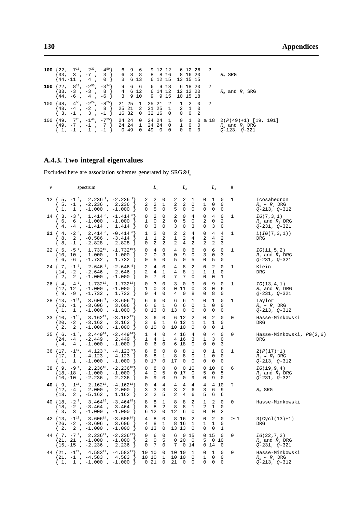| 100 | 22.<br>$\begin{bmatrix} 33 & 3 & -7 & 3 \end{bmatrix}$ 6 8 8 8 8 16<br>$\begin{pmatrix} 44 & -11 & , & 4 & , & 0 \end{pmatrix}$ 3                                                                                                                                                                                                                                   | $7^{16}$ , $2^{33}$ , $-4^{50}$ | 6 | 9     | -6<br>6 13          |                   | 9 1 2<br>6 12     | 12<br>-15                                          | 13                               | 8 16 20<br>15 15           |                          | 6 12 26 ?      | R <sub>2</sub> SRG                                              |
|-----|---------------------------------------------------------------------------------------------------------------------------------------------------------------------------------------------------------------------------------------------------------------------------------------------------------------------------------------------------------------------|---------------------------------|---|-------|---------------------|-------------------|-------------------|----------------------------------------------------|----------------------------------|----------------------------|--------------------------|----------------|-----------------------------------------------------------------|
| 100 | $\begin{array}{cccc} \{22, & 8^{20}, & -2^{55}, & -3^{24}\} & 9 & 6 & 6 \\ \{33, & -3, & -3, & 8\} & 4 & 6 & 12 \\ \{44, & -6, & 4, & -6\} & 3 & 9 & 10 \end{array}$                                                                                                                                                                                                |                                 |   |       |                     | 9                 | 6 9 18<br>6 14 12 | 9 15                                               | 12 12 20<br>10                   | 6 18 20<br>15 18           |                          | $\overline{?}$ | $R_2$ and $R_3$ SRG                                             |
| 100 | $\begin{array}{cccccc} \left\{ {48\, ,\quad \  \, 4^{50} \, ,\ \, -2^{24} \, ,\ \, -8^{25} \right\} & \  \  21\ \ 25\ \ \  1 & \  \  25\ \ 21 & \  \  2 & \  \  21\ \ 25 \\ \left\{ {48\, ,\ \, -4\quad ,\ \, -2\quad ,\quad \  8\quad } \right\} & \  \  25\ \ 21\ \ \  2 & \  \  21\ \ 25 \\ \left\{ {3\, ,\ \, -1\quad ,\quad \  3\quad ,\ \, -1\quad } \right\$ |                                 |   |       |                     |                   |                   | $\overline{2}$<br>$\overline{1}$<br>$\overline{0}$ | 1 2 0<br>2 1 0<br>$\Omega$       | $0\quad 2$                 |                          |                |                                                                 |
| 100 | ${49, 7^{25}, -1^{49}, -7^{25}}$<br>${49, -7, -1, 7}$ 24 24 1<br>$\{1, -1, 1, -1\}$ 049                                                                                                                                                                                                                                                                             |                                 |   | 24 24 | 0<br>$\overline{0}$ | 24<br>24 24<br>49 | -24<br>$\Omega$   | $\overline{0}$<br>$\overline{0}$                   | 0<br>$1 \quad 0$<br>$\mathbf{0}$ | $\mathbf{1}$<br>$0\quad 0$ | $\overline{\phantom{0}}$ | $0 \geq 18$    | $2(P(49)+1)$ [19, 101]<br>$R_1$ and $R_2$ DRG<br>$Q-123, Q-321$ |

## **A.4.3. Two integral eigenvalues**

Excluded here are association schemes generated by SRG⊗*Jn*

| v    | spectrum                                                                                                                              | $L_{1}$                                   |                             | L <sub>2</sub>                                                     | $L_3$                                                       | #        |                                                             |
|------|---------------------------------------------------------------------------------------------------------------------------------------|-------------------------------------------|-----------------------------|--------------------------------------------------------------------|-------------------------------------------------------------|----------|-------------------------------------------------------------|
| 12 R | 5, $-1^5$ , 2.236 <sup>3</sup> , $-2.236^3$<br>$5, -1, -2.236, 2.236$<br>1,<br>$1, -1.000, -1.000$                                    | 2<br>2<br>$\boldsymbol{2}$<br>2<br>5<br>0 | 0<br>2<br>2<br>1<br>0<br>5  | 2<br>1<br>2<br>0<br>0<br>0                                         | 0<br>$\mathbf{1}$<br>0<br>0<br>1<br>0<br>0<br>0<br>0        | 1        | Icosahedron<br>$R_1 \cong R_2$ DRG<br>$Q-213, Q-312$        |
|      | $14 \{ 3, -3^{1}, 1.414^{6}, -1.414^{6} \}$<br>$6, -1.000, -1.000$<br>б,<br>$4, -4, -1.414, 1.414$                                    | 2<br>0<br>1<br>0<br>3<br>0                | 2<br>0<br>2<br>0<br>3<br>0  | 0<br>4<br>5<br>0<br>0<br>3                                         | 0<br>4<br>0<br>0<br>2<br>2<br>3<br>0<br>0                   | 1        | IG(7, 3, 1)<br>$R_1$ and $R_3$ DRG<br>$Q-231, Q-321$        |
|      | <b>21</b> { 4, -2 <sup>8</sup> , 2.414 <sup>6</sup> , -0.414 <sup>6</sup> }<br>8,<br>2, $-0.586$ , $-3.414$<br>$8, -1, -2.828, 2.828$ | 2<br>1<br>1<br>1<br>2<br>0                | 0<br>2<br>2<br>1<br>2<br>2  | 2<br>4<br>2<br>4<br>4<br>2                                         | 4<br>0<br>4<br>2<br>4<br>2<br>2<br>3<br>2                   | 1        | L(TG(7, 3, 1))<br>DRG                                       |
|      | $22\{5, -5^1, 1.732^{10}, -1.732^{10}\}$<br>$10, 10, -1.000, -1.000$<br>{ 6, -6 , -1.732 , 1.732                                      | 0<br>4<br>2<br>0<br>5<br>0                | 0<br>4<br>3<br>0<br>5<br>0  | 0<br>6<br>9<br>$\mathbf 0$<br>0<br>5                               | 0<br>0<br>6<br>3<br>0<br>3<br>5<br>0<br>0                   | 1        | IG(11, 5, 2)<br>$R_1$ and $R_2$ DRG<br>$Q-231, Q-321$       |
|      | $24 \{ 7, -1^7, 2.646^8, -2.646^8 \}$<br>{14, -2 , -2.646 , 2.646<br>$\{2, 2, -1.000, -1.000\}$                                       | 2<br>4<br>2<br>4<br>7<br>0                | 0<br>4<br>1<br>4<br>0<br>7  | 2<br>8<br>8<br>1<br>7<br>0                                         | 2<br>0<br>0<br>1<br>0<br>1<br>0<br>1<br>0                   | 1        | Klein<br>DRG                                                |
|      | 26 { 4, -4 <sup>1</sup> , 1.732 <sup>12</sup> , -1.732 <sup>12</sup> }<br>$12, 12, -1.000, -1.000$<br>{ 9, -9 , -1.732 , 1.732        | 3<br>0<br>1<br>0<br>4<br>0                | 0<br>3<br>3<br>4<br>0       | 0<br>9<br>0<br>011<br>8<br>0                                       | 0<br>9<br>0<br>0<br>6<br>3<br>8<br>0<br>0                   | 1        | IG(13, 4, 1)<br>$R_1$ and $R_3$ DRG<br>Q-231, Q-321         |
|      | 28 $\{13, -1^{13}, 3.606^7, -3.606^7\}$<br>, 3.606<br>$13, -1, -3.606$<br>$1, 1, -1.000, -1.000$                                      | 6<br>6<br>6<br>6<br>013                   | 0<br>6<br>1<br>6<br>0<br>13 | 6<br>1<br>6<br>0<br>0<br>0                                         | 0<br>0<br>1<br>1<br>0<br>0<br>0<br>0<br>0                   | 1        | Taylor<br>$R_1$ = $R_2$ DRG<br>$Q-213, Q-312$               |
|      | 33 $\{10, -1^{10}, 3.162^{11}, -3.162^{11}\}$<br>$20, -2, -3.162, 3.162$<br>{ 2, 2 , -1.000 , -1.000 }                                | 3<br>6<br>3<br>6<br>010                   | 0<br>1<br>0                 | 2<br>612<br>6 12<br>1<br>10 10<br>0                                | 0<br>2<br>0<br>1<br>1<br>0<br>1<br>0<br>0                   | $\Omega$ | Hasse-Minkowski<br>DRG                                      |
|      | $35\{6, -1^6, 2.449^{14}, -2.449^{14}\}$<br>$24, -4, -2.449, 2.449$<br>$\{4, 4, -1.000$ , $-1.000$                                    | 1<br>4<br>1<br>4<br>0<br>6                | 0<br>1<br>0                 | 4 16<br>4<br>4 16<br>3<br>6 18<br>0                                | 4<br>0<br>0<br>1<br>3<br>0<br>3<br>0<br>0                   | 0        | Hasse-Minkowski, $PG(2, 6)$<br>DRG                          |
|      | 36 $\{17, -1^{17}, 4.123^9, -4.123^9\}$<br>$17, -1, -4.123$<br>, 4.123<br>$\begin{bmatrix} 1, 1, -1.000, -1.000 \end{bmatrix}$        | 8<br>8<br>8<br>8<br>017                   | 0<br>8<br>8<br>1<br>17<br>0 | 8<br>1<br>8<br>0<br>0<br>0                                         | 0<br>0<br>1<br>0<br>1<br>0<br>0<br>0<br>0                   | 1        | $2(P(17)+1)$<br>$R_1$ = $R_2$ DRG<br>$Q-213, Q-312$         |
| 38   | $\{9, -9^{1}, 2.236^{18}, -2.236^{18}\}$<br>$18, -18$ , $-1.000$ , $-1.000$<br>{10,-10 , -2.236 , 2.236                               | 0<br>8<br>4<br>0<br>9<br>0                | 0<br>8<br>5<br>0<br>9       | 010<br>017<br>0<br>0<br>9                                          | 0<br>0 10<br>0<br>5<br>5<br>9<br>0<br>0                     | 6        | IG(19, 9, 4)<br>$R_1$ and $R_3$ DRG<br>$Q-231, Q-321$       |
|      | 40 $\{9, 1^{15},$<br>$2.162^{12}$ , $-4.162^{12}$<br>$2.000$ , $2.000$<br>$12, -4,$<br>$\{18, 2, -5.162, 1.162\}$                     | 4<br>0<br>3<br>3<br>2<br>2                | 4<br>4<br>3<br>3<br>5<br>2  | 4<br>4<br>2<br>6<br>4<br>6                                         | 4 10<br>4<br>3<br>6<br>9<br>5<br>6<br>6                     | ?        | $R_2$ SRG                                                   |
|      | 40 {18, -2 <sup>9</sup> , 3.464 <sup>15</sup> , -3.464 <sup>15</sup> }<br>$18, -2, -3.464, 3.464$<br>{ 3, 3 , -1.000 , -1.000         | 8<br>8<br>8<br>8<br>6 12                  | 1<br>8<br>2<br>8<br>12<br>0 | 2<br>8<br>8<br>1<br>6<br>0                                         | 2<br>1<br>0<br>2<br>1<br>0<br>0<br>0<br>2                   | 0        | Hasse-Minkowski                                             |
|      | 42 $\{13, -1^{13}, 3.606^{14}, -3.606^{14}\}$<br>$26, -2, -3.606$<br>, 3.606<br>2, 2, -1.000 , -1.000                                 | 4<br>8<br>- 8<br>4<br>0 13                | 0<br>1<br>0                 | 2<br>8 16<br>8 16<br>1<br>13 13<br>0                               | 2<br>0<br>0<br>1<br>1<br>0<br>0<br>0<br>1                   | $\geq 1$ | $3(Cycl(13)+1)$<br><b>DRG</b>                               |
|      | 44 $\{7, -7^{1}, 2.236^{21}, -2.236^{21}\}$<br>$21, 21, -1.000, -1.000$<br>{15,-15 , -2.236 , 2.236                                   | 0<br>6<br>2<br>0<br>7<br>0                | 0<br>6<br>5<br>0<br>7       | 0 15<br>020<br>0<br>$0 \t14$                                       | 015<br>0<br>5<br>$\overline{\phantom{0}}$<br>10<br>014<br>0 | 0        | IG(22, 7, 2)<br>$R_1$ and $R_2$ DRG<br>$Q-231, Q-321$       |
|      | 44 $\{21, -1^{21}, 4.583^{11}, -4.583^{11}\}$<br>$21, -1, -4.583, 4.583$<br>$1, 1, -1.000, -1.000$                                    | 10 10<br>10 10<br>021                     | 0<br>1<br>$\mathbf 0$<br>21 | 10 10<br>1<br>10 10<br>0<br>$\mathbf 0$<br>$\overline{\mathbf{0}}$ | 0<br>1<br>0<br>0<br>0<br>1<br>$\Omega$<br>0<br>$\Omega$     | 0        | Hasse-Minkowski<br>$R_1$ $\sim$ $R_2$ DRG<br>$Q-213, Q-312$ |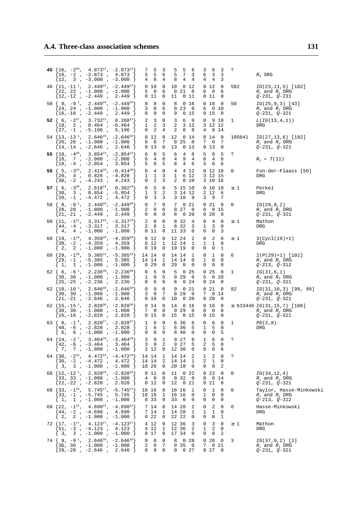|      | 45 $\{16, -2^{20}, 4.873^{12}, -2.873^{12}\}$                                                                      | $16, -2, -2.873,$<br>$12, 3, -3.000, -3.000$             | 4.873                                                  | 7<br>5<br>5<br>5<br>8<br>4    | 3<br>6<br>4   | 5<br>5<br>6<br>5<br>7<br>3<br>8<br>4<br>4                                  | 3<br>- 6<br>3<br>6<br>3<br>3<br>4<br>4                           | ?        | $R_3$ SRG                                                                |
|------|--------------------------------------------------------------------------------------------------------------------|----------------------------------------------------------|--------------------------------------------------------|-------------------------------|---------------|----------------------------------------------------------------------------|------------------------------------------------------------------|----------|--------------------------------------------------------------------------|
|      | $46\{11, -11^1, 2.449^{22}, -2.449^{22}\}\$                                                                        | $22, 22, -1.000, -1.000$<br>{12,-12 , -2.449 , 2.449     |                                                        | 0<br>10<br>5<br>0<br>0 11     | 0<br>6<br>0   | 10<br>$\mathbf{0}$<br>12<br>021<br>0<br>11<br>$\mathbf{0}$<br>11           | 3<br>0 <sub>12</sub><br>0<br>0<br>6<br>6<br>011<br>0             | 582      | $IG(23, 11, 5)$ [102]<br>$R_1$ and $R_3$ DRG<br>$Q-231, Q-231$           |
| 50   | $\{9, -9^{1}, 2.449^{24}, -2.449^{24}\}$<br>$\{16,-16$ , -2.449 , 2.449 }                                          | $24, 24, -1.000, -1.000$                                 |                                                        | 0<br>8<br>3<br>0<br>0<br>9    | 0<br>6<br>0   | 8<br>0<br>16<br>023<br>0<br>9<br>015                                       | 0 16<br>0<br>$\overline{0}$<br>10<br>6<br>015<br>0               | 50       | IG(25, 9, 3) [43]<br>$R_1$ and $R_3$ DRG<br>$Q-231, Q-321$               |
| 52   | $\{6, -2^{27}, 3.732^{12},$<br>$2 \sqrt{2}$<br>18,                                                                 | $0.464$ , $-6.464$<br>$27, -1, -5.196$ ,                 | $0.268^{12}$<br>5.196                                  | 3<br>2<br>2<br>1<br>2<br>0    | 0<br>3<br>4   | 6<br>9<br>3<br>2<br>3 12<br>2<br>8<br>8                                    | 9 18<br>0<br>3 12 12<br>814<br>4                                 | 1        | L(TG(13, 4, 1))<br>DRG                                                   |
|      | 54 $\{13, -13\}$ , 2.646 <sup>26</sup> , -2.646 <sup>26</sup> }                                                    | $26, 26, -1.000, -1.000$<br>{14,-14 , -2.646 , 2.646     |                                                        | 0 12<br>6<br>0<br>013         | 0<br>7<br>0   | 12<br>0 14<br>25<br>$\mathbf 0$<br>0<br>13<br>13<br>$\mathbf{0}$           | 014<br>0<br>7<br>7<br>0<br>013<br>0                              | 105041   | $IG(27, 13, 6)$ [102]<br>$R_1$ and $R_3$ DRG<br>$Q-231, Q-321$           |
|      | 55 ${18, -4^{10}, 3.854^{22}, -2.854^{22}}$<br>$18, 7, -2.000$<br>{18, -4 , -2.854 , 3.854                         |                                                          | , $-2.000$                                             | 6<br>6<br>6<br>4<br>5<br>8    | 5<br>8<br>5   | 4<br>8<br>6<br>4<br>9<br>4<br>8<br>4<br>6                                  | 8<br>5<br>5<br>4<br>8<br>6<br>5<br>6<br>6                        | S.       | $R_2 = T(11)$                                                            |
|      | 56 $\{5, -3^{15},$<br>20,                                                                                          | 4, $0.828$ , $-4.828$<br>{30, -2 , -4.243 , 4.243        | $2.414^{20}$ , $-0.414^{20}$                           | 0<br>4<br>1<br>1<br>0<br>2    | 0<br>3<br>3   | 4 12<br>4<br>1<br>6 12<br>2<br>8 10                                        | 0 12 18<br>3 12 15<br>3 10 16                                    | 0        | Fon-der-Flaass [50]<br>DRG                                               |
| 57   | $\{6, -3^{20}, 2.618^{18},$<br>{20, -1 , -4.472 ,                                                                  | $30, 3, 0.854, -5.854$                                   | $0.382^{18}$<br>4.472                                  | 5<br>0<br>3<br>1<br>3<br>0    | 0<br>2<br>3   | 5 15 10<br>3 14 12<br>3 18<br>9                                            | 01010<br>2 12<br>6<br>7<br>3<br>9                                | $\geq 1$ | Perkel<br>DRG                                                            |
| 58   | $\{8, -8^1, 2.449^{28}, -2.449^{28}\}$                                                                             | $28, 28, -1.000, -1.000$<br>{21,-21 , -2.449 , 2.449     |                                                        | 7<br>0<br>2<br>0<br>0<br>8    | 0<br>6<br>0   | 021<br>7<br>027<br>0<br>20<br>8<br>0                                       | 021<br>0<br>$\overline{0}$<br>6<br>15<br>20<br>$\mathbf{0}$<br>0 | 0        | IG(29, 8, 2)<br>$R_1$ and $R_3$ DRG<br>$Q-231, Q-321$                    |
|      | 60 $\{11, -1^{11},$<br>$\{4, 4, -1.000, -1.000\}$                                                                  | $44, -4, -3.317, 3.317$                                  | $3.317^{24}$ , $-3.317^{24}$                           | 2<br>8<br>2<br>8<br>011       | 0<br>1<br>0   | 8 3 2<br>4<br>8 3 2<br>3<br>11 33<br>0                                     | 4<br>0<br>0<br>1<br>3<br>0<br>0<br>0<br>3                        | $\geq 1$ | Mathon<br>DRG                                                            |
|      | 60 $\{19, -1^{19}, 4.359^{20}, -4.359^{20}\}$                                                                      | $38, -2, -4.359, 4.359$<br>$2, 2, -1.000, -1.000$        |                                                        | 6 12<br>612<br>0 19           | 0<br>1<br>0   | 12 24<br>2<br>12 24<br>1<br>19 19<br>0                                     | 2<br>0<br>0<br>1<br>1<br>0<br>0<br>0<br>1                        | $\geq 1$ | $3(Cycl(19)+1)$<br>DRG                                                   |
|      | 60 $\{29, -1^{29}, 5.385^{15}, -5.385^{15}\}$<br>$29, -1, -5.385$                                                  |                                                          | 5.385<br>$\mathbf{r}$<br>$\{$ 1, 1 , -1.000 , -1.000 } | 14 14<br>14 14<br>029         | 0<br>1<br>0   | 14 14<br>ı<br>14 14<br>0<br>29<br>0<br>0                                   | 0<br>0<br>1<br>1<br>0<br>0<br>0<br>0<br>0                        | 6        | $2(P(29)+1)$ [101]<br>$R_1$ and $R_2$ DRG<br>$Q-213, Q-312$              |
| 62   |                                                                                                                    | $30, 30, -1.000, -1.000$<br>$25, -25$ , $-2.236$ , 2.236 | 6, $-6^{1}$ , 2.236 <sup>30</sup> , $-2.236^{30}$ }    | 5<br>0<br>0<br>1<br>0<br>6    | 0<br>5<br>0   | 5<br>$\mathbf{0}$<br>25<br>29<br>0<br>$\overline{\phantom{0}}$<br>6<br>024 | 025<br>0<br>5<br>$\overline{\phantom{0}}$<br>20<br>024<br>0      | ı        | IG(31, 6, 1)<br>$R_1$ and $R_3$ DRG<br>$Q-231, Q-321$                    |
|      | 62 $\{10, -10^{1}, 2.646^{30}, -2.646^{30}\}$<br>$ 21, -21$ , $-2.646$                                             | $30, 30, -1.000, -1.000$                                 | , 2.646                                                | 0<br>9<br>3<br>0<br>0 10      | 0<br>7<br>0   | 9<br>$\mathbf{0}$<br>21<br>029<br>0<br>020<br>10                           | 021<br>0<br>7<br>0<br>14<br>020<br>0                             | 82       | $IG(31, 10, 3)$ [98, 99]<br>$R_1$ and $R_3$ DRG<br>$Q-231, Q-321$        |
|      | 62 ${15, -15^{-1}, 2.828^{30}, -2.828^{30}}$<br>$30, 30, -1.000$<br>$\{16,-16$ , -2.828 , 2.828                    |                                                          | $, -1.000$                                             | 0 14<br>7<br>0<br>015         | 0<br>8<br>0   | 14<br>$\mathbf{0}$<br>16<br>029<br>0<br>15<br>015                          | 0 16<br>0<br>8<br>8<br>0<br>015<br>0                             |          | $\geq$ 633446 IG(31,15,7) [100]<br>$R_1$ and $R_3$ DRG<br>$Q-231, Q-321$ |
| 63   | $\{8, -1^8, 2.828^{27}, -2.828^{27}\}$<br>{ 6, 6 , -1.000 , -1.000 }                                               | $48, -6, -2.828, 2.828$                                  |                                                        | 6<br>1<br>1<br>6<br>0<br>8    | 0<br>1<br>0   | 6 36<br>6<br>6 36<br>5<br>0<br>8 40                                        | 0<br>0<br>6<br>5<br>0<br>1<br>0<br>5<br>0                        | 1        | PG(2, 8)<br>DRG                                                          |
|      | 64 $\{14, -2^7, 3.464^{28}, -3.464^{28}\}$<br>7,                                                                   | $42, -6, -3.464,$<br>$7, -1.000, -1.000$                 | 3.464                                                  | $\overline{3}$<br>39<br>2 1 2 | 9 1<br>2<br>0 | 9 27<br>6<br>9 27<br>5<br>0<br>12 30                                       | 0<br>1 6<br>2<br>5<br>0<br>0<br>0<br>6                           | ?        |                                                                          |
|      | 64 $\{30, -2^{15}, 4.472^{24}, -4.472^{24}\}$<br>3<br>{3,                                                          | $30, -2, -4.472, 4.472$<br>$, -1.000$                    | $, -1.000$                                             | 14 14<br>14 14<br>10 20       | 1<br>2<br>0   | 14 14<br>2<br>14 14<br>1<br>20 10<br>0                                     | 2<br>0<br>1<br>2<br>1<br>0<br>2<br>0<br>0                        | S.       |                                                                          |
|      | 68 $\{12, -12^1, 2.828^{33}, -2.828^{33}\}$<br>$22, -22$ , $-2.828$                                                | $33, 33, -1.000, -1.000$                                 | , 2.828                                                | 011<br>4<br>0<br>012          | 0<br>8<br>0   | 11<br>0<br>22<br>$\overline{0}$<br>-32<br>0<br>12<br>0<br>21               | 022<br>0<br>$\overline{\phantom{0}}$<br>8<br>14<br>021<br>0      | 0        | IG(34, 12, 4)<br>$R_1$ and $R_2$ DRG<br>$Q-231, Q-321$                   |
| 68   | $\{33, -1^{33}, 5.745^{17}, -5.745^{17}\}$<br>$33, -1, -5.745$                                                     | $1, 1, -1.000, -1.000$                                   | , 5.745                                                | 16 16<br>16 16<br>0 33        | 0<br>1<br>0   | 16 16<br>1<br>16 16<br>0<br>33<br>0<br>0                                   | 1<br>0<br>0<br>1<br>0<br>0<br>0<br>0<br>0                        | 0        | Taylor, Hasse-Minkowski<br>$R_1$ and $R_2$ DRG<br>$Q-213, Q-312$         |
| 69   | $\{22, -1^{22}, 4.690^{23}, -4.690^{23}\}$<br>$44, -2, -4.690$<br>$\left\{ \begin{array}{c} 2 \end{array} \right.$ | 2, $-1.000$ , $-1.000$                                   | , 4.690                                                | 714<br>714<br>022             | 0<br>1<br>0   | 14 28<br>2<br>14 28<br>1<br>22 22<br>0                                     | 2<br>0<br>0<br>1<br>1<br>0<br>0<br>0<br>1                        | 0        | Hasse-Minkowski<br>DRG                                                   |
|      | 72 $\{17, -1^{17}, 4.123^{27}, -4.123^{27}\}$<br>$51, -3, -4.123$<br>$3, 3, -1.000$                                |                                                          | , 4.123<br>$, -1.000$                                  | 4 12<br>4 12<br>017           | 0<br>1<br>0   | 12 36<br>3<br>12 36<br>2<br>17 34<br>0                                     | 3<br>0<br>0<br>1<br>2<br>0<br>0<br>0<br>2                        | $\geq 1$ | Mathon<br>DRG                                                            |
| 74 { | 9, $-9^{1}$ ,                                                                                                      | $36, 36, -1.000, -1.000$<br>$28, -28$ , $-2.646$ , 2.646 | $2.646^{36}$ , $-2.646^{36}$                           | 8<br>0<br>2<br>0<br>0<br>9    | 0<br>7<br>0   | 8<br>$\overline{0}$<br>-28<br>0, 35<br>0<br>9<br>027                       | 028<br>0<br>7<br>21<br>$\cup$<br>$0\quad27$<br>0                 | 3        | IG(37, 9, 2) [2]<br>$R_1$ and $R_3$ DRG<br>$Q-231, Q-321$                |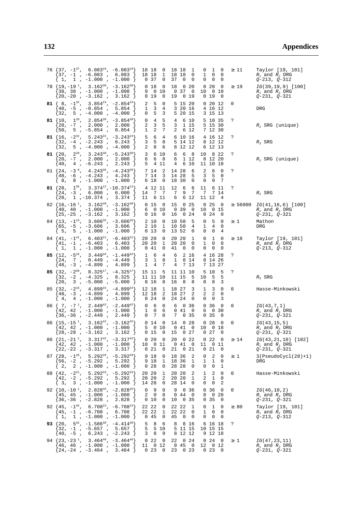|     |                                 | $76\{37, -1^{37}, 6.083^{19}, -6.083^{19}\}\$<br>$37, -1, -6.083, 6.083$<br>$\{ 1, 1, -1.000, -1.000$                  |                              | 18 18<br>O<br>18 18<br>1<br>0.37<br>O                                                   | 18 18<br>ı<br>18 18<br>0<br>37<br>0<br>0                          | 0<br>ı<br>0<br>1<br>0<br>0<br>0<br>0<br>0                       | 2 11      | Taylor [19, 101]<br>$R_1$ and $R_2$ DRG<br>$Q-213, Q-312$                       |
|-----|---------------------------------|------------------------------------------------------------------------------------------------------------------------|------------------------------|-----------------------------------------------------------------------------------------|-------------------------------------------------------------------|-----------------------------------------------------------------|-----------|---------------------------------------------------------------------------------|
|     |                                 | 78 ${19, -19^{-1}, 3.162^{38}, -3.162^{38}}$<br>$38, 38, -1.000, -1.000$<br>{20,-20 , -3.162 , 3.162 }                 |                              | 0 <sub>18</sub><br>0<br>9<br>0 10<br>019<br>0                                           | 18<br>$\mathbf{0}$<br>20<br>0.37<br>0<br>019<br>19                | 0<br>20<br>0<br>10<br>0 10<br>0 19<br>0                         | $\geq 19$ | $IG(39, 19, 9)$ [100]<br>$R_1$ and $R_3$ DRG<br>$Q-231, Q-321$                  |
|     | {32,                            | 81 $\{8, -1^{32}, 3.854^{24}, -2.854^{24}\}$<br>$40, -5, -0.854,$<br>$5, -4.000, -4.000$                               | 5.854                        | 2<br>5<br>0<br>3<br>1<br>4<br>5<br>0<br>3                                               | 5 15 20<br>3 20 16<br>5 20 15                                     | 0 20 12<br>4 16 12<br>3 15 13                                   | 0         | DRG                                                                             |
|     | $81 \{10,$<br>$\{50,$           | $1^{20}$ , 2.854 <sup>30</sup> , -3.854 <sup>30</sup> }<br>$20, -7, 2.000, 2.000$<br>$5, -5.854,$                      | 0.854                        | 4<br>5<br>0<br>2<br>3<br>5<br>2<br>1<br>7                                               | 4<br>6 10<br>3<br>1 15<br>2<br>6 12                               | 5 10 35<br>5 15 30<br>7 12 30                                   | S.        | $R2$ SRG (unique)                                                               |
|     | {32,                            | 81 ${16, -2^{32}, 5.243^{24}, -3.243^{24}}$<br>$32, -4, -2.243,$<br>$5, -4.000, -4.000$                                | 6.243                        | 5<br>6<br>4<br>5<br>3<br>8<br>2<br>8<br>6                                               | 6 10 16<br>5 14 12<br>8 12 12                                     | 4 16 12<br>8 12 12<br>6 12 13                                   | ?         | $R_3$ SRG                                                                       |
|     | $2^{20}$ ,<br>81 $\{20,$<br>40, | $20, -7, 2.000, 2.000$<br>4 , -6.243 , 2.243                                                                           | $3.243^{30}$ , $-5.243^{30}$ | 3<br>6 10<br>6<br>6<br>- 8<br>5<br>4 11                                                 | 6<br>6<br>8<br>6<br>1 12<br>6 10<br>4                             | 10<br>8 2 2<br>8 12 20<br>11 10 18                              | ?         | $R_2$ SRG (unique)                                                              |
|     | 8,                              | 81 $\{24, -3^{8}, 4.243^{36}, -4.243^{36}\}$<br>$48, -6, -4.243, 4.243$<br>8, -1.000, -1.000                           |                              | 714<br>2<br>7 14<br>3<br>6 18<br>0                                                      | 14 28<br>6<br>14 28<br>5<br>18 30<br>0                            | 2<br>6<br>0<br>5<br>3<br>0<br>7<br>0<br>0                       | ?         |                                                                                 |
| 81  | 28,                             | $1^{56}$ , 3.374 <sup>12</sup> , -10.374 <sup>12</sup> }<br>$24, -3$ , 6.000, 6.000<br>$\{28, 1$ ,-10.374 , 3.374 $\}$ |                              | 4 12 11<br>14<br>7<br>7<br>11<br>6<br>11                                                | 12<br>6<br>6<br>7<br>7<br>9<br>6 12<br>6                          | 11<br>6 11<br>7<br>7<br>14<br>11 12<br>4                        | ?         | $R_2$ SRG                                                                       |
|     |                                 | 82 ${16, -16^1, 3.162^{40}, -3.162^{40}}$<br>$40, 40, -1.000, -1.000$<br>$25, -25$ , $-3.162$ , $3.162$                |                              | 015<br>0<br>0 10<br>6<br>016<br>0                                                       | 15<br>025<br>0 39<br>$\overline{\phantom{0}}$<br>16<br>$0\quad24$ | 025<br>0<br>10<br>0 15<br>024<br>0                              |           | $\geq$ 56000 <i>IG</i> (41,16,6) [100]<br>$R_1$ and $R_3$ DRG<br>$Q-231, Q-321$ |
|     |                                 | 84 $\{13, -1^{13}, 3.606^{35}, -3.606^{35}\}$<br>$65, -5, -3.606, 3.606$<br>$5, 5, -1.000, -1.000$                     |                              | 2 10<br>0<br>2 10<br>1<br>013<br>0                                                      | 10 50<br>5<br>10 50<br>4<br>13 52<br>0                            | 5<br>0<br>0<br>1<br>4<br>0<br>4<br>0<br>0                       | $\geq 1$  | Mathon<br>DRG                                                                   |
| 84. | {1,                             | $\{41, -1^{41}, 6.403^{21}, -6.403^{21}\}$<br>$41, -1, -6.403, 6.403$<br>$1$ , $-1.000$ , $-1.000$                     |                              | 20 20<br>0<br>20 20<br>1<br>0 41<br>0                                                   | 20 20<br>ı<br>20 20<br>0<br>41<br>0<br>0                          | 1<br>0<br>0<br>1<br>0<br>0<br>0<br>0<br>0                       | ≥ 18      | Taylor [19, 101]<br>$R_1$ and $R_2$ DRG<br>$Q-213, Q-312$                       |
|     | 24,                             | 85 $\{12, -5^{16}, 3.449^{34}, -1.449^{34}\}$<br>7, $0.449$ , $-4.449$<br>{48, -3 , -4.899 , 4.899 }                   |                              | 6<br>1<br>4<br>3<br>1<br>8<br>1<br>4<br>7                                               | 2 16<br>6<br>1<br>8 14<br>4<br>713                                | 4 16 28<br>814<br>26<br>7 13 27                                 | S.        |                                                                                 |
|     |                                 | 85 $\{32, -2^{50}, 8.325^{17}, -4.325^{17}\}$<br>$32, -2, -4.325, 8.325$<br>$20, 3, -5.000, -5.000$                    |                              | 15 11<br>5<br>11 11 10<br>8 16<br>8                                                     | 11 11 10<br>11 15<br>5<br>16<br>8<br>8                            | 5 10<br>5<br>5<br>5<br>10<br>8<br>3<br>8                        | ?         | $R_3$ SRG                                                                       |
|     | 85 $\{32, -2^{16},$             | $48, -3, -4.899, 4.899$<br>$\{4, 4, -1.000, -1.000\}$                                                                  | $4.899^{34}$ , $-4.899^{34}$ | 12 18<br>1<br>12 18<br>2<br>8 2 4<br>0                                                  | 18 27<br>3<br>18 27<br>2<br>24 24<br>0                            | 0<br>3<br>ı<br>2<br>2<br>0<br>0<br>3<br>0                       | 0         | Hasse-Minkowski                                                                 |
|     |                                 | 86 $\{7, -7^1, 2.449^{42}, -2.449^{42}\}$<br>$42, 42, -1.000, -1.000$<br>{36,-36 , -2.449 , 2.449                      |                              | 0<br>-6<br>0<br>1<br>0<br>6<br>7<br>0<br>0                                              | 6<br>$\overline{0}$<br>36<br>041<br>0<br>7<br>0<br>- 35           | 0 36<br>0<br>6<br>0<br>30<br>0, 35<br>0                         | 0         | IG(43, 7, 1)<br>$R_1$ and $R_3$ DRG<br>$Q-231, Q-321$                           |
|     |                                 | 86 ${15, -15^1, 3.162^{42}, -3.162^{42}}$<br>$42, 42, -1.000, -1.000$<br>$\{28,-28$ , $-3.162$ , $3.162$ }             |                              | 0 14<br>0<br>0 10<br>5<br>015<br>$\overline{\phantom{0}}$                               | 14<br>028<br>041<br>0<br>15 0 27                                  | 0 <sub>28</sub><br>0<br>10<br>0<br>18<br>027<br>0               | 0         | IG(43, 15, 5)<br>$R_1$ and $R_3$ DRG<br>$Q-231, Q-321$                          |
|     |                                 | $42, 42, -1.000, -1.000 \}$<br>$22, -22$ , $-3.317$ , $3.317$                                                          |                              | 86 ${21, -21^1, 3.317^{42}, -3.317^{42}}$ 0 20 0<br>10 0 11<br>021<br>0                 | 20 0 22<br>$0\;41\;0$<br>21<br>0 21                               | 0220<br>11 0 11<br>$0\quad21$<br>0                              | $\geq 14$ | IG(43, 21, 10) [102]<br>$R_1$ and $R_3$ DRG<br>$Q-231, Q-321$                   |
|     |                                 | 87 $\{28, -1^{28}, 5.292^{29}, -5.292^{29}\}$<br>$56, -2, -5.292,$<br>$\{2, 2, -1.000, -1.000$                         | 5.292                        | 9 18<br>0<br>9 18<br>1<br>028<br>0                                                      | 18 36<br>2<br>18 36<br>1<br>28 28<br>0                            | 2<br>0<br>0<br>1<br>1<br>0<br>0<br>1<br>0                       | $\geq 1$  | $3(PseudoCycl(28)+1)$<br>DRG                                                    |
|     |                                 | 88 $\{42, -2^{21}, 5.292^{33}, -5.292^{33}\}$<br>$42, -2, -5.292, 5.292$<br>{ 3, 3 , -1.000 , -1.000 }                 |                              | 20 20<br>1<br>20 20<br>2<br>14 28<br>0                                                  | 20 20<br>2<br>20 20<br>1<br>28 14<br>0                            | 2<br>0<br>1<br>2<br>1<br>0<br>0<br>2<br>0                       | 0         | Hasse-Minkowski                                                                 |
|     |                                 | 92 $\{10, -10^{1}, 2.828^{45}, -2.828^{45}\}$<br>45, 45, $-1.000$ , $-1.000$<br>${36,-36}$ , -2.828, 2.828             |                              | 0<br>- 9<br>0<br>$\overline{\phantom{0}}$<br>8<br>2<br>010<br>0                         | 9<br>036<br>0 44<br>$\overline{0}$<br>10<br>0, 35                 | 0, 36<br>0<br>8<br>028<br>0, 35<br>0                            | 0         | IG(46, 10, 2)<br>$R_1$ and $R_3$ DRG<br>$Q-231, Q-321$                          |
|     |                                 | 92 $\{45, -1^{45}, 6.708^{23}, -6.708^{23}\}$<br>$45, -1, -6.708, 6.708$<br>$\{ 1, 1, -1.000, -1.000 \}$               |                              | 22 22<br>0<br>22 22<br>1<br>045<br>0                                                    | 22 22<br>1<br>22 22<br>0<br>45<br>0<br>0                          | 1<br>0<br>$\cup$<br>1<br>0<br>0<br>0<br>0<br>0                  | $\geq 80$ | Taylor [19, 101]<br>$R_1$ and $R_2$ DRG<br>$Q-213, Q-312$                       |
|     |                                 | 93 $\{20, 5^{32}, -1.586^{30}, -4.414^{30}\}$<br>$32, -1, -5.657, 5.657$<br>{40, -5 , 6.243 , -2.243 }                 |                              | 8<br>5<br>6<br>5<br>5 10<br>3<br>8<br>9                                                 | 8<br>8 16<br>5 11 15<br>8 12 12                                   | 6 16 18<br>10 15 15<br>9 12 18                                  | ?         |                                                                                 |
|     |                                 | 94 $\{23, -23^1, 3.464^{46}, -3.464^{46}\}$<br>$46, 46, -1.000, -1.000$<br>[24,-24 , -3.464 , 3.464                    |                              | $0\quad22$<br>$\overline{\phantom{0}}$<br>0 12<br>11<br>023<br>$\overline{\phantom{0}}$ | 22<br>024<br>045<br>$\overline{0}$<br>23<br>023                   | $0\,24$<br>$\overline{\phantom{0}}$<br>12<br>0 12<br>$0\,23\,0$ | $\geq 1$  | IG(47, 23, 11)<br>$R_1$ and $R_3$ DRG<br>$Q-231, Q-321$                         |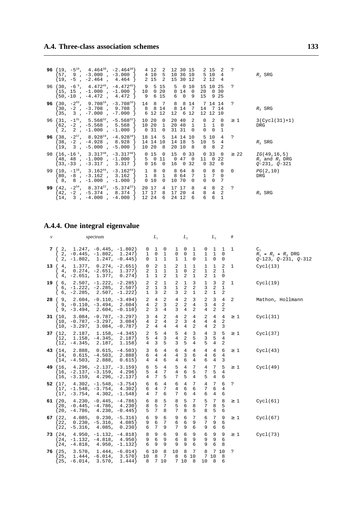| <b>96</b> $\{19, -5^{19}, 4.464^{38}, -2.464^{38}\}$<br>$57, 9, -3.000, -3.000$ } 4 10<br>$\begin{array}{ccccccccc} \{19\, , \:\: -5\, & , \:\: -2.464\, \;\; , \quad 4.464\, \;\; \}\end{array}$ |    | 4 1 2<br>2<br>5<br>2 15<br>2                     | 12 30 15<br>10 36 10<br>15 30 12                             | 2 15<br>2<br>5 10<br>4<br>2 1 2<br>4                                   | ?           | $R2$ SRG                                               |
|---------------------------------------------------------------------------------------------------------------------------------------------------------------------------------------------------|----|--------------------------------------------------|--------------------------------------------------------------|------------------------------------------------------------------------|-------------|--------------------------------------------------------|
| 96 $\{30, -6^5, 4.472^{45}, -4.472^{45}\}$<br>$\{15, 15, -1.000, -1.000\}$<br>(50,-10 , -4.472 , 4.472                                                                                            | 10 | 5 15<br>9<br>$0\quad20$<br>9<br>6 15             | .5<br>$\Omega$<br>10<br>$0\;14\;0$<br>$\mathbf{0}$<br>6<br>9 | 15 10 25<br>20<br>$0\quad30$<br>15<br>9 25                             | 2           |                                                        |
| <b>96</b> $\{30, -2^{63}, 9.708^{16}, -3.708^{16}\}\$<br>$30, -2, -3.708, 9.708$ 8 8 14 8 14 7<br>$\begin{bmatrix} 35, & 3, & -7.000, & -7.000 \end{bmatrix}$ 6 12                                | 14 | 12                                               | 8 7 8 8 14<br>12<br>6<br>12                                  | 7 14 14<br>14 7 14<br>12 12 10                                         | 2           | $R_3$ SRG                                              |
| 96 $\{31, -1^{31}, 5.568^{32}, -5.568^{32}\}$<br>$\{62, -2, -5.568, 5.568\}$ 10 20<br>$2, 2, -1.000, -1.000$ } 0 31                                                                               |    | 10 20<br>$\bigcirc$<br>$\mathbf{1}$<br>$\Omega$  | 20 40<br>2<br>20 40<br>31 31<br>$\Omega$                     | $0 \t2 \t0 \t21$<br>$1 \quad 1 \quad 1 \quad 0$<br>$0 \quad 0 \quad 1$ |             | 3(Cycl(31)+1)<br><b>DRG</b>                            |
| <b>96</b> $\{38, -2^{57}, 8.928^{19}, -4.928^{19}\}$<br>$\{38, -2, -4.928, 8.928\}$ 14 14 10<br>$19, 3, -5.000, -5.000$ } 10 20                                                                   |    | 18 14 5<br>8                                     | 14 14 10<br>14 18 5<br>20<br>10<br>8                         | 5 10 4<br>$10 \quad 5 \quad 4$<br>$\overline{2}$<br>8<br>8             | 2           | $R_3$ SRG                                              |
| 98 $\{16, -16^{\circ}, 3.317^{48}, -3.317^{48}\}$<br>$\{48, 48, -1.000, -1.000\}$ 5 0<br>$\{33, -33, -3.317, 3.317\}$                                                                             |    | 0, 15<br>$\overline{0}$<br>11<br>016<br>$\Omega$ | 15 0 33<br>47 0<br>$\overline{0}$<br>16<br>$\mathbf 0$<br>32 | 0.33<br>11 0<br>22<br>0, 32<br>0                                       | $0 \geq 22$ | IG(49, 16, 5)<br>$R_1$ and $R_3$ DRG<br>$Q-231, Q-321$ |
| 99 $\{10, -1^{10}, 3.162^{44}, -3.162^{44}\}$<br>$80, -8, -3.162, 3.162$<br>8, 8, $-1.000$ , $-1.000$ }                                                                                           |    | $1 \quad 8 \quad 0$<br>010<br>$\Omega$           | 8648<br>1 8 1 8 64 7 1 7 0<br>10 70<br>$\Omega$              | $0$ 8 0<br>$\begin{matrix}0&0\end{matrix}$                             | $\Omega$    | PG(2, 10)<br><b>DRG</b>                                |
| <b>99</b> {42, $-2^{54}$ , 8.374 <sup>22</sup> , $-5.374^{22}$ }<br>$42, -2, -5.374, 8.374$<br>$14, 3, -4.000, -4.000$ } 12 24 6                                                                  |    | 20 17<br>$\overline{4}$<br>17 17<br>8            | 8<br>17<br>17<br>17 20<br>4<br>6<br>24 12                    | 4 8 2 ?<br>8 4 2<br>6<br>6                                             |             | $R_3$ SRG                                              |

#### **A.4.4. One integral eigenvalue**

| $\mathcal V$ | spectrum                                                                                                                                                     | $L_{1}$                                                                      | L <sub>2</sub>                                                            | $L_{3}$                                                                               | #        |                                                                       |  |
|--------------|--------------------------------------------------------------------------------------------------------------------------------------------------------------|------------------------------------------------------------------------------|---------------------------------------------------------------------------|---------------------------------------------------------------------------------------|----------|-----------------------------------------------------------------------|--|
|              | $7\{2, 1.247, -0.445, -1.802\}$<br>$\left\{\n \begin{array}{ccc}\n 2, & -0.445, & -1.802, & 1.247 \\ 2, & -1.802, & 1.247, & -0.445\n \end{array}\n\right\}$ | 0<br>0<br>1<br>$\mathbf 0$<br>1<br>1<br>$\mathbf{1}$<br>1<br>0               | 0<br>1<br>1<br>0<br>1<br>0<br>$\mathbf{1}$<br>$\mathbf 0$<br>$\mathbf{1}$ | 0<br>$\mathbf{1}$<br>1<br>$\mathbf{1}$<br>$\mathbf{1}$<br>0<br>$\mathbf{1}$<br>0<br>0 | 1        | $C_7$<br>$R_1 \cong R_2 \cong R_3$ DRG<br>$Q-123$ , $Q-231$ , $Q-312$ |  |
|              | 13 $\{4, 1.377, 0.274, -2.651\}$<br>4, $0.274$ , $-2.651$ , $1.377$ }<br>4, $-2.651$ , $1.377$ , $0.274$ }                                                   | 2<br>1<br>0<br>2<br>1<br>1<br>$\mathbf{1}$<br>$\mathfrak{D}$<br>$\mathbf{1}$ | 2<br>1<br>1<br>2<br>1<br>0<br>2<br>$\mathbf{1}$<br>$\mathbf{1}$           | 2<br>1<br>1<br>2<br>1<br>1<br>2<br>1<br>0                                             | 1        | Cycl(13)                                                              |  |
|              | <b>19</b> { 6, 2.507, $-1.222$ , $-2.285$ }<br>$6, -1.222, -2.285, 2.507$<br>$\{6, -2.285, 2.507, -1.222\}$                                                  | 2<br>2<br>1<br>2<br>3<br>1<br>3<br>2<br>1                                    | 1<br>3<br>2<br>2<br>2<br>1<br>3<br>2<br>1                                 | 3<br>2<br>1<br>3<br>1<br>2<br>2<br>2<br>1                                             | 1        | Cycl(19)                                                              |  |
|              | <b>28</b> $\{9, 2.604, -0.110, -3.494\}$<br>9, $-0.110$ , $-3.494$ , $2.604$ }<br>$\{9, -3.494, 2.604, -0.110\}$                                             | 2<br>2<br>4<br>2<br>4<br>3<br>3<br>2<br>4                                    | 2<br>3<br>4<br>2<br>2<br>4<br>3<br>4<br>2                                 | 2<br>3<br>4<br>2<br>3<br>4<br>4<br>2<br>2                                             | 2        | Mathon, Hollmann                                                      |  |
|              | 31 $\{10, 3.084, -0.787, -3.297\}$<br>$10, -0.787, -3.297, 3.084$<br>$\{10, -3.297, 3.084, -0.787\}$                                                         | 3<br>4<br>2<br>4<br>2<br>4<br>2<br>4<br>4                                    | 4<br>2<br>4<br>3<br>2<br>4<br>4<br>4<br>2                                 | 2<br>4<br>4<br>4<br>4<br>2<br>4<br>2<br>3                                             | $\geq 1$ | Cycl(31)                                                              |  |
|              | 37 $\{12, 2.187, 1.158, -4.345\}$<br>$12, 1.158, -4.345, 2.187$<br>$\{12, -4.345, 2.187, 1.158\}$                                                            | 2<br>5<br>4<br>5<br>4<br>3<br>5<br>3<br>4                                    | 5<br>4<br>3<br>5<br>4<br>2<br>3<br>5<br>$\overline{4}$                    | 3<br>5<br>4<br>3<br>5<br>4<br>5<br>$\overline{4}$<br>2                                | $\geq 1$ | Cycl(37)                                                              |  |
|              | 43 $\{14, 2.888, 0.615, -4.503\}$<br>$14, 0.615, -4.503, 2.888$<br>$\{14, -4.503, 2.888, 0.615\}$                                                            | 6<br>4<br>3<br>6<br>4<br>4<br>4<br>4<br>6                                    | 4<br>4<br>6<br>6<br>4<br>3<br>6<br>4<br>4                                 | 4<br>4<br>6<br>6<br>4<br>4<br>3<br>6<br>4                                             | $\geq 1$ | Cycl(43)                                                              |  |
|              | 49 $\{16, 4.296, -2.137, -3.159\}$<br>$16, -2.137, -3.159,$<br>4.296<br>{16, -3.159, 4.296, -2.137}                                                          | 5<br>4<br>6<br>5<br>$\overline{4}$<br>7<br>7<br>4<br>5                       | 5<br>7<br>4<br>6<br>4<br>5<br>5<br>$\overline{4}$<br>7                    | 7<br>4<br>5<br>7<br>5<br>4<br>5<br>4<br>6                                             | $\geq 1$ | Cycl(49)                                                              |  |
|              | 52 $\{17, 4.302, -1.548, -3.754\}$<br>$[17, -1.548, -3.754, 4.302]$<br>{17, -3.754, 4.302, -1.548}                                                           | 6<br>6<br>4<br>6<br>4<br>7<br>7<br>4<br>6                                    | 6<br>4<br>7<br>4<br>6<br>6<br>6<br>7<br>4                                 | 7<br>4<br>6<br>7<br>6<br>4<br>6<br>4<br>6                                             | ?        |                                                                       |  |
|              | 61 $\{20, 4.230, -0.445, -4.786\}$<br>$20, -0.445, -4.786, 4.230$<br>$20, -4.786, 4.230, -0.445$                                                             | 6<br>8<br>5<br>8<br>5<br>7<br>5<br>7<br>8                                    | 5<br>7<br>8<br>5<br>6<br>8<br>5<br>7<br>8                                 | 5<br>7<br>8<br>7<br>8<br>5<br>8<br>5<br>6                                             | $\geq 1$ | Cycl(61)                                                              |  |
|              | 67 $\{22, 4.085, 0.230, -5.316\}$<br>$22, 0.230, -5.316, 4.085$<br>$\begin{bmatrix} 22, & -5.316, & 4.085, & 0.230 \end{bmatrix}$                            | 6<br>9<br>6<br>6<br>7<br>9<br>7<br>6<br>9                                    | 9<br>6<br>7<br>6<br>6<br>9<br>6<br>7<br>9                                 | 7<br>6<br>9<br>7<br>6<br>9<br>9<br>6<br>6                                             | $\geq 1$ | Cycl(67)                                                              |  |
|              | 73 $\{24, 4.950, -1.132, -4.818\}$<br>$24, -1.132, -4.818, 4.950$<br>$\{24, -4.818, 4.950, -1.132\}$                                                         | 6<br>9<br>8<br>6<br>9<br>9<br>6<br>9<br>9                                    | 9<br>6<br>9<br>6<br>8<br>9<br>9<br>9<br>6                                 | 6<br>9<br>9<br>9<br>9<br>6<br>9<br>6<br>8                                             | $\geq 1$ | Cycl(73)                                                              |  |
|              | 76 $\{25, 3.570, 1.444, -6.014\}$<br>$25, 1.444, -6.014, 3.570$<br>$\{25, -6.014, 3.570, 1.444\}$                                                            | 6 10<br>8<br>7<br>10<br>8<br>8<br>7 10                                       | 8<br>7<br>10<br>6<br>8<br>10<br>7 10<br>8                                 | 8<br>710<br>7<br>10<br>8<br>10<br>8<br>6                                              | ?        |                                                                       |  |
|              |                                                                                                                                                              |                                                                              |                                                                           |                                                                                       |          |                                                                       |  |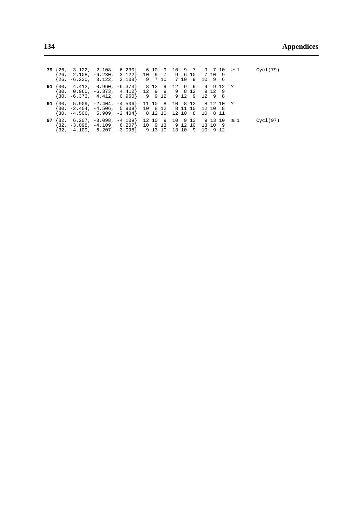|  |                                           | $26, 2.108, -6.230, 3.122$ 10 9 7 9 6 10 7 10 9<br>$\begin{bmatrix} 26 & -6.230 & 3.122 & 2.108 \end{bmatrix}$ 9 7 10                                                  |       |           | 7 10 9             |                 |    | 10 9 6                           | <b>79</b> $\{26, 3.122, 2.108, -6.230\}$ 6 10 9 10 9 7 9 7 10 $\geq 1$ Cycl(79) |
|--|-------------------------------------------|------------------------------------------------------------------------------------------------------------------------------------------------------------------------|-------|-----------|--------------------|-----------------|----|----------------------------------|---------------------------------------------------------------------------------|
|  |                                           | <b>91</b> $\{30, 4.412, 0.960, -6.373\}$ 8 12 9 12 9 9 9 9 12 ?<br>$30, 0.960, -6.373, 4.412$ 12 9 9 9 8 12 9 12<br>[30, -6.373, 4.412, 0.960} 9 9 12 9 12 9 12 9 8    |       |           |                    |                 |    | - 9                              |                                                                                 |
|  |                                           | <b>91</b> $\{30, 5.909, -2.404, -4.506\}$ 11 10<br>$30, -2.404, -4.506, 5.909$ 10 8 12 8 11 10<br>$\begin{bmatrix} 30 & -4.506 & 5.909 & -2.404 \end{bmatrix}$ 8 12 10 |       |           | 8 10 8 12<br>12 10 | 8               |    | 8 1 2 10 ?<br>12 10 8<br>10 8 11 |                                                                                 |
|  | <b>97</b> $\{32, 6.207, -3.098, -4.109\}$ | $32, -3.098, -4.109, 6.207$ 10 9 13 9 12 10<br>$\begin{bmatrix} 32, & -4.109, & 6.207, & -3.098 \end{bmatrix}$ 9 13                                                    | 12 10 | - 9<br>10 | 10<br>13           | 9 13<br>9<br>10 | 10 | 13 10 9<br>9 12                  | $9 13 10 \ge 1$ Cycl(97)                                                        |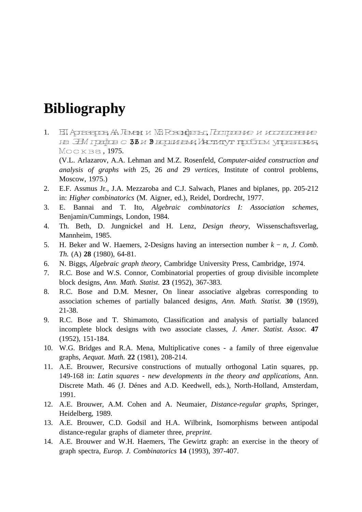### **Bibliography**

1. El Aprespor Al Javan и NB Posadenta, Потроене и испертение на  $\mathcal I$ М графов с  $\mathfrak z\mathfrak z$  и  $\mathfrak z$  вершинам Июнигуг пробтем управления,  $M$ ockba, 1975.

(V.L. Arlazarov, A.A. Lehman and M.Z. Rosenfeld, *Computer-aided construction and analysis of graphs with* 25, 26 *and* 29 *vertices*, Institute of control problems, Moscow, 1975.)

- 2. E.F. Assmus Jr., J.A. Mezzaroba and C.J. Salwach, Planes and biplanes, pp. 205-212 in: *Higher combinatorics* (M. Aigner, ed.), Reidel, Dordrecht, 1977.
- 3. E. Bannai and T. Ito, *Algebraic combinatorics I: Association schemes*, Benjamin/Cummings, London, 1984.
- 4. Th. Beth, D. Jungnickel and H. Lenz, *Design theory*, Wissenschaftsverlag, Mannheim, 1985.
- 5. H. Beker and W. Haemers, 2-Designs having an intersection number *k* − *n*, *J. Comb. Th.* (A) **28** (1980), 64-81.
- 6. N. Biggs, *Algebraic graph theory*, Cambridge University Press, Cambridge, 1974.
- 7. R.C. Bose and W.S. Connor, Combinatorial properties of group divisible incomplete block designs, *Ann. Math. Statist.* **23** (1952), 367-383.
- 8. R.C. Bose and D.M. Mesner, On linear associative algebras corresponding to association schemes of partially balanced designs, *Ann. Math. Statist.* **30** (1959), 21-38.
- 9. R.C. Bose and T. Shimamoto, Classification and analysis of partially balanced incomplete block designs with two associate classes, *J. Amer. Statist. Assoc.* **47** (1952), 151-184.
- 10. W.G. Bridges and R.A. Mena, Multiplicative cones a family of three eigenvalue graphs, *Aequat. Math.* **22** (1981), 208-214.
- 11. A.E. Brouwer, Recursive constructions of mutually orthogonal Latin squares, pp. 149-168 in: *Latin squares - new developments in the theory and applications*, Ann. Discrete Math. 46 (J. Dénes and A.D. Keedwell, eds.), North-Holland, Amsterdam, 1991.
- 12. A.E. Brouwer, A.M. Cohen and A. Neumaier, *Distance-regular graphs*, Springer, Heidelberg, 1989.
- 13. A.E. Brouwer, C.D. Godsil and H.A. Wilbrink, Isomorphisms between antipodal distance-regular graphs of diameter three, *preprint*.
- 14. A.E. Brouwer and W.H. Haemers, The Gewirtz graph: an exercise in the theory of graph spectra, *Europ. J. Combinatorics* **14** (1993), 397-407.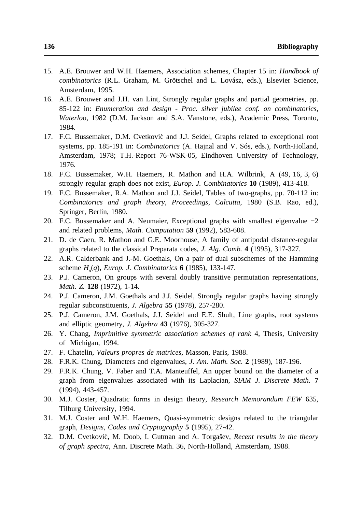- 15. A.E. Brouwer and W.H. Haemers, Association schemes, Chapter 15 in: *Handbook of combinatorics* (R.L. Graham, M. Grötschel and L. Lovász, eds.), Elsevier Science, Amsterdam, 1995.
- 16. A.E. Brouwer and J.H. van Lint, Strongly regular graphs and partial geometries, pp. 85-122 in: *Enumeration and design - Proc. silver jubilee conf. on combinatorics*, *Waterloo*, 1982 (D.M. Jackson and S.A. Vanstone, eds.), Academic Press, Toronto, 1984.
- 17. F.C. Bussemaker, D.M. Cvetković and J.J. Seidel, Graphs related to exceptional root systems, pp. 185-191 in: *Combinatorics* (A. Hajnal and V. Sós, eds.), North-Holland, Amsterdam, 1978; T.H.-Report 76-WSK-05, Eindhoven University of Technology, 1976.
- 18. F.C. Bussemaker, W.H. Haemers, R. Mathon and H.A. Wilbrink, A (49, 16, 3, 6) strongly regular graph does not exist, *Europ. J. Combinatorics* **10** (1989), 413-418.
- 19. F.C. Bussemaker, R.A. Mathon and J.J. Seidel, Tables of two-graphs, pp. 70-112 in: *Combinatorics and graph theory*, *Proceedings*, *Calcutta*, 1980 (S.B. Rao, ed.), Springer, Berlin, 1980.
- 20. F.C. Bussemaker and A. Neumaier, Exceptional graphs with smallest eigenvalue −2 and related problems, *Math. Computation* **59** (1992), 583-608.
- 21. D. de Caen, R. Mathon and G.E. Moorhouse, A family of antipodal distance-regular graphs related to the classical Preparata codes, *J. Alg. Comb.* **4** (1995), 317-327.
- 22. A.R. Calderbank and J.-M. Goethals, On a pair of dual subschemes of the Hamming scheme *Hn*(*q*), *Europ. J. Combinatorics* **6** (1985), 133-147.
- 23. P.J. Cameron, On groups with several doubly transitive permutation representations, *Math. Z.* **128** (1972), 1-14.
- 24. P.J. Cameron, J.M. Goethals and J.J. Seidel, Strongly regular graphs having strongly regular subconstituents, *J. Algebra* **55** (1978), 257-280.
- 25. P.J. Cameron, J.M. Goethals, J.J. Seidel and E.E. Shult, Line graphs, root systems and elliptic geometry, *J. Algebra* **43** (1976), 305-327.
- 26. Y. Chang, *Imprimitive symmetric association schemes of rank* 4, Thesis, University of Michigan, 1994.
- 27. F. Chatelin, *Valeurs propres de matrices*, Masson, Paris, 1988.
- 28. F.R.K. Chung, Diameters and eigenvalues, *J. Am. Math. Soc.* **2** (1989), 187-196.
- 29. F.R.K. Chung, V. Faber and T.A. Manteuffel, An upper bound on the diameter of a graph from eigenvalues associated with its Laplacian, *SIAM J. Discrete Math.* **7** (1994), 443-457.
- 30. M.J. Coster, Quadratic forms in design theory, *Research Memorandum FEW* 635, Tilburg University, 1994.
- 31. M.J. Coster and W.H. Haemers, Quasi-symmetric designs related to the triangular graph, *Designs*, *Codes and Cryptography* **5** (1995), 27-42.
- 32. D.M. Cvetkovic´, M. Doob, I. Gutman and A. Torgašev, *Recent results in the theory of graph spectra*, Ann. Discrete Math. 36, North-Holland, Amsterdam, 1988.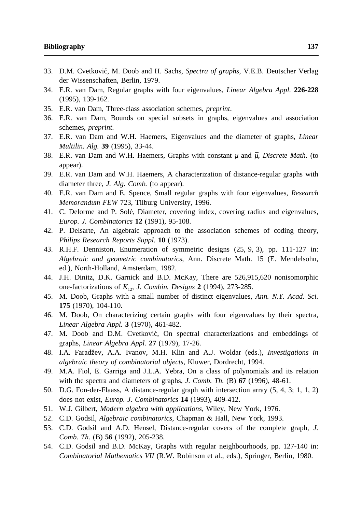- 33. D.M. Cvetkovic´, M. Doob and H. Sachs, *Spectra of graphs*, V.E.B. Deutscher Verlag der Wissenschaften, Berlin, 1979.
- 34. E.R. van Dam, Regular graphs with four eigenvalues, *Linear Algebra Appl.* **226-228** (1995), 139-162.
- 35. E.R. van Dam, Three-class association schemes, *preprint*.
- 36. E.R. van Dam, Bounds on special subsets in graphs, eigenvalues and association schemes, *preprint*.
- 37. E.R. van Dam and W.H. Haemers, Eigenvalues and the diameter of graphs, *Linear Multilin. Alg.* **39** (1995), 33-44.
- 38. E.R. van Dam and W.H. Haemers, Graphs with constant  $\mu$  and  $\overline{\mu}$ , *Discrete Math.* (to appear).
- 39. E.R. van Dam and W.H. Haemers, A characterization of distance-regular graphs with diameter three, *J. Alg. Comb.* (to appear).
- 40. E.R. van Dam and E. Spence, Small regular graphs with four eigenvalues, *Research Memorandum FEW* 723, Tilburg University, 1996.
- 41. C. Delorme and P. Solé, Diameter, covering index, covering radius and eigenvalues, *Europ. J. Combinatorics* **12** (1991), 95-108.
- 42. P. Delsarte, An algebraic approach to the association schemes of coding theory, *Philips Research Reports Suppl.* **10** (1973).
- 43. R.H.F. Denniston, Enumeration of symmetric designs (25, 9, 3), pp. 111-127 in: *Algebraic and geometric combinatorics*, Ann. Discrete Math. 15 (E. Mendelsohn, ed.), North-Holland, Amsterdam, 1982.
- 44. J.H. Dinitz, D.K. Garnick and B.D. McKay, There are 526,915,620 nonisomorphic one-factorizations of  $K_{12}$ , *J. Combin. Designs* 2 (1994), 273-285.
- 45. M. Doob, Graphs with a small number of distinct eigenvalues, *Ann. N.Y. Acad. Sci.* **175** (1970), 104-110.
- 46. M. Doob, On characterizing certain graphs with four eigenvalues by their spectra, *Linear Algebra Appl.* **3** (1970), 461-482.
- 47. M. Doob and D.M. Cvetković, On spectral characterizations and embeddings of graphs, *Linear Algebra Appl.* **27** (1979), 17-26.
- 48. I.A. Faradžev, A.A. Ivanov, M.H. Klin and A.J. Woldar (eds.), *Investigations in algebraic theory of combinatorial objects*, Kluwer, Dordrecht, 1994.
- 49. M.A. Fiol, E. Garriga and J.L.A. Yebra, On a class of polynomials and its relation with the spectra and diameters of graphs, *J. Comb. Th.* (B) **67** (1996), 48-61.
- 50. D.G. Fon-der-Flaass, A distance-regular graph with intersection array (5, 4, 3; 1, 1, 2) does not exist, *Europ. J. Combinatorics* **14** (1993), 409-412.
- 51. W.J. Gilbert, *Modern algebra with applications*, Wiley, New York, 1976.
- 52. C.D. Godsil, *Algebraic combinatorics*, Chapman & Hall, New York, 1993.
- 53. C.D. Godsil and A.D. Hensel, Distance-regular covers of the complete graph, *J. Comb. Th.* (B) **56** (1992), 205-238.
- 54. C.D. Godsil and B.D. McKay, Graphs with regular neighbourhoods, pp. 127-140 in: *Combinatorial Mathematics VII* (R.W. Robinson et al., eds.), Springer, Berlin, 1980.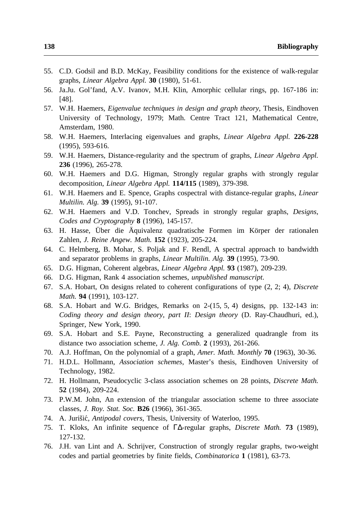- 55. C.D. Godsil and B.D. McKay, Feasibility conditions for the existence of walk-regular graphs, *Linear Algebra Appl.* **30** (1980), 51-61.
- 56. Ja.Ju. Gol'fand, A.V. Ivanov, M.H. Klin, Amorphic cellular rings, pp. 167-186 in: [48].
- 57. W.H. Haemers, *Eigenvalue techniques in design and graph theory*, Thesis, Eindhoven University of Technology, 1979; Math. Centre Tract 121, Mathematical Centre, Amsterdam, 1980.
- 58. W.H. Haemers, Interlacing eigenvalues and graphs, *Linear Algebra Appl.* **226-228** (1995), 593-616.
- 59. W.H. Haemers, Distance-regularity and the spectrum of graphs, *Linear Algebra Appl.* **236** (1996), 265-278.
- 60. W.H. Haemers and D.G. Higman, Strongly regular graphs with strongly regular decomposition, *Linear Algebra Appl.* **114/115** (1989), 379-398.
- 61. W.H. Haemers and E. Spence, Graphs cospectral with distance-regular graphs, *Linear Multilin. Alg.* **39** (1995), 91-107.
- 62. W.H. Haemers and V.D. Tonchev, Spreads in strongly regular graphs, *Designs*, *Codes and Cryptography* **8** (1996), 145-157.
- 63. H. Hasse, Über die Äquivalenz quadratische Formen im Körper der rationalen Zahlen, *J. Reine Angew. Math.* **152** (1923), 205-224.
- 64. C. Helmberg, B. Mohar, S. Poljak and F. Rendl, A spectral approach to bandwidth and separator problems in graphs, *Linear Multilin. Alg.* **39** (1995), 73-90.
- 65. D.G. Higman, Coherent algebras, *Linear Algebra Appl.* **93** (1987), 209-239.
- 66. D.G. Higman, Rank 4 association schemes, *unpublished manuscript*.
- 67. S.A. Hobart, On designs related to coherent configurations of type (2, 2; 4), *Discrete Math.* **94** (1991), 103-127.
- 68. S.A. Hobart and W.G. Bridges, Remarks on 2-(15, 5, 4) designs, pp. 132-143 in: *Coding theory and design theory*, *part II*: *Design theory* (D. Ray-Chaudhuri, ed.), Springer, New York, 1990.
- 69. S.A. Hobart and S.E. Payne, Reconstructing a generalized quadrangle from its distance two association scheme, *J. Alg. Comb.* **2** (1993), 261-266.
- 70. A.J. Hoffman, On the polynomial of a graph, *Amer. Math. Monthly* **70** (1963), 30-36.
- 71. H.D.L. Hollmann, *Association schemes*, Master's thesis, Eindhoven University of Technology, 1982.
- 72. H. Hollmann, Pseudocyclic 3-class association schemes on 28 points, *Discrete Math.* **52** (1984), 209-224.
- 73. P.W.M. John, An extension of the triangular association scheme to three associate classes, *J. Roy. Stat. Soc.* **B26** (1966), 361-365.
- 74. A. Jurišic´, *Antipodal covers*, Thesis, University of Waterloo, 1995.
- 75. T. Kloks, An infinite sequence of Γ∆-regular graphs, *Discrete Math.* **73** (1989), 127-132.
- 76. J.H. van Lint and A. Schrijver, Construction of strongly regular graphs, two-weight codes and partial geometries by finite fields, *Combinatorica* **1** (1981), 63-73.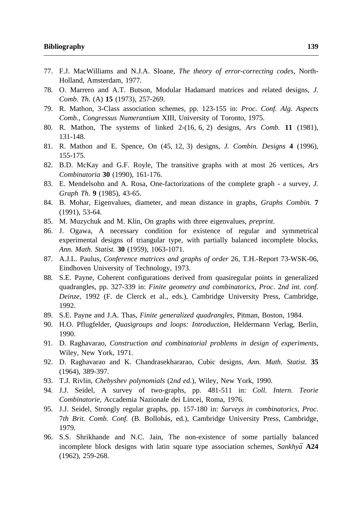- 77. F.J. MacWilliams and N.J.A. Sloane, *The theory of error-correcting codes*, North-Holland, Amsterdam, 1977.
- 78. O. Marrero and A.T. Butson, Modular Hadamard matrices and related designs, *J. Comb. Th.* (A) **15** (1973), 257-269.
- 79. R. Mathon, 3-Class association schemes, pp. 123-155 in: *Proc. Conf. Alg. Aspects Comb.*, *Congressus Numerantium* XIII, University of Toronto, 1975.
- 80. R. Mathon, The systems of linked 2-(16, 6, 2) designs, *Ars Comb.* **11** (1981), 131-148.
- 81. R. Mathon and E. Spence, On (45, 12, 3) designs, *J. Combin. Designs* **4** (1996), 155-175.
- 82. B.D. McKay and G.F. Royle, The transitive graphs with at most 26 vertices, *Ars Combinatoria* **30** (1990), 161-176.
- 83. E. Mendelsohn and A. Rosa, One-factorizations of the complete graph a survey, *J. Graph Th.* **9** (1985), 43-65.
- 84. B. Mohar, Eigenvalues, diameter, and mean distance in graphs, *Graphs Combin.* **7** (1991), 53-64.
- 85. M. Muzychuk and M. Klin, On graphs with three eigenvalues, *preprint*.
- 86. J. Ogawa, A necessary condition for existence of regular and symmetrical experimental designs of triangular type, with partially balanced incomplete blocks, *Ann. Math. Statist.* **30** (1959), 1063-1071.
- 87. A.J.L. Paulus, *Conference matrices and graphs of order* 26, T.H.-Report 73-WSK-06, Eindhoven University of Technology, 1973.
- 88. S.E. Payne, Coherent configurations derived from quasiregular points in generalized quadrangles, pp. 327-339 in: *Finite geometry and combinatorics*, *Proc*. 2*nd int. conf. Deinze*, 1992 (F. de Clerck et al., eds.), Cambridge University Press, Cambridge, 1992.
- 89. S.E. Payne and J.A. Thas, *Finite generalized quadrangles*, Pitman, Boston, 1984.
- 90. H.O. Pflugfelder, *Quasigroups and loops: Introduction*, Heldermann Verlag, Berlin, 1990.
- 91. D. Raghavarao, *Construction and combinatorial problems in design of experiments*, Wiley, New York, 1971.
- 92. D. Raghavarao and K. Chandrasekhararao, Cubic designs, *Ann. Math. Statist.* **35** (1964), 389-397.
- 93. T.J. Rivlin, *Chebyshev polynomials* (2*nd ed.*), Wiley, New York, 1990.
- 94. J.J. Seidel, A survey of two-graphs, pp. 481-511 in: *Coll. Intern. Teorie Combinatorie*, Accademia Nazionale dei Lincei, Roma, 1976.
- 95. J.J. Seidel, Strongly regular graphs, pp. 157-180 in: *Surveys in combinatorics*, *Proc*. 7*th Brit. Comb. Conf.* (B. Bollobás, ed.), Cambridge University Press, Cambridge, 1979.
- 96. S.S. Shrikhande and N.C. Jain, The non-existence of some partially balanced incomplete block designs with latin square type association schemes, *Sankhya¯* **A24** (1962), 259-268.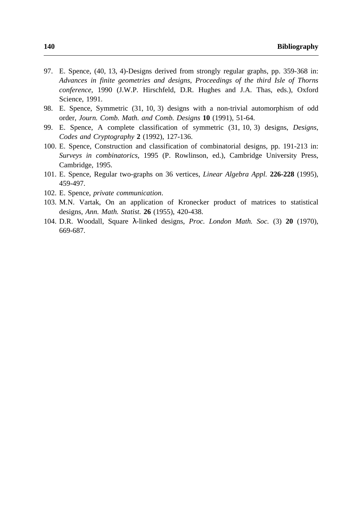- 97. E. Spence, (40, 13, 4)-Designs derived from strongly regular graphs, pp. 359-368 in: *Advances in finite geometries and designs*, *Proceedings of the third Isle of Thorns conference*, 1990 (J.W.P. Hirschfeld, D.R. Hughes and J.A. Thas, eds.), Oxford Science, 1991.
- 98. E. Spence, Symmetric (31, 10, 3) designs with a non-trivial automorphism of odd order, *Journ. Comb. Math. and Comb. Designs* **10** (1991), 51-64.
- 99. E. Spence, A complete classification of symmetric (31, 10, 3) designs, *Designs*, *Codes and Cryptography* **2** (1992), 127-136.
- 100. E. Spence, Construction and classification of combinatorial designs, pp. 191-213 in: *Surveys in combinatorics*, 1995 (P. Rowlinson, ed.), Cambridge University Press, Cambridge, 1995.
- 101. E. Spence, Regular two-graphs on 36 vertices, *Linear Algebra Appl.* **226-228** (1995), 459-497.
- 102. E. Spence, *private communication*.
- 103. M.N. Vartak, On an application of Kronecker product of matrices to statistical designs, *Ann. Math. Statist.* **26** (1955), 420-438.
- 104. D.R. Woodall, Square λ-linked designs, *Proc. London Math. Soc.* (3) **20** (1970), 669-687.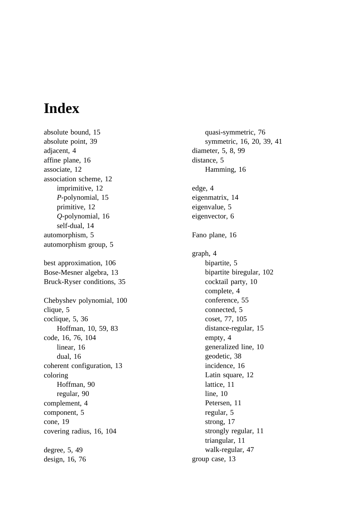## **Index**

absolute bound, 15 absolute point, 39 adjacent, 4 affine plane, 16 associate, 12 association scheme, 12 imprimitive, 12 *P*-polynomial, 15 primitive, 12 *Q*-polynomial, 16 self-dual, 14 automorphism, 5 automorphism group, 5 best approximation, 106 Bose-Mesner algebra, 13 Bruck-Ryser conditions, 35 Chebyshev polynomial, 100 clique, 5 coclique, 5, 36 Hoffman, 10, 59, 83 code, 16, 76, 104 linear, 16 dual, 16 coherent configuration, 13 coloring Hoffman, 90 regular, 90 complement, 4 component, 5 cone, 19 covering radius, 16, 104 degree, 5, 49 design, 16, 76

quasi-symmetric, 76 symmetric, 16, 20, 39, 41 diameter, 5, 8, 99 distance, 5 Hamming, 16 edge, 4 eigenmatrix, 14 eigenvalue, 5 eigenvector, 6 Fano plane, 16 graph, 4 bipartite, 5 bipartite biregular, 102 cocktail party, 10 complete, 4 conference, 55 connected, 5 coset, 77, 105 distance-regular, 15 empty, 4 generalized line, 10 geodetic, 38 incidence, 16 Latin square, 12 lattice, 11 line, 10 Petersen, 11 regular, 5 strong, 17 strongly regular, 11 triangular, 11 walk-regular, 47 group case, 13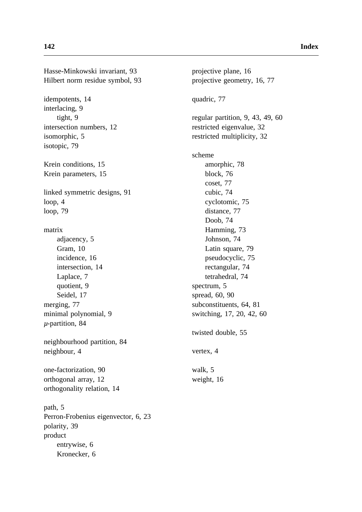Hasse-Minkowski invariant, 93 Hilbert norm residue symbol, 93 idempotents, 14 interlacing, 9 tight, 9 intersection numbers, 12 isomorphic, 5 isotopic, 79 Krein conditions, 15 Krein parameters, 15 linked symmetric designs, 91 loop, 4 loop, 79 matrix adjacency, 5 Gram, 10 incidence, 16 intersection, 14 Laplace, 7 quotient, 9 Seidel, 17 merging, 77 minimal polynomial, 9 *µ*-partition, 84 neighbourhood partition, 84 neighbour, 4 one-factorization, 90 orthogonal array, 12 orthogonality relation, 14 path, 5 Perron-Frobenius eigenvector, 6, 23 polarity, 39 product entrywise, 6 Kronecker, 6

projective plane, 16 projective geometry, 16, 77 quadric, 77 regular partition, 9, 43, 49, 60 restricted eigenvalue, 32 restricted multiplicity, 32 scheme amorphic, 78 block, 76 coset, 77 cubic, 74 cyclotomic, 75 distance, 77 Doob, 74 Hamming, 73 Johnson, 74 Latin square, 79 pseudocyclic, 75 rectangular, 74 tetrahedral, 74 spectrum, 5 spread, 60, 90 subconstituents, 64, 81 switching, 17, 20, 42, 60 twisted double, 55 vertex, 4 walk, 5 weight, 16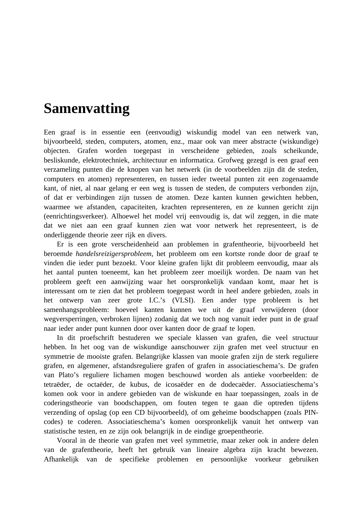# **Samenvatting**

Een graaf is in essentie een (eenvoudig) wiskundig model van een netwerk van, bijvoorbeeld, steden, computers, atomen, enz., maar ook van meer abstracte (wiskundige) objecten. Grafen worden toegepast in verscheidene gebieden, zoals scheikunde, besliskunde, elektrotechniek, architectuur en informatica. Grofweg gezegd is een graaf een verzameling punten die de knopen van het netwerk (in de voorbeelden zijn dit de steden, computers en atomen) representeren, en tussen ieder tweetal punten zit een zogenaamde kant, of niet, al naar gelang er een weg is tussen de steden, de computers verbonden zijn, of dat er verbindingen zijn tussen de atomen. Deze kanten kunnen gewichten hebben, waarmee we afstanden, capaciteiten, krachten representeren, en ze kunnen gericht zijn (eenrichtingsverkeer). Alhoewel het model vrij eenvoudig is, dat wil zeggen, in die mate dat we niet aan een graaf kunnen zien wat voor netwerk het representeert, is de onderliggende theorie zeer rijk en divers.

Er is een grote verscheidenheid aan problemen in grafentheorie, bijvoorbeeld het beroemde *handelsreizigersprobleem*, het probleem om een kortste ronde door de graaf te vinden die ieder punt bezoekt. Voor kleine grafen lijkt dit probleem eenvoudig, maar als het aantal punten toeneemt, kan het probleem zeer moeilijk worden. De naam van het probleem geeft een aanwijzing waar het oorspronkelijk vandaan komt, maar het is interessant om te zien dat het probleem toegepast wordt in heel andere gebieden, zoals in het ontwerp van zeer grote I.C.'s (VLSI). Een ander type probleem is het samenhangsprobleem: hoeveel kanten kunnen we uit de graaf verwijderen (door wegversperringen, verbroken lijnen) zodanig dat we toch nog vanuit ieder punt in de graaf naar ieder ander punt kunnen door over kanten door de graaf te lopen.

In dit proefschrift bestuderen we speciale klassen van grafen, die veel structuur hebben. In het oog van de wiskundige aanschouwer zijn grafen met veel structuur en symmetrie de mooiste grafen. Belangrijke klassen van mooie grafen zijn de sterk reguliere grafen, en algemener, afstandsreguliere grafen of grafen in associatieschema's. De grafen van Plato's reguliere lichamen mogen beschouwd worden als antieke voorbeelden: de tetraëder, de octaëder, de kubus, de icosaëder en de dodecaëder. Associatieschema's komen ook voor in andere gebieden van de wiskunde en haar toepassingen, zoals in de coderingstheorie van boodschappen, om fouten tegen te gaan die optreden tijdens verzending of opslag (op een CD bijvoorbeeld), of om geheime boodschappen (zoals PINcodes) te coderen. Associatieschema's komen oorspronkelijk vanuit het ontwerp van statistische testen, en ze zijn ook belangrijk in de eindige groepentheorie.

Vooral in de theorie van grafen met veel symmetrie, maar zeker ook in andere delen van de grafentheorie, heeft het gebruik van lineaire algebra zijn kracht bewezen. Afhankelijk van de specifieke problemen en persoonlijke voorkeur gebruiken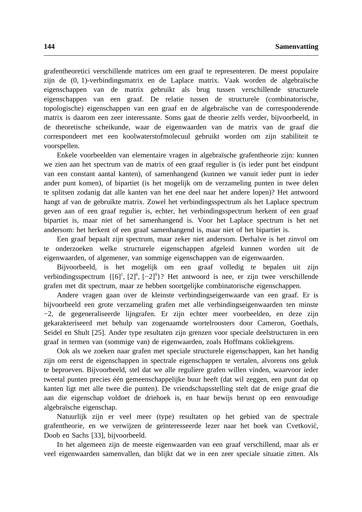grafentheoretici verschillende matrices om een graaf te representeren. De meest populaire zijn de (0, 1)-verbindingsmatrix en de Laplace matrix. Vaak worden de algebraïsche eigenschappen van de matrix gebruikt als brug tussen verschillende structurele eigenschappen van een graaf. De relatie tussen de structurele (combinatorische, topologische) eigenschappen van een graaf en de algebraïsche van de corresponderende matrix is daarom een zeer interessante. Soms gaat de theorie zelfs verder, bijvoorbeeld, in de theoretische scheikunde, waar de eigenwaarden van de matrix van de graaf die correspondeert met een koolwaterstofmolecuul gebruikt worden om zijn stabiliteit te voorspellen.

Enkele voorbeelden van elementaire vragen in algebraïsche grafentheorie zijn: kunnen we zien aan het spectrum van de matrix of een graaf regulier is (is ieder punt het eindpunt van een constant aantal kanten), of samenhangend (kunnen we vanuit ieder punt in ieder ander punt komen), of bipartiet (is het mogelijk om de verzameling punten in twee delen te splitsen zodanig dat alle kanten van het ene deel naar het andere lopen)? Het antwoord hangt af van de gebruikte matrix. Zowel het verbindingsspectrum als het Laplace spectrum geven aan of een graaf regulier is, echter, het verbindingsspectrum herkent of een graaf bipartiet is, maar niet of het samenhangend is. Voor het Laplace spectrum is het net andersom: het herkent of een graaf samenhangend is, maar niet of het bipartiet is.

Een graaf bepaalt zijn spectrum, maar zeker niet andersom. Derhalve is het zinvol om te onderzoeken welke structurele eigenschappen afgeleid kunnen worden uit de eigenwaarden, of algemener, van sommige eigenschappen van de eigenwaarden.

Bijvoorbeeld, is het mogelijk om een graaf volledig te bepalen uit zijn verbindingsspectrum  $\{ [6]^1, [2]^6, [-2]^9 \}$ ? Het antwoord is nee, er zijn twee verschillende grafen met dit spectrum, maar ze hebben soortgelijke combinatorische eigenschappen.

Andere vragen gaan over de kleinste verbindingseigenwaarde van een graaf. Er is bijvoorbeeld een grote verzameling grafen met alle verbindingseigenwaarden ten minste −2, de gegeneraliseerde lijngrafen. Er zijn echter meer voorbeelden, en deze zijn gekarakteriseerd met behulp van zogenaamde wortelroosters door Cameron, Goethals, Seidel en Shult [25]. Ander type resultaten zijn grenzen voor speciale deelstructuren in een graaf in termen van (sommige van) de eigenwaarden, zoals Hoffmans cokliekgrens.

Ook als we zoeken naar grafen met speciale structurele eigenschappen, kan het handig zijn om eerst de eigenschappen in spectrale eigenschappen te vertalen, alvorens ons geluk te beproeven. Bijvoorbeeld, stel dat we alle reguliere grafen willen vinden, waarvoor ieder tweetal punten precies één gemeenschappelijke buur heeft (dat wil zeggen, een punt dat op kanten ligt met alle twee die punten). De vriendschapsstelling stelt dat de enige graaf die aan die eigenschap voldoet de driehoek is, en haar bewijs berust op een eenvoudige algebraïsche eigenschap.

Natuurlijk zijn er veel meer (type) resultaten op het gebied van de spectrale grafentheorie, en we verwijzen de geïnteresseerde lezer naar het boek van Cvetković, Doob en Sachs [33], bijvoorbeeld.

In het algemeen zijn de meeste eigenwaarden van een graaf verschillend, maar als er veel eigenwaarden samenvallen, dan blijkt dat we in een zeer speciale situatie zitten. Als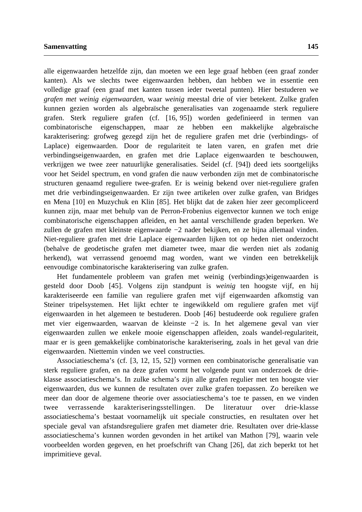#### **Samenvatting 145**

alle eigenwaarden hetzelfde zijn, dan moeten we een lege graaf hebben (een graaf zonder kanten). Als we slechts twee eigenwaarden hebben, dan hebben we in essentie een volledige graaf (een graaf met kanten tussen ieder tweetal punten). Hier bestuderen we *grafen met weinig eigenwaarden*, waar *weinig* meestal drie of vier betekent. Zulke grafen kunnen gezien worden als algebraïsche generalisaties van zogenaamde sterk reguliere grafen. Sterk reguliere grafen (cf. [16, 95]) worden gedefinieerd in termen van combinatorische eigenschappen, maar ze hebben een makkelijke algebraïsche karakterisering: grofweg gezegd zijn het de reguliere grafen met drie (verbindings- of Laplace) eigenwaarden. Door de regulariteit te laten varen, en grafen met drie verbindingseigenwaarden, en grafen met drie Laplace eigenwaarden te beschouwen, verkrijgen we twee zeer natuurlijke generalisaties. Seidel (cf. [94]) deed iets soortgelijks voor het Seidel spectrum, en vond grafen die nauw verbonden zijn met de combinatorische structuren genaamd reguliere twee-grafen. Er is weinig bekend over niet-reguliere grafen met drie verbindingseigenwaarden. Er zijn twee artikelen over zulke grafen, van Bridges en Mena [10] en Muzychuk en Klin [85]. Het blijkt dat de zaken hier zeer gecompliceerd kunnen zijn, maar met behulp van de Perron-Frobenius eigenvector kunnen we toch enige combinatorische eigenschappen afleiden, en het aantal verschillende graden beperken. We zullen de grafen met kleinste eigenwaarde −2 nader bekijken, en ze bijna allemaal vinden. Niet-reguliere grafen met drie Laplace eigenwaarden lijken tot op heden niet onderzocht (behalve de geodetische grafen met diameter twee, maar die werden niet als zodanig herkend), wat verrassend genoemd mag worden, want we vinden een betrekkelijk eenvoudige combinatorische karakterisering van zulke grafen.

Het fundamentele probleem van grafen met weinig (verbindings)eigenwaarden is gesteld door Doob [45]. Volgens zijn standpunt is *weinig* ten hoogste vijf, en hij karakteriseerde een familie van reguliere grafen met vijf eigenwaarden afkomstig van Steiner tripelsystemen. Het lijkt echter te ingewikkeld om reguliere grafen met vijf eigenwaarden in het algemeen te bestuderen. Doob [46] bestudeerde ook reguliere grafen met vier eigenwaarden, waarvan de kleinste −2 is. In het algemene geval van vier eigenwaarden zullen we enkele mooie eigenschappen afleiden, zoals wandel-regulariteit, maar er is geen gemakkelijke combinatorische karakterisering, zoals in het geval van drie eigenwaarden. Niettemin vinden we veel constructies.

Associatieschema's (cf. [3, 12, 15, 52]) vormen een combinatorische generalisatie van sterk reguliere grafen, en na deze grafen vormt het volgende punt van onderzoek de drieklasse associatieschema's. In zulke schema's zijn alle grafen regulier met ten hoogste vier eigenwaarden, dus we kunnen de resultaten over zulke grafen toepassen. Zo bereiken we meer dan door de algemene theorie over associatieschema's toe te passen, en we vinden twee verrassende karakteriseringsstellingen. De literatuur over drie-klasse associatieschema's bestaat voornamelijk uit speciale constructies, en resultaten over het speciale geval van afstandsreguliere grafen met diameter drie. Resultaten over drie-klasse associatieschema's kunnen worden gevonden in het artikel van Mathon [79], waarin vele voorbeelden worden gegeven, en het proefschrift van Chang [26], dat zich beperkt tot het imprimitieve geval.